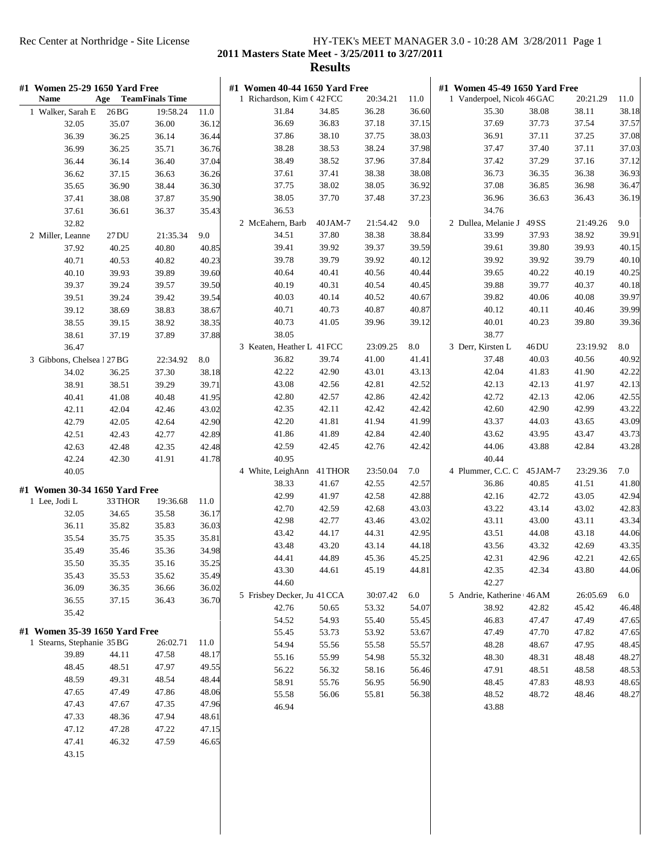**2011 Masters State Meet - 3/25/2011 to 3/27/2011**

| #1 Women 25-29 1650 Yard Free<br><b>TeamFinals Time</b><br><b>Name</b><br>Age |                |                   |                | #1 Women 40-44 1650 Yard Free       |                |                   |                | #1 Women 45-49 1650 Yard Free       |                |                   |                |
|-------------------------------------------------------------------------------|----------------|-------------------|----------------|-------------------------------------|----------------|-------------------|----------------|-------------------------------------|----------------|-------------------|----------------|
|                                                                               |                |                   |                | 1 Richardson, Kim C 42 FCC<br>31.84 |                | 20:34.21<br>36.28 | 11.0           | 1 Vanderpoel, Nicol 46 GAC<br>35.30 |                | 20:21.29<br>38.11 | 11.0<br>38.18  |
| 1 Walker, Sarah E<br>32.05                                                    | 26 BG<br>35.07 | 19:58.24<br>36.00 | 11.0<br>36.12  | 36.69                               | 34.85<br>36.83 | 37.18             | 36.60<br>37.15 | 37.69                               | 38.08<br>37.73 | 37.54             | 37.57          |
| 36.39                                                                         | 36.25          | 36.14             | 36.44          | 37.86                               | 38.10          | 37.75             | 38.03          | 36.91                               | 37.11          | 37.25             | 37.08          |
| 36.99                                                                         | 36.25          | 35.71             | 36.76          | 38.28                               | 38.53          | 38.24             | 37.98          | 37.47                               | 37.40          | 37.11             | 37.03          |
|                                                                               |                |                   |                | 38.49                               | 38.52          | 37.96             | 37.84          | 37.42                               | 37.29          | 37.16             | 37.12          |
| 36.44<br>36.62                                                                | 36.14<br>37.15 | 36.40<br>36.63    | 37.04<br>36.26 | 37.61                               | 37.41          | 38.38             | 38.08          | 36.73                               | 36.35          | 36.38             | 36.93          |
|                                                                               |                |                   |                | 37.75                               | 38.02          | 38.05             | 36.92          | 37.08                               | 36.85          | 36.98             | 36.47          |
| 35.65                                                                         | 36.90          | 38.44             | 36.30          | 38.05                               | 37.70          | 37.48             | 37.23          | 36.96                               | 36.63          | 36.43             | 36.19          |
| 37.41                                                                         | 38.08          | 37.87             | 35.90          | 36.53                               |                |                   |                | 34.76                               |                |                   |                |
| 37.61                                                                         | 36.61          | 36.37             | 35.43          |                                     | 40 JAM-7       | 21:54.42          | 9.0            | 2 Dullea, Melanie J                 | 49 SS          | 21:49.26          | 9.0            |
| 32.82                                                                         | 27 DU          | 21:35.34          | 9.0            | 2 McEahern, Barb<br>34.51           | 37.80          | 38.38             | 38.84          | 33.99                               | 37.93          | 38.92             | 39.91          |
| 2 Miller, Leanne<br>37.92                                                     | 40.25          | 40.80             | 40.85          | 39.41                               | 39.92          | 39.37             | 39.59          | 39.61                               | 39.80          | 39.93             | 40.15          |
|                                                                               |                |                   |                | 39.78                               | 39.79          | 39.92             |                | 39.92                               | 39.92          | 39.79             |                |
| 40.71                                                                         | 40.53          | 40.82             | 40.23          | 40.64                               | 40.41          | 40.56             | 40.12<br>40.44 | 39.65                               | 40.22          | 40.19             | 40.10<br>40.25 |
| 40.10                                                                         | 39.93          | 39.89             | 39.60          | 40.19                               | 40.31          | 40.54             |                | 39.88                               | 39.77          |                   | 40.18          |
| 39.37                                                                         | 39.24          | 39.57             | 39.50          |                                     |                |                   | 40.45          |                                     |                | 40.37             |                |
| 39.51                                                                         | 39.24          | 39.42             | 39.54          | 40.03                               | 40.14<br>40.73 | 40.52<br>40.87    | 40.67<br>40.87 | 39.82<br>40.12                      | 40.06<br>40.11 | 40.08<br>40.46    | 39.97<br>39.99 |
| 39.12                                                                         | 38.69          | 38.83             | 38.67          | 40.71                               |                | 39.96             |                |                                     | 40.23          | 39.80             |                |
| 38.55                                                                         | 39.15          | 38.92             | 38.35          | 40.73<br>38.05                      | 41.05          |                   | 39.12          | 40.01                               |                |                   | 39.36          |
| 38.61                                                                         | 37.19          | 37.89             | 37.88          | 3 Keaten, Heather L 41 FCC          |                | 23:09.25          | 8.0            | 38.77<br>3 Derr, Kirsten L          | 46DU           | 23:19.92          | 8.0            |
| 36.47                                                                         |                | 22:34.92          |                | 36.82                               | 39.74          | 41.00             | 41.41          | 37.48                               | 40.03          | 40.56             |                |
| 3 Gibbons, Chelsea 1 27 BG                                                    |                |                   | 8.0            |                                     |                |                   |                |                                     |                |                   | 40.92          |
| 34.02                                                                         | 36.25          | 37.30             | 38.18          | 42.22<br>43.08                      | 42.90<br>42.56 | 43.01<br>42.81    | 43.13<br>42.52 | 42.04<br>42.13                      | 41.83<br>42.13 | 41.90<br>41.97    | 42.22<br>42.13 |
| 38.91                                                                         | 38.51          | 39.29             | 39.71          |                                     |                |                   |                |                                     |                |                   |                |
| 40.41                                                                         | 41.08          | 40.48             | 41.95          | 42.80                               | 42.57          | 42.86             | 42.42          | 42.72                               | 42.13          | 42.06             | 42.55          |
| 42.11                                                                         | 42.04          | 42.46             | 43.02          | 42.35                               | 42.11          | 42.42             | 42.42          | 42.60                               | 42.90          | 42.99             | 43.22          |
| 42.79                                                                         | 42.05          | 42.64             | 42.90          | 42.20                               | 41.81          | 41.94             | 41.99          | 43.37                               | 44.03          | 43.65             | 43.09          |
| 42.51                                                                         | 42.43          | 42.77             | 42.89          | 41.86                               | 41.89          | 42.84             | 42.40          | 43.62                               | 43.95          | 43.47             | 43.73          |
| 42.63                                                                         | 42.48          | 42.35             | 42.48          | 42.59                               | 42.45          | 42.76             | 42.42          | 44.06                               | 43.88          | 42.84             | 43.28          |
| 42.24                                                                         | 42.30          | 41.91             | 41.78          | 40.95                               |                |                   |                | 40.44                               |                |                   |                |
| 40.05                                                                         |                |                   |                | 4 White, LeighAnn                   | 41 THOR        | 23:50.04          | 7.0            | 4 Plummer, C.C. C                   | 45 JAM-7       | 23:29.36          | 7.0            |
| #1 Women 30-34 1650 Yard Free                                                 |                |                   |                | 38.33                               | 41.67          | 42.55             | 42.57          | 36.86                               | 40.85          | 41.51             | 41.80          |
| 1 Lee, Jodi L                                                                 | 33 THOR        | 19:36.68          | 11.0           | 42.99                               | 41.97          | 42.58             | 42.88          | 42.16                               | 42.72          | 43.05             | 42.94          |
| 32.05                                                                         | 34.65          | 35.58             | 36.17          | 42.70                               | 42.59          | 42.68             | 43.03          | 43.22                               | 43.14          | 43.02             | 42.83          |
| 36.11                                                                         | 35.82          | 35.83             | 36.03          | 42.98                               | 42.77          | 43.46             | 43.02          | 43.11                               | 43.00          | 43.11             | 43.34          |
| 35.54                                                                         | 35.75          | 35.35             | 35.81          | 43.42                               | 44.17          | 44.31             | 42.95          | 43.51                               | 44.08          | 43.18             | 44.06          |
| 35.49                                                                         | 35.46          | 35.36             | 34.98          | 43.48                               | 43.20          | 43.14             | 44.18          | 43.56                               | 43.32          | 42.69             | 43.35          |
| 35.50                                                                         | 35.35          | 35.16             | 35.25          | 44.41                               | 44.89          | 45.36             | 45.25          | 42.31                               | 42.96          | 42.21             | 42.65          |
| 35.43                                                                         | 35.53          | 35.62             | 35.49          | 43.30                               | 44.61          | 45.19             | 44.81          | 42.35                               | 42.34          | 43.80             | 44.06          |
| 36.09                                                                         | 36.35          | 36.66             | 36.02          | 44.60                               |                |                   |                | 42.27                               |                |                   |                |
| 36.55                                                                         | 37.15          | 36.43             | 36.70          | 5 Frisbey Decker, Ju 41 CCA         |                | 30:07.42          | 6.0            | 5 Andrie, Katherine 46 AM           |                | 26:05.69          | 6.0            |
| 35.42                                                                         |                |                   |                | 42.76                               | 50.65          | 53.32             | 54.07          | 38.92                               | 42.82          | 45.42             | 46.48          |
| #1 Women 35-39 1650 Yard Free                                                 |                |                   |                | 54.52                               | 54.93          | 55.40             | 55.45          | 46.83                               | 47.47          | 47.49             | 47.65          |
| 1 Stearns, Stephanie 35 BG                                                    |                | 26:02.71          | 11.0           | 55.45                               | 53.73          | 53.92             | 53.67          | 47.49                               | 47.70          | 47.82             | 47.65          |
| 39.89                                                                         | 44.11          | 47.58             | 48.17          | 54.94                               | 55.56          | 55.58             | 55.57          | 48.28                               | 48.67          | 47.95             | 48.45          |
| 48.45                                                                         | 48.51          | 47.97             | 49.55          | 55.16                               | 55.99          | 54.98             | 55.32          | 48.30                               | 48.31          | 48.48             | 48.27          |
| 48.59                                                                         | 49.31          | 48.54             | 48.44          | 56.22                               | 56.32          | 58.16             | 56.46          | 47.91                               | 48.51          | 48.58             | 48.53          |
| 47.65                                                                         | 47.49          | 47.86             | 48.06          | 58.91                               | 55.76          | 56.95             | 56.90          | 48.45                               | 47.83          | 48.93             | 48.65          |
| 47.43                                                                         | 47.67          | 47.35             | 47.96          | 55.58                               | 56.06          | 55.81             | 56.38          | 48.52                               | 48.72          | 48.46             | 48.27          |
| 47.33                                                                         | 48.36          | 47.94             | 48.61          | 46.94                               |                |                   |                | 43.88                               |                |                   |                |
| 47.12                                                                         | 47.28          | 47.22             | 47.15          |                                     |                |                   |                |                                     |                |                   |                |
| 47.41                                                                         | 46.32          | 47.59             | 46.65          |                                     |                |                   |                |                                     |                |                   |                |
| 43.15                                                                         |                |                   |                |                                     |                |                   |                |                                     |                |                   |                |
|                                                                               |                |                   |                |                                     |                |                   |                |                                     |                |                   |                |
|                                                                               |                |                   |                |                                     |                |                   |                |                                     |                |                   |                |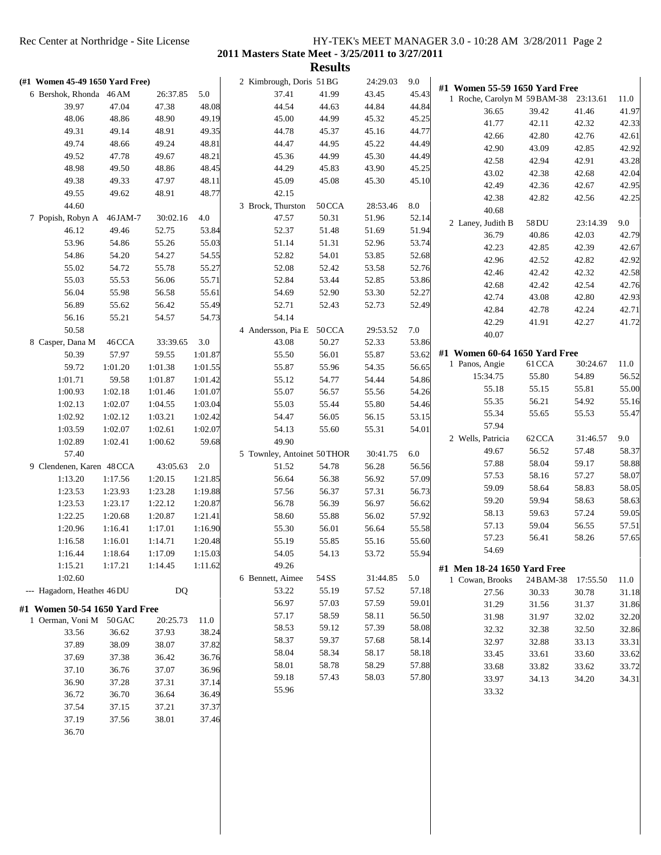|       |                                                                                                                                                                                                                                                                                                                        |                                                                                                                                                                                                                                                                                                                                                                    |                                                                                                                                                                                                                                                                                                               |                                                                                                                                                                                                                                                                                                |                                                                                                                                                                                                                                              | 24:29.03                                                                                                                                                                                                                                                       | 9.0                                                                                                                                                                                                |                                                                                                                                                                                                  |                                                                                                                                                                                                                                                                                                                                                 |                                                                                                                                                                                                                                                                                                   |                                                                                                                                                                                                                                                                                                                                                                                    |
|-------|------------------------------------------------------------------------------------------------------------------------------------------------------------------------------------------------------------------------------------------------------------------------------------------------------------------------|--------------------------------------------------------------------------------------------------------------------------------------------------------------------------------------------------------------------------------------------------------------------------------------------------------------------------------------------------------------------|---------------------------------------------------------------------------------------------------------------------------------------------------------------------------------------------------------------------------------------------------------------------------------------------------------------|------------------------------------------------------------------------------------------------------------------------------------------------------------------------------------------------------------------------------------------------------------------------------------------------|----------------------------------------------------------------------------------------------------------------------------------------------------------------------------------------------------------------------------------------------|----------------------------------------------------------------------------------------------------------------------------------------------------------------------------------------------------------------------------------------------------------------|----------------------------------------------------------------------------------------------------------------------------------------------------------------------------------------------------|--------------------------------------------------------------------------------------------------------------------------------------------------------------------------------------------------|-------------------------------------------------------------------------------------------------------------------------------------------------------------------------------------------------------------------------------------------------------------------------------------------------------------------------------------------------|---------------------------------------------------------------------------------------------------------------------------------------------------------------------------------------------------------------------------------------------------------------------------------------------------|------------------------------------------------------------------------------------------------------------------------------------------------------------------------------------------------------------------------------------------------------------------------------------------------------------------------------------------------------------------------------------|
|       |                                                                                                                                                                                                                                                                                                                        | 26:37.85                                                                                                                                                                                                                                                                                                                                                           | 5.0                                                                                                                                                                                                                                                                                                           | 37.41                                                                                                                                                                                                                                                                                          | 41.99                                                                                                                                                                                                                                        | 43.45                                                                                                                                                                                                                                                          | 45.43                                                                                                                                                                                              |                                                                                                                                                                                                  |                                                                                                                                                                                                                                                                                                                                                 |                                                                                                                                                                                                                                                                                                   | 11.0                                                                                                                                                                                                                                                                                                                                                                               |
| 39.97 | 47.04                                                                                                                                                                                                                                                                                                                  | 47.38                                                                                                                                                                                                                                                                                                                                                              | 48.08                                                                                                                                                                                                                                                                                                         | 44.54                                                                                                                                                                                                                                                                                          | 44.63                                                                                                                                                                                                                                        | 44.84                                                                                                                                                                                                                                                          | 44.84                                                                                                                                                                                              |                                                                                                                                                                                                  |                                                                                                                                                                                                                                                                                                                                                 |                                                                                                                                                                                                                                                                                                   | 41.97                                                                                                                                                                                                                                                                                                                                                                              |
| 48.06 | 48.86                                                                                                                                                                                                                                                                                                                  | 48.90                                                                                                                                                                                                                                                                                                                                                              | 49.19                                                                                                                                                                                                                                                                                                         | 45.00                                                                                                                                                                                                                                                                                          | 44.99                                                                                                                                                                                                                                        | 45.32                                                                                                                                                                                                                                                          | 45.25                                                                                                                                                                                              |                                                                                                                                                                                                  |                                                                                                                                                                                                                                                                                                                                                 |                                                                                                                                                                                                                                                                                                   | 42.33                                                                                                                                                                                                                                                                                                                                                                              |
| 49.31 | 49.14                                                                                                                                                                                                                                                                                                                  | 48.91                                                                                                                                                                                                                                                                                                                                                              | 49.35                                                                                                                                                                                                                                                                                                         | 44.78                                                                                                                                                                                                                                                                                          | 45.37                                                                                                                                                                                                                                        | 45.16                                                                                                                                                                                                                                                          | 44.77                                                                                                                                                                                              |                                                                                                                                                                                                  |                                                                                                                                                                                                                                                                                                                                                 |                                                                                                                                                                                                                                                                                                   | 42.61                                                                                                                                                                                                                                                                                                                                                                              |
| 49.74 | 48.66                                                                                                                                                                                                                                                                                                                  | 49.24                                                                                                                                                                                                                                                                                                                                                              | 48.81                                                                                                                                                                                                                                                                                                         | 44.47                                                                                                                                                                                                                                                                                          | 44.95                                                                                                                                                                                                                                        | 45.22                                                                                                                                                                                                                                                          | 44.49                                                                                                                                                                                              |                                                                                                                                                                                                  |                                                                                                                                                                                                                                                                                                                                                 |                                                                                                                                                                                                                                                                                                   | 42.92                                                                                                                                                                                                                                                                                                                                                                              |
| 49.52 | 47.78                                                                                                                                                                                                                                                                                                                  | 49.67                                                                                                                                                                                                                                                                                                                                                              | 48.21                                                                                                                                                                                                                                                                                                         | 45.36                                                                                                                                                                                                                                                                                          | 44.99                                                                                                                                                                                                                                        | 45.30                                                                                                                                                                                                                                                          | 44.49                                                                                                                                                                                              |                                                                                                                                                                                                  |                                                                                                                                                                                                                                                                                                                                                 |                                                                                                                                                                                                                                                                                                   | 43.28                                                                                                                                                                                                                                                                                                                                                                              |
| 48.98 | 49.50                                                                                                                                                                                                                                                                                                                  | 48.86                                                                                                                                                                                                                                                                                                                                                              | 48.45                                                                                                                                                                                                                                                                                                         | 44.29                                                                                                                                                                                                                                                                                          | 45.83                                                                                                                                                                                                                                        | 43.90                                                                                                                                                                                                                                                          | 45.25                                                                                                                                                                                              |                                                                                                                                                                                                  |                                                                                                                                                                                                                                                                                                                                                 |                                                                                                                                                                                                                                                                                                   | 42.04                                                                                                                                                                                                                                                                                                                                                                              |
| 49.38 | 49.33                                                                                                                                                                                                                                                                                                                  | 47.97                                                                                                                                                                                                                                                                                                                                                              | 48.11                                                                                                                                                                                                                                                                                                         | 45.09                                                                                                                                                                                                                                                                                          | 45.08                                                                                                                                                                                                                                        | 45.30                                                                                                                                                                                                                                                          | 45.10                                                                                                                                                                                              |                                                                                                                                                                                                  |                                                                                                                                                                                                                                                                                                                                                 |                                                                                                                                                                                                                                                                                                   | 42.95                                                                                                                                                                                                                                                                                                                                                                              |
| 49.55 | 49.62                                                                                                                                                                                                                                                                                                                  | 48.91                                                                                                                                                                                                                                                                                                                                                              | 48.77                                                                                                                                                                                                                                                                                                         | 42.15                                                                                                                                                                                                                                                                                          |                                                                                                                                                                                                                                              |                                                                                                                                                                                                                                                                |                                                                                                                                                                                                    |                                                                                                                                                                                                  |                                                                                                                                                                                                                                                                                                                                                 |                                                                                                                                                                                                                                                                                                   | 42.25                                                                                                                                                                                                                                                                                                                                                                              |
| 44.60 |                                                                                                                                                                                                                                                                                                                        |                                                                                                                                                                                                                                                                                                                                                                    |                                                                                                                                                                                                                                                                                                               | 3 Brock, Thurston                                                                                                                                                                                                                                                                              | 50CCA                                                                                                                                                                                                                                        | 28:53.46                                                                                                                                                                                                                                                       | $\ \, 8.0$                                                                                                                                                                                         |                                                                                                                                                                                                  |                                                                                                                                                                                                                                                                                                                                                 |                                                                                                                                                                                                                                                                                                   |                                                                                                                                                                                                                                                                                                                                                                                    |
|       | 46 JAM-7                                                                                                                                                                                                                                                                                                               | 30:02.16                                                                                                                                                                                                                                                                                                                                                           | 4.0                                                                                                                                                                                                                                                                                                           | 47.57                                                                                                                                                                                                                                                                                          | 50.31                                                                                                                                                                                                                                        | 51.96                                                                                                                                                                                                                                                          | 52.14                                                                                                                                                                                              |                                                                                                                                                                                                  |                                                                                                                                                                                                                                                                                                                                                 |                                                                                                                                                                                                                                                                                                   | 9.0                                                                                                                                                                                                                                                                                                                                                                                |
| 46.12 | 49.46                                                                                                                                                                                                                                                                                                                  | 52.75                                                                                                                                                                                                                                                                                                                                                              | 53.84                                                                                                                                                                                                                                                                                                         | 52.37                                                                                                                                                                                                                                                                                          | 51.48                                                                                                                                                                                                                                        | 51.69                                                                                                                                                                                                                                                          | 51.94                                                                                                                                                                                              |                                                                                                                                                                                                  |                                                                                                                                                                                                                                                                                                                                                 |                                                                                                                                                                                                                                                                                                   | 42.79                                                                                                                                                                                                                                                                                                                                                                              |
| 53.96 | 54.86                                                                                                                                                                                                                                                                                                                  | 55.26                                                                                                                                                                                                                                                                                                                                                              | 55.03                                                                                                                                                                                                                                                                                                         | 51.14                                                                                                                                                                                                                                                                                          | 51.31                                                                                                                                                                                                                                        | 52.96                                                                                                                                                                                                                                                          | 53.74                                                                                                                                                                                              |                                                                                                                                                                                                  |                                                                                                                                                                                                                                                                                                                                                 |                                                                                                                                                                                                                                                                                                   |                                                                                                                                                                                                                                                                                                                                                                                    |
|       | 54.20                                                                                                                                                                                                                                                                                                                  | 54.27                                                                                                                                                                                                                                                                                                                                                              | 54.55                                                                                                                                                                                                                                                                                                         | 52.82                                                                                                                                                                                                                                                                                          | 54.01                                                                                                                                                                                                                                        | 53.85                                                                                                                                                                                                                                                          | 52.68                                                                                                                                                                                              |                                                                                                                                                                                                  |                                                                                                                                                                                                                                                                                                                                                 |                                                                                                                                                                                                                                                                                                   | 42.67                                                                                                                                                                                                                                                                                                                                                                              |
| 55.02 | 54.72                                                                                                                                                                                                                                                                                                                  | 55.78                                                                                                                                                                                                                                                                                                                                                              | 55.27                                                                                                                                                                                                                                                                                                         | 52.08                                                                                                                                                                                                                                                                                          | 52.42                                                                                                                                                                                                                                        | 53.58                                                                                                                                                                                                                                                          | 52.76                                                                                                                                                                                              |                                                                                                                                                                                                  |                                                                                                                                                                                                                                                                                                                                                 |                                                                                                                                                                                                                                                                                                   | 42.92                                                                                                                                                                                                                                                                                                                                                                              |
| 55.03 | 55.53                                                                                                                                                                                                                                                                                                                  | 56.06                                                                                                                                                                                                                                                                                                                                                              | 55.71                                                                                                                                                                                                                                                                                                         | 52.84                                                                                                                                                                                                                                                                                          | 53.44                                                                                                                                                                                                                                        | 52.85                                                                                                                                                                                                                                                          | 53.86                                                                                                                                                                                              |                                                                                                                                                                                                  |                                                                                                                                                                                                                                                                                                                                                 |                                                                                                                                                                                                                                                                                                   | 42.58                                                                                                                                                                                                                                                                                                                                                                              |
| 56.04 | 55.98                                                                                                                                                                                                                                                                                                                  | 56.58                                                                                                                                                                                                                                                                                                                                                              | 55.61                                                                                                                                                                                                                                                                                                         | 54.69                                                                                                                                                                                                                                                                                          | 52.90                                                                                                                                                                                                                                        | 53.30                                                                                                                                                                                                                                                          |                                                                                                                                                                                                    |                                                                                                                                                                                                  |                                                                                                                                                                                                                                                                                                                                                 |                                                                                                                                                                                                                                                                                                   | 42.76                                                                                                                                                                                                                                                                                                                                                                              |
|       |                                                                                                                                                                                                                                                                                                                        |                                                                                                                                                                                                                                                                                                                                                                    |                                                                                                                                                                                                                                                                                                               |                                                                                                                                                                                                                                                                                                |                                                                                                                                                                                                                                              |                                                                                                                                                                                                                                                                |                                                                                                                                                                                                    |                                                                                                                                                                                                  |                                                                                                                                                                                                                                                                                                                                                 |                                                                                                                                                                                                                                                                                                   | 42.93                                                                                                                                                                                                                                                                                                                                                                              |
|       |                                                                                                                                                                                                                                                                                                                        |                                                                                                                                                                                                                                                                                                                                                                    |                                                                                                                                                                                                                                                                                                               |                                                                                                                                                                                                                                                                                                |                                                                                                                                                                                                                                              |                                                                                                                                                                                                                                                                |                                                                                                                                                                                                    |                                                                                                                                                                                                  |                                                                                                                                                                                                                                                                                                                                                 |                                                                                                                                                                                                                                                                                                   | 42.71                                                                                                                                                                                                                                                                                                                                                                              |
|       |                                                                                                                                                                                                                                                                                                                        |                                                                                                                                                                                                                                                                                                                                                                    |                                                                                                                                                                                                                                                                                                               |                                                                                                                                                                                                                                                                                                |                                                                                                                                                                                                                                              |                                                                                                                                                                                                                                                                |                                                                                                                                                                                                    |                                                                                                                                                                                                  |                                                                                                                                                                                                                                                                                                                                                 |                                                                                                                                                                                                                                                                                                   | 41.72                                                                                                                                                                                                                                                                                                                                                                              |
|       |                                                                                                                                                                                                                                                                                                                        |                                                                                                                                                                                                                                                                                                                                                                    |                                                                                                                                                                                                                                                                                                               |                                                                                                                                                                                                                                                                                                |                                                                                                                                                                                                                                              |                                                                                                                                                                                                                                                                |                                                                                                                                                                                                    |                                                                                                                                                                                                  |                                                                                                                                                                                                                                                                                                                                                 |                                                                                                                                                                                                                                                                                                   |                                                                                                                                                                                                                                                                                                                                                                                    |
|       |                                                                                                                                                                                                                                                                                                                        |                                                                                                                                                                                                                                                                                                                                                                    |                                                                                                                                                                                                                                                                                                               |                                                                                                                                                                                                                                                                                                |                                                                                                                                                                                                                                              |                                                                                                                                                                                                                                                                |                                                                                                                                                                                                    |                                                                                                                                                                                                  |                                                                                                                                                                                                                                                                                                                                                 |                                                                                                                                                                                                                                                                                                   |                                                                                                                                                                                                                                                                                                                                                                                    |
|       |                                                                                                                                                                                                                                                                                                                        |                                                                                                                                                                                                                                                                                                                                                                    |                                                                                                                                                                                                                                                                                                               |                                                                                                                                                                                                                                                                                                |                                                                                                                                                                                                                                              |                                                                                                                                                                                                                                                                |                                                                                                                                                                                                    |                                                                                                                                                                                                  | 61 CCA                                                                                                                                                                                                                                                                                                                                          | 30:24.67                                                                                                                                                                                                                                                                                          | 11.0                                                                                                                                                                                                                                                                                                                                                                               |
|       |                                                                                                                                                                                                                                                                                                                        |                                                                                                                                                                                                                                                                                                                                                                    |                                                                                                                                                                                                                                                                                                               |                                                                                                                                                                                                                                                                                                |                                                                                                                                                                                                                                              |                                                                                                                                                                                                                                                                |                                                                                                                                                                                                    | 15:34.75                                                                                                                                                                                         | 55.80                                                                                                                                                                                                                                                                                                                                           | 54.89                                                                                                                                                                                                                                                                                             | 56.52                                                                                                                                                                                                                                                                                                                                                                              |
|       |                                                                                                                                                                                                                                                                                                                        |                                                                                                                                                                                                                                                                                                                                                                    |                                                                                                                                                                                                                                                                                                               |                                                                                                                                                                                                                                                                                                |                                                                                                                                                                                                                                              |                                                                                                                                                                                                                                                                |                                                                                                                                                                                                    |                                                                                                                                                                                                  |                                                                                                                                                                                                                                                                                                                                                 |                                                                                                                                                                                                                                                                                                   | 55.00                                                                                                                                                                                                                                                                                                                                                                              |
|       |                                                                                                                                                                                                                                                                                                                        |                                                                                                                                                                                                                                                                                                                                                                    |                                                                                                                                                                                                                                                                                                               |                                                                                                                                                                                                                                                                                                |                                                                                                                                                                                                                                              |                                                                                                                                                                                                                                                                |                                                                                                                                                                                                    |                                                                                                                                                                                                  |                                                                                                                                                                                                                                                                                                                                                 |                                                                                                                                                                                                                                                                                                   | 55.16                                                                                                                                                                                                                                                                                                                                                                              |
|       |                                                                                                                                                                                                                                                                                                                        |                                                                                                                                                                                                                                                                                                                                                                    |                                                                                                                                                                                                                                                                                                               |                                                                                                                                                                                                                                                                                                |                                                                                                                                                                                                                                              |                                                                                                                                                                                                                                                                |                                                                                                                                                                                                    |                                                                                                                                                                                                  |                                                                                                                                                                                                                                                                                                                                                 |                                                                                                                                                                                                                                                                                                   | 55.47                                                                                                                                                                                                                                                                                                                                                                              |
|       |                                                                                                                                                                                                                                                                                                                        |                                                                                                                                                                                                                                                                                                                                                                    |                                                                                                                                                                                                                                                                                                               |                                                                                                                                                                                                                                                                                                |                                                                                                                                                                                                                                              |                                                                                                                                                                                                                                                                |                                                                                                                                                                                                    |                                                                                                                                                                                                  |                                                                                                                                                                                                                                                                                                                                                 |                                                                                                                                                                                                                                                                                                   |                                                                                                                                                                                                                                                                                                                                                                                    |
|       |                                                                                                                                                                                                                                                                                                                        |                                                                                                                                                                                                                                                                                                                                                                    |                                                                                                                                                                                                                                                                                                               |                                                                                                                                                                                                                                                                                                |                                                                                                                                                                                                                                              |                                                                                                                                                                                                                                                                |                                                                                                                                                                                                    |                                                                                                                                                                                                  |                                                                                                                                                                                                                                                                                                                                                 |                                                                                                                                                                                                                                                                                                   | 9.0                                                                                                                                                                                                                                                                                                                                                                                |
|       |                                                                                                                                                                                                                                                                                                                        |                                                                                                                                                                                                                                                                                                                                                                    |                                                                                                                                                                                                                                                                                                               |                                                                                                                                                                                                                                                                                                |                                                                                                                                                                                                                                              |                                                                                                                                                                                                                                                                |                                                                                                                                                                                                    |                                                                                                                                                                                                  |                                                                                                                                                                                                                                                                                                                                                 |                                                                                                                                                                                                                                                                                                   | 58.37                                                                                                                                                                                                                                                                                                                                                                              |
|       |                                                                                                                                                                                                                                                                                                                        |                                                                                                                                                                                                                                                                                                                                                                    |                                                                                                                                                                                                                                                                                                               |                                                                                                                                                                                                                                                                                                |                                                                                                                                                                                                                                              |                                                                                                                                                                                                                                                                |                                                                                                                                                                                                    |                                                                                                                                                                                                  |                                                                                                                                                                                                                                                                                                                                                 |                                                                                                                                                                                                                                                                                                   | 58.88                                                                                                                                                                                                                                                                                                                                                                              |
|       |                                                                                                                                                                                                                                                                                                                        |                                                                                                                                                                                                                                                                                                                                                                    |                                                                                                                                                                                                                                                                                                               |                                                                                                                                                                                                                                                                                                |                                                                                                                                                                                                                                              |                                                                                                                                                                                                                                                                |                                                                                                                                                                                                    |                                                                                                                                                                                                  |                                                                                                                                                                                                                                                                                                                                                 |                                                                                                                                                                                                                                                                                                   | 58.07                                                                                                                                                                                                                                                                                                                                                                              |
|       |                                                                                                                                                                                                                                                                                                                        |                                                                                                                                                                                                                                                                                                                                                                    |                                                                                                                                                                                                                                                                                                               |                                                                                                                                                                                                                                                                                                |                                                                                                                                                                                                                                              |                                                                                                                                                                                                                                                                |                                                                                                                                                                                                    |                                                                                                                                                                                                  |                                                                                                                                                                                                                                                                                                                                                 |                                                                                                                                                                                                                                                                                                   | 58.05                                                                                                                                                                                                                                                                                                                                                                              |
|       |                                                                                                                                                                                                                                                                                                                        |                                                                                                                                                                                                                                                                                                                                                                    |                                                                                                                                                                                                                                                                                                               |                                                                                                                                                                                                                                                                                                |                                                                                                                                                                                                                                              |                                                                                                                                                                                                                                                                |                                                                                                                                                                                                    |                                                                                                                                                                                                  |                                                                                                                                                                                                                                                                                                                                                 |                                                                                                                                                                                                                                                                                                   | 58.63                                                                                                                                                                                                                                                                                                                                                                              |
|       |                                                                                                                                                                                                                                                                                                                        |                                                                                                                                                                                                                                                                                                                                                                    |                                                                                                                                                                                                                                                                                                               |                                                                                                                                                                                                                                                                                                |                                                                                                                                                                                                                                              |                                                                                                                                                                                                                                                                |                                                                                                                                                                                                    |                                                                                                                                                                                                  |                                                                                                                                                                                                                                                                                                                                                 |                                                                                                                                                                                                                                                                                                   | 59.05                                                                                                                                                                                                                                                                                                                                                                              |
|       |                                                                                                                                                                                                                                                                                                                        |                                                                                                                                                                                                                                                                                                                                                                    |                                                                                                                                                                                                                                                                                                               |                                                                                                                                                                                                                                                                                                |                                                                                                                                                                                                                                              |                                                                                                                                                                                                                                                                |                                                                                                                                                                                                    |                                                                                                                                                                                                  |                                                                                                                                                                                                                                                                                                                                                 |                                                                                                                                                                                                                                                                                                   | 57.51                                                                                                                                                                                                                                                                                                                                                                              |
|       |                                                                                                                                                                                                                                                                                                                        |                                                                                                                                                                                                                                                                                                                                                                    |                                                                                                                                                                                                                                                                                                               |                                                                                                                                                                                                                                                                                                |                                                                                                                                                                                                                                              |                                                                                                                                                                                                                                                                |                                                                                                                                                                                                    |                                                                                                                                                                                                  |                                                                                                                                                                                                                                                                                                                                                 |                                                                                                                                                                                                                                                                                                   | 57.65                                                                                                                                                                                                                                                                                                                                                                              |
|       |                                                                                                                                                                                                                                                                                                                        |                                                                                                                                                                                                                                                                                                                                                                    |                                                                                                                                                                                                                                                                                                               |                                                                                                                                                                                                                                                                                                |                                                                                                                                                                                                                                              |                                                                                                                                                                                                                                                                |                                                                                                                                                                                                    |                                                                                                                                                                                                  |                                                                                                                                                                                                                                                                                                                                                 |                                                                                                                                                                                                                                                                                                   |                                                                                                                                                                                                                                                                                                                                                                                    |
|       |                                                                                                                                                                                                                                                                                                                        |                                                                                                                                                                                                                                                                                                                                                                    |                                                                                                                                                                                                                                                                                                               |                                                                                                                                                                                                                                                                                                |                                                                                                                                                                                                                                              |                                                                                                                                                                                                                                                                |                                                                                                                                                                                                    |                                                                                                                                                                                                  |                                                                                                                                                                                                                                                                                                                                                 |                                                                                                                                                                                                                                                                                                   |                                                                                                                                                                                                                                                                                                                                                                                    |
|       |                                                                                                                                                                                                                                                                                                                        |                                                                                                                                                                                                                                                                                                                                                                    |                                                                                                                                                                                                                                                                                                               |                                                                                                                                                                                                                                                                                                |                                                                                                                                                                                                                                              |                                                                                                                                                                                                                                                                |                                                                                                                                                                                                    |                                                                                                                                                                                                  |                                                                                                                                                                                                                                                                                                                                                 |                                                                                                                                                                                                                                                                                                   |                                                                                                                                                                                                                                                                                                                                                                                    |
|       |                                                                                                                                                                                                                                                                                                                        |                                                                                                                                                                                                                                                                                                                                                                    |                                                                                                                                                                                                                                                                                                               |                                                                                                                                                                                                                                                                                                |                                                                                                                                                                                                                                              |                                                                                                                                                                                                                                                                |                                                                                                                                                                                                    | 1 Cowan, Brooks                                                                                                                                                                                  | 24 BAM-38                                                                                                                                                                                                                                                                                                                                       | 17:55.50                                                                                                                                                                                                                                                                                          | 11.0                                                                                                                                                                                                                                                                                                                                                                               |
|       |                                                                                                                                                                                                                                                                                                                        |                                                                                                                                                                                                                                                                                                                                                                    |                                                                                                                                                                                                                                                                                                               |                                                                                                                                                                                                                                                                                                | 55.19                                                                                                                                                                                                                                        | 57.52                                                                                                                                                                                                                                                          | 57.18                                                                                                                                                                                              | 27.56                                                                                                                                                                                            | 30.33                                                                                                                                                                                                                                                                                                                                           | 30.78                                                                                                                                                                                                                                                                                             | 31.18                                                                                                                                                                                                                                                                                                                                                                              |
|       |                                                                                                                                                                                                                                                                                                                        |                                                                                                                                                                                                                                                                                                                                                                    |                                                                                                                                                                                                                                                                                                               |                                                                                                                                                                                                                                                                                                |                                                                                                                                                                                                                                              |                                                                                                                                                                                                                                                                |                                                                                                                                                                                                    | 31.29                                                                                                                                                                                            | 31.56                                                                                                                                                                                                                                                                                                                                           | 31.37                                                                                                                                                                                                                                                                                             | 31.86                                                                                                                                                                                                                                                                                                                                                                              |
|       |                                                                                                                                                                                                                                                                                                                        | 20:25.73                                                                                                                                                                                                                                                                                                                                                           | 11.0                                                                                                                                                                                                                                                                                                          | 57.17                                                                                                                                                                                                                                                                                          | 58.59                                                                                                                                                                                                                                        | 58.11                                                                                                                                                                                                                                                          | 56.50                                                                                                                                                                                              | 31.98                                                                                                                                                                                            | 31.97                                                                                                                                                                                                                                                                                                                                           | 32.02                                                                                                                                                                                                                                                                                             | 32.20                                                                                                                                                                                                                                                                                                                                                                              |
| 33.56 | 36.62                                                                                                                                                                                                                                                                                                                  | 37.93                                                                                                                                                                                                                                                                                                                                                              |                                                                                                                                                                                                                                                                                                               | 58.53                                                                                                                                                                                                                                                                                          | 59.12                                                                                                                                                                                                                                        | 57.39                                                                                                                                                                                                                                                          | 58.08                                                                                                                                                                                              | 32.32                                                                                                                                                                                            | 32.38                                                                                                                                                                                                                                                                                                                                           | 32.50                                                                                                                                                                                                                                                                                             | 32.86                                                                                                                                                                                                                                                                                                                                                                              |
|       |                                                                                                                                                                                                                                                                                                                        |                                                                                                                                                                                                                                                                                                                                                                    |                                                                                                                                                                                                                                                                                                               | 58.37                                                                                                                                                                                                                                                                                          | 59.37                                                                                                                                                                                                                                        | 57.68                                                                                                                                                                                                                                                          | 58.14                                                                                                                                                                                              | 32.97                                                                                                                                                                                            | 32.88                                                                                                                                                                                                                                                                                                                                           | 33.13                                                                                                                                                                                                                                                                                             | 33.31                                                                                                                                                                                                                                                                                                                                                                              |
|       |                                                                                                                                                                                                                                                                                                                        |                                                                                                                                                                                                                                                                                                                                                                    |                                                                                                                                                                                                                                                                                                               | 58.04                                                                                                                                                                                                                                                                                          | 58.34                                                                                                                                                                                                                                        | 58.17                                                                                                                                                                                                                                                          | 58.18                                                                                                                                                                                              | 33.45                                                                                                                                                                                            | 33.61                                                                                                                                                                                                                                                                                                                                           | 33.60                                                                                                                                                                                                                                                                                             | 33.62                                                                                                                                                                                                                                                                                                                                                                              |
|       |                                                                                                                                                                                                                                                                                                                        |                                                                                                                                                                                                                                                                                                                                                                    |                                                                                                                                                                                                                                                                                                               | 58.01                                                                                                                                                                                                                                                                                          | 58.78                                                                                                                                                                                                                                        | 58.29                                                                                                                                                                                                                                                          | 57.88                                                                                                                                                                                              | 33.68                                                                                                                                                                                            | 33.82                                                                                                                                                                                                                                                                                                                                           | 33.62                                                                                                                                                                                                                                                                                             | 33.72                                                                                                                                                                                                                                                                                                                                                                              |
|       |                                                                                                                                                                                                                                                                                                                        |                                                                                                                                                                                                                                                                                                                                                                    |                                                                                                                                                                                                                                                                                                               | 59.18                                                                                                                                                                                                                                                                                          | 57.43                                                                                                                                                                                                                                        | 58.03                                                                                                                                                                                                                                                          | 57.80                                                                                                                                                                                              | 33.97                                                                                                                                                                                            | 34.13                                                                                                                                                                                                                                                                                                                                           | 34.20                                                                                                                                                                                                                                                                                             | 34.31                                                                                                                                                                                                                                                                                                                                                                              |
|       |                                                                                                                                                                                                                                                                                                                        |                                                                                                                                                                                                                                                                                                                                                                    |                                                                                                                                                                                                                                                                                                               | 55.96                                                                                                                                                                                                                                                                                          |                                                                                                                                                                                                                                              |                                                                                                                                                                                                                                                                |                                                                                                                                                                                                    | 33.32                                                                                                                                                                                            |                                                                                                                                                                                                                                                                                                                                                 |                                                                                                                                                                                                                                                                                                   |                                                                                                                                                                                                                                                                                                                                                                                    |
| 37.54 | 37.15                                                                                                                                                                                                                                                                                                                  | 37.21                                                                                                                                                                                                                                                                                                                                                              | 37.37                                                                                                                                                                                                                                                                                                         |                                                                                                                                                                                                                                                                                                |                                                                                                                                                                                                                                              |                                                                                                                                                                                                                                                                |                                                                                                                                                                                                    |                                                                                                                                                                                                  |                                                                                                                                                                                                                                                                                                                                                 |                                                                                                                                                                                                                                                                                                   |                                                                                                                                                                                                                                                                                                                                                                                    |
|       |                                                                                                                                                                                                                                                                                                                        |                                                                                                                                                                                                                                                                                                                                                                    |                                                                                                                                                                                                                                                                                                               |                                                                                                                                                                                                                                                                                                |                                                                                                                                                                                                                                              |                                                                                                                                                                                                                                                                |                                                                                                                                                                                                    |                                                                                                                                                                                                  |                                                                                                                                                                                                                                                                                                                                                 |                                                                                                                                                                                                                                                                                                   |                                                                                                                                                                                                                                                                                                                                                                                    |
| 37.19 | 37.56                                                                                                                                                                                                                                                                                                                  | 38.01                                                                                                                                                                                                                                                                                                                                                              | 37.46                                                                                                                                                                                                                                                                                                         |                                                                                                                                                                                                                                                                                                |                                                                                                                                                                                                                                              |                                                                                                                                                                                                                                                                |                                                                                                                                                                                                    |                                                                                                                                                                                                  |                                                                                                                                                                                                                                                                                                                                                 |                                                                                                                                                                                                                                                                                                   |                                                                                                                                                                                                                                                                                                                                                                                    |
|       | 7 Popish, Robyn A<br>54.86<br>56.89<br>56.16<br>50.58<br>8 Casper, Dana M<br>50.39<br>59.72<br>1:01.71<br>1:00.93<br>1:02.13<br>1:02.92<br>1:03.59<br>1:02.89<br>57.40<br>1:13.20<br>1:23.53<br>1:23.53<br>1:22.25<br>1:20.96<br>1:16.58<br>1:16.44<br>1:15.21<br>1:02.60<br>37.89<br>37.69<br>37.10<br>36.90<br>36.72 | 6 Bershok, Rhonda 46 AM<br>55.62<br>55.21<br>46CCA<br>57.97<br>1:01.20<br>59.58<br>1:02.18<br>1:02.07<br>1:02.12<br>1:02.07<br>1:02.41<br>9 Clendenen, Karen 48 CCA<br>1:17.56<br>1:23.93<br>1:23.17<br>1:20.68<br>1:16.41<br>1:16.01<br>1:18.64<br>1:17.21<br>--- Hagadorn, Heather 46 DU<br>1 Oerman, Voni M 50 GAC<br>38.09<br>37.38<br>36.76<br>37.28<br>36.70 | (#1 Women 45-49 1650 Yard Free)<br>56.42<br>54.57<br>59.55<br>1:01.38<br>1:01.87<br>1:01.46<br>1:04.55<br>1:03.21<br>1:02.61<br>1:00.62<br>1:20.15<br>1:23.28<br>1:22.12<br>1:20.87<br>1:17.01<br>1:14.71<br>1:17.09<br>1:14.45<br>#1 Women 50-54 1650 Yard Free<br>38.07<br>36.42<br>37.07<br>37.31<br>36.64 | 55.49<br>54.73<br>33:39.65<br>3.0<br>1:01.87<br>1:01.55<br>1:01.42<br>1:01.07<br>1:03.04<br>1:02.42<br>1:02.07<br>59.68<br>43:05.63<br>2.0<br>1:21.85<br>1:19.88<br>1:20.87<br>1:21.41<br>1:16.90<br>1:20.48<br>1:15.03<br>1:11.62<br>DQ<br>38.24<br>37.82<br>36.76<br>36.96<br>37.14<br>36.49 | 52.71<br>54.14<br>4 Andersson, Pia E<br>43.08<br>55.50<br>55.87<br>55.12<br>55.07<br>55.03<br>54.47<br>54.13<br>49.90<br>51.52<br>56.64<br>57.56<br>56.78<br>58.60<br>55.30<br>55.19<br>54.05<br>49.26<br>6 Bennett, Aimee<br>53.22<br>56.97 | <b>Results</b><br>2 Kimbrough, Doris 51 BG<br>52.43<br>50 CCA<br>50.27<br>56.01<br>55.96<br>54.77<br>56.57<br>55.44<br>56.05<br>55.60<br>5 Townley, Antoinet 50 THOR<br>54.78<br>56.38<br>56.37<br>56.39<br>55.88<br>56.01<br>55.85<br>54.13<br>54 SS<br>57.03 | 52.73<br>29:53.52<br>52.33<br>55.87<br>54.35<br>54.44<br>55.56<br>55.80<br>56.15<br>55.31<br>30:41.75<br>56.28<br>56.92<br>57.31<br>56.97<br>56.02<br>56.64<br>55.16<br>53.72<br>31:44.85<br>57.59 | 52.27<br>52.49<br>$7.0\,$<br>53.86<br>53.62<br>56.65<br>54.86<br>54.26<br>54.46<br>53.15<br>54.01<br>6.0<br>56.56<br>57.09<br>56.73<br>56.62<br>57.92<br>55.58<br>55.60<br>55.94<br>5.0<br>59.01 | 36.65<br>41.77<br>42.66<br>42.90<br>42.58<br>43.02<br>42.49<br>42.38<br>40.68<br>2 Laney, Judith B<br>36.79<br>42.23<br>42.96<br>42.46<br>42.68<br>42.74<br>42.84<br>42.29<br>40.07<br>1 Panos, Angie<br>55.18<br>55.35<br>55.34<br>57.94<br>2 Wells, Patricia<br>49.67<br>57.88<br>57.53<br>59.09<br>59.20<br>58.13<br>57.13<br>57.23<br>54.69 | 39.42<br>42.11<br>42.80<br>43.09<br>42.94<br>42.38<br>42.36<br>42.82<br>58 DU<br>40.86<br>42.85<br>42.52<br>42.42<br>42.42<br>43.08<br>42.78<br>41.91<br>55.15<br>56.21<br>55.65<br>62 CCA<br>56.52<br>58.04<br>58.16<br>58.64<br>59.94<br>59.63<br>59.04<br>56.41<br>#1 Men 18-24 1650 Yard Free | #1 Women 55-59 1650 Yard Free<br>1 Roche, Carolyn M 59 BAM-38 23:13.61<br>41.46<br>42.32<br>42.76<br>42.85<br>42.91<br>42.68<br>42.67<br>42.56<br>23:14.39<br>42.03<br>42.39<br>42.82<br>42.32<br>42.54<br>42.80<br>42.24<br>42.27<br>#1 Women 60-64 1650 Yard Free<br>55.81<br>54.92<br>55.53<br>31:46.57<br>57.48<br>59.17<br>57.27<br>58.83<br>58.63<br>57.24<br>56.55<br>58.26 |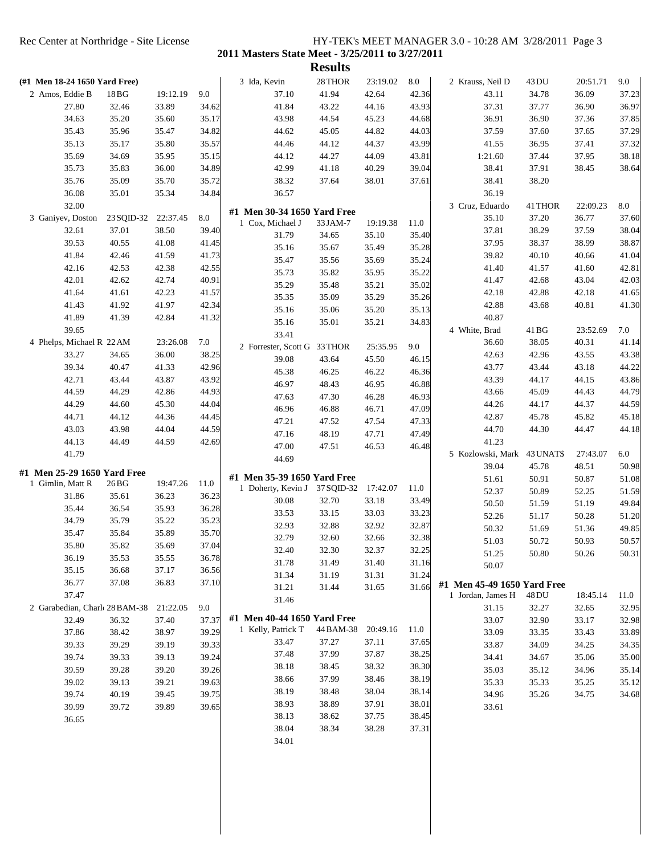| (#1 Men 18-24 1650 Yard Free) |                                                                                                                                                   |                                                                                                                                                                                                                   |                                                                                                             |                                                                                                                           |                                                                                                                                                                                                                                                                                                    |                                                                                                                                                                                                                                                                                                                                                                                                             |                                                                                                                                                                                                                                                          |                                                                                                                                                                                                                                             |                                                                                                                                                       |                                                                                                                                                                                                      |                                                                                                                                                 |
|-------------------------------|---------------------------------------------------------------------------------------------------------------------------------------------------|-------------------------------------------------------------------------------------------------------------------------------------------------------------------------------------------------------------------|-------------------------------------------------------------------------------------------------------------|---------------------------------------------------------------------------------------------------------------------------|----------------------------------------------------------------------------------------------------------------------------------------------------------------------------------------------------------------------------------------------------------------------------------------------------|-------------------------------------------------------------------------------------------------------------------------------------------------------------------------------------------------------------------------------------------------------------------------------------------------------------------------------------------------------------------------------------------------------------|----------------------------------------------------------------------------------------------------------------------------------------------------------------------------------------------------------------------------------------------------------|---------------------------------------------------------------------------------------------------------------------------------------------------------------------------------------------------------------------------------------------|-------------------------------------------------------------------------------------------------------------------------------------------------------|------------------------------------------------------------------------------------------------------------------------------------------------------------------------------------------------------|-------------------------------------------------------------------------------------------------------------------------------------------------|
|                               |                                                                                                                                                   |                                                                                                                                                                                                                   |                                                                                                             | 3 Ida, Kevin                                                                                                              | 28 THOR                                                                                                                                                                                                                                                                                            | 23:19.02                                                                                                                                                                                                                                                                                                                                                                                                    | $\ \, 8.0$                                                                                                                                                                                                                                               | 2 Krauss, Neil D                                                                                                                                                                                                                            | 43 DU                                                                                                                                                 | 20:51.71                                                                                                                                                                                             | 9.0                                                                                                                                             |
| 2 Amos, Eddie B               | 18 <sub>BG</sub>                                                                                                                                  | 19:12.19                                                                                                                                                                                                          | 9.0                                                                                                         | 37.10                                                                                                                     | 41.94                                                                                                                                                                                                                                                                                              | 42.64                                                                                                                                                                                                                                                                                                                                                                                                       | 42.36                                                                                                                                                                                                                                                    | 43.11                                                                                                                                                                                                                                       | 34.78                                                                                                                                                 | 36.09                                                                                                                                                                                                | 37.23                                                                                                                                           |
| 27.80                         | 32.46                                                                                                                                             | 33.89                                                                                                                                                                                                             | 34.62                                                                                                       | 41.84                                                                                                                     | 43.22                                                                                                                                                                                                                                                                                              | 44.16                                                                                                                                                                                                                                                                                                                                                                                                       | 43.93                                                                                                                                                                                                                                                    | 37.31                                                                                                                                                                                                                                       | 37.77                                                                                                                                                 | 36.90                                                                                                                                                                                                | 36.97                                                                                                                                           |
| 34.63                         | 35.20                                                                                                                                             | 35.60                                                                                                                                                                                                             | 35.17                                                                                                       | 43.98                                                                                                                     | 44.54                                                                                                                                                                                                                                                                                              | 45.23                                                                                                                                                                                                                                                                                                                                                                                                       | 44.68                                                                                                                                                                                                                                                    | 36.91                                                                                                                                                                                                                                       | 36.90                                                                                                                                                 | 37.36                                                                                                                                                                                                | 37.85                                                                                                                                           |
| 35.43                         | 35.96                                                                                                                                             | 35.47                                                                                                                                                                                                             | 34.82                                                                                                       | 44.62                                                                                                                     | 45.05                                                                                                                                                                                                                                                                                              | 44.82                                                                                                                                                                                                                                                                                                                                                                                                       | 44.03                                                                                                                                                                                                                                                    | 37.59                                                                                                                                                                                                                                       | 37.60                                                                                                                                                 | 37.65                                                                                                                                                                                                | 37.29                                                                                                                                           |
| 35.13                         | 35.17                                                                                                                                             | 35.80                                                                                                                                                                                                             | 35.57                                                                                                       | 44.46                                                                                                                     | 44.12                                                                                                                                                                                                                                                                                              | 44.37                                                                                                                                                                                                                                                                                                                                                                                                       | 43.99                                                                                                                                                                                                                                                    | 41.55                                                                                                                                                                                                                                       | 36.95                                                                                                                                                 | 37.41                                                                                                                                                                                                | 37.32                                                                                                                                           |
| 35.69                         | 34.69                                                                                                                                             | 35.95                                                                                                                                                                                                             | 35.15                                                                                                       | 44.12                                                                                                                     | 44.27                                                                                                                                                                                                                                                                                              | 44.09                                                                                                                                                                                                                                                                                                                                                                                                       | 43.81                                                                                                                                                                                                                                                    | 1:21.60                                                                                                                                                                                                                                     | 37.44                                                                                                                                                 | 37.95                                                                                                                                                                                                | 38.18                                                                                                                                           |
| 35.73                         | 35.83                                                                                                                                             | 36.00                                                                                                                                                                                                             | 34.89                                                                                                       | 42.99                                                                                                                     | 41.18                                                                                                                                                                                                                                                                                              | 40.29                                                                                                                                                                                                                                                                                                                                                                                                       | 39.04                                                                                                                                                                                                                                                    | 38.41                                                                                                                                                                                                                                       | 37.91                                                                                                                                                 | 38.45                                                                                                                                                                                                | 38.64                                                                                                                                           |
| 35.76                         | 35.09                                                                                                                                             | 35.70                                                                                                                                                                                                             | 35.72                                                                                                       | 38.32                                                                                                                     | 37.64                                                                                                                                                                                                                                                                                              | 38.01                                                                                                                                                                                                                                                                                                                                                                                                       | 37.61                                                                                                                                                                                                                                                    | 38.41                                                                                                                                                                                                                                       | 38.20                                                                                                                                                 |                                                                                                                                                                                                      |                                                                                                                                                 |
| 36.08                         | 35.01                                                                                                                                             | 35.34                                                                                                                                                                                                             | 34.84                                                                                                       | 36.57                                                                                                                     |                                                                                                                                                                                                                                                                                                    |                                                                                                                                                                                                                                                                                                                                                                                                             |                                                                                                                                                                                                                                                          | 36.19                                                                                                                                                                                                                                       |                                                                                                                                                       |                                                                                                                                                                                                      |                                                                                                                                                 |
| 32.00                         |                                                                                                                                                   |                                                                                                                                                                                                                   |                                                                                                             |                                                                                                                           |                                                                                                                                                                                                                                                                                                    |                                                                                                                                                                                                                                                                                                                                                                                                             |                                                                                                                                                                                                                                                          | 3 Cruz, Eduardo                                                                                                                                                                                                                             | 41 THOR                                                                                                                                               | 22:09.23                                                                                                                                                                                             | 8.0                                                                                                                                             |
|                               | 23 SQID-32                                                                                                                                        | 22:37.45                                                                                                                                                                                                          | 8.0                                                                                                         |                                                                                                                           |                                                                                                                                                                                                                                                                                                    |                                                                                                                                                                                                                                                                                                                                                                                                             |                                                                                                                                                                                                                                                          | 35.10                                                                                                                                                                                                                                       | 37.20                                                                                                                                                 | 36.77                                                                                                                                                                                                | 37.60                                                                                                                                           |
| 32.61                         | 37.01                                                                                                                                             | 38.50                                                                                                                                                                                                             | 39.40                                                                                                       |                                                                                                                           |                                                                                                                                                                                                                                                                                                    |                                                                                                                                                                                                                                                                                                                                                                                                             |                                                                                                                                                                                                                                                          | 37.81                                                                                                                                                                                                                                       | 38.29                                                                                                                                                 | 37.59                                                                                                                                                                                                | 38.04                                                                                                                                           |
| 39.53                         | 40.55                                                                                                                                             | 41.08                                                                                                                                                                                                             | 41.45                                                                                                       |                                                                                                                           |                                                                                                                                                                                                                                                                                                    |                                                                                                                                                                                                                                                                                                                                                                                                             |                                                                                                                                                                                                                                                          | 37.95                                                                                                                                                                                                                                       | 38.37                                                                                                                                                 | 38.99                                                                                                                                                                                                | 38.87                                                                                                                                           |
| 41.84                         | 42.46                                                                                                                                             | 41.59                                                                                                                                                                                                             | 41.73                                                                                                       |                                                                                                                           |                                                                                                                                                                                                                                                                                                    |                                                                                                                                                                                                                                                                                                                                                                                                             |                                                                                                                                                                                                                                                          | 39.82                                                                                                                                                                                                                                       | 40.10                                                                                                                                                 | 40.66                                                                                                                                                                                                | 41.04                                                                                                                                           |
| 42.16                         | 42.53                                                                                                                                             | 42.38                                                                                                                                                                                                             | 42.55                                                                                                       |                                                                                                                           |                                                                                                                                                                                                                                                                                                    |                                                                                                                                                                                                                                                                                                                                                                                                             |                                                                                                                                                                                                                                                          | 41.40                                                                                                                                                                                                                                       | 41.57                                                                                                                                                 | 41.60                                                                                                                                                                                                | 42.81                                                                                                                                           |
| 42.01                         | 42.62                                                                                                                                             | 42.74                                                                                                                                                                                                             | 40.91                                                                                                       |                                                                                                                           |                                                                                                                                                                                                                                                                                                    |                                                                                                                                                                                                                                                                                                                                                                                                             |                                                                                                                                                                                                                                                          | 41.47                                                                                                                                                                                                                                       | 42.68                                                                                                                                                 | 43.04                                                                                                                                                                                                | 42.03                                                                                                                                           |
| 41.64                         | 41.61                                                                                                                                             | 42.23                                                                                                                                                                                                             | 41.57                                                                                                       |                                                                                                                           |                                                                                                                                                                                                                                                                                                    |                                                                                                                                                                                                                                                                                                                                                                                                             |                                                                                                                                                                                                                                                          | 42.18                                                                                                                                                                                                                                       | 42.88                                                                                                                                                 | 42.18                                                                                                                                                                                                | 41.65                                                                                                                                           |
| 41.43                         | 41.92                                                                                                                                             | 41.97                                                                                                                                                                                                             | 42.34                                                                                                       |                                                                                                                           |                                                                                                                                                                                                                                                                                                    |                                                                                                                                                                                                                                                                                                                                                                                                             |                                                                                                                                                                                                                                                          | 42.88                                                                                                                                                                                                                                       | 43.68                                                                                                                                                 | 40.81                                                                                                                                                                                                | 41.30                                                                                                                                           |
| 41.89                         | 41.39                                                                                                                                             | 42.84                                                                                                                                                                                                             | 41.32                                                                                                       |                                                                                                                           |                                                                                                                                                                                                                                                                                                    |                                                                                                                                                                                                                                                                                                                                                                                                             |                                                                                                                                                                                                                                                          | 40.87                                                                                                                                                                                                                                       |                                                                                                                                                       |                                                                                                                                                                                                      |                                                                                                                                                 |
| 39.65                         |                                                                                                                                                   |                                                                                                                                                                                                                   |                                                                                                             |                                                                                                                           |                                                                                                                                                                                                                                                                                                    |                                                                                                                                                                                                                                                                                                                                                                                                             |                                                                                                                                                                                                                                                          | 4 White, Brad                                                                                                                                                                                                                               | 41 BG                                                                                                                                                 | 23:52.69                                                                                                                                                                                             | 7.0                                                                                                                                             |
|                               |                                                                                                                                                   | 23:26.08                                                                                                                                                                                                          | 7.0                                                                                                         |                                                                                                                           |                                                                                                                                                                                                                                                                                                    |                                                                                                                                                                                                                                                                                                                                                                                                             |                                                                                                                                                                                                                                                          | 36.60                                                                                                                                                                                                                                       | 38.05                                                                                                                                                 | 40.31                                                                                                                                                                                                | 41.14                                                                                                                                           |
|                               |                                                                                                                                                   |                                                                                                                                                                                                                   |                                                                                                             |                                                                                                                           |                                                                                                                                                                                                                                                                                                    |                                                                                                                                                                                                                                                                                                                                                                                                             |                                                                                                                                                                                                                                                          |                                                                                                                                                                                                                                             |                                                                                                                                                       |                                                                                                                                                                                                      | 43.38                                                                                                                                           |
|                               |                                                                                                                                                   |                                                                                                                                                                                                                   |                                                                                                             |                                                                                                                           |                                                                                                                                                                                                                                                                                                    |                                                                                                                                                                                                                                                                                                                                                                                                             |                                                                                                                                                                                                                                                          |                                                                                                                                                                                                                                             |                                                                                                                                                       |                                                                                                                                                                                                      | 44.22                                                                                                                                           |
|                               |                                                                                                                                                   |                                                                                                                                                                                                                   |                                                                                                             |                                                                                                                           |                                                                                                                                                                                                                                                                                                    |                                                                                                                                                                                                                                                                                                                                                                                                             |                                                                                                                                                                                                                                                          |                                                                                                                                                                                                                                             |                                                                                                                                                       |                                                                                                                                                                                                      | 43.86                                                                                                                                           |
|                               |                                                                                                                                                   |                                                                                                                                                                                                                   |                                                                                                             |                                                                                                                           |                                                                                                                                                                                                                                                                                                    |                                                                                                                                                                                                                                                                                                                                                                                                             |                                                                                                                                                                                                                                                          |                                                                                                                                                                                                                                             |                                                                                                                                                       |                                                                                                                                                                                                      | 44.79                                                                                                                                           |
|                               |                                                                                                                                                   |                                                                                                                                                                                                                   |                                                                                                             |                                                                                                                           |                                                                                                                                                                                                                                                                                                    |                                                                                                                                                                                                                                                                                                                                                                                                             |                                                                                                                                                                                                                                                          |                                                                                                                                                                                                                                             |                                                                                                                                                       |                                                                                                                                                                                                      | 44.59                                                                                                                                           |
|                               |                                                                                                                                                   |                                                                                                                                                                                                                   |                                                                                                             |                                                                                                                           |                                                                                                                                                                                                                                                                                                    |                                                                                                                                                                                                                                                                                                                                                                                                             |                                                                                                                                                                                                                                                          |                                                                                                                                                                                                                                             |                                                                                                                                                       |                                                                                                                                                                                                      | 45.18                                                                                                                                           |
|                               |                                                                                                                                                   |                                                                                                                                                                                                                   |                                                                                                             |                                                                                                                           |                                                                                                                                                                                                                                                                                                    |                                                                                                                                                                                                                                                                                                                                                                                                             |                                                                                                                                                                                                                                                          |                                                                                                                                                                                                                                             |                                                                                                                                                       |                                                                                                                                                                                                      | 44.18                                                                                                                                           |
|                               |                                                                                                                                                   |                                                                                                                                                                                                                   |                                                                                                             |                                                                                                                           |                                                                                                                                                                                                                                                                                                    |                                                                                                                                                                                                                                                                                                                                                                                                             |                                                                                                                                                                                                                                                          |                                                                                                                                                                                                                                             |                                                                                                                                                       |                                                                                                                                                                                                      |                                                                                                                                                 |
|                               |                                                                                                                                                   |                                                                                                                                                                                                                   |                                                                                                             |                                                                                                                           |                                                                                                                                                                                                                                                                                                    |                                                                                                                                                                                                                                                                                                                                                                                                             |                                                                                                                                                                                                                                                          |                                                                                                                                                                                                                                             |                                                                                                                                                       |                                                                                                                                                                                                      | 6.0                                                                                                                                             |
|                               |                                                                                                                                                   |                                                                                                                                                                                                                   |                                                                                                             |                                                                                                                           |                                                                                                                                                                                                                                                                                                    |                                                                                                                                                                                                                                                                                                                                                                                                             |                                                                                                                                                                                                                                                          |                                                                                                                                                                                                                                             |                                                                                                                                                       |                                                                                                                                                                                                      | 50.98                                                                                                                                           |
|                               |                                                                                                                                                   |                                                                                                                                                                                                                   |                                                                                                             |                                                                                                                           |                                                                                                                                                                                                                                                                                                    |                                                                                                                                                                                                                                                                                                                                                                                                             |                                                                                                                                                                                                                                                          |                                                                                                                                                                                                                                             |                                                                                                                                                       |                                                                                                                                                                                                      | 51.08                                                                                                                                           |
|                               |                                                                                                                                                   |                                                                                                                                                                                                                   |                                                                                                             |                                                                                                                           |                                                                                                                                                                                                                                                                                                    | 17:42.07                                                                                                                                                                                                                                                                                                                                                                                                    | 11.0                                                                                                                                                                                                                                                     |                                                                                                                                                                                                                                             |                                                                                                                                                       |                                                                                                                                                                                                      | 51.59                                                                                                                                           |
|                               |                                                                                                                                                   |                                                                                                                                                                                                                   |                                                                                                             | 30.08                                                                                                                     | 32.70                                                                                                                                                                                                                                                                                              | 33.18                                                                                                                                                                                                                                                                                                                                                                                                       | 33.49                                                                                                                                                                                                                                                    |                                                                                                                                                                                                                                             |                                                                                                                                                       |                                                                                                                                                                                                      | 49.84                                                                                                                                           |
|                               |                                                                                                                                                   |                                                                                                                                                                                                                   |                                                                                                             |                                                                                                                           |                                                                                                                                                                                                                                                                                                    |                                                                                                                                                                                                                                                                                                                                                                                                             |                                                                                                                                                                                                                                                          |                                                                                                                                                                                                                                             |                                                                                                                                                       |                                                                                                                                                                                                      | 51.20                                                                                                                                           |
|                               |                                                                                                                                                   |                                                                                                                                                                                                                   |                                                                                                             |                                                                                                                           |                                                                                                                                                                                                                                                                                                    |                                                                                                                                                                                                                                                                                                                                                                                                             |                                                                                                                                                                                                                                                          |                                                                                                                                                                                                                                             |                                                                                                                                                       |                                                                                                                                                                                                      | 49.85                                                                                                                                           |
| 35.47                         | 35.84                                                                                                                                             | 35.89                                                                                                                                                                                                             |                                                                                                             |                                                                                                                           | 32.60                                                                                                                                                                                                                                                                                              | 32.66                                                                                                                                                                                                                                                                                                                                                                                                       |                                                                                                                                                                                                                                                          |                                                                                                                                                                                                                                             |                                                                                                                                                       |                                                                                                                                                                                                      | 50.57                                                                                                                                           |
| 35.80                         | 35.82                                                                                                                                             | 35.69                                                                                                                                                                                                             |                                                                                                             |                                                                                                                           |                                                                                                                                                                                                                                                                                                    |                                                                                                                                                                                                                                                                                                                                                                                                             |                                                                                                                                                                                                                                                          |                                                                                                                                                                                                                                             |                                                                                                                                                       |                                                                                                                                                                                                      |                                                                                                                                                 |
| 36.19                         | 35.53                                                                                                                                             | 35.55                                                                                                                                                                                                             | 36.78                                                                                                       |                                                                                                                           |                                                                                                                                                                                                                                                                                                    |                                                                                                                                                                                                                                                                                                                                                                                                             |                                                                                                                                                                                                                                                          |                                                                                                                                                                                                                                             |                                                                                                                                                       |                                                                                                                                                                                                      | 50.31                                                                                                                                           |
| 35.15                         | 36.68                                                                                                                                             | 37.17                                                                                                                                                                                                             | 36.56                                                                                                       |                                                                                                                           |                                                                                                                                                                                                                                                                                                    |                                                                                                                                                                                                                                                                                                                                                                                                             |                                                                                                                                                                                                                                                          |                                                                                                                                                                                                                                             |                                                                                                                                                       |                                                                                                                                                                                                      |                                                                                                                                                 |
| 36.77                         | 37.08                                                                                                                                             | 36.83                                                                                                                                                                                                             | 37.10                                                                                                       |                                                                                                                           |                                                                                                                                                                                                                                                                                                    |                                                                                                                                                                                                                                                                                                                                                                                                             |                                                                                                                                                                                                                                                          |                                                                                                                                                                                                                                             |                                                                                                                                                       |                                                                                                                                                                                                      |                                                                                                                                                 |
| 37.47                         |                                                                                                                                                   |                                                                                                                                                                                                                   |                                                                                                             |                                                                                                                           |                                                                                                                                                                                                                                                                                                    |                                                                                                                                                                                                                                                                                                                                                                                                             |                                                                                                                                                                                                                                                          | 1 Jordan, James H                                                                                                                                                                                                                           | 48 DU                                                                                                                                                 | 18:45.14                                                                                                                                                                                             | 11.0                                                                                                                                            |
|                               |                                                                                                                                                   | 21:22.05                                                                                                                                                                                                          | 9.0                                                                                                         |                                                                                                                           |                                                                                                                                                                                                                                                                                                    |                                                                                                                                                                                                                                                                                                                                                                                                             |                                                                                                                                                                                                                                                          | 31.15                                                                                                                                                                                                                                       | 32.27                                                                                                                                                 | 32.65                                                                                                                                                                                                | 32.95                                                                                                                                           |
| 32.49                         | 36.32                                                                                                                                             | 37.40                                                                                                                                                                                                             | 37.37                                                                                                       |                                                                                                                           |                                                                                                                                                                                                                                                                                                    |                                                                                                                                                                                                                                                                                                                                                                                                             |                                                                                                                                                                                                                                                          | 33.07                                                                                                                                                                                                                                       | 32.90                                                                                                                                                 | 33.17                                                                                                                                                                                                | 32.98                                                                                                                                           |
| 37.86                         | 38.42                                                                                                                                             | 38.97                                                                                                                                                                                                             | 39.29                                                                                                       |                                                                                                                           |                                                                                                                                                                                                                                                                                                    |                                                                                                                                                                                                                                                                                                                                                                                                             |                                                                                                                                                                                                                                                          | 33.09                                                                                                                                                                                                                                       | 33.35                                                                                                                                                 | 33.43                                                                                                                                                                                                | 33.89                                                                                                                                           |
| 39.33                         | 39.29                                                                                                                                             | 39.19                                                                                                                                                                                                             | 39.33                                                                                                       |                                                                                                                           |                                                                                                                                                                                                                                                                                                    |                                                                                                                                                                                                                                                                                                                                                                                                             | 37.65                                                                                                                                                                                                                                                    | 33.87                                                                                                                                                                                                                                       | 34.09                                                                                                                                                 | 34.25                                                                                                                                                                                                | 34.35                                                                                                                                           |
| 39.74                         | 39.33                                                                                                                                             | 39.13                                                                                                                                                                                                             | 39.24                                                                                                       |                                                                                                                           |                                                                                                                                                                                                                                                                                                    |                                                                                                                                                                                                                                                                                                                                                                                                             |                                                                                                                                                                                                                                                          | 34.41                                                                                                                                                                                                                                       | 34.67                                                                                                                                                 | 35.06                                                                                                                                                                                                | 35.00                                                                                                                                           |
| 39.59                         | 39.28                                                                                                                                             | 39.20                                                                                                                                                                                                             | 39.26                                                                                                       | 38.18                                                                                                                     | 38.45                                                                                                                                                                                                                                                                                              | 38.32                                                                                                                                                                                                                                                                                                                                                                                                       | 38.30                                                                                                                                                                                                                                                    | 35.03                                                                                                                                                                                                                                       | 35.12                                                                                                                                                 | 34.96                                                                                                                                                                                                | 35.14                                                                                                                                           |
| 39.02                         | 39.13                                                                                                                                             | 39.21                                                                                                                                                                                                             | 39.63                                                                                                       | 38.66                                                                                                                     | 37.99                                                                                                                                                                                                                                                                                              | 38.46                                                                                                                                                                                                                                                                                                                                                                                                       | 38.19                                                                                                                                                                                                                                                    | 35.33                                                                                                                                                                                                                                       | 35.33                                                                                                                                                 | 35.25                                                                                                                                                                                                | 35.12                                                                                                                                           |
| 39.74                         | 40.19                                                                                                                                             | 39.45                                                                                                                                                                                                             | 39.75                                                                                                       | 38.19                                                                                                                     | 38.48                                                                                                                                                                                                                                                                                              | 38.04                                                                                                                                                                                                                                                                                                                                                                                                       | 38.14                                                                                                                                                                                                                                                    | 34.96                                                                                                                                                                                                                                       | 35.26                                                                                                                                                 | 34.75                                                                                                                                                                                                | 34.68                                                                                                                                           |
|                               | 39.72                                                                                                                                             | 39.89                                                                                                                                                                                                             | 39.65                                                                                                       | 38.93                                                                                                                     | 38.89                                                                                                                                                                                                                                                                                              | 37.91                                                                                                                                                                                                                                                                                                                                                                                                       | 38.01                                                                                                                                                                                                                                                    | 33.61                                                                                                                                                                                                                                       |                                                                                                                                                       |                                                                                                                                                                                                      |                                                                                                                                                 |
| 39.99                         |                                                                                                                                                   |                                                                                                                                                                                                                   |                                                                                                             |                                                                                                                           | 38.62                                                                                                                                                                                                                                                                                              | 37.75                                                                                                                                                                                                                                                                                                                                                                                                       | 38.45                                                                                                                                                                                                                                                    |                                                                                                                                                                                                                                             |                                                                                                                                                       |                                                                                                                                                                                                      |                                                                                                                                                 |
| 36.65                         |                                                                                                                                                   |                                                                                                                                                                                                                   |                                                                                                             | 38.13                                                                                                                     |                                                                                                                                                                                                                                                                                                    |                                                                                                                                                                                                                                                                                                                                                                                                             |                                                                                                                                                                                                                                                          |                                                                                                                                                                                                                                             |                                                                                                                                                       |                                                                                                                                                                                                      |                                                                                                                                                 |
|                               |                                                                                                                                                   |                                                                                                                                                                                                                   |                                                                                                             | 38.04                                                                                                                     | 38.34                                                                                                                                                                                                                                                                                              | 38.28                                                                                                                                                                                                                                                                                                                                                                                                       | 37.31                                                                                                                                                                                                                                                    |                                                                                                                                                                                                                                             |                                                                                                                                                       |                                                                                                                                                                                                      |                                                                                                                                                 |
|                               |                                                                                                                                                   |                                                                                                                                                                                                                   |                                                                                                             | 34.01                                                                                                                     |                                                                                                                                                                                                                                                                                                    |                                                                                                                                                                                                                                                                                                                                                                                                             |                                                                                                                                                                                                                                                          |                                                                                                                                                                                                                                             |                                                                                                                                                       |                                                                                                                                                                                                      |                                                                                                                                                 |
|                               | 3 Ganiyev, Doston<br>33.27<br>39.34<br>42.71<br>44.59<br>44.29<br>44.71<br>43.03<br>44.13<br>41.79<br>1 Gimlin, Matt R<br>31.86<br>35.44<br>34.79 | 4 Phelps, Michael R 22 AM<br>34.65<br>40.47<br>43.44<br>44.29<br>44.60<br>44.12<br>43.98<br>44.49<br>#1 Men 25-29 1650 Yard Free<br>26 <sub>BG</sub><br>35.61<br>36.54<br>35.79<br>2 Garabedian, Charle 28 BAM-38 | 36.00<br>41.33<br>43.87<br>42.86<br>45.30<br>44.36<br>44.04<br>44.59<br>19:47.26<br>36.23<br>35.93<br>35.22 | 38.25<br>42.96<br>43.92<br>44.93<br>44.04<br>44.45<br>44.59<br>42.69<br>11.0<br>36.23<br>36.28<br>35.23<br>35.70<br>37.04 | 1 Cox, Michael J<br>31.79<br>35.16<br>35.47<br>35.73<br>35.29<br>35.35<br>35.16<br>35.16<br>33.41<br>39.08<br>45.38<br>46.97<br>47.63<br>46.96<br>47.21<br>47.16<br>47.00<br>44.69<br>33.53<br>32.93<br>32.79<br>32.40<br>31.78<br>31.34<br>31.21<br>31.46<br>1 Kelly, Patrick T<br>33.47<br>37.48 | #1 Men 30-34 1650 Yard Free<br>33 JAM-7<br>34.65<br>35.67<br>35.56<br>35.82<br>35.48<br>35.09<br>35.06<br>35.01<br>2 Forrester, Scott G 33 THOR<br>43.64<br>46.25<br>48.43<br>47.30<br>46.88<br>47.52<br>48.19<br>47.51<br>#1 Men 35-39 1650 Yard Free<br>1 Doherty, Kevin J 37 SQID-32<br>33.15<br>32.88<br>32.30<br>31.49<br>31.19<br>31.44<br>#1 Men 40-44 1650 Yard Free<br>44 BAM-38<br>37.27<br>37.99 | 19:19.38<br>35.10<br>35.49<br>35.69<br>35.95<br>35.21<br>35.29<br>35.20<br>35.21<br>25:35.95<br>45.50<br>46.22<br>46.95<br>46.28<br>46.71<br>47.54<br>47.71<br>46.53<br>33.03<br>32.92<br>32.37<br>31.40<br>31.31<br>31.65<br>20:49.16<br>37.11<br>37.87 | 11.0<br>35.40<br>35.28<br>35.24<br>35.22<br>35.02<br>35.26<br>35.13<br>34.83<br>9.0<br>46.15<br>46.36<br>46.88<br>46.93<br>47.09<br>47.33<br>47.49<br>46.48<br>33.23<br>32.87<br>32.38<br>32.25<br>31.16<br>31.24<br>31.66<br>11.0<br>38.25 | 42.63<br>43.77<br>43.39<br>43.66<br>44.26<br>42.87<br>44.70<br>41.23<br>39.04<br>51.61<br>52.37<br>50.50<br>52.26<br>50.32<br>51.03<br>51.25<br>50.07 | 42.96<br>43.44<br>44.17<br>45.09<br>44.17<br>45.78<br>44.30<br>5 Kozlowski, Mark<br>43 UNAT\$<br>45.78<br>50.91<br>50.89<br>51.59<br>51.17<br>51.69<br>50.72<br>50.80<br>#1 Men 45-49 1650 Yard Free | 43.55<br>43.18<br>44.15<br>44.43<br>44.37<br>45.82<br>44.47<br>27:43.07<br>48.51<br>50.87<br>52.25<br>51.19<br>50.28<br>51.36<br>50.93<br>50.26 |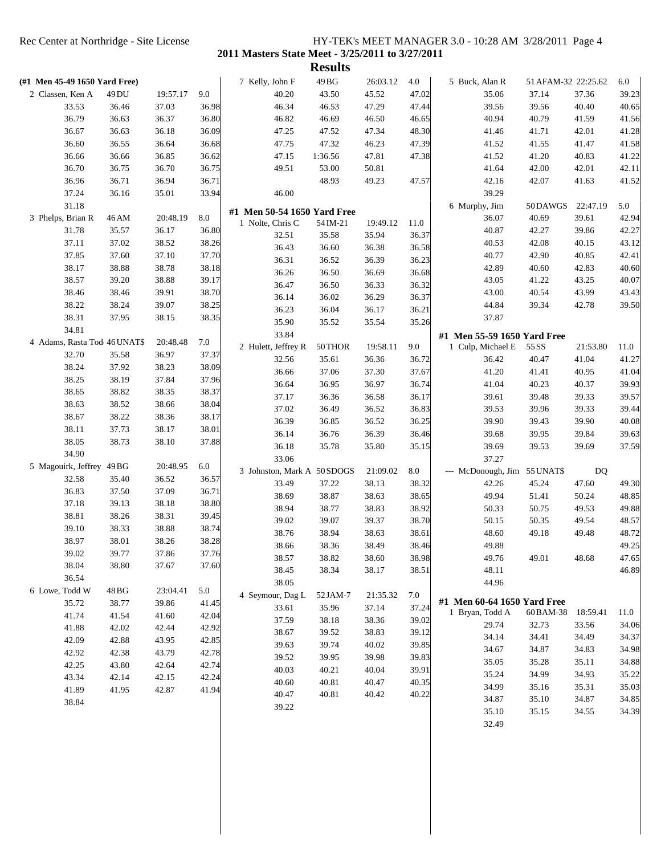|                               |       |          |       |                             | <b>Results</b> |          |              |                                                  |                     |          |                |
|-------------------------------|-------|----------|-------|-----------------------------|----------------|----------|--------------|--------------------------------------------------|---------------------|----------|----------------|
| (#1 Men 45-49 1650 Yard Free) |       |          |       | 7 Kelly, John F             | 49 BG          | 26:03.12 | 4.0          | 5 Buck, Alan R                                   | 51 AFAM-32 22:25.62 |          | 6.0            |
| 2 Classen, Ken A              | 49 DU | 19:57.17 | 9.0   | 40.20                       | 43.50          | 45.52    | 47.02        | 35.06                                            | 37.14               | 37.36    | 39.23          |
| 33.53                         | 36.46 | 37.03    | 36.98 | 46.34                       | 46.53          | 47.29    | 47.44        | 39.56                                            | 39.56               | 40.40    | 40.65          |
| 36.79                         | 36.63 | 36.37    | 36.80 | 46.82                       | 46.69          | 46.50    | 46.65        | 40.94                                            | 40.79               | 41.59    | 41.56          |
| 36.67                         | 36.63 | 36.18    | 36.09 | 47.25                       | 47.52          | 47.34    | 48.30        | 41.46                                            | 41.71               | 42.01    | 41.28          |
| 36.60                         | 36.55 | 36.64    | 36.68 | 47.75                       | 47.32          | 46.23    | 47.39        | 41.52                                            | 41.55               | 41.47    | 41.58          |
| 36.66                         | 36.66 | 36.85    | 36.62 | 47.15                       | 1:36.56        | 47.81    | 47.38        | 41.52                                            | 41.20               | 40.83    | 41.22          |
| 36.70                         | 36.75 | 36.70    | 36.75 | 49.51                       | 53.00          | 50.81    |              | 41.64                                            | 42.00               | 42.01    | 42.11          |
| 36.96                         | 36.71 | 36.94    | 36.71 |                             | 48.93          | 49.23    | 47.57        | 42.16                                            | 42.07               | 41.63    | 41.52          |
| 37.24                         | 36.16 | 35.01    | 33.94 | 46.00                       |                |          |              | 39.29                                            |                     |          |                |
| 31.18                         |       |          |       | #1 Men 50-54 1650 Yard Free |                |          |              | 6 Murphy, Jim                                    | 50DAWGS             | 22:47.19 | 5.0            |
| 3 Phelps, Brian R             | 46 AM | 20:48.19 | 8.0   | 1 Nolte, Chris C            | 54 IM-21       | 19:49.12 | 11.0         | 36.07                                            | 40.69               | 39.61    | 42.94          |
| 31.78                         | 35.57 | 36.17    | 36.80 | 32.51                       | 35.58          | 35.94    | 36.37        | 40.87                                            | 42.27               | 39.86    | 42.27          |
| 37.11                         | 37.02 | 38.52    | 38.26 | 36.43                       | 36.60          | 36.38    | 36.58        | 40.53                                            | 42.08               | 40.15    | 43.12          |
| 37.85                         | 37.60 | 37.10    | 37.70 | 36.31                       | 36.52          | 36.39    | 36.23        | 40.77                                            | 42.90               | 40.85    | 42.41          |
| 38.17                         | 38.88 | 38.78    | 38.18 | 36.26                       | 36.50          | 36.69    | 36.68        | 42.89                                            | 40.60               | 42.83    | 40.60          |
| 38.57                         | 39.20 | 38.88    | 39.17 | 36.47                       | 36.50          | 36.33    | 36.32        | 43.05                                            | 41.22               | 43.25    | 40.07          |
| 38.46                         | 38.46 | 39.91    | 38.70 | 36.14                       | 36.02          | 36.29    | 36.37        | 43.00                                            | 40.54               | 43.99    | 43.43          |
| 38.22                         | 38.24 | 39.07    | 38.25 | 36.23                       | 36.04          | 36.17    | 36.21        | 44.84                                            | 39.34               | 42.78    | 39.50          |
| 38.31                         | 37.95 | 38.15    | 38.35 | 35.90                       | 35.52          | 35.54    | 35.26        | 37.87                                            |                     |          |                |
| 34.81                         |       |          |       | 33.84                       |                |          |              |                                                  |                     |          |                |
| 4 Adams, Rasta Tod 46 UNAT\$  |       | 20:48.48 | 7.0   | 2 Hulett, Jeffrey R         | 50 THOR        | 19:58.11 | 9.0          | #1 Men 55-59 1650 Yard Free<br>1 Culp, Michael E | 55 SS               | 21:53.80 | 11.0           |
| 32.70                         | 35.58 | 36.97    | 37.37 | 32.56                       | 35.61          | 36.36    | 36.72        | 36.42                                            | 40.47               | 41.04    | 41.27          |
| 38.24                         | 37.92 | 38.23    | 38.09 | 36.66                       | 37.06          | 37.30    | 37.67        | 41.20                                            | 41.41               | 40.95    | 41.04          |
| 38.25                         | 38.19 | 37.84    | 37.96 | 36.64                       | 36.95          | 36.97    | 36.74        | 41.04                                            | 40.23               | 40.37    | 39.93          |
| 38.65                         | 38.82 | 38.35    | 38.37 | 37.17                       | 36.36          | 36.58    | 36.17        | 39.61                                            | 39.48               | 39.33    | 39.57          |
| 38.63                         | 38.52 | 38.66    | 38.04 | 37.02                       | 36.49          | 36.52    | 36.83        | 39.53                                            |                     | 39.33    |                |
| 38.67                         | 38.22 | 38.36    | 38.17 | 36.39                       |                | 36.52    | 36.25        | 39.90                                            | 39.96               | 39.90    | 39.44<br>40.08 |
| 38.11                         | 37.73 | 38.17    | 38.01 |                             | 36.85          |          |              |                                                  | 39.43               |          |                |
| 38.05                         | 38.73 | 38.10    | 37.88 | 36.14                       | 36.76          | 36.39    | 36.46        | 39.68                                            | 39.95               | 39.84    | 39.63          |
| 34.90                         |       |          |       | 36.18<br>33.06              | 35.78          | 35.80    | 35.15        | 39.69<br>37.27                                   | 39.53               | 39.69    | 37.59          |
| 5 Magouirk, Jeffrey 49 BG     |       | 20:48.95 | 6.0   | 3 Johnston, Mark A 50 SDOGS |                | 21:09.02 | 8.0          |                                                  |                     | DQ       |                |
| 32.58                         | 35.40 | 36.52    | 36.57 | 33.49                       | 37.22          | 38.13    | 38.32        | --- McDonough, Jim 55 UNAT\$<br>42.26            | 45.24               | 47.60    | 49.30          |
| 36.83                         | 37.50 | 37.09    | 36.71 | 38.69                       | 38.87          | 38.63    | 38.65        | 49.94                                            | 51.41               |          |                |
| 37.18                         | 39.13 | 38.18    | 38.80 | 38.94                       | 38.77          | 38.83    | 38.92        |                                                  | 50.75               | 50.24    | 48.85          |
| 38.81                         | 38.26 | 38.31    | 39.45 |                             |                |          |              | 50.33                                            |                     | 49.53    | 49.88          |
| 39.10                         | 38.33 | 38.88    | 38.74 | 39.02                       | 39.07          | 39.37    | 38.70        | 50.15                                            | 50.35               | 49.54    | 48.57          |
| 38.97                         | 38.01 | 38.26    | 38.28 | 38.76                       | 38.94          | 38.63    | 38.61        | 48.60                                            | 49.18               | 49.48    | 48.72<br>49.25 |
| 39.02                         | 39.77 | 37.86    | 37.76 | 38.66                       | 38.36          | 38.49    | 38.46        | 49.88                                            |                     |          |                |
| 38.04                         | 38.80 | 37.67    | 37.60 | 38.57                       | 38.82          | 38.60    | 38.98        | 49.76                                            | 49.01               | 48.68    | 47.65          |
| 36.54                         |       |          |       | 38.45                       | 38.34          | 38.17    | 38.51        | 48.11                                            |                     |          | 46.89          |
| 6 Lowe, Todd W                | 48 BG | 23:04.41 | 5.0   | 38.05                       |                |          |              | 44.96                                            |                     |          |                |
| 35.72                         | 38.77 | 39.86    | 41.45 | 4 Seymour, Dag L            | 52 JAM-7       | 21:35.32 | 7.0<br>37.24 | #1 Men 60-64 1650 Yard Free                      |                     |          |                |
| 41.74                         | 41.54 | 41.60    | 42.04 | 33.61                       | 35.96          | 37.14    |              | 1 Bryan, Todd A                                  | 60 BAM-38           | 18:59.41 | 11.0           |
| 41.88                         | 42.02 | 42.44    | 42.92 | 37.59                       | 38.18          | 38.36    | 39.02        | 29.74                                            | 32.73               | 33.56    | 34.06          |
| 42.09                         | 42.88 | 43.95    | 42.85 | 38.67                       | 39.52          | 38.83    | 39.12        | 34.14                                            | 34.41               | 34.49    | 34.37          |
| 42.92                         | 42.38 | 43.79    | 42.78 | 39.63                       | 39.74          | 40.02    | 39.85        | 34.67                                            | 34.87               | 34.83    | 34.98          |
| 42.25                         | 43.80 | 42.64    | 42.74 | 39.52                       | 39.95          | 39.98    | 39.83        | 35.05                                            | 35.28               | 35.11    | 34.88          |
| 43.34                         | 42.14 | 42.15    | 42.24 | 40.03                       | 40.21          | 40.04    | 39.91        | 35.24                                            | 34.99               | 34.93    | 35.22          |
| 41.89                         | 41.95 | 42.87    | 41.94 | 40.60                       | 40.81          | 40.47    | 40.35        | 34.99                                            | 35.16               | 35.31    | 35.03          |
| 38.84                         |       |          |       | 40.47                       | 40.81          | 40.42    | 40.22        | 34.87                                            | 35.10               | 34.87    | 34.85          |
|                               |       |          |       | 39.22                       |                |          |              | 35.10                                            | 35.15               | 34.55    | 34.39          |
|                               |       |          |       |                             |                |          |              | 32.49                                            |                     |          |                |
|                               |       |          |       |                             |                |          |              |                                                  |                     |          |                |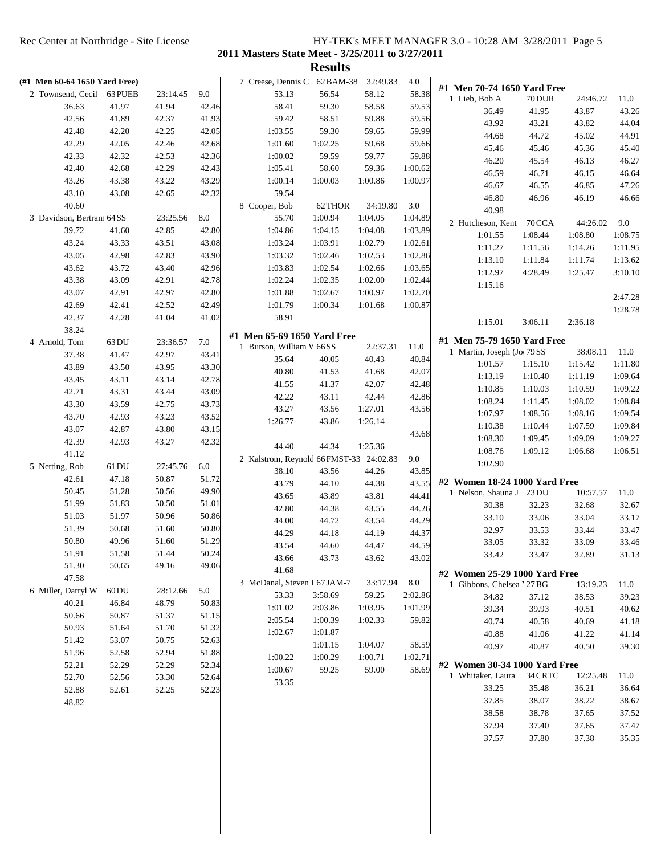|                |                               |         |          |       |                                         | <b>Results</b> |          |         |                               |                |                |                |
|----------------|-------------------------------|---------|----------|-------|-----------------------------------------|----------------|----------|---------|-------------------------------|----------------|----------------|----------------|
|                | (#1 Men 60-64 1650 Yard Free) |         |          |       | 7 Creese, Dennis C 62 BAM-38            |                | 32:49.83 | 4.0     | #1 Men 70-74 1650 Yard Free   |                |                |                |
|                | 2 Townsend, Cecil             | 63 PUEB | 23:14.45 | 9.0   | 53.13                                   | 56.54          | 58.12    | 58.38   | 1 Lieb, Bob A                 | 70DUR          | 24:46.72       | 11.0           |
|                | 36.63                         | 41.97   | 41.94    | 42.46 | 58.41                                   | 59.30          | 58.58    | 59.53   | 36.49                         | 41.95          | 43.87          | 43.26          |
|                | 42.56                         | 41.89   | 42.37    | 41.93 | 59.42                                   | 58.51          | 59.88    | 59.56   | 43.92                         | 43.21          | 43.82          | 44.04          |
|                | 42.48                         | 42.20   | 42.25    | 42.05 | 1:03.55                                 | 59.30          | 59.65    | 59.99   | 44.68                         | 44.72          | 45.02          | 44.91          |
|                | 42.29                         | 42.05   | 42.46    | 42.68 | 1:01.60                                 | 1:02.25        | 59.68    | 59.66   | 45.46                         | 45.46          | 45.36          | 45.40          |
|                | 42.33                         | 42.32   | 42.53    | 42.36 | 1:00.02                                 | 59.59          | 59.77    | 59.88   |                               | 45.54          |                | 46.27          |
|                | 42.40                         | 42.68   | 42.29    | 42.43 | 1:05.41                                 | 58.60          | 59.36    | 1:00.62 | 46.20                         |                | 46.13          |                |
|                | 43.26                         | 43.38   | 43.22    | 43.29 | 1:00.14                                 | 1:00.03        | 1:00.86  | 1:00.97 | 46.59                         | 46.71          | 46.15          | 46.64          |
|                | 43.10                         | 43.08   | 42.65    | 42.32 | 59.54                                   |                |          |         | 46.67                         | 46.55          | 46.85          | 47.26          |
|                | 40.60                         |         |          |       | 8 Cooper, Bob                           | 62 THOR        | 34:19.80 | 3.0     | 46.80                         | 46.96          | 46.19          | 46.66          |
|                | 3 Davidson, Bertram 64 SS     |         | 23:25.56 | 8.0   | 55.70                                   | 1:00.94        | 1:04.05  | 1:04.89 | 40.98                         |                |                |                |
|                | 39.72                         | 41.60   | 42.85    | 42.80 | 1:04.86                                 | 1:04.15        | 1:04.08  | 1:03.89 | 2 Hutcheson, Kent             | 70CCA          | 44:26.02       | 9.0            |
|                | 43.24                         | 43.33   | 43.51    | 43.08 | 1:03.24                                 | 1:03.91        | 1:02.79  | 1:02.61 | 1:01.55                       | 1:08.44        | 1:08.80        | 1:08.75        |
|                | 43.05                         | 42.98   | 42.83    | 43.90 | 1:03.32                                 | 1:02.46        | 1:02.53  | 1:02.86 | 1:11.27                       | 1:11.56        | 1:14.26        | 1:11.95        |
|                | 43.62                         | 43.72   | 43.40    | 42.96 | 1:03.83                                 | 1:02.54        | 1:02.66  | 1:03.65 | 1:13.10                       | 1:11.84        | 1:11.74        | 1:13.62        |
|                | 43.38                         | 43.09   | 42.91    | 42.78 | 1:02.24                                 | 1:02.35        | 1:02.00  | 1:02.44 | 1:12.97                       | 4:28.49        | 1:25.47        | 3:10.10        |
|                | 43.07                         | 42.91   | 42.97    | 42.80 | 1:01.88                                 | 1:02.67        | 1:00.97  | 1:02.70 | 1:15.16                       |                |                |                |
|                |                               | 42.41   | 42.52    | 42.49 | 1:01.79                                 | 1:00.34        | 1:01.68  | 1:00.87 |                               |                |                | 2:47.28        |
|                | 42.69                         |         |          |       |                                         |                |          |         |                               |                |                | 1:28.78        |
|                | 42.37                         | 42.28   | 41.04    | 41.02 | 58.91                                   |                |          |         | 1:15.01                       | 3:06.11        | 2:36.18        |                |
|                | 38.24                         |         |          |       | #1 Men 65-69 1650 Yard Free             |                |          |         | #1 Men 75-79 1650 Yard Free   |                |                |                |
| 4 Arnold, Tom  |                               | 63 DU   | 23:36.57 | 7.0   | 1 Burson, William W 66 SS               |                | 22:37.31 | 11.0    | 1 Martin, Joseph (Jo 79SS     |                | 38:08.11       | 11.0           |
|                | 37.38                         | 41.47   | 42.97    | 43.41 | 35.64                                   | 40.05          | 40.43    | 40.84   | 1:01.57                       | 1:15.10        | 1:15.42        | 1:11.80        |
|                | 43.89                         | 43.50   | 43.95    | 43.30 | 40.80                                   | 41.53          | 41.68    | 42.07   | 1:13.19                       | 1:10.40        | 1:11.19        | 1:09.64        |
|                | 43.45                         | 43.11   | 43.14    | 42.78 | 41.55                                   | 41.37          | 42.07    | 42.48   | 1:10.85                       | 1:10.03        | 1:10.59        | 1:09.22        |
|                | 42.71                         | 43.31   | 43.44    | 43.09 | 42.22                                   | 43.11          | 42.44    | 42.86   |                               |                |                |                |
|                | 43.30                         | 43.59   | 42.75    | 43.73 | 43.27                                   | 43.56          | 1:27.01  | 43.56   | 1:08.24                       | 1:11.45        | 1:08.02        | 1:08.84        |
|                | 43.70                         | 42.93   | 43.23    | 43.52 | 1:26.77                                 | 43.86          | 1:26.14  |         | 1:07.97                       | 1:08.56        | 1:08.16        | 1:09.54        |
|                | 43.07                         | 42.87   | 43.80    | 43.15 |                                         |                |          | 43.68   | 1:10.38                       | 1:10.44        | 1:07.59        | 1:09.84        |
|                | 42.39                         | 42.93   | 43.27    | 42.32 | 44.40                                   | 44.34          | 1:25.36  |         | 1:08.30                       | 1:09.45        | 1:09.09        | 1:09.27        |
|                | 41.12                         |         |          |       | 2 Kalstrom, Reynold 66 FMST-33 24:02.83 |                |          | 9.0     | 1:08.76                       | 1:09.12        | 1:06.68        | 1:06.51        |
| 5 Netting, Rob |                               | 61 DU   | 27:45.76 | 6.0   | 38.10                                   | 43.56          | 44.26    | 43.85   | 1:02.90                       |                |                |                |
|                | 42.61                         | 47.18   | 50.87    | 51.72 | 43.79                                   | 44.10          | 44.38    | 43.55   | #2 Women 18-24 1000 Yard Free |                |                |                |
|                | 50.45                         | 51.28   | 50.56    | 49.90 | 43.65                                   | 43.89          | 43.81    | 44.41   | 1 Nelson, Shauna J 23 DU      |                | 10:57.57       | 11.0           |
|                | 51.99                         | 51.83   | 50.50    | 51.01 | 42.80                                   | 44.38          | 43.55    | 44.26   | 30.38                         | 32.23          | 32.68          | 32.67          |
|                | 51.03                         | 51.97   | 50.96    | 50.86 | 44.00                                   | 44.72          | 43.54    | 44.29   | 33.10                         | 33.06          | 33.04          | 33.17          |
|                | 51.39                         | 50.68   | 51.60    | 50.80 | 44.29                                   | 44.18          | 44.19    | 44.37   | 32.97                         | 33.53          | 33.44          | 33.47          |
|                | 50.80                         | 49.96   | 51.60    | 51.29 |                                         |                | 44.47    | 44.59   | 33.05                         | 33.32          | 33.09          | 33.46          |
|                | 51.91                         | 51.58   | 51.44    | 50.24 | 43.54                                   | 44.60          |          |         | 33.42                         | 33.47          | 32.89          | 31.13          |
|                | 51.30                         | 50.65   | 49.16    | 49.06 | 43.66                                   | 43.73          | 43.62    | 43.02   |                               |                |                |                |
|                | 47.58                         |         |          |       | 41.68                                   |                |          |         | #2 Women 25-29 1000 Yard Free |                |                |                |
|                | 6 Miller, Darryl W            | $60$ DU | 28:12.66 | 5.0   | 3 McDanal, Steven I 67 JAM-7            |                | 33:17.94 | 8.0     | 1 Gibbons, Chelsea l 27 BG    |                | 13:19.23       | 11.0           |
|                | 40.21                         | 46.84   | 48.79    | 50.83 | 53.33                                   | 3:58.69        | 59.25    | 2:02.86 | 34.82                         | 37.12          | 38.53          | 39.23          |
|                | 50.66                         | 50.87   | 51.37    | 51.15 | 1:01.02                                 | 2:03.86        | 1:03.95  | 1:01.99 | 39.34                         | 39.93          | 40.51          | 40.62          |
|                | 50.93                         | 51.64   | 51.70    | 51.32 | 2:05.54                                 | 1:00.39        | 1:02.33  | 59.82   | 40.74                         | 40.58          | 40.69          | 41.18          |
|                | 51.42                         | 53.07   | 50.75    | 52.63 | 1:02.67                                 | 1:01.87        |          |         | 40.88                         | 41.06          | 41.22          | 41.14          |
|                | 51.96                         | 52.58   | 52.94    | 51.88 |                                         | 1:01.15        | 1:04.07  | 58.59   | 40.97                         | 40.87          | 40.50          | 39.30          |
|                | 52.21                         | 52.29   | 52.29    | 52.34 | 1:00.22                                 | 1:00.29        | 1:00.71  | 1:02.71 | #2 Women 30-34 1000 Yard Free |                |                |                |
|                | 52.70                         | 52.56   | 53.30    | 52.64 | 1:00.67                                 | 59.25          | 59.00    | 58.69   | 1 Whitaker, Laura             | 34 CRTC        | 12:25.48       | 11.0           |
|                |                               |         |          |       | 53.35                                   |                |          |         | 33.25                         | 35.48          | 36.21          | 36.64          |
|                | 52.88                         | 52.61   | 52.25    | 52.23 |                                         |                |          |         | 37.85                         | 38.07          | 38.22          | 38.67          |
|                | 48.82                         |         |          |       |                                         |                |          |         | 38.58                         | 38.78          | 37.65          | 37.52          |
|                |                               |         |          |       |                                         |                |          |         |                               |                |                |                |
|                |                               |         |          |       |                                         |                |          |         |                               |                |                |                |
|                |                               |         |          |       |                                         |                |          |         | 37.94<br>37.57                | 37.40<br>37.80 | 37.65<br>37.38 | 37.47<br>35.35 |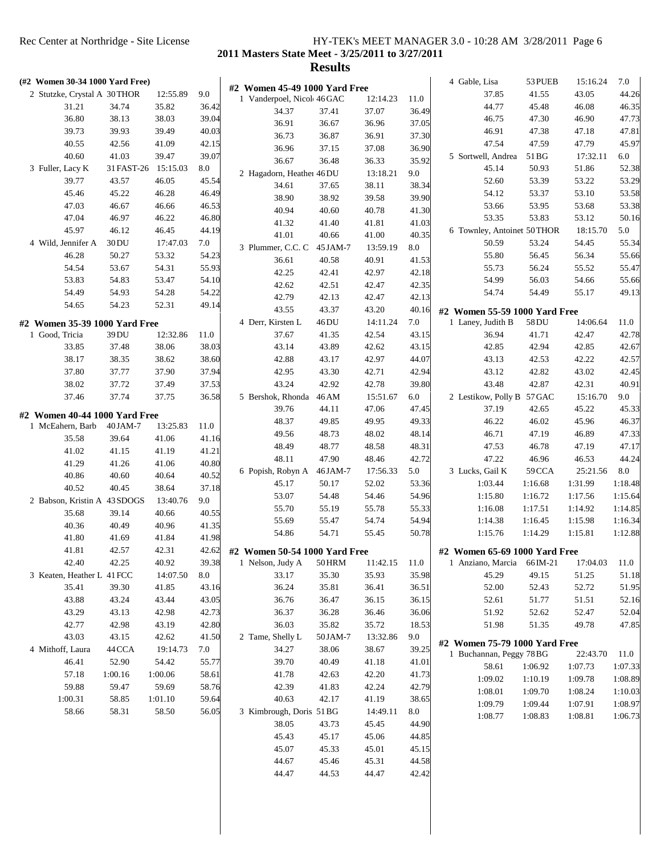**2011 Masters State Meet - 3/25/2011 to 3/27/2011**

| (#2 Women 30-34 1000 Yard Free) |            |          |       | #2 Women 45-49 1000 Yard Free |               |          |       | 4 Gable, Lisa                 | 53 PUEB  | 15:16.24 | 7.0     |
|---------------------------------|------------|----------|-------|-------------------------------|---------------|----------|-------|-------------------------------|----------|----------|---------|
| 2 Stutzke, Crystal A 30 THOR    |            | 12:55.89 | 9.0   | 1 Vanderpoel, Nicol 46 GAC    |               | 12:14.23 | 11.0  | 37.85                         | 41.55    | 43.05    | 44.26   |
| 31.21                           | 34.74      | 35.82    | 36.42 | 34.37                         | 37.41         | 37.07    | 36.49 | 44.77                         | 45.48    | 46.08    | 46.35   |
| 36.80                           | 38.13      | 38.03    | 39.04 | 36.91                         | 36.67         | 36.96    | 37.05 | 46.75                         | 47.30    | 46.90    | 47.73   |
| 39.73                           | 39.93      | 39.49    | 40.03 | 36.73                         | 36.87         | 36.91    | 37.30 | 46.91                         | 47.38    | 47.18    | 47.81   |
| 40.55                           | 42.56      | 41.09    | 42.15 | 36.96                         | 37.15         | 37.08    | 36.90 | 47.54                         | 47.59    | 47.79    | 45.97   |
| 40.60                           | 41.03      | 39.47    | 39.07 | 36.67                         | 36.48         | 36.33    | 35.92 | 5 Sortwell, Andrea            | 51 BG    | 17:32.11 | 6.0     |
| 3 Fuller, Lacy K                | 31 FAST-26 | 15:15.03 | 8.0   |                               |               |          |       | 45.14                         | 50.93    | 51.86    | 52.38   |
| 39.77                           | 43.57      | 46.05    | 45.54 | 2 Hagadorn, Heather 46 DU     |               | 13:18.21 | 9.0   | 52.60                         | 53.39    | 53.22    | 53.29   |
| 45.46                           | 45.22      | 46.28    | 46.49 | 34.61                         | 37.65         | 38.11    | 38.34 | 54.12                         | 53.37    | 53.10    | 53.58   |
| 47.03                           | 46.67      | 46.66    | 46.53 | 38.90                         | 38.92         | 39.58    | 39.90 | 53.66                         | 53.95    | 53.68    | 53.38   |
| 47.04                           | 46.97      | 46.22    | 46.80 | 40.94                         | 40.60         | 40.78    | 41.30 | 53.35                         | 53.83    | 53.12    | 50.16   |
| 45.97                           | 46.12      | 46.45    | 44.19 | 41.32                         | 41.40         | 41.81    | 41.03 | 6 Townley, Antoinet 50THOR    |          | 18:15.70 | 5.0     |
| 4 Wild, Jennifer A              | 30 DU      | 17:47.03 | 7.0   | 41.01                         | 40.66         | 41.00    | 40.35 | 50.59                         | 53.24    | 54.45    | 55.34   |
| 46.28                           | 50.27      | 53.32    | 54.23 | 3 Plummer, C.C. C             | 45 JAM-7      | 13:59.19 | 8.0   | 55.80                         | 56.45    | 56.34    | 55.66   |
| 54.54                           | 53.67      | 54.31    | 55.93 | 36.61                         | 40.58         | 40.91    | 41.53 | 55.73                         | 56.24    | 55.52    | 55.47   |
| 53.83                           | 54.83      |          |       | 42.25                         | 42.41         | 42.97    | 42.18 |                               | 56.03    | 54.66    |         |
|                                 |            | 53.47    | 54.10 | 42.62                         | 42.51         | 42.47    | 42.35 | 54.99                         |          |          | 55.66   |
| 54.49                           | 54.93      | 54.28    | 54.22 | 42.79                         | 42.13         | 42.47    | 42.13 | 54.74                         | 54.49    | 55.17    | 49.13   |
| 54.65                           | 54.23      | 52.31    | 49.14 | 43.55                         | 43.37         | 43.20    | 40.16 | #2 Women 55-59 1000 Yard Free |          |          |         |
| #2 Women 35-39 1000 Yard Free   |            |          |       | 4 Derr, Kirsten L             | 46 DU         | 14:11.24 | 7.0   | 1 Laney, Judith B             | 58 DU    | 14:06.64 | 11.0    |
| 1 Good, Tricia                  | 39 DU      | 12:32.86 | 11.0  | 37.67                         | 41.35         | 42.54    | 43.15 | 36.94                         | 41.71    | 42.47    | 42.78   |
| 33.85                           | 37.48      | 38.06    | 38.03 | 43.14                         | 43.89         | 42.62    | 43.15 | 42.85                         | 42.94    | 42.85    | 42.67   |
| 38.17                           | 38.35      | 38.62    | 38.60 | 42.88                         | 43.17         | 42.97    | 44.07 | 43.13                         | 42.53    | 42.22    | 42.57   |
| 37.80                           | 37.77      | 37.90    | 37.94 | 42.95                         | 43.30         | 42.71    | 42.94 | 43.12                         | 42.82    | 43.02    | 42.45   |
| 38.02                           | 37.72      | 37.49    | 37.53 | 43.24                         | 42.92         | 42.78    | 39.80 | 43.48                         | 42.87    | 42.31    | 40.91   |
| 37.46                           | 37.74      | 37.75    | 36.58 | 5 Bershok, Rhonda             | 46 AM         | 15:51.67 | 6.0   | 2 Lestikow, Polly B 57 GAC    |          | 15:16.70 | 9.0     |
|                                 |            |          |       | 39.76                         | 44.11         | 47.06    | 47.45 | 37.19                         | 42.65    | 45.22    | 45.33   |
| #2 Women 40-44 1000 Yard Free   |            |          |       | 48.37                         | 49.85         | 49.95    | 49.33 | 46.22                         | 46.02    | 45.96    | 46.37   |
| 1 McEahern, Barb                | 40 JAM-7   | 13:25.83 | 11.0  | 49.56                         | 48.73         | 48.02    | 48.14 | 46.71                         | 47.19    | 46.89    | 47.33   |
| 35.58                           | 39.64      | 41.06    | 41.16 | 48.49                         | 48.77         | 48.58    | 48.31 | 47.53                         | 46.78    | 47.19    | 47.17   |
| 41.02                           | 41.15      | 41.19    | 41.21 | 48.11                         | 47.90         | 48.46    | 42.72 | 47.22                         | 46.96    | 46.53    | 44.24   |
| 41.29                           | 41.26      | 41.06    | 40.80 | 6 Popish, Robyn A             | 46 JAM-7      | 17:56.33 | 5.0   | 3 Lucks, Gail K               | 59CCA    | 25:21.56 | 8.0     |
| 40.86                           | 40.60      | 40.64    | 40.52 | 45.17                         | 50.17         | 52.02    | 53.36 | 1:03.44                       | 1:16.68  | 1:31.99  | 1:18.48 |
| 40.52                           | 40.45      | 38.64    | 37.18 | 53.07                         |               | 54.46    | 54.96 |                               |          |          |         |
| 2 Babson, Kristin A 43 SDOGS    |            | 13:40.76 | 9.0   |                               | 54.48         |          |       | 1:15.80                       | 1:16.72  | 1:17.56  | 1:15.64 |
| 35.68                           | 39.14      | 40.66    | 40.55 | 55.70                         | 55.19         | 55.78    | 55.33 | 1:16.08                       | 1:17.51  | 1:14.92  | 1:14.85 |
| 40.36                           | 40.49      | 40.96    | 41.35 | 55.69                         | 55.47         | 54.74    | 54.94 | 1:14.38                       | 1:16.45  | 1:15.98  | 1:16.34 |
| 41.80                           | 41.69      | 41.84    | 41.98 | 54.86                         | 54.71         | 55.45    | 50.78 | 1:15.76                       | 1:14.29  | 1:15.81  | 1:12.88 |
| 41.81                           | 42.57      | 42.31    | 42.62 | #2 Women 50-54 1000 Yard Free |               |          |       | #2 Women 65-69 1000 Yard Free |          |          |         |
| 42.40                           | 42.25      | 40.92    | 39.38 | 1 Nelson, Judy A              | <b>50 HRM</b> | 11:42.15 | 11.0  | 1 Anziano, Marcia             | 66 IM-21 | 17:04.03 | 11.0    |
| 3 Keaten, Heather L 41 FCC      |            | 14:07.50 | 8.0   | 33.17                         | 35.30         | 35.93    | 35.98 | 45.29                         | 49.15    | 51.25    | 51.18   |
| 35.41                           | 39.30      | 41.85    | 43.16 | 36.24                         | 35.81         | 36.41    | 36.51 | 52.00                         | 52.43    | 52.72    | 51.95   |
| 43.88                           | 43.24      | 43.44    | 43.05 | 36.76                         | 36.47         | 36.15    | 36.15 | 52.61                         | 51.77    | 51.51    | 52.16   |
| 43.29                           | 43.13      | 42.98    | 42.73 | 36.37                         | 36.28         | 36.46    | 36.06 | 51.92                         | 52.62    | 52.47    | 52.04   |
| 42.77                           | 42.98      | 43.19    | 42.80 | 36.03                         | 35.82         | 35.72    | 18.53 | 51.98                         | 51.35    | 49.78    | 47.85   |
| 43.03                           | 43.15      | 42.62    | 41.50 | 2 Tame, Shelly L              | 50 JAM-7      | 13:32.86 | 9.0   |                               |          |          |         |
| 4 Mithoff, Laura                | 44 CCA     | 19:14.73 | 7.0   | 34.27                         | 38.06         | 38.67    | 39.25 | #2 Women 75-79 1000 Yard Free |          |          |         |
| 46.41                           | 52.90      | 54.42    | 55.77 | 39.70                         | 40.49         | 41.18    | 41.01 | 1 Buchannan, Peggy 78BG       |          | 22:43.70 | 11.0    |
| 57.18                           | 1:00.16    | 1:00.06  | 58.61 | 41.78                         | 42.63         | 42.20    | 41.73 | 58.61                         | 1:06.92  | 1:07.73  | 1:07.33 |
| 59.88                           | 59.47      | 59.69    | 58.76 | 42.39                         | 41.83         | 42.24    | 42.79 | 1:09.02                       | 1:10.19  | 1:09.78  | 1:08.89 |
| 1:00.31                         | 58.85      | 1:01.10  | 59.64 | 40.63                         | 42.17         | 41.19    | 38.65 | 1:08.01                       | 1:09.70  | 1:08.24  | 1:10.03 |
|                                 | 58.31      |          |       |                               |               | 14:49.11 |       | 1:09.79                       | 1:09.44  | 1:07.91  | 1:08.97 |
| 58.66                           |            | 58.50    | 56.05 | 3 Kimbrough, Doris 51 BG      |               |          | 8.0   | 1:08.77                       | 1:08.83  | 1:08.81  | 1:06.73 |
|                                 |            |          |       | 38.05                         | 43.73         | 45.45    | 44.90 |                               |          |          |         |
|                                 |            |          |       | 45.43                         | 45.17         | 45.06    | 44.85 |                               |          |          |         |
|                                 |            |          |       | 45.07                         | 45.33         | 45.01    | 45.15 |                               |          |          |         |
|                                 |            |          |       | 44.67                         | 45.46         | 45.31    | 44.58 |                               |          |          |         |
|                                 |            |          |       | 44.47                         | 44.53         | 44.47    | 42.42 |                               |          |          |         |
|                                 |            |          |       |                               |               |          |       |                               |          |          |         |
|                                 |            |          |       |                               |               |          |       |                               |          |          |         |
|                                 |            |          |       |                               |               |          |       |                               |          |          |         |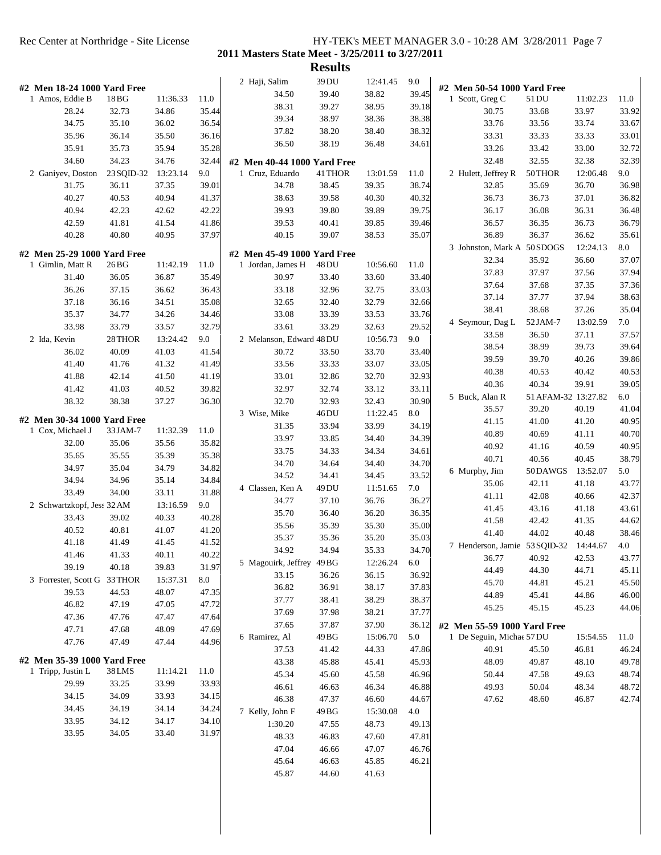**2011 Masters State Meet - 3/25/2011 to 3/27/2011**

|              | #2 Men 18-24 1000 Yard Free |            |          |       | 2 Haji, Salim                                  | 39 DU   | 12:41.45 | 9.0   | #2 Men 50-54 1000 Yard Free   |                     |          |       |
|--------------|-----------------------------|------------|----------|-------|------------------------------------------------|---------|----------|-------|-------------------------------|---------------------|----------|-------|
|              | 1 Amos, Eddie B             | 18 BG      | 11:36.33 | 11.0  | 34.50                                          | 39.40   | 38.82    | 39.45 | 1 Scott, Greg C               | 51 DU               | 11:02.23 | 11.0  |
|              | 28.24                       | 32.73      | 34.86    | 35.44 | 38.31                                          | 39.27   | 38.95    | 39.18 | 30.75                         | 33.68               | 33.97    | 33.92 |
|              | 34.75                       | 35.10      | 36.02    | 36.54 | 39.34                                          | 38.97   | 38.36    | 38.38 | 33.76                         | 33.56               | 33.74    | 33.67 |
|              | 35.96                       | 36.14      | 35.50    | 36.16 | 37.82                                          | 38.20   | 38.40    | 38.32 | 33.31                         | 33.33               | 33.33    | 33.01 |
|              | 35.91                       | 35.73      | 35.94    | 35.28 | 36.50                                          | 38.19   | 36.48    | 34.61 | 33.26                         | 33.42               | 33.00    | 32.72 |
|              | 34.60                       | 34.23      | 34.76    | 32.44 |                                                |         |          |       | 32.48                         | 32.55               | 32.38    | 32.39 |
|              | 2 Ganiyev, Doston           | 23 SQID-32 | 13:23.14 | 9.0   | #2 Men 40-44 1000 Yard Free<br>1 Cruz, Eduardo | 41 THOR | 13:01.59 | 11.0  | 2 Hulett, Jeffrey R           | 50 THOR             | 12:06.48 | 9.0   |
|              | 31.75                       | 36.11      | 37.35    | 39.01 | 34.78                                          | 38.45   | 39.35    | 38.74 | 32.85                         | 35.69               | 36.70    | 36.98 |
|              | 40.27                       | 40.53      | 40.94    | 41.37 | 38.63                                          |         | 40.30    | 40.32 | 36.73                         | 36.73               | 37.01    | 36.82 |
|              |                             |            |          |       |                                                | 39.58   |          |       |                               |                     |          |       |
|              | 40.94                       | 42.23      | 42.62    | 42.22 | 39.93                                          | 39.80   | 39.89    | 39.75 | 36.17                         | 36.08               | 36.31    | 36.48 |
|              | 42.59                       | 41.81      | 41.54    | 41.86 | 39.53                                          | 40.41   | 39.85    | 39.46 | 36.57                         | 36.35               | 36.73    | 36.79 |
|              | 40.28                       | 40.80      | 40.95    | 37.97 | 40.15                                          | 39.07   | 38.53    | 35.07 | 36.89                         | 36.37               | 36.62    | 35.61 |
|              | #2 Men 25-29 1000 Yard Free |            |          |       | #2 Men 45-49 1000 Yard Free                    |         |          |       | 3 Johnston, Mark A 50 SDOGS   |                     | 12:24.13 | 8.0   |
|              | 1 Gimlin, Matt R            | 26 BG      | 11:42.19 | 11.0  | 1 Jordan, James H                              | 48 DU   | 10:56.60 | 11.0  | 32.34                         | 35.92               | 36.60    | 37.07 |
|              | 31.40                       | 36.05      | 36.87    | 35.49 | 30.97                                          | 33.40   | 33.60    | 33.40 | 37.83                         | 37.97               | 37.56    | 37.94 |
|              | 36.26                       | 37.15      | 36.62    | 36.43 | 33.18                                          | 32.96   | 32.75    | 33.03 | 37.64                         | 37.68               | 37.35    | 37.36 |
|              | 37.18                       | 36.16      | 34.51    | 35.08 | 32.65                                          | 32.40   | 32.79    | 32.66 | 37.14                         | 37.77               | 37.94    | 38.63 |
|              | 35.37                       | 34.77      | 34.26    | 34.46 | 33.08                                          | 33.39   | 33.53    | 33.76 | 38.41                         | 38.68               | 37.26    | 35.04 |
|              | 33.98                       | 33.79      | 33.57    | 32.79 | 33.61                                          | 33.29   | 32.63    | 29.52 | 4 Seymour, Dag L              | 52JAM-7             | 13:02.59 | 7.0   |
| 2 Ida, Kevin |                             | 28 THOR    | 13:24.42 | 9.0   | 2 Melanson, Edward 48 DU                       |         | 10:56.73 | 9.0   | 33.58                         | 36.50               | 37.11    | 37.57 |
|              | 36.02                       | 40.09      | 41.03    | 41.54 | 30.72                                          | 33.50   | 33.70    | 33.40 | 38.54                         | 38.99               | 39.73    | 39.64 |
|              | 41.40                       | 41.76      | 41.32    | 41.49 | 33.56                                          | 33.33   | 33.07    | 33.05 | 39.59                         | 39.70               | 40.26    | 39.86 |
|              | 41.88                       | 42.14      | 41.50    | 41.19 | 33.01                                          | 32.86   | 32.70    | 32.93 | 40.38                         | 40.53               | 40.42    | 40.53 |
|              | 41.42                       | 41.03      | 40.52    | 39.82 | 32.97                                          | 32.74   | 33.12    | 33.11 | 40.36                         | 40.34               | 39.91    | 39.05 |
|              | 38.32                       | 38.38      | 37.27    | 36.30 | 32.70                                          | 32.93   | 32.43    | 30.90 | 5 Buck, Alan R                | 51 AFAM-32 13:27.82 |          | 6.0   |
|              |                             |            |          |       | 3 Wise, Mike                                   | 46 DU   | 11:22.45 | 8.0   | 35.57                         | 39.20               | 40.19    | 41.04 |
|              | #2 Men 30-34 1000 Yard Free |            |          |       | 31.35                                          | 33.94   | 33.99    | 34.19 | 41.15                         | 41.00               | 41.20    | 40.95 |
|              | 1 Cox, Michael J            | 33 JAM-7   | 11:32.39 | 11.0  | 33.97                                          | 33.85   | 34.40    | 34.39 | 40.89                         | 40.69               | 41.11    | 40.70 |
|              | 32.00                       | 35.06      | 35.56    | 35.82 | 33.75                                          | 34.33   | 34.34    | 34.61 | 40.92                         | 41.16               | 40.59    | 40.95 |
|              | 35.65                       | 35.55      | 35.39    | 35.38 | 34.70                                          | 34.64   | 34.40    | 34.70 | 40.71                         | 40.56               | 40.45    | 38.79 |
|              | 34.97                       | 35.04      | 34.79    | 34.82 | 34.52                                          | 34.41   | 34.45    | 33.52 | 6 Murphy, Jim                 | 50DAWGS             | 13:52.07 | 5.0   |
|              | 34.94                       | 34.96      | 35.14    | 34.84 |                                                | 49 DU   | 11:51.65 | 7.0   | 35.06                         | 42.11               | 41.18    | 43.77 |
|              | 33.49                       | 34.00      | 33.11    | 31.88 | 4 Classen, Ken A<br>34.77                      |         | 36.76    |       | 41.11                         | 42.08               | 40.66    | 42.37 |
|              | 2 Schwartzkopf, Jess 32 AM  |            | 13:16.59 | 9.0   |                                                | 37.10   |          | 36.27 | 41.45                         | 43.16               | 41.18    | 43.61 |
|              | 33.43                       | 39.02      | 40.33    | 40.28 | 35.70                                          | 36.40   | 36.20    | 36.35 | 41.58                         | 42.42               | 41.35    | 44.62 |
|              | 40.52                       | 40.81      | 41.07    | 41.20 | 35.56                                          | 35.39   | 35.30    | 35.00 | 41.40                         | 44.02               | 40.48    | 38.46 |
|              | 41.18                       | 41.49      | 41.45    | 41.52 | 35.37                                          | 35.36   | 35.20    | 35.03 | 7 Henderson, Jamie 53 SQID-32 |                     | 14:44.67 | 4.0   |
|              | 41.46                       | 41.33      | 40.11    | 40.22 | 34.92                                          | 34.94   | 35.33    | 34.70 | 36.77                         | 40.92               | 42.53    | 43.77 |
|              | 39.19                       | 40.18      | 39.83    | 31.97 | 5 Magouirk, Jeffrey 49 BG                      |         | 12:26.24 | 6.0   | 44.49                         | 44.30               | 44.71    | 45.11 |
|              | 3 Forrester, Scott G        | 33 THOR    | 15:37.31 | 8.0   | 33.15                                          | 36.26   | 36.15    | 36.92 | 45.70                         | 44.81               | 45.21    | 45.50 |
|              | 39.53                       | 44.53      | 48.07    | 47.35 | 36.82                                          | 36.91   | 38.17    | 37.83 | 44.89                         | 45.41               | 44.86    | 46.00 |
|              | 46.82                       | 47.19      | 47.05    | 47.72 | 37.77                                          | 38.41   | 38.29    | 38.37 | 45.25                         | 45.15               | 45.23    | 44.06 |
|              | 47.36                       | 47.76      | 47.47    | 47.64 | 37.69                                          | 37.98   | 38.21    | 37.77 |                               |                     |          |       |
|              | 47.71                       | 47.68      | 48.09    | 47.69 | 37.65                                          | 37.87   | 37.90    | 36.12 | #2 Men 55-59 1000 Yard Free   |                     |          |       |
|              | 47.76                       | 47.49      | 47.44    | 44.96 | 6 Ramirez, Al                                  | 49 BG   | 15:06.70 | 5.0   | 1 De Seguin, Michae 57 DU     |                     | 15:54.55 | 11.0  |
|              |                             |            |          |       | 37.53                                          | 41.42   | 44.33    | 47.86 | 40.91                         | 45.50               | 46.81    | 46.24 |
|              | #2 Men 35-39 1000 Yard Free |            |          |       | 43.38                                          | 45.88   | 45.41    | 45.93 | 48.09                         | 49.87               | 48.10    | 49.78 |
|              | 1 Tripp, Justin L           | 38 LMS     | 11:14.21 | 11.0  | 45.34                                          | 45.60   | 45.58    | 46.96 | 50.44                         | 47.58               | 49.63    | 48.74 |
|              | 29.99                       | 33.25      | 33.99    | 33.93 | 46.61                                          | 46.63   | 46.34    | 46.88 | 49.93                         | 50.04               | 48.34    | 48.72 |
|              | 34.15                       | 34.09      | 33.93    | 34.15 | 46.38                                          | 47.37   | 46.60    | 44.67 | 47.62                         | 48.60               | 46.87    | 42.74 |
|              | 34.45                       | 34.19      | 34.14    | 34.24 | 7 Kelly, John F                                | 49 BG   | 15:30.08 | 4.0   |                               |                     |          |       |
|              | 33.95                       | 34.12      | 34.17    | 34.10 | 1:30.20                                        | 47.55   | 48.73    | 49.13 |                               |                     |          |       |
|              | 33.95                       | 34.05      | 33.40    | 31.97 | 48.33                                          | 46.83   | 47.60    | 47.81 |                               |                     |          |       |
|              |                             |            |          |       |                                                | 46.66   |          |       |                               |                     |          |       |
|              |                             |            |          |       | 47.04                                          |         | 47.07    | 46.76 |                               |                     |          |       |
|              |                             |            |          |       | 45.64                                          | 46.63   | 45.85    | 46.21 |                               |                     |          |       |
|              |                             |            |          |       | 45.87                                          | 44.60   | 41.63    |       |                               |                     |          |       |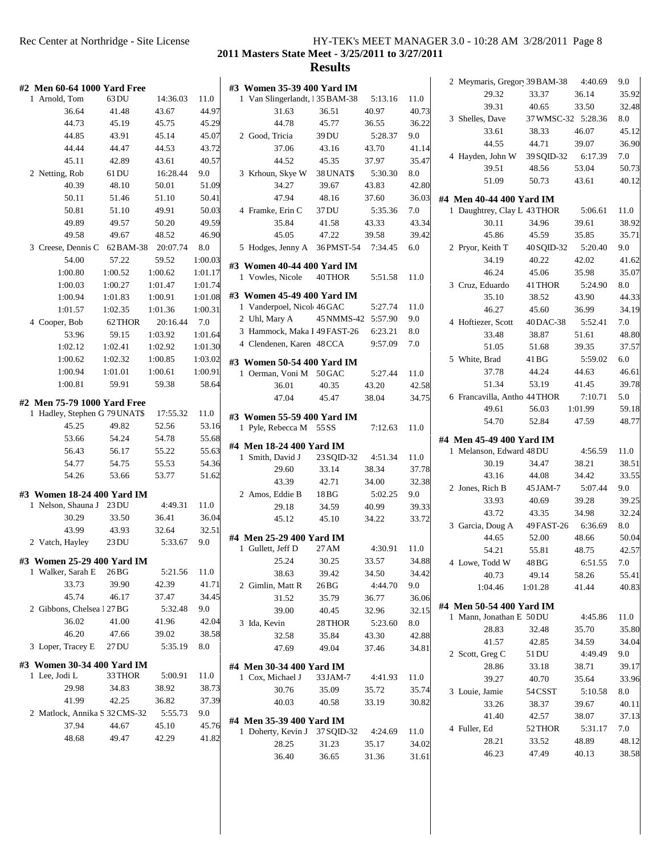**2011 Masters State Meet - 3/25/2011 to 3/27/2011**

|                               |           |          |         |                                                |            |         |       | 2 Meymaris, Gregor 39 BAM-38                         |                    | 4:40.69 | 9.0   |
|-------------------------------|-----------|----------|---------|------------------------------------------------|------------|---------|-------|------------------------------------------------------|--------------------|---------|-------|
| #2 Men 60-64 1000 Yard Free   |           |          |         | #3 Women 35-39 400 Yard IM                     |            |         |       | 29.32                                                | 33.37              | 36.14   | 35.92 |
| 1 Arnold, Tom                 | 63 DU     | 14:36.03 | 11.0    | 1 Van Slingerlandt, 135 BAM-38                 |            | 5:13.16 | 11.0  | 39.31                                                | 40.65              | 33.50   | 32.48 |
| 36.64                         | 41.48     | 43.67    | 44.97   | 31.63                                          | 36.51      | 40.97   | 40.73 | 3 Shelles, Dave                                      | 37 WMSC-32 5:28.36 |         | 8.0   |
| 44.73                         | 45.19     | 45.75    | 45.29   | 44.78                                          | 45.77      | 36.55   | 36.22 | 33.61                                                | 38.33              | 46.07   | 45.12 |
| 44.85                         | 43.91     | 45.14    | 45.07   | 2 Good, Tricia                                 | 39 DU      | 5:28.37 | 9.0   | 44.55                                                | 44.71              | 39.07   | 36.90 |
| 44.44                         | 44.47     | 44.53    | 43.72   | 37.06                                          | 43.16      | 43.70   | 41.14 | 4 Hayden, John W                                     | 39 SQID-32         | 6:17.39 | 7.0   |
| 45.11                         | 42.89     | 43.61    | 40.57   | 44.52                                          | 45.35      | 37.97   | 35.47 | 39.51                                                | 48.56              | 53.04   | 50.73 |
| 2 Netting, Rob                | 61 DU     | 16:28.44 | 9.0     | 3 Krhoun, Skye W                               | 38 UNAT\$  | 5:30.30 | 8.0   | 51.09                                                | 50.73              | 43.61   | 40.12 |
| 40.39                         | 48.10     | 50.01    | 51.09   | 34.27                                          | 39.67      | 43.83   | 42.80 |                                                      |                    |         |       |
| 50.11                         | 51.46     | 51.10    | 50.41   | 47.94                                          | 48.16      | 37.60   | 36.03 | #4 Men 40-44 400 Yard IM                             |                    |         |       |
| 50.81                         | 51.10     | 49.91    | 50.03   | 4 Framke, Erin C                               | 37 DU      | 5:35.36 | 7.0   | 1 Daughtrey, Clay L 43 THOR                          |                    | 5:06.61 | 11.0  |
| 49.89                         | 49.57     | 50.20    | 49.59   | 35.84                                          | 41.58      | 43.33   | 43.34 | 30.11                                                | 34.96              | 39.61   | 38.92 |
| 49.58                         | 49.67     | 48.52    | 46.90   | 45.05                                          | 47.22      | 39.58   | 39.42 | 45.86                                                | 45.59              | 35.85   | 35.71 |
| 3 Creese, Dennis C            | 62 BAM-38 | 20:07.74 | 8.0     | 5 Hodges, Jenny A                              | 36 PMST-54 | 7:34.45 | 6.0   | 2 Pryor, Keith T                                     | 40 SQID-32         | 5:20.40 | 9.0   |
| 54.00                         | 57.22     | 59.52    | 1:00.03 |                                                |            |         |       | 34.19                                                | 40.22              | 42.02   | 41.62 |
| 1:00.80                       | 1:00.52   | 1:00.62  | 1:01.17 | #3 Women 40-44 400 Yard IM<br>1 Vowles, Nicole | 40 THOR    | 5:51.58 | 11.0  | 46.24                                                | 45.06              | 35.98   | 35.07 |
| 1:00.03                       | 1:00.27   | 1:01.47  | 1:01.74 |                                                |            |         |       | 3 Cruz, Eduardo                                      | 41 THOR            | 5:24.90 | 8.0   |
| 1:00.94                       | 1:01.83   | 1:00.91  | 1:01.08 | #3 Women 45-49 400 Yard IM                     |            |         |       | 35.10                                                | 38.52              | 43.90   | 44.33 |
| 1:01.57                       | 1:02.35   | 1:01.36  | 1:00.31 | 1 Vanderpoel, Nicol 46 GAC                     |            | 5:27.74 | 11.0  | 46.27                                                | 45.60              | 36.99   | 34.19 |
| 4 Cooper, Bob                 | 62 THOR   | 20:16.44 | 7.0     | 2 Uhl, Mary A                                  | 45 NMMS-42 | 5:57.90 | 9.0   | 4 Hoftiezer, Scott                                   | 40 DAC-38          | 5:52.41 | 7.0   |
| 53.96                         | 59.15     | 1:03.92  | 1:01.64 | 3 Hammock, Maka I 49 FAST-26                   |            | 6:23.21 | 8.0   | 33.48                                                | 38.87              | 51.61   | 48.80 |
| 1:02.12                       | 1:02.41   | 1:02.92  | 1:01.30 | 4 Clendenen, Karen 48 CCA                      |            | 9:57.09 | 7.0   | 51.05                                                | 51.68              | 39.35   | 37.57 |
| 1:00.62                       | 1:02.32   | 1:00.85  | 1:03.02 | #3 Women 50-54 400 Yard IM                     |            |         |       | 5 White, Brad                                        | 41 BG              | 5:59.02 | 6.0   |
| 1:00.94                       | 1:01.01   | 1:00.61  | 1:00.91 | 1 Oerman, Voni M 50 GAC                        |            | 5:27.44 | 11.0  | 37.78                                                | 44.24              | 44.63   | 46.61 |
| 1:00.81                       | 59.91     | 59.38    | 58.64   | 36.01                                          | 40.35      | 43.20   | 42.58 | 51.34                                                | 53.19              | 41.45   | 39.78 |
|                               |           |          |         | 47.04                                          | 45.47      | 38.04   | 34.75 | 6 Francavilla, Antho 44 THOR                         |                    | 7:10.71 | 5.0   |
| #2 Men 75-79 1000 Yard Free   |           |          |         |                                                |            |         |       | 49.61                                                | 56.03              | 1:01.99 | 59.18 |
| 1 Hadley, Stephen G 79 UNAT\$ |           | 17:55.32 | 11.0    | #3 Women 55-59 400 Yard IM                     |            |         |       | 54.70                                                | 52.84              | 47.59   | 48.77 |
| 45.25                         | 49.82     | 52.56    | 53.16   | 1 Pyle, Rebecca M 55 SS                        |            | 7:12.63 | 11.0  |                                                      |                    |         |       |
| 53.66                         | 54.24     | 54.78    | 55.68   | #4 Men 18-24 400 Yard IM                       |            |         |       | #4 Men 45-49 400 Yard IM                             |                    |         |       |
| 56.43                         | 56.17     | 55.22    | 55.63   | 1 Smith, David J                               | 23 SQID-32 | 4:51.34 | 11.0  | 1 Melanson, Edward 48 DU                             |                    | 4:56.59 | 11.0  |
| 54.77                         | 54.75     | 55.53    | 54.36   | 29.60                                          | 33.14      | 38.34   | 37.78 | 30.19                                                | 34.47              | 38.21   | 38.51 |
| 54.26                         | 53.66     | 53.77    | 51.62   | 43.39                                          | 42.71      | 34.00   | 32.38 | 43.16                                                | 44.08              | 34.42   | 33.55 |
| #3 Women 18-24 400 Yard IM    |           |          |         | 2 Amos, Eddie B                                | 18 BG      | 5:02.25 | 9.0   | 2 Jones, Rich B                                      | 45 JAM-7           | 5:07.44 | 9.0   |
| 1 Nelson, Shauna J 23 DU      |           | 4:49.31  | 11.0    | 29.18                                          | 34.59      | 40.99   | 39.33 | 33.93                                                | 40.69              | 39.28   | 39.25 |
| 30.29                         | 33.50     | 36.41    | 36.04   | 45.12                                          | 45.10      | 34.22   | 33.72 | 43.72                                                | 43.35              | 34.98   | 32.24 |
| 43.99                         | 43.93     | 32.64    | 32.51   |                                                |            |         |       | 3 Garcia, Doug A                                     | 49 FAST-26         | 6:36.69 | 8.0   |
| 2 Vatch, Hayley               | 23 DU     | 5:33.67  | 9.0     | #4 Men 25-29 400 Yard IM                       |            |         |       | 44.65                                                | 52.00              | 48.66   | 50.04 |
|                               |           |          |         | 1 Gullett, Jeff D                              | 27 AM      | 4:30.91 | 11.0  | 54.21                                                | 55.81              | 48.75   | 42.57 |
| #3 Women 25-29 400 Yard IM    |           |          |         | 25.24                                          | 30.25      | 33.57   | 34.88 | 4 Lowe, Todd W                                       | 48 BG              | 6:51.55 | 7.0   |
| 1 Walker, Sarah E             | $26B$ G   | 5:21.56  | 11.0    | 38.63                                          | 39.42      | 34.50   | 34.42 | 40.73                                                | 49.14              | 58.26   | 55.41 |
| 33.73                         | 39.90     | 42.39    | 41.71   | 2 Gimlin, Matt R                               | 26 BG      | 4:44.70 | 9.0   | 1:04.46                                              | 1:01.28            | 41.44   | 40.83 |
| 45.74                         | 46.17     | 37.47    | 34.45   | 31.52                                          | 35.79      | 36.77   | 36.06 |                                                      |                    |         |       |
| 2 Gibbons, Chelsea 1 27 BG    |           | 5:32.48  | 9.0     | 39.00                                          | 40.45      | 32.96   | 32.15 | #4 Men 50-54 400 Yard IM<br>1 Mann, Jonathan E 50 DU |                    | 4:45.86 | 11.0  |
| 36.02                         | 41.00     | 41.96    | 42.04   | 3 Ida, Kevin                                   | 28 THOR    | 5:23.60 | 8.0   |                                                      |                    |         |       |
| 46.20                         | 47.66     | 39.02    | 38.58   | 32.58                                          | 35.84      | 43.30   | 42.88 | 28.83                                                | 32.48              | 35.70   | 35.80 |
| 3 Loper, Tracey E             | 27 DU     | 5:35.19  | 8.0     | 47.69                                          | 49.04      | 37.46   | 34.81 | 41.57                                                | 42.85              | 34.59   | 34.04 |
| #3 Women 30-34 400 Yard IM    |           |          |         |                                                |            |         |       | 2 Scott, Greg C                                      | 51 DU              | 4:49.49 | 9.0   |
| 1 Lee, Jodi L                 | 33 THOR   | 5:00.91  | 11.0    | #4 Men 30-34 400 Yard IM                       |            |         |       | 28.86                                                | 33.18              | 38.71   | 39.17 |
| 29.98                         | 34.83     | 38.92    | 38.73   | 1 Cox, Michael J                               | 33 JAM-7   | 4:41.93 | 11.0  | 39.27                                                | 40.70              | 35.64   | 33.96 |
| 41.99                         | 42.25     | 36.82    | 37.39   | 30.76                                          | 35.09      | 35.72   | 35.74 | 3 Louie, Jamie                                       | 54 CSST            | 5:10.58 | 8.0   |
| 2 Matlock, Annika S 32 CMS-32 |           |          | 9.0     | 40.03                                          | 40.58      | 33.19   | 30.82 | 33.26                                                | 38.37              | 39.67   | 40.11 |
|                               |           | 5:55.73  |         | #4 Men 35-39 400 Yard IM                       |            |         |       | 41.40                                                | 42.57              | 38.07   | 37.13 |
| 37.94                         | 44.67     | 45.10    | 45.76   | 1 Doherty, Kevin J                             | 37 SQID-32 | 4:24.69 | 11.0  | 4 Fuller, Ed                                         | 52 THOR            | 5:31.17 | 7.0   |
| 48.68                         | 49.47     | 42.29    | 41.82   | 28.25                                          | 31.23      | 35.17   | 34.02 | 28.21                                                | 33.52              | 48.89   | 48.12 |
|                               |           |          |         | 36.40                                          | 36.65      | 31.36   | 31.61 | 46.23                                                | 47.49              | 40.13   | 38.58 |
|                               |           |          |         |                                                |            |         |       |                                                      |                    |         |       |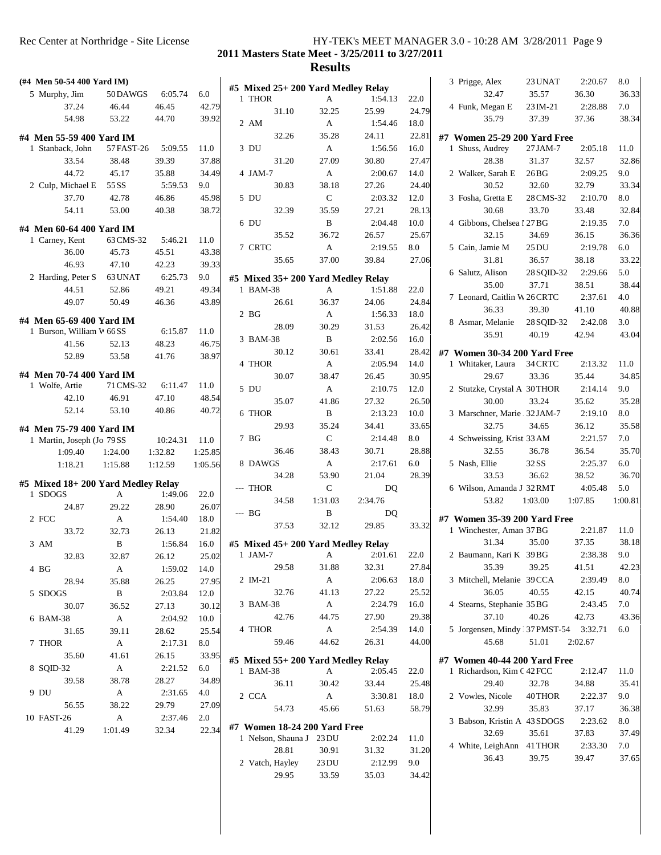**2011 Masters State Meet - 3/25/2011 to 3/27/2011**

| (#4 Men 50-54 400 Yard IM)                           |                     |                  |               |                                    |                |                  |               | 3 Prigge, Alex                        | 23 UNAT           | 2:20.67          | 8.0           |
|------------------------------------------------------|---------------------|------------------|---------------|------------------------------------|----------------|------------------|---------------|---------------------------------------|-------------------|------------------|---------------|
| 5 Murphy, Jim                                        | 50 DAWGS            | 6:05.74          | 6.0           | #5 Mixed 25+ 200 Yard Medley Relay |                |                  |               | 32.47                                 | 35.57             | 36.30            | 36.33         |
| 37.24                                                | 46.44               | 46.45            | 42.79         | 1 THOR                             | A              | 1:54.13          | 22.0          | 4 Funk, Megan E                       | 23 IM-21          | 2:28.88          | 7.0           |
| 54.98                                                | 53.22               | 44.70            | 39.92         | 31.10                              | 32.25          | 25.99            | 24.79         | 35.79                                 | 37.39             | 37.36            | 38.34         |
|                                                      |                     |                  |               | 2 AM<br>32.26                      | A              | 1:54.46          | 18.0          |                                       |                   |                  |               |
| #4 Men 55-59 400 Yard IM                             |                     |                  |               | 3 DU                               | 35.28          | 24.11<br>1:56.56 | 22.81         | #7 Women 25-29 200 Yard Free          |                   |                  |               |
| 1 Stanback, John<br>33.54                            | 57 FAST-26<br>38.48 | 5:09.55<br>39.39 | 11.0<br>37.88 | 31.20                              | A<br>27.09     | 30.80            | 16.0<br>27.47 | 1 Shuss, Audrey<br>28.38              | 27 JAM-7<br>31.37 | 2:05.18<br>32.57 | 11.0<br>32.86 |
|                                                      |                     |                  |               |                                    |                |                  |               |                                       |                   |                  |               |
| 44.72                                                | 45.17               | 35.88            | 34.49         | 4 JAM-7                            | A              | 2:00.67          | 14.0          | 2 Walker, Sarah E                     | 26 <sub>BG</sub>  | 2:09.25          | 9.0           |
| 2 Culp, Michael E                                    | 55 SS               | 5:59.53          | 9.0           | 30.83                              | 38.18          | 27.26            | 24.40         | 30.52                                 | 32.60             | 32.79            | 33.34         |
| 37.70                                                | 42.78               | 46.86            | 45.98         | 5 DU                               | C              | 2:03.32          | 12.0          | 3 Fosha, Gretta E                     | 28 CMS-32         | 2:10.70          | 8.0           |
| 54.11                                                | 53.00               | 40.38            | 38.72         | 32.39                              | 35.59          | 27.21            | 28.13         | 30.68                                 | 33.70             | 33.48            | 32.84         |
| #4 Men 60-64 400 Yard IM                             |                     |                  |               | 6 DU                               | B              | 2:04.48          | 10.0          | 4 Gibbons, Chelsea 1 27 BG            |                   | 2:19.35          | 7.0           |
| 1 Carney, Kent                                       | 63 CMS-32           | 5:46.21          | 11.0          | 35.52                              | 36.72          | 26.57            | 25.67         | 32.15                                 | 34.69             | 36.15            | 36.36         |
| 36.00                                                | 45.73               | 45.51            | 43.38         | 7 CRTC                             | A              | 2:19.55          | 8.0           | 5 Cain, Jamie M                       | 25 <sub>DU</sub>  | 2:19.78          | 6.0           |
| 46.93                                                | 47.10               | 42.23            | 39.33         | 35.65                              | 37.00          | 39.84            | 27.06         | 31.81                                 | 36.57             | 38.18            | 33.22         |
| 2 Harding, Peter S                                   | 63 UNAT             | 6:25.73          | 9.0           | #5 Mixed 35+ 200 Yard Medley Relay |                |                  |               | 6 Salutz, Alison                      | 28 SQID-32        | 2:29.66          | 5.0           |
| 44.51                                                | 52.86               | 49.21            | 49.34         | 1 BAM-38                           | A              | 1:51.88          | 22.0          | 35.00                                 | 37.71             | 38.51            | 38.44         |
| 49.07                                                | 50.49               | 46.36            | 43.89         | 26.61                              | 36.37          | 24.06            | 24.84         | 7 Leonard, Caitlin W 26 CRTC          |                   | 2:37.61          | 4.0           |
|                                                      |                     |                  |               | 2 <sub>BG</sub>                    | A              | 1:56.33          | 18.0          | 36.33                                 | 39.30             | 41.10            | 40.88         |
| #4 Men 65-69 400 Yard IM<br>1 Burson, William V 66SS |                     | 6:15.87          | 11.0          | 28.09                              | 30.29          | 31.53            | 26.42         | 8 Asmar, Melanie                      | 28 SQID-32        | 2:42.08          | 3.0           |
| 41.56                                                | 52.13               | 48.23            | 46.75         | 3 BAM-38                           | B              | 2:02.56          | 16.0          | 35.91                                 | 40.19             | 42.94            | 43.04         |
| 52.89                                                | 53.58               | 41.76            | 38.97         | 30.12                              | 30.61          | 33.41            | 28.42         | #7 Women 30-34 200 Yard Free          |                   |                  |               |
|                                                      |                     |                  |               | 4 THOR                             | A              | 2:05.94          | 14.0          | 1 Whitaker, Laura                     | 34 CRTC           | 2:13.32          | 11.0          |
| #4 Men 70-74 400 Yard IM                             |                     |                  |               | 30.07                              | 38.47          | 26.45            | 30.95         | 29.67                                 | 33.36             | 35.44            | 34.85         |
| 1 Wolfe, Artie                                       | 71 CMS-32           | 6:11.47          | 11.0          | 5 DU                               | A              | 2:10.75          | 12.0          | 2 Stutzke, Crystal A 30THOR           |                   | 2:14.14          | 9.0           |
| 42.10                                                | 46.91               | 47.10            | 48.54         | 35.07                              | 41.86          | 27.32            | 26.50         | 30.00                                 | 33.24             | 35.62            | 35.28         |
| 52.14                                                | 53.10               | 40.86            | 40.72         | 6 THOR                             | B              | 2:13.23          | 10.0          | 3 Marschner, Marie 32JAM-7            |                   | 2:19.10          | 8.0           |
| #4 Men 75-79 400 Yard IM                             |                     |                  |               | 29.93                              | 35.24          | 34.41            | 33.65         | 32.75                                 | 34.65             | 36.12            | 35.58         |
| 1 Martin, Joseph (Jo 79SS                            |                     | 10:24.31         | 11.0          | 7 BG                               | $\mathsf{C}$   | 2:14.48          | 8.0           | 4 Schweissing, Krist 33 AM            |                   | 2:21.57          | 7.0           |
| 1:09.40                                              | 1:24.00             | 1:32.82          | 1:25.85       | 36.46                              | 38.43          | 30.71            | 28.88         | 32.55                                 | 36.78             | 36.54            | 35.70         |
| 1:18.21                                              | 1:15.88             | 1:12.59          | 1:05.56       | 8 DAWGS                            | A              | 2:17.61          | 6.0           | 5 Nash, Ellie                         | 32 SS             | 2:25.37          | 6.0           |
|                                                      |                     |                  |               | 34.28                              | 53.90          | 21.04            | 28.39         | 33.53                                 | 36.62             | 38.52            | 36.70         |
| #5 Mixed 18+200 Yard Medley Relay                    |                     |                  |               | --- THOR                           | $\mathsf{C}$   | DQ               |               | 6 Wilson, Amanda J 32RMT              |                   | 4:05.48          | 5.0           |
| 1 SDOGS                                              | A                   | 1:49.06          | 22.0          | 34.58                              | 1:31.03        | 2:34.76          |               | 53.82                                 | 1:03.00           | 1:07.85          | 1:00.81       |
| 24.87                                                | 29.22               | 28.90            | 26.07         | --- BG                             | B              | DQ               |               |                                       |                   |                  |               |
| 2 FCC                                                | A                   | 1:54.40          | 18.0          | 37.53                              | 32.12          | 29.85            | 33.32         | #7 Women 35-39 200 Yard Free          |                   |                  |               |
| 33.72                                                | 32.73               | 26.13            | 21.82         |                                    |                |                  |               | 1 Winchester, Aman 37 BG              |                   | 2:21.87          | 11.0          |
| 3 AM                                                 | B                   | 1:56.84          | 16.0          | #5 Mixed 45+ 200 Yard Medley Relay |                |                  |               | 31.34                                 | 35.00             | 37.35            | 38.18         |
| 32.83                                                | 32.87               | 26.12            | 25.02         | 1 JAM-7                            |                | A 2:01.61 22.0   |               | 2 Baumann, Kari K 39 BG               |                   | 2:38.38          | 9.0           |
| 4 BG                                                 | A                   | 1:59.02          | 14.0          | 29.58                              | 31.88          | 32.31            | 27.84         | 35.39                                 | 39.25             | 41.51            | 42.23         |
| 28.94                                                | 35.88               | 26.25            | 27.95         | 2 IM-21                            | A              | 2:06.63          | 18.0          | 3 Mitchell, Melanie 39CCA             |                   | 2:39.49          | 8.0           |
| 5 SDOGS                                              | B                   | 2:03.84          | 12.0          | 32.76                              | 41.13          | 27.22            | 25.52         | 36.05                                 | 40.55             | 42.15            | 40.74         |
| 30.07                                                | 36.52               | 27.13            | 30.12         | 3 BAM-38                           | A              | 2:24.79          | 16.0          | 4 Stearns, Stephanie 35 BG            |                   | 2:43.45          | 7.0           |
| 6 BAM-38                                             | $\mathbf{A}$        | 2:04.92          | 10.0          | 42.76                              | 44.75          | 27.90            | 29.38         | 37.10                                 | 40.26             | 42.73            | 43.36         |
| 31.65                                                | 39.11               | 28.62            | 25.54         | 4 THOR                             | A              | 2:54.39          | 14.0          | 5 Jorgensen, Mindy 37 PMST-54 3:32.71 |                   |                  | 6.0           |
| 7 THOR                                               | A                   | 2:17.31          | 8.0           | 59.46                              | 44.62          | 26.31            | 44.00         | 45.68                                 | 51.01             | 2:02.67          |               |
| 35.60                                                | 41.61               | 26.15            | 33.95         | #5 Mixed 55+ 200 Yard Medley Relay |                |                  |               | #7 Women 40-44 200 Yard Free          |                   |                  |               |
| 8 SQID-32                                            | A                   | 2:21.52          | 6.0           | 1 BAM-38                           | A              | 2:05.45          | 22.0          | 1 Richardson, Kim C 42 FCC            |                   | 2:12.47          | 11.0          |
| 39.58                                                | 38.78               | 28.27            | 34.89         | 36.11                              | 30.42          | 33.44            | 25.48         | 29.40                                 | 32.78             | 34.88            | 35.41         |
| 9 DU                                                 | A                   | 2:31.65          | 4.0           | 2 CCA                              | A              | 3:30.81          | 18.0          | 2 Vowles, Nicole                      | 40 THOR           | 2:22.37          | 9.0           |
| 56.55                                                | 38.22               | 29.79            | 27.09         | 54.73                              | 45.66          | 51.63            | 58.79         | 32.99                                 | 35.83             | 37.17            | 36.38         |
| 10 FAST-26                                           | $\mathbf{A}$        | 2:37.46          | 2.0           |                                    |                |                  |               | 3 Babson, Kristin A 43 SDOGS          |                   | 2:23.62          | 8.0           |
|                                                      | 1:01.49             | 32.34            | 22.34         | #7 Women 18-24 200 Yard Free       |                |                  |               | 32.69                                 | 35.61             | 37.83            | 37.49         |
| 41.29                                                |                     |                  |               | 1 Nelson, Shauna J 23 DU           |                | 2:02.24          | 11.0          |                                       |                   | 2:33.30          | 7.0           |
|                                                      |                     |                  |               |                                    |                |                  |               |                                       |                   |                  |               |
|                                                      |                     |                  |               | 28.81                              | 30.91          | 31.32            | 31.20         | 4 White, LeighAnn 41 THOR<br>36.43    | 39.75             | 39.47            |               |
|                                                      |                     |                  |               | 2 Vatch, Hayley<br>29.95           | 23 DU<br>33.59 | 2:12.99<br>35.03 | 9.0<br>34.42  |                                       |                   |                  | 37.65         |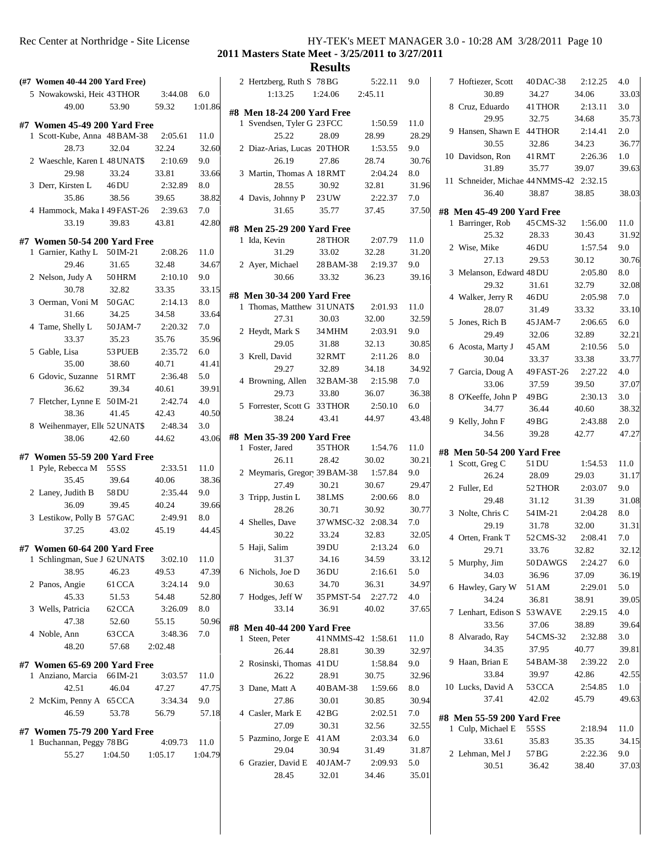#### Rec Center at Northridge - Site License HY-TEK's MEET MANAGER 3.0 - 10:28 AM 3/28/2011 Page 10 **2011 Masters State Meet - 3/25/2011 to 3/27/2011**

**Results**<br>
S 78BG 5:22.11 9.0

|               |                              | (#7 Women 40-44 200 Yard Free)                               |                  |              | 2 H            |
|---------------|------------------------------|--------------------------------------------------------------|------------------|--------------|----------------|
|               | 5 Nowakowski, Heic 43 THOR   |                                                              | 3:44.08          | 6.0          |                |
|               | 49.00                        | 53.90                                                        | 59.32            | 1:01.86      |                |
|               |                              |                                                              |                  |              | #8 M<br>1 S    |
|               |                              | #7 Women 45-49 200 Yard Free<br>1 Scott-Kube, Anna 48 BAM-38 | 2:05.61          | 11.0         |                |
|               | 28.73                        | 32.04                                                        | 32.24            | 32.60        | 2 I            |
|               |                              | 2 Waeschle, Karen I 48 UNAT\$                                | 2:10.69          | 9.0          |                |
|               | 29.98                        | 33.24                                                        | 33.81            | 33.66        | 3 <sup>1</sup> |
|               | 3 Derr, Kirsten L            | 46 DU                                                        | 2:32.89          | 8.0          |                |
|               | 35.86                        | 38.56                                                        | 39.65            | 38.82        | 4 I            |
|               |                              | 4 Hammock, Maka I 49 FAST-26                                 | 2:39.63          | 7.0          |                |
|               | 33.19                        | 39.83                                                        | 43.81            | 42.80        |                |
|               |                              |                                                              |                  |              | #8 M           |
|               |                              | #7 Women 50-54 200 Yard Free                                 |                  |              | 1 I            |
|               | 1 Garnier, Kathy L 50 IM-21  |                                                              | 2:08.26          | 11.0         |                |
|               | 29.46                        | 31.65                                                        | 32.48            | 34.67        | 2 <sub>f</sub> |
|               | 2 Nelson, Judy A             | 50 HRM                                                       | 2:10.10          | 9.0          |                |
|               | 30.78                        | 32.82                                                        | 33.35            | 33.15        | #8 M           |
|               | 3 Oerman, Voni M 50 GAC      |                                                              | 2:14.13          | $_{\rm 8.0}$ | 1 1            |
|               | 31.66                        | 34.25                                                        | 34.58            | 33.64        |                |
|               | 4 Tame, Shelly L             | 50 JAM-7                                                     | 2:20.32          | 7.0          | 2F             |
|               | 33.37                        | 35.23                                                        | 35.76            | 35.96        |                |
| 5 Gable, Lisa |                              | 53 PUEB                                                      | 2:35.72          | 6.0          | 3F             |
|               | 35.00                        | 38.60                                                        | 40.71            | 41.41        |                |
|               | 6 Gdovic, Suzanne            | 51 RMT                                                       | 2:36.48          | 5.0          | 4 I            |
|               | 36.62                        | 39.34                                                        | 40.61            | 39.91        |                |
|               | 7 Fletcher, Lynne E 50 IM-21 |                                                              | 2:42.74          | 4.0          | 5F             |
|               | 38.36                        | 41.45<br>8 Weihenmayer, Elle 52 UNAT\$                       | 42.43            | 40.50        |                |
|               | 38.06                        | 42.60                                                        | 2:48.34<br>44.62 | 3.0<br>43.06 | #8 M           |
|               |                              |                                                              |                  |              | 1 H            |
|               |                              | #7 Women 55-59 200 Yard Free                                 |                  |              |                |
|               | 1 Pyle, Rebecca M            | 55 SS                                                        | 2:33.51          | 11.0         | 21             |
|               | 35.45                        | 39.64                                                        | 40.06            | 38.36        |                |
|               | 2 Laney, Judith B            | 58 DU                                                        | 2:35.44          | 9.0          | 3 <sub>1</sub> |
|               | 36.09                        | 39.45                                                        | 40.24            | 39.66        |                |
|               | 3 Lestikow, Polly B 57 GAC   |                                                              | 2:49.91          | 8.0          | 4 S            |
|               | 37.25                        | 43.02                                                        | 45.19            | 44.45        |                |
|               |                              | #7 Women 60-64 200 Yard Free                                 |                  |              | 5 H            |
|               |                              | 1 Schlingman, Sue J 62 UNATS                                 | 3:02.10          | 11.0         |                |
|               | 38.95                        | 46.23                                                        | 49.53            | 47.39        | 6 1            |
|               | 2 Panos, Angie               | 61 CCA                                                       | 3:24.14          | 9.0          |                |
|               | 45.33                        | 51.53                                                        | 54.48            | 52.80        | 7 <sub>1</sub> |
|               | 3 Wells, Patricia            | 62 CCA                                                       | 3:26.09          | 8.0          |                |
|               | 47.38                        | 52.60                                                        | 55.15            | 50.96        |                |
| 4 Noble, Ann  |                              | 63 CCA                                                       | 3:48.36          | 7.0          | #8 M<br>1 S    |
|               | 48.20                        | 57.68                                                        | 2:02.48          |              |                |
|               |                              |                                                              |                  |              | 2 F            |
|               | 1 Anziano, Marcia 66 IM-21   | #7 Women 65-69 200 Yard Free                                 | 3:03.57          | 11.0         |                |
|               | 42.51                        | 46.04                                                        | 47.27            | 47.75        | 3 <sub>1</sub> |
|               | 2 McKim, Penny A 65 CCA      |                                                              | 3:34.34          | 9.0          |                |
|               | 46.59                        | 53.78                                                        | 56.79            | 57.18        | 4 (            |
|               |                              |                                                              |                  |              |                |
|               |                              | #7 Women 75-79 200 Yard Free                                 |                  |              | 5 F            |
|               | 1 Buchannan, Peggy 78 BG     |                                                              | 4:09.73          | 11.0         |                |
|               | 55.27                        | $1:04.50$ $1:05.17$                                          |                  | 1:04.79      | 6 (            |
|               |                              |                                                              |                  |              |                |
|               |                              |                                                              |                  |              |                |

|  | 2 Hertzberg, Ruth S 78 BG    |                    | 5:22.11 | 9.0     | 7 H            |
|--|------------------------------|--------------------|---------|---------|----------------|
|  | 1:13.25                      | 1:24.06            | 2:45.11 |         |                |
|  | #8 Men 18-24 200 Yard Free   |                    |         |         | 8 0            |
|  | 1 Svendsen, Tyler G 23 FCC   |                    | 1:50.59 | 11.0    |                |
|  | 25.22                        | 28.09              | 28.99   | 28.29   | 9 H            |
|  | 2 Diaz-Arias, Lucas 20THOR   |                    | 1:53.55 | 9.0     |                |
|  | 26.19                        | 27.86              | 28.74   | 30.76   | 10 I           |
|  | 3 Martin, Thomas A 18 RMT    |                    | 2:04.24 | 8.0     | 11S            |
|  | 28.55                        | 30.92              | 32.81   | 31.96   |                |
|  | 4 Davis, Johnny P            | 23 UW              | 2:22.37 | 7.0     |                |
|  | 31.65                        | 35.77              | 37.45   | 37.50   | #8 M           |
|  | #8 Men 25-29 200 Yard Free   |                    |         |         | 1 H            |
|  | 1 Ida, Kevin                 | 28 THOR            | 2:07.79 | 11.0    |                |
|  | 31.29                        | 33.02              | 32.28   | 31.20   | 2 <sub>1</sub> |
|  | 2 Ayer, Michael 28 BAM-38    |                    | 2:19.37 | 9.0     |                |
|  | 30.66                        | 33.32              | 36.23   | 39.16   | 3 <sub>1</sub> |
|  | #8 Men 30-34 200 Yard Free   |                    |         |         |                |
|  | 1 Thomas, Matthew 31 UNAT\$  |                    | 2:01.93 | 11.0    | 4 V            |
|  | 27.31                        | 30.03              | 32.00   | 32.59   |                |
|  | 2 Heydt, Mark S              | 34 MHM             | 2:03.91 | 9.0     | 5J             |
|  | 29.05                        | 31.88              | 32.13   | 30.85   |                |
|  | 3 Krell, David               | 32 RMT             | 2:11.26 | 8.0     | 6f             |
|  | 29.27                        | 32.89              | 34.18   | 34.92   |                |
|  | 4 Browning, Allen 32 BAM-38  |                    | 2:15.98 | 7.0     | 7 (            |
|  | 29.73                        | 33.80              | 36.07   | 36.38   | 8 (            |
|  | 5 Forrester, Scott G         | 33 THOR            | 2:50.10 | 6.0     |                |
|  | 38.24                        | 43.41              | 44.97   | 43.48   | 9 F            |
|  |                              |                    |         |         |                |
|  |                              |                    |         |         |                |
|  | #8 Men 35-39 200 Yard Free   |                    |         |         |                |
|  | 1 Foster, Jared              | 35 THOR            | 1:54.76 | 11.0    | #8 M           |
|  | 26.11                        | 28.42              | 30.02   | 30.21   | 1 S            |
|  | 2 Meymaris, Gregor 39 BAM-38 |                    | 1:57.84 | 9.0     |                |
|  | 27.49                        | 30.21              | 30.67   | 29.47   | 2 F            |
|  | 3 Tripp, Justin L            | 38 LMS             | 2:00.66 | 8.0     |                |
|  | 28.26                        | 30.71              | 30.92   | 30.77   | 3 <sub>1</sub> |
|  | 4 Shelles, Dave              | 37 WMSC-32 2:08.34 |         | 7.0     |                |
|  | 30.22                        | 33.24              | 32.83   | 32.05   | 4 (            |
|  | 5 Haji, Salim                | 39 DU              | 2:13.24 | 6.0     |                |
|  | 31.37                        | 34.16              | 34.59   | 33.12   | 5 N            |
|  | 6 Nichols, Joe D             | 36 DU              | 2:16.61 | 5.0     |                |
|  | 30.63                        | 34.70              | 36.31   | 34.97   | 6 H            |
|  | 7 Hodges, Jeff W 35 PMST-54  |                    | 2:27.72 | 4.0     |                |
|  | 33.14                        | 36.91              | 40.02   | 37.65   | 7 <sub>L</sub> |
|  | #8 Men 40-44 200 Yard Free   |                    |         |         |                |
|  | 1 Steen, Peter               | 41 NMMS-42 1:58.61 |         | 11.0    | 8 <sup>2</sup> |
|  | 26.44                        | 28.81              | 30.39   | 32.97   |                |
|  | 2 Rosinski, Thomas 41 DU     |                    | 1:58.84 | 9.0     | 9 F            |
|  | 26.22                        | 28.91              | 30.75   | 32.96   |                |
|  | 3 Dane, Matt A               | 40 BAM-38          | 1:59.66 | $8.0\,$ | 10 I           |
|  | 27.86                        | 30.01              | 30.85   | 30.94   |                |
|  | 4 Casler, Mark E 42 BG       |                    | 2:02.51 | 7.0     | #8 M           |
|  | 27.09                        | 30.31              | 32.56   | 32.55   | 1 (            |
|  | 5 Pazmino, Jorge E 41 AM     |                    | 2:03.34 | 6.0     |                |
|  | 29.04                        | 30.94              | 31.49   | 31.87   | 2I             |
|  | 6 Grazier, David E 40 JAM-7  |                    | 2:09.93 | 5.0     |                |
|  | 28.45                        | 32.01              | 34.46   | 35.01   |                |

| 7 Hoftiezer, Scott 40DAC-38             |           | 2:12.25 | 4.0   |
|-----------------------------------------|-----------|---------|-------|
| 30.89                                   | 34.27     | 34.06   | 33.03 |
| 8 Cruz, Eduardo 41 THOR                 |           | 2:13.11 | 3.0   |
| 29.95                                   | 32.75     | 34.68   | 35.73 |
| 9 Hansen, Shawn E 44 THOR               |           | 2:14.41 | 2.0   |
| 30.55                                   | 32.86     | 34.23   | 36.77 |
| 10 Davidson, Ron                        | 41 RMT    | 2:26.36 | 1.0   |
| 31.89                                   | 35.77     | 39.07   | 39.63 |
| 11 Schneider, Michae 44 NMMS-42 2:32.15 |           |         |       |
| 36.40                                   | 38.87     | 38.85   | 38.03 |
| #8 Men 45-49 200 Yard Free              |           |         |       |
| 1 Barringer, Rob 45 CMS-32              |           | 1:56.00 | 11.0  |
| 25.32                                   | 28.33     | 30.43   | 31.92 |
| 2 Wise, Mike                            | 46 DU     | 1:57.54 | 9.0   |
| 27.13                                   | 29.53     | 30.12   | 30.76 |
| 3 Melanson, Edward 48 DU                |           | 2:05.80 | 8.0   |
| 29.32                                   | 31.61     | 32.79   | 32.08 |
| 4 Walker, Jerry R 46DU                  |           | 2:05.98 | 7.0   |
| 28.07                                   | 31.49     | 33.32   | 33.10 |
| 5 Jones, Rich B                         | 45 JAM-7  | 2:06.65 | 6.0   |
| 29.49                                   | 32.06     | 32.89   | 32.21 |
| 6 Acosta, Marty J 45 AM                 |           | 2:10.56 | 5.0   |
| 30.04                                   | 33.37     | 33.38   | 33.77 |
| 7 Garcia, Doug A 49 FAST-26 2:27.22     |           |         | 4.0   |
| 33.06                                   | 37.59     | 39.50   | 37.07 |
| 8 O'Keeffe, John P 49 BG                |           | 2:30.13 | 3.0   |
| 34.77                                   | 36.44     | 40.60   | 38.32 |
| 9 Kelly, John F 49BG                    |           | 2:43.88 | 2.0   |
| 34.56                                   | 39.28     | 42.77   | 47.27 |
| #8 Men 50-54 200 Yard Free              |           |         |       |
| 1 Scott, Greg C                         | 51 DU     | 1:54.53 | 11.0  |
| 26.24                                   | 28.09     | 29.03   | 31.17 |
| 2 Fuller, Ed                            | 52 THOR   | 2:03.07 | 9.0   |
| 29.48                                   | 31.12     | 31.39   | 31.08 |
| 3 Nolte, Chris C 54 IM-21               |           | 2:04.28 | 8.0   |
| 29.19                                   | 31.78     | 32.00   | 31.31 |
| 4 Orten, Frank T 52 CMS-32 2:08.41      |           |         | 7.0   |
| 29.71                                   | 33.76     | 32.82   | 32.12 |
| 5 Murphy, Jim                           | 50DAWGS   | 2:24.27 | 6.0   |
| 34.03                                   | 36.96     | 37.09   | 36.19 |
| 6 Hawley, Gary W                        | 51 AM     | 2:29.01 | 5.0   |
| 34.24                                   | 36.81     | 38.91   | 39.05 |
| 7 Lenhart, Edison S 53 WAVE             |           | 2:29.15 | 4.0   |
| 33.56                                   | 37.06     | 38.89   | 39.64 |
| 8 Alvarado, Ray                         | 54 CMS-32 | 2:32.88 | 3.0   |
| 34.35                                   | 37.95     | 40.77   | 39.81 |
| 9 Haan, Brian E                         | 54 BAM-38 | 2:39.22 | 2.0   |
| 33.84                                   | 39.97     | 42.86   | 42.55 |
| 10 Lucks, David A                       | 53 CCA    | 2:54.85 | 1.0   |
| 37.41                                   | 42.02     | 45.79   | 49.63 |
|                                         |           |         |       |
| #8 Men 55-59 200 Yard Free              |           |         |       |
| 1 Culp, Michael E                       | 55 SS     | 2:18.94 | 11.0  |
| 33.61                                   | 35.83     | 35.35   | 34.15 |
| 2 Lehman, Mel J                         | 57 BG     | 2:22.36 | 9.0   |
| 30.51                                   | 36.42     | 38.40   | 37.03 |
|                                         |           |         |       |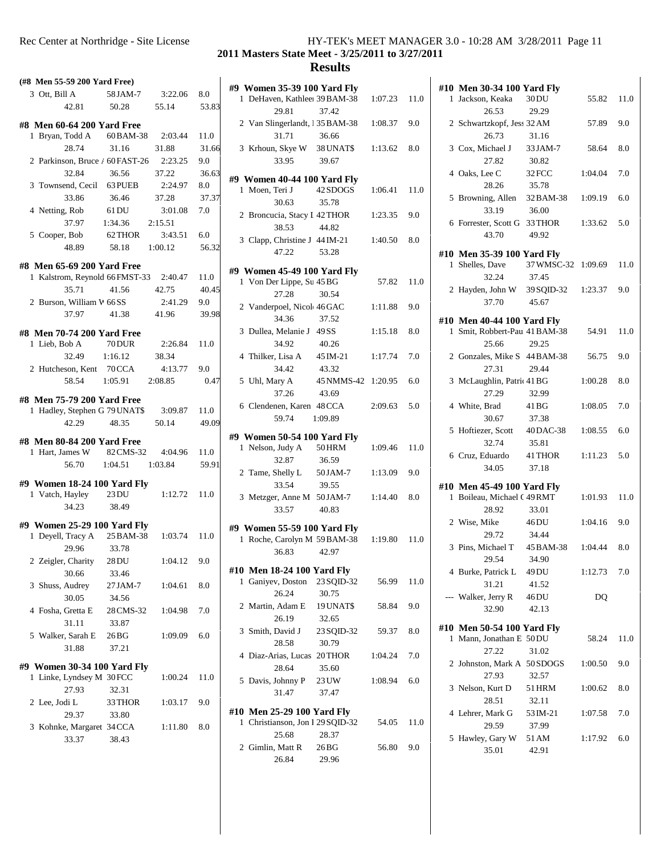### **2011 Masters State Meet - 3/25/2011 to 3/27/2011**

| #9 W<br>1 I<br>2 <sub>1</sub><br>3 <sub>1</sub> |
|-------------------------------------------------|
|                                                 |
|                                                 |
|                                                 |
|                                                 |
|                                                 |
|                                                 |
|                                                 |
| #9 W                                            |
| 1 <sub>1</sub>                                  |
|                                                 |
| 2 H                                             |
|                                                 |
| 3 <sup>1</sup>                                  |
|                                                 |
| #9 W                                            |
| 1 \                                             |
|                                                 |
| 2 <sub>1</sub>                                  |
|                                                 |
| 3 <sub>1</sub>                                  |
|                                                 |
| 4 7                                             |
|                                                 |
| 5 U                                             |
|                                                 |
| 6 0                                             |
|                                                 |
|                                                 |
|                                                 |
| #9 W                                            |
| 1 P                                             |
|                                                 |
| 2 <sub>1</sub>                                  |
|                                                 |
| 3 <sub>1</sub>                                  |
|                                                 |
|                                                 |
| #9 W                                            |
| 1 F                                             |
|                                                 |
| #10 1                                           |
| 1 (                                             |
|                                                 |
| 2 N                                             |
|                                                 |
| 3S                                              |
|                                                 |
| 4 I                                             |
|                                                 |
| 5 <sub>1</sub>                                  |
|                                                 |
|                                                 |
| #10 I                                           |
| 1 (                                             |
| 2 <sub>0</sub>                                  |
|                                                 |

| #9 Women 35-39 100 Yard Fly                                |                  |         |      | #10            |
|------------------------------------------------------------|------------------|---------|------|----------------|
| 1 DeHaven, Kathleeı 39 BAM-38                              |                  | 1:07.23 | 11.0 | 1              |
| 29.81                                                      | 37.42            |         |      |                |
| 2 Van Slingerlandt, 135 BAM-38                             |                  | 1:08.37 | 9.0  | 2              |
| 31.71                                                      | 36.66            |         |      |                |
| 3 Krhoun, Skye W 38 UNAT\$                                 |                  | 1:13.62 | 8.0  | 3              |
| 33.95                                                      | 39.67            |         |      |                |
| #9 Women 40-44 100 Yard Fly                                |                  |         |      | $\overline{4}$ |
| 1 Moen. Teri J                                             | 42 SDOGS         | 1:06.41 | 11.0 |                |
| 30.63                                                      | 35.78            |         |      | 5              |
| 2 Broncucia, Stacy I 42 THOR                               |                  | 1:23.35 | 9.0  |                |
| 38.53                                                      | 44.82            |         |      | 6              |
| 3 Clapp, Christine J 44 IM-21                              |                  | 1:40.50 | 8.0  |                |
| 47.22                                                      | 53.28            |         |      | #10            |
| #9 Women 45-49 100 Yard Fly                                |                  |         |      | 1              |
| 1 Von Der Lippe, Su 45 BG                                  |                  | 57.82   | 11.0 |                |
| 27.28                                                      | 30.54            |         |      | 2              |
| 2 Vanderpoel, Nicol 46 GAC                                 |                  | 1:11.88 | 9.0  |                |
| 34.36                                                      | 37.52            |         |      | #10            |
| 3 Dullea, Melanie J 49 SS                                  |                  | 1:15.18 | 8.0  | 1              |
| 34.92                                                      | 40.26            |         |      |                |
| 4 Thilker, Lisa A                                          | 45 IM-21         | 1:17.74 | 7.0  | 2              |
| 34.42                                                      | 43.32            |         |      |                |
| 5 Uhl, Mary A                                              | 45 NMMS-42       | 1:20.95 | 6.0  | 3              |
| 37.26                                                      | 43.69            |         |      |                |
| 6 Clendenen, Karen 48 CCA                                  |                  | 2:09.63 | 5.0  | $\overline{4}$ |
| 59.74                                                      | 1:09.89          |         |      |                |
| #9 Women 50-54 100 Yard Fly                                |                  |         |      | 5              |
| 1 Nelson, Judy A                                           | 50 HRM           | 1:09.46 | 11.0 |                |
| 32.87                                                      | 36.59            |         |      | 6              |
| 2 Tame, Shelly L                                           | 50 JAM-7         | 1:13.09 | 9.0  |                |
| 33.54                                                      | 39.55            |         |      | #10            |
| 3 Metzger, Anne M 50JAM-7                                  |                  | 1:14.40 | 8.0  | 1              |
| 33.57                                                      | 40.83            |         |      |                |
| #9 Women 55-59 100 Yard Fly                                |                  |         |      | 2              |
| 1 Roche, Carolyn M 59 BAM-38                               |                  | 1:19.80 | 11.0 |                |
| 36.83                                                      | 42.97            |         |      | 3              |
|                                                            |                  |         |      |                |
| #10 Men 18-24 100 Yard Fly<br>1 Ganiyev, Doston 23 SQID-32 |                  |         |      | 4              |
| 26.24                                                      | 30.75            | 56.99   | 11.0 |                |
| 2 Martin, Adam E 19 UNAT\$                                 |                  | 58.84   | 9.0  |                |
| 26.19                                                      | 32.65            |         |      |                |
| 3 Smith, David J                                           | 23 SQID-32       | 59.37   | 8.0  | #10            |
| 28.58                                                      | 30.79            |         |      | 1              |
| 4 Diaz-Arias, Lucas 20THOR                                 |                  | 1:04.24 | 7.0  |                |
| 28.64                                                      | 35.60            |         |      | 2              |
| 5 Davis, Johnny P                                          | 23 UW            | 1:08.94 | 6.0  |                |
| 31.47                                                      | 37.47            |         |      | 3              |
|                                                            |                  |         |      |                |
| #10 Men 25-29 100 Yard Fly                                 |                  |         |      | 4              |
| 1 Christianson, Jon I 29 SQID-32<br>25.68                  |                  | 54.05   | 11.0 |                |
|                                                            | 28.37<br>$26B$ G | 56.80   | 9.0  | 5              |
| 2 Gimlin, Matt R                                           |                  |         |      |                |
| 26.84                                                      | 29.96            |         |      |                |

|   | #10 Men 30-34 100 Yard Fly                              |                 |                |      |  |
|---|---------------------------------------------------------|-----------------|----------------|------|--|
|   | 1 Jackson, Keaka                                        | 30 DU           | 55.82 11.0     |      |  |
|   | 26.53                                                   | 29.29           |                |      |  |
|   | 2 Schwartzkopf, Jess 32 AM                              |                 | 57.89          | 9.0  |  |
|   | 26.73                                                   | 31.16           |                |      |  |
|   | 3 Cox, Michael J 33 JAM-7                               |                 | 58.64          | 8.0  |  |
|   | 27.82                                                   | 30.82           |                |      |  |
|   | 4 Oaks, Lee C 32 FCC                                    |                 | 1:04.04        | 7.0  |  |
|   | 28.26                                                   | 35.78           |                |      |  |
|   | 5 Browning, Allen 32 BAM-38 1:09.19                     |                 |                | 6.0  |  |
|   | 33.19 36.00                                             |                 |                |      |  |
|   | 6 Forrester, Scott G 33 THOR 1:33.62 5.0<br>43.70 49.92 |                 |                |      |  |
|   |                                                         |                 |                |      |  |
|   | #10 Men 35-39 100 Yard Fly                              |                 |                |      |  |
|   | 1 Shelles, Dave 37 WMSC-32 1:09.69 11.0                 |                 |                |      |  |
|   | 32.24                                                   | 37.45           |                |      |  |
|   | 2 Hayden, John W 39 SQID-32 1:23.37 9.0                 |                 |                |      |  |
|   | 37.70                                                   | 45.67           |                |      |  |
|   | #10 Men 40-44 100 Yard Fly                              |                 |                |      |  |
|   | 1 Smit, Robbert-Pau 41 BAM-38 54.91 11.0                |                 |                |      |  |
|   | 25.66                                                   | 29.25           |                |      |  |
|   | 2 Gonzales, Mike S 44 BAM-38 56.75                      |                 |                | 9.0  |  |
|   | 27.31                                                   | 29.44           |                |      |  |
|   | 3 McLaughlin, Patric 41 BG                              |                 | 1:00.28        | 8.0  |  |
|   | 27.29                                                   | 32.99           |                |      |  |
|   | 4 White, Brad 41 BG                                     |                 | 1:08.05        | 7.0  |  |
|   | 30.67                                                   | 37.38           |                |      |  |
|   | 5 Hoftiezer, Scott 40DAC-38 1:08.55                     |                 |                | 6.0  |  |
|   | 32.74<br>6 Cruz, Eduardo 41 THOR 1:11.23 5.0            | 35.81           |                |      |  |
|   | 34.05                                                   | 37.18           |                |      |  |
|   |                                                         |                 |                |      |  |
|   | #10 Men 45-49 100 Yard Fly                              |                 |                |      |  |
|   | 1 Boileau, Michael (49 RMT                              |                 | $1:01.93$ 11.0 |      |  |
|   | 28.92                                                   | 33.01           |                |      |  |
|   | 2 Wise, Mike 46DU                                       |                 | $1:04.16$ 9.0  |      |  |
|   | 29.72<br>3 Pins, Michael T 45 BAM-38 1:04.44            | 34.44           |                |      |  |
|   | 29.54 34.90                                             |                 |                | 8.0  |  |
|   | 4 Burke, Patrick L                                      | 49 DU           | 1:12.73        | 7.0  |  |
|   | 31.21                                                   | 41.52           |                |      |  |
|   | Walker, Jerry R                                         | 46 DU           | DQ             |      |  |
|   | 32.90                                                   | 42.13           |                |      |  |
|   |                                                         |                 |                |      |  |
|   | #10 Men 50-54 100 Yard Fly                              |                 |                |      |  |
|   | 1 Mann, Jonathan E 50DU                                 |                 | 58.24          | 11.0 |  |
|   | 27.22<br>2 Johnston, Mark A 50 SDOGS                    | 31.02           |                | 9.0  |  |
|   | 27.93                                                   |                 | 1:00.50        |      |  |
|   |                                                         | 32.57           |                | 8.0  |  |
|   | 3 Nelson, Kurt D<br>28.51                               | 51 HRM<br>32.11 | 1:00.62        |      |  |
|   | 4 Lehrer, Mark G                                        | 53 IM-21        | 1:07.58        | 7.0  |  |
|   | 29.59                                                   | 37.99           |                |      |  |
| 5 | Hawley, Gary W                                          | 51 AM           | 1:17.92        | 6.0  |  |
|   | 35.01                                                   | 42.91           |                |      |  |
|   |                                                         |                 |                |      |  |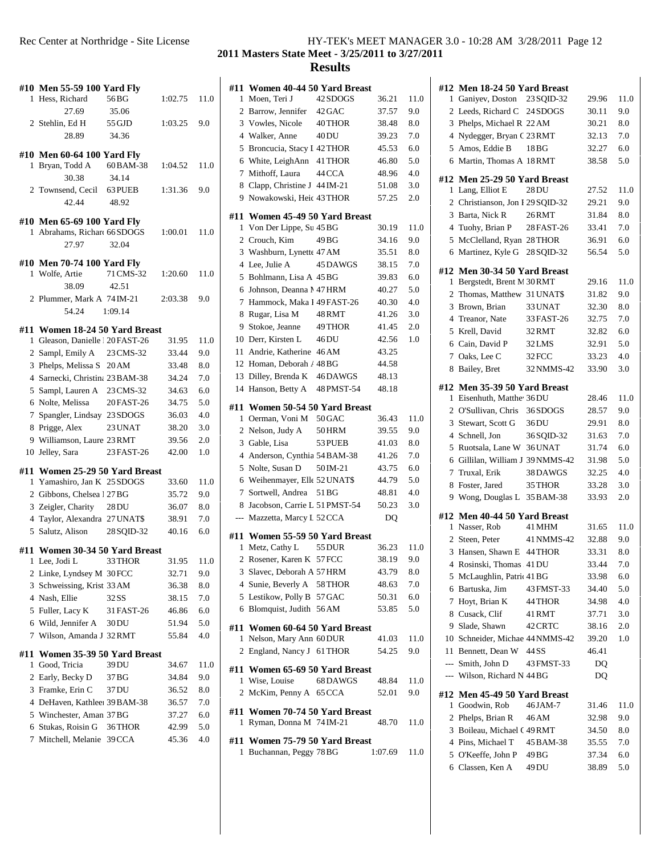|   | #10 Men 55-59 100 Yard Fly      |            |         |      | #11                     |
|---|---------------------------------|------------|---------|------|-------------------------|
|   | 1 Hess, Richard                 | 56 BG      | 1:02.75 | 11.0 | 1                       |
|   | 27.69                           | 35.06      |         |      | 2                       |
|   | 2 Stehlin, Ed H                 | 55 GJD     | 1:03.25 | 9.0  | 3                       |
|   | 28.89                           | 34.36      |         |      | $\overline{4}$          |
|   |                                 |            |         |      | 5                       |
|   | #10 Men 60-64 100 Yard Fly      |            |         |      | 6                       |
| 1 | Bryan, Todd A                   | 60 BAM-38  | 1:04.52 | 11.0 | 7                       |
|   | 30.38                           | 34.14      |         |      | 8                       |
|   | 2 Townsend, Cecil 63 PUEB       |            | 1:31.36 | 9.0  | 9                       |
|   | 42.44                           | 48.92      |         |      |                         |
|   | #10 Men 65-69 100 Yard Fly      |            |         |      | #11                     |
| 1 | Abrahams, Richard 66 SDOGS      |            | 1:00.01 | 11.0 | 1                       |
|   | 27.97                           | 32.04      |         |      | $\mathbf{2}$            |
|   |                                 |            |         |      | 3                       |
|   | #10 Men 70-74 100 Yard Fly      |            |         |      | $\overline{4}$          |
|   | 1 Wolfe, Artie                  | 71 CMS-32  | 1:20.60 | 11.0 | 5                       |
|   | 38.09                           | 42.51      |         |      | 6                       |
|   | 2 Plummer, Mark A 74 IM-21      |            | 2:03.38 | 9.0  | 7                       |
|   | 54.24                           | 1:09.14    |         |      | 8                       |
|   | #11 Women 18-24 50 Yard Breast  |            |         |      | 9                       |
|   | 1 Gleason, Danielle 120 FAST-26 |            | 31.95   | 11.0 | 10                      |
|   | 2 Sampl, Emily A 23 CMS-32      |            | 33.44   | 9.0  | 11                      |
|   | 3 Phelps, Melissa S 20 AM       |            | 33.48   | 8.0  | 12                      |
|   | 4 Sarnecki, Christina 23 BAM-38 |            | 34.24   | 7.0  | 13                      |
|   | 5 Sampl, Lauren A 23 CMS-32     |            | 34.63   | 6.0  | 14                      |
|   | 6 Nolte, Melissa                | 20 FAST-26 | 34.75   | 5.0  |                         |
|   | 7 Spangler, Lindsay 23 SDOGS    |            | 36.03   | 4.0  | #11<br>1                |
|   | 8 Prigge, Alex                  | 23 UNAT    | 38.20   | 3.0  | 2                       |
|   | 9 Williamson, Laure 23 RMT      |            | 39.56   | 2.0  | 3                       |
|   | 10 Jelley, Sara                 | 23 FAST-26 | 42.00   | 1.0  | $\overline{4}$          |
|   |                                 |            |         |      | 5                       |
|   | #11 Women 25-29 50 Yard Breast  |            |         |      |                         |
|   | 1 Yamashiro, Jan K 25 SDOGS     |            | 33.60   | 11.0 | 6<br>7                  |
|   | 2 Gibbons, Chelsea 1 27 BG      |            | 35.72   | 9.0  |                         |
|   | 3 Zeigler, Charity              | 28 DU      | 36.07   | 8.0  | 8                       |
|   | 4 Taylor, Alexandra 27 UNAT\$   |            | 38.91   | 7.0  |                         |
|   | 5 Salutz, Alison 28 SQID-32     |            | 40.16   | 6.0  | #11                     |
|   | #11 Women 30-34 50 Yard Breast  |            |         |      | 1                       |
|   | 1 Lee, Jodi L                   | 33 THOR    | 31.95   | 11.0 | $\overline{\mathbf{c}}$ |
|   | 2 Linke, Lyndsey M 30 FCC       |            | 32.71   | 9.0  | 3                       |
|   | 3 Schweissing, Krist 33 AM      |            | 36.38   | 8.0  | 4                       |
|   | 4 Nash, Ellie                   | 32 SS      | 38.15   | 7.0  | 5                       |
|   | 5 Fuller, Lacy K                | 31 FAST-26 | 46.86   | 6.0  | 6                       |
|   | 6 Wild, Jennifer A              | 30DU       | 51.94   | 5.0  |                         |
| 7 | Wilson, Amanda J 32 RMT         |            | 55.84   | 4.0  | #11                     |
|   |                                 |            |         |      | 1                       |
|   | #11 Women 35-39 50 Yard Breast  |            |         |      | 2                       |
| 1 | Good, Tricia                    | 39 DU      | 34.67   | 11.0 | #11                     |
|   | 2 Early, Becky D                | 37 BG      | 34.84   | 9.0  | 1                       |
|   | 3 Framke, Erin C                | 37 DU      | 36.52   | 8.0  | 2                       |
|   | 4 DeHaven, Kathleeı 39 BAM-38   |            | 36.57   | 7.0  | #11                     |
|   | 5 Winchester, Aman 37 BG        |            | 37.27   | 6.0  | 1                       |
|   | 6 Stukas, Roisin G              | 36 THOR    | 42.99   | 5.0  |                         |
| 7 | Mitchell, Melanie 39 CCA        |            | 45.36   | 4.0  | #11                     |
|   |                                 |            |         |      | 1                       |

## **Masters State Meet - 3/25/2011 to 3/27/2011**

|   | #11 Women 40-44 50 Yard Breast                   |          |                |      | #12            |
|---|--------------------------------------------------|----------|----------------|------|----------------|
|   | 1 Moen, Teri J                                   | 42 SDOGS | 36.21          | 11.0 | 1              |
|   | 2 Barrow, Jennifer 42 GAC                        |          | 37.57          | 9.0  | 2<br>3         |
|   | 3 Vowles, Nicole                                 | 40 THOR  | 38.48<br>39.23 | 8.0  | $\overline{4}$ |
|   | 4 Walker, Anne                                   | 40 DU    |                | 7.0  |                |
|   | 5 Broncucia, Stacy I 42 THOR                     |          | 45.53          | 6.0  | 5              |
|   | 6 White, LeighAnn 41 THOR                        |          | 46.80          | 5.0  | 6              |
|   | 7 Mithoff, Laura                                 | 44 CCA   | 48.96          | 4.0  | #12            |
|   | 8 Clapp, Christine J 44 IM-21                    |          | 51.08          | 3.0  | 1              |
|   | 9 Nowakowski, Heic 43 THOR                       |          | 57.25          | 2.0  | $\overline{c}$ |
|   | #11 Women 45-49 50 Yard Breast                   |          |                |      | 3              |
|   | 1 Von Der Lippe, Su 45 BG                        |          | 30.19          | 11.0 | $\overline{4}$ |
|   | 2 Crouch, Kim                                    | 49 BG    | 34.16          | 9.0  | 5              |
|   | 3 Washburn, Lynette 47 AM                        |          | 35.51          | 8.0  | 6              |
|   | 4 Lee, Julie A                                   | 45 DAWGS | 38.15          | 7.0  | #12            |
|   | 5 Bohlmann, Lisa A 45 BG                         |          | 39.83          | 6.0  | 1              |
|   | 6 Johnson, Deanna N 47 HRM                       |          | 40.27          | 5.0  | $\overline{c}$ |
|   | 7 Hammock, Maka I 49 FAST-26                     |          | 40.30          | 4.0  | 3              |
|   | 8 Rugar, Lisa M                                  | 48 RMT   | 41.26          | 3.0  | $\overline{4}$ |
|   | 9 Stokoe, Jeanne 49 THOR                         |          | 41.45          | 2.0  | 5              |
|   | 10 Derr, Kirsten L                               | 46 DU    | 42.56          | 1.0  | 6              |
|   | 11 Andrie, Katherine 46 AM                       |          | 43.25          |      | 7              |
|   | 12 Homan, Deborah / 48 BG                        |          | 44.58          |      | 8              |
|   | 13 Dilley, Brenda K 46 DAWGS                     |          | 48.13          |      |                |
|   | 14 Hanson, Betty A 48 PMST-54                    |          | 48.18          |      | #12            |
|   | #11 Women 50-54 50 Yard Breast                   |          |                |      | 1              |
|   | 1 Oerman, Voni M 50 GAC                          |          | 36.43          | 11.0 | $\overline{c}$ |
|   | 2 Nelson, Judy A 50 HRM                          |          | 39.55          | 9.0  | 3              |
|   | 3 Gable, Lisa                                    | 53 PUEB  | 41.03          | 8.0  | $\overline{4}$ |
|   | 4 Anderson, Cynthia 54 BAM-38                    |          | 41.26          | 7.0  | 5              |
|   | 5 Nolte, Susan D                                 | 50 IM-21 | 43.75          | 6.0  | 6              |
|   | 6 Weihenmayer, Elle 52 UNAT\$                    |          | 44.79          | 5.0  | 7              |
|   | 7 Sortwell, Andrea                               | 51 BG    | 48.81          | 4.0  | 8              |
|   | 8 Jacobson, Carrie L 51 PMST-54                  |          | 50.23          | 3.0  | 9              |
|   | --- Mazzetta, Marcy L 52 CCA                     |          | DQ             |      | #12            |
|   |                                                  |          |                |      | 1              |
|   | #11 Women 55-59 50 Yard Breast                   |          |                |      | 2              |
| 1 | Metz, Cathy L                                    | 55 DUR   | 36.23          | 11.0 | 3              |
|   | 2 Rosener, Karen K 57 FCC                        |          | 38.19          | 9.0  | 4              |
|   | 3 Slavec, Deborah A 57 HRM                       |          | 43.79          | 8.0  | 5              |
|   | 4 Sunie, Beverly A 58 THOR                       |          | 48.63          | 7.0  | 6              |
|   | 5 Lestikow, Polly B 57 GAC                       |          | 50.31          | 6.0  | 7              |
|   | 6 Blomquist, Judith 56 AM                        |          | 53.85          | 5.0  | 8              |
|   | #11 Women 60-64 50 Yard Breast                   |          |                |      | 9              |
|   | 1 Nelson, Mary Ann 60 DUR                        |          | 41.03          | 11.0 | 10             |
|   | 2 England, Nancy J 61 THOR                       |          | 54.25          | 9.0  | 11             |
|   |                                                  |          |                |      |                |
|   | #11 Women 65-69 50 Yard Breast<br>1 Wise, Louise | 68 DAWGS |                | 11.0 |                |
|   |                                                  |          | 48.84          |      |                |
|   | 2 McKim, Penny A 65 CCA                          |          | 52.01          | 9.0  | #12            |
|   | #11 Women 70-74 50 Yard Breast                   |          |                |      | 1              |
|   | 1 Ryman, Donna M 74 IM-21                        |          | 48.70          | 11.0 | 2              |
|   | #11 Women 75-79 50 Yard Breast                   |          |                |      | 3              |
|   | 1 Buchannan, Peggy 78 BG                         |          | 1:07.69        | 11.0 | 4              |
|   |                                                  |          |                |      | 5              |

| #12 Men 18-24 50 Yard Breast     |            |       |         |  |
|----------------------------------|------------|-------|---------|--|
| 1 Ganiyev, Doston 23 SQID-32     |            | 29.96 | 11.0    |  |
| 2 Leeds, Richard C 24 SDOGS      |            | 30.11 | 9.0     |  |
| 3 Phelps, Michael R 22 AM        |            | 30.21 | 8.0     |  |
| 4 Nydegger, Bryan C 23 RMT       |            | 32.13 | 7.0     |  |
| 5 Amos, Eddie B                  | 18BG       | 32.27 | 6.0     |  |
| 6 Martin, Thomas A 18RMT         |            | 38.58 | 5.0     |  |
| #12 Men 25-29 50 Yard Breast     |            |       |         |  |
| 1 Lang, Elliot E                 | 28 DU      | 27.52 | 11.0    |  |
| 2 Christianson, Jon I 29 SQID-32 |            | 29.21 | 9.0     |  |
| 3 Barta, Nick R                  | 26RMT      | 31.84 | 8.0     |  |
| 4 Tuohy, Brian P                 | 28 FAST-26 | 33.41 | 7.0     |  |
| 5 McClelland, Ryan 28THOR        |            | 36.91 | 6.0     |  |
| 6 Martinez, Kyle G 28 SQID-32    |            | 56.54 | 5.0     |  |
|                                  |            |       |         |  |
| #12 Men 30-34 50 Yard Breast     |            |       |         |  |
| 1 Bergstedt, Brent M 30RMT       |            | 29.16 | 11.0    |  |
| 2 Thomas, Matthew 31 UNAT\$      |            | 31.82 | 9.0     |  |
| 3 Brown, Brian                   | 33 UNAT    | 32.30 | 8.0     |  |
| 4 Treanor, Nate                  | 33 FAST-26 | 32.75 | 7.0     |  |
| 5 Krell, David                   | 32RMT      | 32.82 | 6.0     |  |
| 6 Cain, David P                  | 32LMS      | 32.91 | 5.0     |  |
| 7 Oaks, Lee C                    | 32FCC      | 33.23 | 4.0     |  |
| 8 Bailey, Bret                   | 32 NMMS-42 | 33.90 | 3.0     |  |
| #12 Men 35-39 50 Yard Breast     |            |       |         |  |
| 1 Eisenhuth, Matthe 36DU         |            | 28.46 | 11.0    |  |
| 2 O'Sullivan, Chris              | 36SDOGS    | 28.57 | 9.0     |  |
| 3 Stewart, Scott G 36DU          |            | 29.91 | 8.0     |  |
| 4 Schnell, Jon                   | 36SQID-32  | 31.63 | 7.0     |  |
| 5 Ruotsala, Lane W 36 UNAT       |            | 31.74 | 6.0     |  |
| 6 Gillilan, William J 39 NMMS-42 |            | 31.98 | 5.0     |  |
| 7 Truxal, Erik                   | 38DAWGS    | 32.25 | 4.0     |  |
| 8 Foster, Jared                  | 35 THOR    | 33.28 | 3.0     |  |
| 9 Wong, Douglas L 35 BAM-38      |            | 33.93 | 2.0     |  |
|                                  |            |       |         |  |
| #12 Men 40-44 50 Yard Breast     |            |       |         |  |
| 1 Nasser, Rob                    | 41 MHM     | 31.65 | 11.0    |  |
| 2 Steen, Peter                   | 41 NMMS-42 | 32.88 | 9.0     |  |
| 3 Hansen, Shawn E 44 THOR        |            | 33.31 | 8.0     |  |
| 4 Rosinski, Thomas 41 DU         |            | 33.44 | 7.0     |  |
| 5 McLaughlin, Patric 41 BG       |            | 33.98 | 6.0     |  |
| 6 Bartuska, Jim                  | 43 FMST-33 | 34.40 | 5.0     |  |
| 7 Hoyt, Brian K                  | 44 THOR    | 34.98 | 4.0     |  |
| 8 Cusack, Clif                   | 41 RMT     | 37.71 | 3.0     |  |
| 9 Slade, Shawn                   | 42 CRTC    | 38.16 | 2.0     |  |
| 10 Schneider, Michae 44 NMMS-42  |            | 39.20 | 1.0     |  |
| 11 Bennett, Dean W               | 44 SS      | 46.41 |         |  |
| --- Smith, John D                | 43 FMST-33 | DQ    |         |  |
| --- Wilson, Richard N 44 BG      |            | DQ    |         |  |
| #12 Men 45-49 50 Yard Breast     |            |       |         |  |
| 1 Goodwin, Rob                   | 46JAM-7    | 31.46 | 11.0    |  |
| 2 Phelps, Brian R                | 46 AM      | 32.98 | 9.0     |  |
| 3 Boileau, Michael (49RMT        |            | 34.50 | $8.0\,$ |  |
| 4 Pins, Michael T                | 45 BAM-38  | 35.55 | 7.0     |  |
| 5 O'Keeffe, John P               | 49 BG      | 37.34 | 6.0     |  |
| 6 Classen, Ken A                 | 49 DU      | 38.89 | 5.0     |  |
|                                  |            |       |         |  |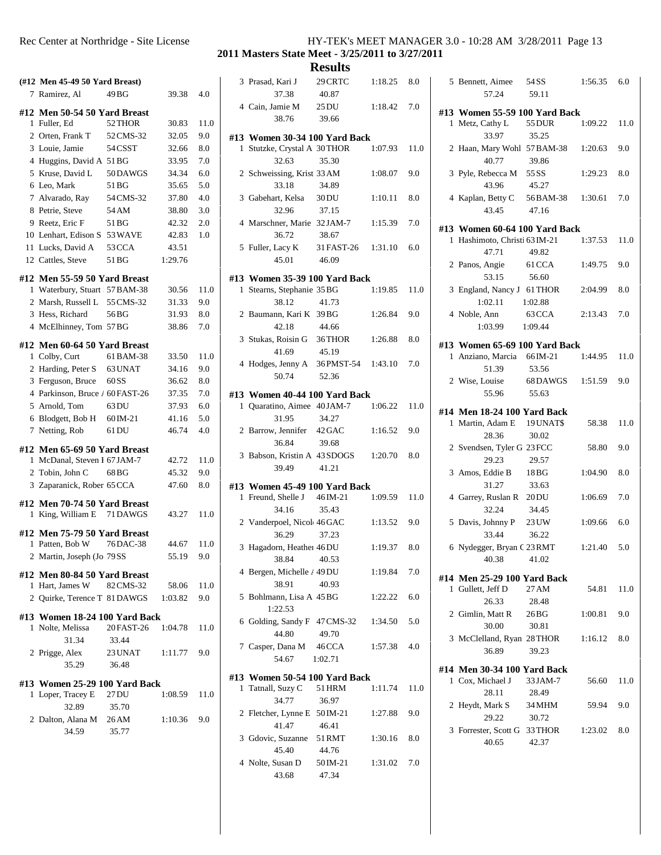**2011 Masters State Meet - 3/25/2011 to 3/27/2011**

# **Results**<br>29 CRTC 1:18.25 8.0 |

|   | (#12 Men 45-49 50 Yard Breast)                |           |                |      | 3              |
|---|-----------------------------------------------|-----------|----------------|------|----------------|
|   | 7 Ramirez, Al                                 | 49 BG     | 39.38          | 4.0  |                |
|   | #12 Men 50-54 50 Yard Breast                  |           |                |      | $\overline{4}$ |
|   | 1 Fuller, Ed                                  | 52 THOR   | 30.83          | 11.0 |                |
|   | 2 Orten, Frank T                              | 52 CMS-32 | 32.05          | 9.0  | #13            |
|   | 3 Louie, Jamie                                | 54 CSST   | 32.66          | 8.0  | 1              |
|   | 4 Huggins, David A 51 BG                      |           | 33.95          | 7.0  |                |
|   | 5 Kruse, David L                              | 50 DAWGS  | 34.34          | 6.0  | 2              |
|   | 6 Leo, Mark                                   | 51 BG     | 35.65          | 5.0  |                |
|   | 7 Alvarado, Ray                               | 54 CMS-32 | 37.80          | 4.0  | 3              |
|   | 8 Petrie, Steve                               | 54 AM     | 38.80          | 3.0  |                |
|   | 9 Reetz, Eric F                               | 51 BG     | 42.32          | 2.0  | $\overline{4}$ |
|   | 10 Lenhart, Edison S 53 WAVE                  |           | 42.83          | 1.0  |                |
|   | 11 Lucks, David A                             | 53 CCA    | 43.51          |      | 5              |
|   | 12 Cattles, Steve                             | 51 BG     | 1:29.76        |      |                |
|   | #12 Men 55-59 50 Yard Breast                  |           |                |      |                |
|   | 1 Waterbury, Stuart 57 BAM-38                 |           | 30.56          | 11.0 | #13<br>1       |
|   | 2 Marsh, Russell L 55 CMS-32                  |           | 31.33          | 9.0  |                |
|   | 3 Hess, Richard                               | 56 BG     | 31.93          | 8.0  | 2              |
|   | 4 McElhinney, Tom 57BG                        |           | 38.86          | 7.0  |                |
|   |                                               |           |                |      | 3              |
|   | #12 Men 60-64 50 Yard Breast                  |           |                |      |                |
|   | 1 Colby, Curt                                 | 61 BAM-38 | 33.50          | 11.0 | $\overline{4}$ |
|   | 2 Harding, Peter S 63 UNAT                    |           | 34.16          | 9.0  |                |
|   | 3 Ferguson, Bruce                             | 60 S S    | 36.62          | 8.0  |                |
|   | 4 Parkinson, Bruce / 60 FAST-26               |           | 37.35          | 7.0  | #13            |
|   | 5 Arnold, Tom                                 | 63 DU     | 37.93          | 6.0  | 1              |
|   | 6 Blodgett, Bob H 60 IM-21                    |           | 41.16          | 5.0  |                |
|   | 7 Netting, Rob                                | 61 DU     | 46.74          | 4.0  | 2              |
|   | #12 Men 65-69 50 Yard Breast                  |           |                |      |                |
|   | 1 McDanal, Steven I 67 JAM-7                  |           | 42.72          | 11.0 | 3              |
|   | 2 Tobin, John C                               | 68 BG     | 45.32          | 9.0  |                |
|   | 3 Zaparanick, Rober 65 CCA                    |           | 47.60          | 8.0  | #13            |
|   | #12 Men 70-74 50 Yard Breast                  |           |                |      | 1              |
| 1 | King, William E 71 DAWGS                      |           | 43.27          | 11.0 |                |
|   |                                               |           |                |      | 2              |
|   | #12 Men 75-79 50 Yard Breast                  |           |                | 11.0 |                |
|   | 1 Patten, Bob W<br>2 Martin, Joseph (Jo 79 SS | 76 DAC-38 | 44.67<br>55.19 | 9.0  | 3              |
|   |                                               |           |                |      |                |
|   | #12 Men 80-84 50 Yard Breast                  |           |                |      | 4              |
|   | 1 Hart, James W 82 CMS-32                     |           | 58.06          | 11.0 |                |
|   | 2 Quirke, Terence T 81 DAWGS 1:03.82          |           |                | 9.0  | 5              |
|   | #13 Women 18-24 100 Yard Back                 |           |                |      |                |
|   | 1 Nolte, Melissa 20 FAST-26                   |           | 1:04.78        | 11.0 | 6              |
|   | 31.34                                         | 33.44     |                |      |                |
|   | 2 Prigge, Alex 23 UNAT 1:11.77                |           |                | 9.0  | 7              |
|   | 35.29                                         | 36.48     |                |      |                |
|   | #13 Women 25-29 100 Yard Back                 |           |                |      | #13            |
|   | 1 Loper, Tracey E 27 DU                       |           | 1:08.59        | 11.0 | 1              |
|   | 32.89                                         | 35.70     |                |      |                |
|   | 2 Dalton, Alana M 26 AM                       |           | 1:10.36        | 9.0  | 2              |
|   | 34.59                                         | 35.77     |                |      |                |
|   |                                               |           |                |      | 3              |

|  | 3 Prasad, Kari J<br>37.38                                      | 29 CRTC<br>40.87 | 1:18.25 | 8.0  | 5              |
|--|----------------------------------------------------------------|------------------|---------|------|----------------|
|  | 4 Cain, Jamie M 25 DU<br>38.76                                 | 39.66            | 1:18.42 | 7.0  | #13            |
|  |                                                                |                  |         |      | 1              |
|  | #13 Women 30-34 100 Yard Back                                  |                  | 1:07.93 | 11.0 |                |
|  | 1 Stutzke, Crystal A 30THOR<br>32.63                           | 35.30            |         |      | 2              |
|  | 2 Schweissing, Krist 33 AM                                     |                  | 1:08.07 | 9.0  | 3              |
|  | 33.18                                                          | 34.89            |         |      |                |
|  | 3 Gabehart, Kelsa 30DU                                         |                  | 1:10.11 | 8.0  | $\overline{4}$ |
|  | 32.96                                                          | 37.15            |         |      |                |
|  | 4 Marschner, Marie 32 JAM-7                                    |                  | 1:15.39 | 7.0  | #13            |
|  | 36.72                                                          | 38.67            |         |      | 1              |
|  | 5 Fuller, Lacy K 31 FAST-26 1:31.10                            |                  |         | 6.0  |                |
|  | 45.01                                                          | 46.09            |         |      | 2              |
|  | #13 Women 35-39 100 Yard Back                                  |                  |         |      |                |
|  | 1 Stearns, Stephanie 35 BG                                     |                  | 1:19.85 | 11.0 | 3              |
|  | 38.12                                                          | 41.73            |         |      |                |
|  | 2 Baumann, Kari K 39 BG                                        |                  | 1:26.84 | 9.0  | $\overline{4}$ |
|  | 42.18                                                          | 44.66            |         |      |                |
|  | 3 Stukas, Roisin G 36THOR<br>41.69                             | 45.19            | 1:26.88 | 8.0  | #13            |
|  | 4 Hodges, Jenny A 36 PMST-54 1:43.10                           |                  |         | 7.0  | 1              |
|  | 50.74                                                          | 52.36            |         |      |                |
|  |                                                                |                  |         |      | 2              |
|  | #13 Women 40-44 100 Yard Back<br>1 Quaratino, Aimee   40 JAM-7 |                  | 1:06.22 | 11.0 |                |
|  | 31.95                                                          | 34.27            |         |      | #14            |
|  | 2 Barrow, Jennifer 42 GAC                                      |                  | 1:16.52 | 9.0  | 1              |
|  | 36.84                                                          | 39.68            |         |      |                |
|  | 3 Babson, Kristin A 43 SDOGS                                   |                  | 1:20.70 | 8.0  | 2              |
|  | 39.49                                                          | 41.21            |         |      | 3              |
|  | #13 Women 45-49 100 Yard Back                                  |                  |         |      |                |
|  | 1 Freund, Shelle J 46 IM-21                                    |                  | 1:09.59 | 11.0 | $\overline{4}$ |
|  | 34.16                                                          | 35.43            |         |      |                |
|  | 2 Vanderpoel, Nicol 46 GAC                                     |                  | 1:13.52 | 9.0  | 5              |
|  | 36.29                                                          | 37.23            |         |      |                |
|  | 3 Hagadorn, Heather 46 DU                                      |                  | 1:19.37 | 8.0  | 6              |
|  | 38.84                                                          | 40.53            |         |      |                |
|  | 4 Bergen, Michelle / 49 DU                                     |                  | 1:19.84 | 7.0  | #14            |
|  | 38.91                                                          | 40.93            |         |      | 1              |
|  | 5 Bohlmann, Lisa A 45 BG                                       |                  | 1:22.22 | 6.0  |                |
|  | 1:22.53                                                        |                  |         |      | 2              |
|  | 6 Golding, Sandy F 47 CMS-32<br>44.80                          | 49.70            | 1:34.50 | 5.0  |                |
|  | 7 Casper, Dana M                                               | 46 CCA           | 1:57.38 | 4.0  | 3              |
|  | 54.67                                                          | 1:02.71          |         |      |                |
|  |                                                                |                  |         |      | #14            |
|  | #13 Women 50-54 100 Yard Back                                  |                  |         |      | 1              |
|  | 1 Tatnall, Suzy C<br>34.77                                     | 51 HRM<br>36.97  | 1:11.74 | 11.0 |                |
|  | 2 Fletcher, Lynne E 50 IM-21                                   |                  | 1:27.88 | 9.0  | 2              |
|  | 41.47                                                          | 46.41            |         |      |                |
|  | 3 Gdovic, Suzanne                                              | 51 RMT           | 1:30.16 | 8.0  | 3              |
|  | 45.40                                                          | 44.76            |         |      |                |
|  | 4 Nolte, Susan D                                               | 50 IM-21         | 1:31.02 | 7.0  |                |
|  | 43.68                                                          | 47.34            |         |      |                |

| 5 Bennett, Aimee 54 SS<br>57.24                                  | 59.11                        | 1:56.35       | 6.0  |
|------------------------------------------------------------------|------------------------------|---------------|------|
|                                                                  |                              |               |      |
| #13 Women 55-59 100 Yard Back<br>1 Metz, Cathy L 55 DUR<br>33.97 | 35.25                        | 1:09.22       | 11.0 |
| 2 Haan, Mary Wohl 57 BAM-38 1:20.63<br>40.77                     | 39.86                        |               | 9.0  |
| 3 Pyle, Rebecca M 55SS<br>43.96                                  | 45.27                        | 1:29.23       | 8.0  |
| 4 Kaplan, Betty C 56BAM-38 1:30.61<br>43.45 47.16                |                              |               | 7.0  |
| #13 Women 60-64 100 Yard Back                                    |                              |               |      |
| 1 Hashimoto, Christi 63 IM-21<br>47.71                           | 49.82                        | 1:37.53       | 11.0 |
| 2 Panos, Angie 61 CCA<br>53.15                                   | 56.60                        | 1:49.75       | 9.0  |
| 3 England, Nancy J 61 THOR<br>1:02.11 1:02.88                    |                              | 2:04.99       | 8.0  |
| 4 Noble, Ann 63CCA 2:13.43 7.0<br>1:03.99 1:09.44                |                              |               |      |
|                                                                  |                              |               |      |
| #13 Women 65-69 100 Yard Back<br>1 Anziano, Marcia 66 IM-21      |                              | 1:44.95       | 11.0 |
| 51.39                                                            | 53.56                        |               |      |
| 2 Wise, Louise<br>55.96                                          | 68DAWGS 1:51.59 9.0<br>55.63 |               |      |
| #14 Men 18-24 100 Yard Back                                      |                              |               |      |
| 1 Martin, Adam E 19 UNAT\$ 58.38<br>28.36                        | 30.02                        |               | 11.0 |
| 2 Svendsen, Tyler G 23 FCC<br>29.23                              | 29.57                        | 58.80         | 9.0  |
| 3 Amos, Eddie B 18BG<br>31.27                                    | 33.63                        | 1:04.90       | 8.0  |
| 4 Garrey, Ruslan R 20DU<br>32.24                                 | 34.45                        | 1:06.69       | 7.0  |
| 5 Davis, Johnny P 23 UW<br>33.44                                 | 36.22                        | 1:09.66       | 6.0  |
| 6 Nydegger, Bryan C 23 RMT<br>40.38 41.02                        |                              | $1:21.40$ 5.0 |      |
| #14 Men 25-29 100 Yard Back                                      |                              |               |      |
| 1 Gullett, Jeff D<br>26.33                                       | 27 AM<br>28.48               | 54.81         | 11.0 |
| 2 Gimlin, Matt R 26BG<br>30.00                                   | 30.81                        | 1:00.81       | 9.0  |
| 3 McClelland, Ryan 28THOR<br>36.89                               | 39.23                        | 1:16.12       | 8.0  |
| #14 Men 30-34 100 Yard Back                                      |                              |               |      |
| 1 Cox, Michael J<br>28.11                                        | 33 JAM-7<br>28.49            | 56.60         | 11.0 |
| 2 Heydt, Mark S<br>29.22                                         | 34 MHM<br>30.72              | 59.94         | 9.0  |
| 3 Forrester, Scott G 33 THOR<br>40.65                            | 42.37                        | 1:23.02       | 8.0  |
|                                                                  |                              |               |      |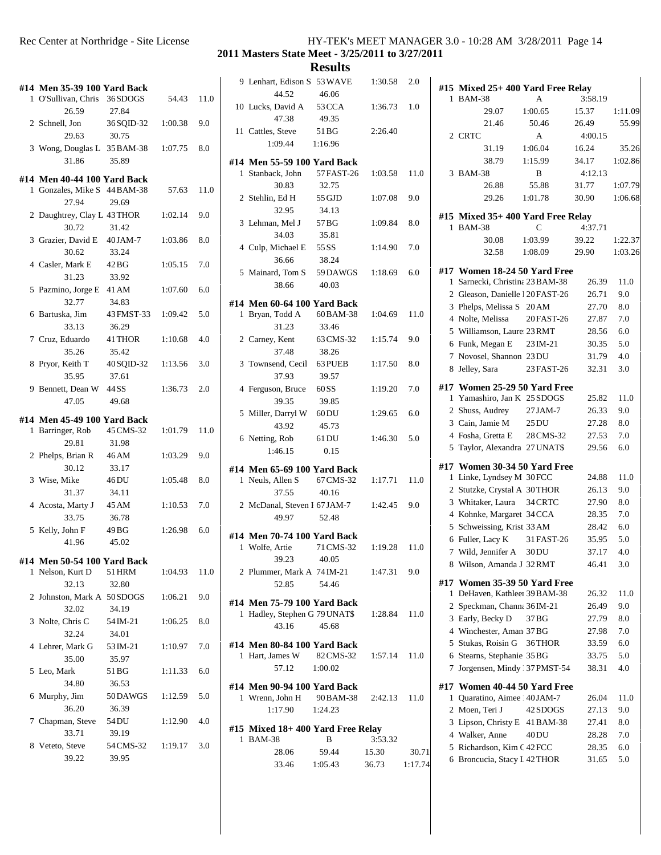| Rec Center at Northridge - Site License | HY-TEK's MEET MANAGER 3.0 - 10:28 AM 3/28/2011 Page 14 |
|-----------------------------------------|--------------------------------------------------------|
|                                         | 2011 Masters State Meet - 3/25/2011 to 3/27/2011       |

**Results**<br>S 53WAVE 1:30.58 2.0 #

| #14 Men 35-39 100 Yard Back  |                    |         |      | 9 Lenhart, Edison S 53 WAVE            |           |
|------------------------------|--------------------|---------|------|----------------------------------------|-----------|
| 1 O'Sullivan, Chris          | 36 SDOGS           | 54.43   | 11.0 | 44.52                                  | 46.06     |
| 26.59                        | 27.84              |         |      | 10 Lucks, David A                      | 53 CCA    |
| 2 Schnell, Jon               | 36 SQID-32         | 1:00.38 | 9.0  | 47.38                                  | 49.35     |
| 29.63                        | 30.75              |         |      | 11 Cattles, Steve                      | 51 BG     |
| 3 Wong, Douglas L 35 BAM-38  |                    | 1:07.75 | 8.0  | 1:09.44                                | 1:16.96   |
| 31.86                        | 35.89              |         |      | #14 Men 55-59 100 Yard Back            |           |
| #14 Men 40-44 100 Yard Back  |                    |         |      | 1 Stanback, John                       | 57 FAST-2 |
| 1 Gonzales, Mike S 44 BAM-38 |                    | 57.63   | 11.0 | 30.83                                  | 32.75     |
| 27.94                        | 29.69              |         |      | 2 Stehlin, Ed H                        | 55 GJD    |
| 2 Daughtrey, Clay L 43 THOR  |                    | 1:02.14 | 9.0  | 32.95                                  | 34.13     |
| 30.72                        | 31.42              |         |      | 3 Lehman, Mel J                        | 57 BG     |
| 3 Grazier, David E           | 40 JAM-7           | 1:03.86 | 8.0  | 34.03                                  | 35.81     |
| 30.62                        | 33.24              |         |      | 4 Culp, Michael E                      | 55 SS     |
| 4 Casler, Mark E             | 42 BG              | 1:05.15 | 7.0  | 36.66                                  | 38.24     |
| 31.23                        | 33.92              |         |      | 5 Mainard, Tom S                       | 59 DAWGS  |
| 5 Pazmino, Jorge E 41 AM     |                    | 1:07.60 | 6.0  | 38.66                                  | 40.03     |
| 32.77                        | 34.83              |         |      | #14 Men 60-64 100 Yard Back            |           |
| 6 Bartuska, Jim              | 43 FMST-33         | 1:09.42 | 5.0  | 1 Bryan, Todd A                        | 60 BAM-38 |
| 33.13                        | 36.29              |         |      | 31.23                                  | 33.46     |
| 7 Cruz, Eduardo              | 41 THOR            | 1:10.68 | 4.0  | 2 Carney, Kent                         | 63 CMS-32 |
| 35.26                        | 35.42              |         |      | 37.48                                  | 38.26     |
| 8 Pryor, Keith T             | 40 SQID-32         | 1:13.56 | 3.0  | 3 Townsend, Cecil                      | 63 PUEB   |
| 35.95                        | 37.61              |         |      | 37.93                                  | 39.57     |
| 9 Bennett, Dean W            | 44 SS              | 1:36.73 | 2.0  | 4 Ferguson, Bruce                      | 60 SS     |
|                              |                    |         |      |                                        |           |
| 47.05                        | 49.68              |         |      | 39.35                                  | 39.85     |
| #14 Men 45-49 100 Yard Back  |                    |         |      | 5 Miller, Darryl W                     | $60$ DU   |
| 1 Barringer, Rob             | 45 CMS-32          | 1:01.79 | 11.0 | 43.92                                  | 45.73     |
| 29.81                        | 31.98              |         |      | 6 Netting, Rob                         | 61 DU     |
|                              |                    |         | 9.0  | 1:46.15                                | 0.15      |
| 2 Phelps, Brian R            | 46 AM              | 1:03.29 |      |                                        |           |
| 30.12                        | 33.17              |         |      | #14 Men 65-69 100 Yard Back            |           |
| 3 Wise, Mike                 | 46 DU              | 1:05.48 | 8.0  | 1 Neuls, Allen S                       | 67 CMS-32 |
| 31.37                        | 34.11              |         |      | 37.55                                  | 40.16     |
| 4 Acosta, Marty J            | 45 AM              | 1:10.53 | 7.0  | 2 McDanal, Steven I 67 JAM-7           |           |
| 33.75                        | 36.78              |         |      | 49.97                                  | 52.48     |
| 5 Kelly, John F              | 49 BG              | 1:26.98 | 6.0  |                                        |           |
| 41.96                        | 45.02              |         |      | #14 Men 70-74 100 Yard Back            |           |
|                              |                    |         |      | 1 Wolfe, Artie                         | 71 CMS-32 |
| #14 Men 50-54 100 Yard Back  |                    |         |      | 39.23                                  | 40.05     |
| 1 Nelson, Kurt D             | 51 HRM             | 1:04.93 | 11.0 | 2 Plummer, Mark A 74 IM-21             |           |
| 32.13                        | 32.80              |         |      | 52.85                                  | 54.46     |
| 2 Johnston, Mark A 50 SDOGS  |                    | 1:06.21 | 9.0  | #14 Men 75-79 100 Yard Bacl            |           |
| 32.02                        | 34.19              |         |      | 1 Hadley, Stephen G 79 UNAT\$          |           |
| 3 Nolte, Chris C             | 54 IM-21           | 1:06.25 | 8.0  | 43.16                                  | 45.68     |
| 32.24                        | 34.01              |         |      |                                        |           |
| 4 Lehrer, Mark G             | 53 IM-21           | 1:10.97 | 7.0  | #14 Men 80-84 100 Yard Back            |           |
| 35.00                        | 35.97              |         |      | 1 Hart, James W                        | 82 CMS-32 |
| 5 Leo, Mark                  | 51 BG              | 1:11.33 | 6.0  | 57.12                                  | 1:00.02   |
| 34.80                        | 36.53              |         |      | #14 Men 90-94 100 Yard Back            |           |
| 6 Murphy, Jim                | 50 DAWGS           | 1:12.59 | 5.0  | 1 Wrenn, John H                        | 90 BAM-38 |
| 36.20                        | 36.39              |         |      | 1:17.90                                | 1:24.23   |
| 7 Chapman, Steve             | 54 DU              | 1:12.90 | 4.0  |                                        |           |
| 33.71                        | 39.19              |         |      | #15 Mixed 18+400 Yard Free<br>1 BAM-38 | B         |
| 8 Veteto, Steve<br>39.22     | 54 CMS-32<br>39.95 | 1:19.17 | 3.0  | 28.06                                  | 59.44     |

|   | 44.52                                          | 46.06             |               |         | 713 I                   |
|---|------------------------------------------------|-------------------|---------------|---------|-------------------------|
|   | 10 Lucks, David A                              | 53 CCA            | $1:36.73$ 1.0 |         | 1 F                     |
|   | 47.38                                          | 49.35             |               |         |                         |
|   | 11 Cattles, Steve                              | 51 BG             | 2:26.40       |         |                         |
|   | 1:09.44                                        | 1:16.96           |               |         | 2 <sub>0</sub>          |
|   |                                                |                   |               |         |                         |
|   | #14 Men 55-59 100 Yard Back                    |                   |               |         |                         |
|   | 1 Stanback, John 57 FAST-26                    |                   | 1:03.58       | 11.0    | 3F                      |
|   | 30.83                                          | 32.75             |               |         |                         |
|   | 2 Stehlin, Ed H                                | 55 GJD            | 1:07.08       | 9.0     |                         |
|   | 32.95                                          | 34.13             |               |         |                         |
|   | 3 Lehman, Mel J                                | 57 BG             | 1:09.84       | 8.0     | #15 1                   |
|   | 34.03                                          | 35.81             |               |         | 1 F                     |
|   | 4 Culp, Michael E 55 SS                        |                   | 1:14.90       | 7.0     |                         |
|   | 36.66                                          | 38.24             |               |         |                         |
|   | 5 Mainard, Tom S 59 DAWGS                      |                   | 1:18.69       | 6.0     | #17 \                   |
|   | 38.66                                          | 40.03             |               |         | 1S                      |
|   |                                                |                   |               |         | 2 <sub>0</sub>          |
|   | #14 Men 60-64 100 Yard Back                    |                   |               |         | 3 F                     |
|   | 1 Bryan, Todd A                                | 60 BAM-38         | 1:04.69       | 11.0    | 4 N                     |
|   | 31.23                                          | 33.46             |               |         | 5 <sub>1</sub>          |
|   | 2 Carney, Kent                                 | 63 CMS-32         | 1:15.74       | 9.0     | 6 F                     |
|   | 37.48                                          | 38.26             |               |         | 7 N                     |
|   | 3 Townsend, Cecil 63 PUEB                      |                   | 1:17.50       | 8.0     | 8 J                     |
|   | 37.93                                          | 39.57             |               |         |                         |
|   | 4 Ferguson, Bruce 60 SS                        |                   | 1:19.20       | 7.0     | #17 \                   |
|   | 39.35                                          | 39.85             |               |         | 1 <sup>1</sup>          |
|   | 5 Miller, Darryl W 60 DU                       |                   | 1:29.65       | 6.0     | 2S                      |
|   | 43.92                                          | 45.73             |               |         | 3 <sup>1</sup>          |
|   | 6 Netting, Rob 61 DU                           |                   | 1:46.30       | 5.0     | 4 F                     |
|   | 1:46.15                                        | 0.15              |               |         | 5 <sub>1</sub>          |
|   | #14 Men 65-69 100 Yard Back                    |                   |               |         | #17 \                   |
|   | 1 Neuls, Allen S                               | 67 CMS-32 1:17.71 |               | 11.0    | 1 I                     |
|   | 37.55                                          | 40.16             |               |         | 2S                      |
|   | 2 McDanal, Steven I 67 JAM-7                   |                   | 1:42.45       | 9.0     | 3 <sub>l</sub>          |
|   | 49.97                                          | 52.48             |               |         | 4 F                     |
|   |                                                |                   |               |         | 5S                      |
|   | #14 Men 70-74 100 Yard Back                    |                   |               |         | 6 F                     |
|   | 1 Wolfe, Artie                                 | 71 CMS-32         | 1:19.28       | 11.0    | 7 <sub>l</sub>          |
|   | 39.23                                          | 40.05             |               |         | 8 <sub>1</sub>          |
|   | 2 Plummer, Mark A 74 IM-21 1:47.31 9.0         |                   |               |         |                         |
|   | 52.85                                          | 54.46             |               |         | #17 \<br>$1 \mathrm{I}$ |
|   | #14 Men 75-79 100 Yard Back                    |                   |               |         | 2S                      |
|   | 1 Hadley, Stephen G 79 UNAT\$                  |                   | 1:28.84       | 11.0    | 3F                      |
|   | 43.16                                          | 45.68             |               |         | 4 <sub>1</sub>          |
|   |                                                |                   |               |         | 5S                      |
|   | #14 Men 80-84 100 Yard Back<br>1 Hart, James W | 82 CMS-32         | 1:57.14       | 11.0    | 6S                      |
|   |                                                |                   |               |         | 7J                      |
|   | 57.12                                          | 1:00.02           |               |         |                         |
|   | #14 Men 90-94 100 Yard Back                    |                   |               |         | #17 \                   |
|   | 1 Wrenn, John H                                | 90 BAM-38         | 2:42.13       | 11.0    | $\mathcal{L}$<br>1      |
|   | 1:17.90                                        | 1:24.23           |               |         | 2 N                     |
|   | #15 Mixed 18+ 400 Yard Free Relay              |                   |               |         | 3 <sub>l</sub>          |
| 1 | <b>BAM-38</b>                                  | B                 | 3:53.32       |         | 4 <sub>1</sub>          |
|   | 28.06                                          | 59.44             | 15.30         | 30.71   | 5F                      |
|   | 33.46                                          | 1:05.43           | 36.73         | 1:17.74 | 6 F                     |
|   |                                                |                   |               |         |                         |

| 1 | #15 Mixed 25+400 Yard Free Relay<br><b>BAM-38</b>        | А                              | 3:58.19        |            |
|---|----------------------------------------------------------|--------------------------------|----------------|------------|
|   | 29.07                                                    | 1:00.65                        | 15.37          | 1:11.09    |
|   | 21.46                                                    | 50.46                          | 26.49          | 55.99      |
|   | 2 CRTC                                                   | A                              | 4:00.15        |            |
|   | 31.19                                                    | 1:06.04                        | 16.24          | 35.26      |
|   | 38.79                                                    | 1:15.99                        | 34.17          | 1:02.86    |
|   | 3 BAM-38                                                 | B                              | 4:12.13        |            |
|   | 26.88                                                    | 55.88                          | 31.77          | 1:07.79    |
|   | 29.26                                                    | 1:01.78                        | 30.90          | 1:06.68    |
|   | #15 Mixed 35+400 Yard Free Relay                         |                                |                |            |
|   | 1 BAM-38                                                 | С                              | 4:37.71        |            |
|   | 30.08                                                    | 1:03.99                        | 39.22          | 1:22.37    |
|   | 32.58                                                    | 1:08.09                        | 29.90          | 1:03.26    |
|   | #17 Women 18-24 50 Yard Free                             |                                |                |            |
| 1 | Sarnecki, Christina 23 BAM-38                            |                                | 26.39          | 11.0       |
|   | 2 Gleason, Danielle 120 FAST-26                          |                                | 26.71          | 9.0        |
|   | 3 Phelps, Melissa S 20 AM                                |                                | 27.70          | 8.0        |
|   | 4 Nolte, Melissa                                         | 20 FAST-26                     | 27.87          | 7.0        |
|   | 5 Williamson, Laure 23 RMT                               |                                | 28.56          | 6.0        |
|   | 6 Funk, Megan E                                          |                                | 30.35          | 5.0        |
|   | 7 Novosel, Shannon 23DU                                  | 23 IM-21                       |                | 4.0        |
|   | 8 Jelley, Sara                                           |                                | 31.79          |            |
|   |                                                          | 23 FAST-26                     | 32.31          | 3.0        |
|   | #17 Women 25-29 50 Yard Free                             |                                |                |            |
|   | 1 Yamashiro, Jan K 25 SDOGS                              |                                | 25.82          | 11.0       |
|   | 2 Shuss, Audrey                                          | 27 JAM-7                       | 26.33          | 9.0        |
|   | 3 Cain, Jamie M                                          | $25\,\mathrm{DU}$              | 27.28          | 8.0        |
|   | 4 Fosha, Gretta E                                        | 28 CMS-32                      | 27.53          | 7.0        |
|   | 5 Taylor, Alexandra 27 UNAT\$                            |                                | 29.56          | 6.0        |
|   | #17 Women 30-34 50 Yard Free                             |                                |                |            |
| 1 | Linke, Lyndsey M 30 FCC                                  |                                | 24.88          | 11.0       |
|   | 2 Stutzke, Crystal A 30THOR                              |                                | 26.13          | 9.0        |
|   | 3 Whitaker, Laura                                        | 34 CRTC                        | 27.90          | 8.0        |
|   | 4 Kohnke, Margaret 34 CCA                                |                                | 28.35          | 7.0        |
|   | 5 Schweissing, Krist 33 AM                               |                                |                | 6.0        |
|   |                                                          |                                | 28.42          |            |
| 7 | 6 Fuller, Lacy K<br>Wild, Jennifer A                     | 31 FAST-26<br>30 <sub>DU</sub> | 35.95<br>37.17 | 5.0<br>4.0 |
|   |                                                          |                                |                |            |
|   | 8 Wilson, Amanda J 32 RMT                                |                                | 46.41          | 3.0        |
|   | #17 Women 35-39 50 Yard Free                             |                                |                |            |
| 1 | DeHaven, Kathleeı 39 BAM-38                              |                                | 26.32          | 11.0       |
|   | 2 Speckman, Channa 36 IM-21                              |                                | 26.49          | 9.0        |
|   | 3 Early, Becky D                                         | 37 BG                          | 27.79          | 8.0        |
|   | 4 Winchester, Aman 37BG                                  |                                | 27.98          | 7.0        |
|   | 5 Stukas, Roisin G                                       | 36THOR                         | 33.59          | 6.0        |
|   | 6 Stearns, Stephanie 35 BG                               |                                | 33.75          | 5.0        |
| 7 | Jorgensen, Mindy 37PMST-54                               |                                | 38.31          | 4.0        |
|   |                                                          |                                |                |            |
| 1 | #17 Women 40-44 50 Yard Free<br>Quaratino, Aimee 40JAM-7 |                                | 26.04          | 11.0       |
|   |                                                          |                                |                |            |
|   | 2 Moen, Teri J                                           | 42 SDOGS                       | 27.13          | 9.0        |
|   | 3 Lipson, Christy E 41 BAM-38                            |                                | 27.41          | $8.0\,$    |
|   | 4 Walker, Anne                                           | 40 DU                          | 28.28          | 7.0        |
|   | 5 Richardson, Kim C 42 FCC                               |                                | 28.35          | 6.0        |
|   | 6 Broncucia, Stacy I 42 THOR                             |                                | 31.65          | 5.0        |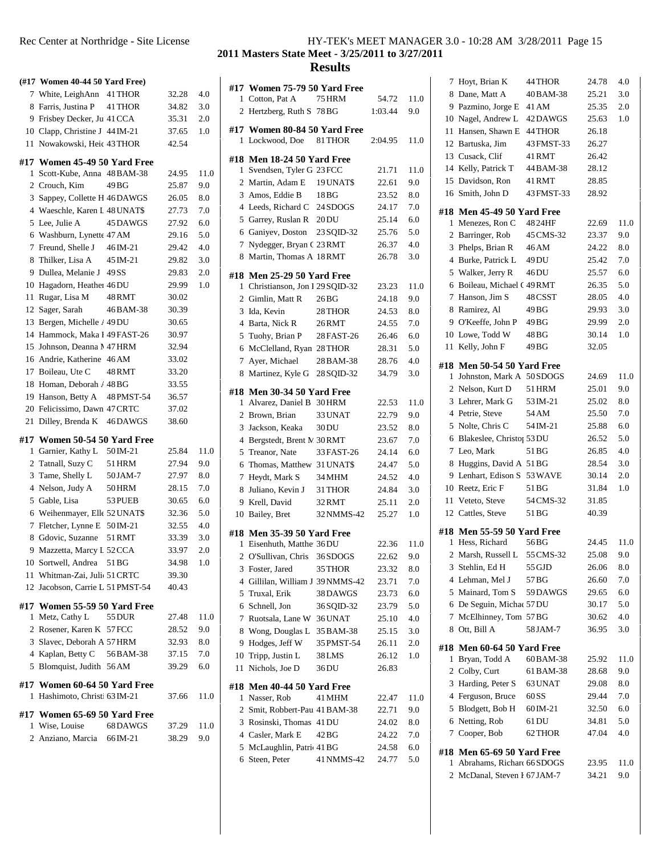|        | (#17 Women 40-44 50 Yard Free)                            |                      |                |              | #17                     |
|--------|-----------------------------------------------------------|----------------------|----------------|--------------|-------------------------|
|        | 7 White, LeighAnn 41 THOR                                 |                      | 32.28          | 4.0          | 1                       |
|        | 8 Farris, Justina P 41 THOR                               |                      | 34.82          | 3.0          | 2                       |
|        | 9 Frisbey Decker, Ju 41 CCA                               |                      | 35.31          | 2.0          |                         |
|        | 10 Clapp, Christine J 44 IM-21                            |                      | 37.65          | 1.0          | #17                     |
| 11     | Nowakowski, Heic 43 THOR                                  |                      | 42.54          |              | 1                       |
|        | #17 Women 45-49 50 Yard Free                              |                      |                |              | #18                     |
| 1      | Scott-Kube, Anna 48 BAM-38                                |                      | 24.95          | 11.0         | 1                       |
|        | 2 Crouch, Kim                                             | 49 BG                | 25.87          | 9.0          | 2                       |
|        | 3 Sappey, Collette H 46 DAWGS                             |                      | 26.05          | $_{\rm 8.0}$ | 3                       |
|        | 4 Waeschle, Karen I 48 UNAT\$                             |                      | 27.73          | 7.0          | $\overline{4}$          |
|        | 5 Lee, Julie A                                            | 45 DAWGS             | 27.92          | 6.0          | 5                       |
|        | 6 Washburn, Lynette 47 AM                                 |                      | 29.16          | 5.0          | 6                       |
|        | 7 Freund, Shelle J                                        | 46 IM-21             | 29.42          | 4.0          | 7                       |
|        | 8 Thilker, Lisa A 45 IM-21                                |                      | 29.82          | 3.0          | 8                       |
|        | 9 Dullea, Melanie J 49 SS                                 |                      | 29.83          | 2.0          | #18                     |
|        | 10 Hagadorn, Heather 46 DU                                |                      | 29.99          | 1.0          | 1                       |
| 11     | Rugar, Lisa M                                             | 48 RMT               | 30.02          |              | 2                       |
|        | 12 Sager, Sarah                                           | 46 BAM-38            | 30.39          |              | 3                       |
| 13     | Bergen, Michelle / 49 DU                                  |                      | 30.65          |              | $\overline{4}$          |
|        | 14 Hammock, Maka I 49 FAST-26                             |                      | 30.97          |              | 5                       |
|        | 15 Johnson, Deanna M47 HRM                                |                      | 32.94          |              | 6                       |
|        | 16 Andrie, Katherine 46 AM                                |                      | 33.02          |              | 7                       |
|        | 17 Boileau, Ute C                                         | 48 RMT               | 33.20          |              | 8                       |
|        | 18 Homan, Deborah / 48 BG                                 |                      | 33.55          |              | #18                     |
|        | 19 Hanson, Betty A 48 PMST-54                             |                      | 36.57          |              | 1                       |
|        | 20 Felicissimo, Dawn 47 CRTC                              |                      | 37.02          |              | 2                       |
| 21     | Dilley, Brenda K 46 DAWGS                                 |                      | 38.60          |              |                         |
|        |                                                           |                      |                |              |                         |
|        |                                                           |                      |                |              | 3<br>$\overline{4}$     |
| 1      | #17 Women 50-54 50 Yard Free<br>Garnier, Kathy L 50 IM-21 |                      | 25.84          | 11.0         | 5                       |
|        | 2 Tatnall, Suzy C                                         | 51 HRM               | 27.94          | 9.0          | 6                       |
|        | 3 Tame, Shelly L                                          | 50 JAM-7             | 27.97          | $_{\rm 8.0}$ | 7                       |
|        | 4 Nelson, Judy A                                          | 50 HRM               | 28.15          | 7.0          | 8                       |
|        | 5 Gable, Lisa                                             | 53 PUEB              | 30.65          | 6.0          | 9                       |
|        | 6 Weihenmayer, Elle 52 UNAT\$                             |                      | 32.36          | 5.0          | 10                      |
|        | 7 Fletcher, Lynne E 50 IM-21                              |                      | 32.55          | 4.0          |                         |
|        | 8 Gdovic, Suzanne                                         | 51 RMT               | 33.39          | 3.0          | #18                     |
| 9      | Mazzetta, Marcy L 52 CCA                                  |                      | 33.97          | 2.0          | 1                       |
| 10     | Sortwell, Andrea 51 BG                                    |                      | 34.98          | 1.0          | $\overline{\mathbf{c}}$ |
| 11     | Whitman-Zai, Juli 51 CRTC                                 |                      | 39.30          |              | 3                       |
| 12     | Jacobson, Carrie L 51 PMST-54                             |                      | 40.43          |              | 4                       |
|        |                                                           |                      |                |              | 5                       |
| 1      | #17 Women 55-59 50 Yard Free                              | 55 DUR               | 27.48          | 11.0         | 6                       |
|        | Metz, Cathy L<br>2 Rosener, Karen K 57 FCC                |                      | 28.52          | 9.0          | 7                       |
|        | 3 Slavec, Deborah A 57 HRM                                |                      | 32.93          | $_{\rm 8.0}$ | 8                       |
|        | 4 Kaplan, Betty C                                         | 56 BAM-38            | 37.15          | 7.0          | 9<br>10                 |
| 5      | Blomquist, Judith 56 AM                                   |                      | 39.29          | 6.0          | 11                      |
|        |                                                           |                      |                |              |                         |
|        | #17 Women 60-64 50 Yard Free                              |                      |                |              | #18                     |
| 1      | Hashimoto, Christi 63 IM-21                               |                      | 37.66          | 11.0         | 1                       |
|        | #17 Women 65-69 50 Yard Free                              |                      |                |              | 2                       |
| 1<br>2 | Wise, Louise<br>Anziano, Marcia                           | 68 DAWGS<br>66 IM-21 | 37.29<br>38.29 | 11.0<br>9.0  | 3<br>$\overline{4}$     |

## **Masters State Meet - 3/25/2011 to 3/27/2011**

|    | #17 Women 75-79 50 Yard Free                    |                  |         |            | $\overline{\phantom{a}}$ |
|----|-------------------------------------------------|------------------|---------|------------|--------------------------|
| 1  | Cotton, Pat A                                   | 75 HRM           | 54.72   | 11.0       | 8                        |
|    | 2 Hertzberg, Ruth S 78 BG                       |                  | 1:03.44 | 9.0        | 9                        |
|    |                                                 |                  |         |            | 10                       |
| 1  | #17 Women 80-84 50 Yard Free<br>Lockwood, Doe   | 81 THOR          | 2:04.95 | 11.0       | 11                       |
|    |                                                 |                  |         |            | 12                       |
|    | #18 Men 18-24 50 Yard Free                      |                  |         |            | 13                       |
| 1  | Svendsen, Tyler G 23 FCC                        |                  | 21.71   | 11.0       | 14                       |
|    | 2 Martin, Adam E                                | 19 UNATS         | 22.61   | 9.0        | 15                       |
|    | 3 Amos, Eddie B                                 | 18 BG            | 23.52   | 8.0        | 16                       |
|    | 4 Leeds, Richard C 24 SDOGS                     |                  | 24.17   | 7.0        | #18                      |
|    | 5 Garrey, Ruslan R 20DU                         |                  | 25.14   | 6.0        | 1                        |
|    | 6 Ganiyev, Doston                               | 23 SOID-32       | 25.76   | 5.0        | $\mathfrak{2}$           |
|    | 7 Nydegger, Bryan C 23 RMT                      |                  | 26.37   | 4.0        | 3                        |
|    | 8 Martin, Thomas A 18 RMT                       |                  | 26.78   | 3.0        | $\overline{4}$           |
|    | #18 Men 25-29 50 Yard Free                      |                  |         |            | 5                        |
| 1  | Christianson, Jon I 29 SQID-32                  |                  | 23.23   | 11.0       | 6                        |
|    | 2 Gimlin, Matt R                                | 26 <sub>BG</sub> | 24.18   | 9.0        | 7                        |
|    | 3 Ida, Kevin                                    | 28 THOR          | 24.53   | 8.0        | 8                        |
|    | 4 Barta, Nick R                                 | 26RMT            | 24.55   | 7.0        | 9                        |
|    | 5 Tuohy, Brian P                                | 28 FAST-26       | 26.46   | 6.0        | 10                       |
|    | 6 McClelland, Ryan 28 THOR                      |                  | 28.31   | 5.0        | 11                       |
| 7  | Ayer, Michael                                   | 28 BAM-38        | 28.76   | 4.0        | #18                      |
|    | 8 Martinez, Kyle G                              | 28 SOID-32       | 34.79   | 3.0        | 1                        |
|    |                                                 |                  |         |            | 2                        |
| 1  | #18 Men 30-34 50 Yard Free<br>Alvarez, Daniel B | 30 HRM           | 22.53   | 11.0       | 3                        |
|    | 2 Brown, Brian                                  | 33 UNAT          | 22.79   | 9.0        | $\overline{4}$           |
|    | 3 Jackson, Keaka                                | 30 DU            | 23.52   | 8.0        | 5                        |
|    | 4 Bergstedt, Brent M 30 RMT                     |                  | 23.67   | 7.0        | 6                        |
|    | 5 Treanor, Nate                                 | 33 FAST-26       | 24.14   | 6.0        | 7                        |
|    | 6 Thomas, Matthew 31 UNAT\$                     |                  | 24.47   | 5.0        | 8                        |
|    | 7 Heydt, Mark S                                 | 34 MHM           | 24.52   | 4.0        | 9                        |
|    | 8 Juliano, Kevin J                              | 31 THOR          | 24.84   | 3.0        | 10                       |
|    | 9 Krell, David                                  | 32 RMT           | 25.11   | 2.0        | 11                       |
|    | 10 Bailey, Bret                                 | 32 NMMS-42       | 25.27   | $1.0\,$    | 12                       |
|    |                                                 |                  |         |            |                          |
|    | #18 Men 35-39 50 Yard Free                      |                  |         |            | #18                      |
|    | 1 Eisenhuth, Matthe 36DU                        |                  | 22.36   | 11.0       | 1                        |
|    | 2 O'Sullivan, Chris 36 SDOGS                    |                  | 22.62   | 9.0        | $\mathbf{2}$             |
|    | 3 Foster, Jared 35 THOR                         |                  | 23.32   | $\ \, 8.0$ | 3                        |
|    | 4 Gillilan, William J 39 NMMS-42                |                  | 23.71   | 7.0        | 4                        |
|    | 5 Truxal, Erik                                  | 38 DAWGS         | 23.73   | 6.0        | 5                        |
|    | 6 Schnell, Jon                                  | 36 SQID-32       | 23.79   | 5.0        | 6                        |
|    | 7 Ruotsala, Lane W 36 UNAT                      |                  | 25.10   | 4.0        | 7                        |
|    | 8 Wong, Douglas L                               | 35 BAM-38        | 25.15   | 3.0        | 8                        |
|    | 9 Hodges, Jeff W                                | 35 PMST-54       | 26.11   | 2.0        | #18                      |
|    | 10 Tripp, Justin L                              | 38 LMS           | 26.12   | 1.0        | 1                        |
| 11 | Nichols, Joe D                                  | 36 DU            | 26.83   |            | 2                        |
|    | #18 Men 40-44 50 Yard Free                      |                  |         |            | 3                        |
|    | 1 Nasser, Rob                                   | 41 MHM           | 22.47   | 11.0       | 4                        |
|    | 2 Smit, Robbert-Pau 41 BAM-38                   |                  | 22.71   | 9.0        | 5                        |
|    | 3 Rosinski, Thomas 41 DU                        |                  | 24.02   | 8.0        | 6                        |
|    | 4 Casler, Mark E                                | 42 BG            | 24.22   | 7.0        | 7                        |
|    | 5 McLaughlin, Patric 41 BG                      |                  | 24.58   | 6.0        | #18                      |
|    | 6 Steen, Peter                                  | 41 NMMS-42       | 24.77   | 5.0        | 1                        |
|    |                                                 |                  |         |            |                          |

|     | 7 Hoyt, Brian K                                            | 44 THOR        | 24.78          | 4.0         |
|-----|------------------------------------------------------------|----------------|----------------|-------------|
|     | 8 Dane, Matt A                                             | 40BAM-38       | 25.21          | 3.0         |
|     | 9 Pazmino, Jorge E 41 AM                                   |                | 25.35          | 2.0         |
|     | 10 Nagel, Andrew L 42 DAWGS                                |                | 25.63          | 1.0         |
|     | 11 Hansen, Shawn E 44 THOR                                 |                | 26.18          |             |
|     | 12 Bartuska, Jim                                           | 43 FMST-33     | 26.27          |             |
|     | 13 Cusack, Clif                                            | 41RMT          | 26.42          |             |
|     | 14 Kelly, Patrick T                                        | 44 BAM-38      | 28.12          |             |
|     | 15 Davidson, Ron                                           | 41 RMT         | 28.85          |             |
|     | 16 Smith, John D                                           | 43 FMST-33     | 28.92          |             |
|     |                                                            |                |                |             |
|     | #18 Men 45-49 50 Yard Free                                 |                |                |             |
|     | 1 Menezes, Ron C 4824HF<br>2 Barringer, Rob                | 45 CMS-32      | 22.69<br>23.37 | 11.0<br>9.0 |
|     | 3 Phelps, Brian R 46 AM                                    |                | 24.22          | 8.0         |
|     | 4 Burke, Patrick L 49DU                                    |                | 25.42          | 7.0         |
|     | 5 Walker, Jerry R 46DU                                     |                | 25.57          | 6.0         |
|     |                                                            |                |                |             |
|     | 6 Boileau, Michael (49 RMT<br>7 Hanson, Jim S              | 48 CSST        | 26.35<br>28.05 | 5.0         |
|     |                                                            |                |                | 4.0         |
|     | 8 Ramirez, Al                                              | 49 BG          | 29.93          | 3.0         |
|     | 9 O'Keeffe, John P<br>10 Lowe, Todd W                      | 49 BG          | 29.99          | 2.0         |
|     | 11 Kelly, John F                                           | 48 BG<br>49 BG | 30.14<br>32.05 | 1.0         |
|     |                                                            |                |                |             |
|     | #18 Men 50-54 50 Yard Free                                 |                |                |             |
|     | 1 Johnston, Mark A 50 SDOGS                                |                | 24.69          | 11.0        |
|     | 2 Nelson, Kurt D                                           | 51 HRM         | 25.01          | 9.0         |
|     | 3 Lehrer, Mark G                                           | 53 IM-21       | 25.02          | 8.0         |
|     | 4 Petrie, Steve                                            | 54 AM          | 25.50          | 7.0         |
|     |                                                            |                |                |             |
|     | 5 Nolte, Chris C                                           | 54 IM-21       | 25.88          | 6.0         |
|     | 6 Blakeslee, Christo <sub>[53DU</sub>                      |                | 26.52          | 5.0         |
|     | 7 Leo, Mark                                                | 51 BG          | 26.85          | 4.0         |
|     | 8 Huggins, David A 51 BG                                   |                | 28.54          | 3.0         |
|     | 9 Lenhart, Edison S 53 WAVE                                |                | 30.14          | 2.0         |
|     | 10 Reetz, Eric F                                           | 51 BG          | 31.84          | 1.0         |
|     | 11 Veteto, Steve                                           | 54 CMS-32      | 31.85          |             |
|     | 12 Cattles, Steve                                          | 51 BG          | 40.39          |             |
|     |                                                            |                |                |             |
| 1   | #18 Men 55-59 50 Yard Free<br>Hess, Richard                | 56BG           | 24.45          | 11.0        |
| 2   | Marsh, Russell L                                           | 55 CMS-32      | 25.08          | 9.0         |
|     | 3 Stehlin, Ed H                                            | 55 GJD         | 26.06          | 8.0         |
|     | 4 Lehman, Mel J                                            | 57 BG          | 26.60          | 7.0         |
|     | 5 Mainard, Tom S                                           | 59 DAWGS       | 29.65          | 6.0         |
|     | 6 De Seguin, Michae 57 DU                                  |                | 30.17          | 5.0         |
| 7   | McElhinney, Tom 57BG                                       |                | 30.62          | 4.0         |
|     | 8 Ott, Bill A                                              | 58 JAM-7       | 36.95          | 3.0         |
|     |                                                            |                |                |             |
| #18 | Men 60-64 50 Yard Free                                     |                |                |             |
| 1   | Bryan, Todd A                                              | 60 BAM-38      | 25.92          | 11.0        |
|     | 2 Colby, Curt                                              | 61 BAM-38      | 28.68          | 9.0         |
|     | 3 Harding, Peter S                                         | 63 UNAT        | 29.08          | $8.0\,$     |
|     | 4 Ferguson, Bruce                                          | 60 SS          | 29.44          | 7.0         |
|     | 5 Blodgett, Bob H                                          | 60 IM-21       | 32.50          | 6.0         |
| 6   | Netting, Rob                                               | 61 DU          | 34.81          | 5.0         |
| 7   | Cooper, Bob                                                | 62 THOR        | 47.04          | 4.0         |
| #18 | <b>Men 65-69 50 Yard Free</b>                              |                |                |             |
| 1   | Abrahams, Richard 66 SDOGS<br>2 McDanal, Steven I 67 JAM-7 |                | 23.95<br>34.21 | 11.0<br>9.0 |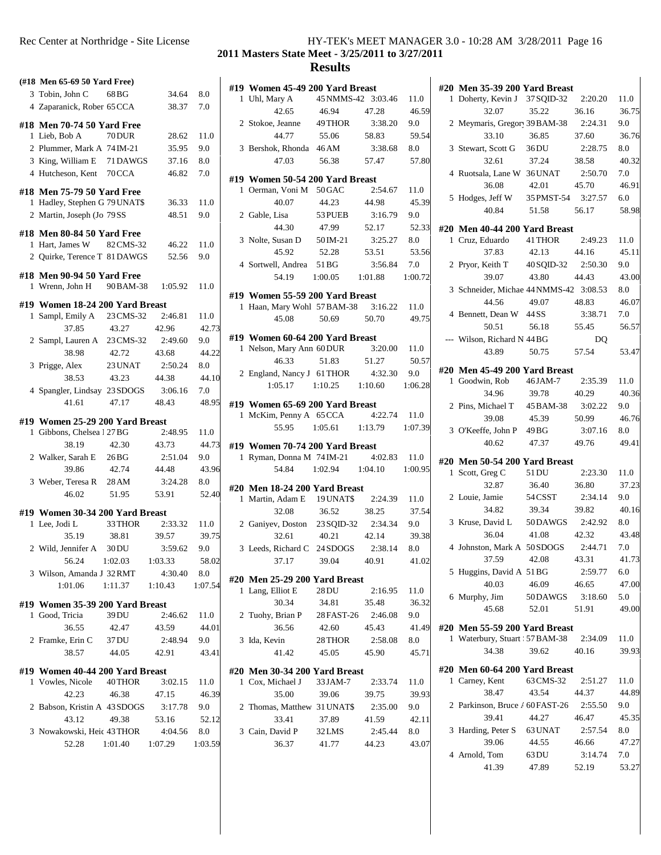| Rec Center at Northridge - Site License | HY-TEK's MEET MANAGER 3.0 - 10:28 AM 3/28/2011 Page 16 |  |
|-----------------------------------------|--------------------------------------------------------|--|
|                                         | 2011 Masters State Meet - 3/25/2011 to 3/27/2011       |  |

| (#18 Men 65-69 50 Yard Free)    |           |         |         | #19 Women 45-49 200 Yard Breast |                    |         |         |
|---------------------------------|-----------|---------|---------|---------------------------------|--------------------|---------|---------|
| 3 Tobin, John C                 | 68 BG     | 34.64   | 8.0     | 1 Uhl, Mary A                   | 45 NMMS-42 3:03.46 |         | 11.0    |
| 4 Zaparanick, Rober 65 CCA      |           | 38.37   | 7.0     | 42.65                           | 46.94              | 47.28   | 46.59   |
| #18 Men 70-74 50 Yard Free      |           |         |         | 2 Stokoe, Jeanne                | 49 THOR            | 3:38.20 | 9.0     |
| 1 Lieb, Bob A                   | 70 DUR    | 28.62   | 11.0    | 44.77                           | 55.06              | 58.83   | 59.54   |
| 2 Plummer, Mark A 74 IM-21      |           | 35.95   | 9.0     | 3 Bershok, Rhonda 46 AM         |                    | 3:38.68 | 8.0     |
| 3 King, William E               | 71 DAWGS  | 37.16   | 8.0     | 47.03                           | 56.38              | 57.47   | 57.80   |
| 4 Hutcheson, Kent               | 70 CCA    | 46.82   | 7.0     |                                 |                    |         |         |
|                                 |           |         |         | #19 Women 50-54 200 Yard Breast |                    |         |         |
| #18 Men 75-79 50 Yard Free      |           |         |         | 1 Oerman, Voni M 50 GAC         |                    | 2:54.67 | 11.0    |
| 1 Hadley, Stephen G 79 UNAT\$   |           | 36.33   | 11.0    | 40.07                           | 44.23              | 44.98   | 45.39   |
| 2 Martin, Joseph (Jo 79 SS      |           | 48.51   | 9.0     | 2 Gable, Lisa                   | 53 PUEB            | 3:16.79 | 9.0     |
|                                 |           |         |         | 44.30                           | 47.99              | 52.17   | 52.33   |
| #18 Men 80-84 50 Yard Free      |           |         |         | 3 Nolte, Susan D                | 50 IM-21           | 3:25.27 | 8.0     |
| 1 Hart, James W                 | 82 CMS-32 | 46.22   | 11.0    | 45.92                           | 52.28              | 53.51   | 53.56   |
| 2 Quirke, Terence T 81 DAWGS    |           | 52.56   | 9.0     | 4 Sortwell, Andrea              | 51 BG              | 3:56.84 | 7.0     |
| #18 Men 90-94 50 Yard Free      |           |         |         | 54.19                           | 1:00.05            | 1:01.88 | 1:00.72 |
| 1 Wrenn, John H                 | 90 BAM-38 | 1:05.92 | 11.0    |                                 |                    |         |         |
|                                 |           |         |         | #19 Women 55-59 200 Yard Breast |                    |         |         |
| #19 Women 18-24 200 Yard Breast |           |         |         | 1 Haan, Mary Wohl 57 BAM-38     |                    | 3:16.22 | 11.0    |
| 1 Sampl, Emily A                | 23 CMS-32 | 2:46.81 | 11.0    | 45.08                           | 50.69              | 50.70   | 49.75   |
| 37.85                           | 43.27     | 42.96   | 42.73   |                                 |                    |         |         |
| 2 Sampl, Lauren A               | 23 CMS-32 | 2:49.60 | 9.0     | #19 Women 60-64 200 Yard Breast |                    |         |         |
| 38.98                           | 42.72     | 43.68   | 44.22   | 1 Nelson, Mary Ann 60 DUR       |                    | 3:20.00 | 11.0    |
| 3 Prigge, Alex                  | 23 UNAT   | 2:50.24 | 8.0     | 46.33                           | 51.83              | 51.27   | 50.57   |
| 38.53                           | 43.23     | 44.38   | 44.10   | 2 England, Nancy J 61 THOR      |                    | 4:32.30 | 9.0     |
| 4 Spangler, Lindsay 23 SDOGS    |           | 3:06.16 | 7.0     | 1:05.17                         | 1:10.25            | 1:10.60 | 1:06.28 |
| 41.61                           | 47.17     | 48.43   | 48.95   | #19 Women 65-69 200 Yard Breast |                    |         |         |
|                                 |           |         |         | 1 McKim, Penny A 65 CCA         |                    | 4:22.74 | 11.0    |
| #19 Women 25-29 200 Yard Breast |           |         |         | 55.95                           | 1:05.61            | 1:13.79 | 1:07.39 |
| 1 Gibbons, Chelsea 1 27 BG      |           | 2:48.95 | 11.0    |                                 |                    |         |         |
| 38.19                           | 42.30     | 43.73   | 44.73   | #19 Women 70-74 200 Yard Breast |                    |         |         |
| 2 Walker, Sarah E               | 26 BG     | 2:51.04 | 9.0     | 1 Ryman, Donna M 74 IM-21       |                    | 4:02.83 | 11.0    |
| 39.86                           | 42.74     | 44.48   | 43.96   | 54.84                           | 1:02.94            | 1:04.10 | 1:00.95 |
| 3 Weber, Teresa R               | 28 AM     | 3:24.28 | 8.0     | #20 Men 18-24 200 Yard Breast   |                    |         |         |
| 46.02                           | 51.95     | 53.91   | 52.40   | 1 Martin, Adam E                | 19 UNAT\$          | 2:24.39 | 11.0    |
|                                 |           |         |         | 32.08                           | 36.52              | 38.25   | 37.54   |
| #19 Women 30-34 200 Yard Breast |           | 2:33.32 |         |                                 |                    | 2:34.34 | 9.0     |
| 1 Lee, Jodi L                   | 33 THOR   |         | 11.0    | 2 Ganiyev, Doston               | 23 SQID-32         |         |         |
| 35.19                           | 38.81     | 39.57   | 39.75   | 32.61                           | 40.21              | 42.14   | 39.38   |
| 2 Wild, Jennifer A              | 30 DU     | 3:59.62 | 9.0     | 3 Leeds, Richard C 24 SDOGS     |                    | 2:38.14 | 8.0     |
| 56.24                           | 1:02.03   | 1:03.33 | 58.02   | 37.17                           | 39.04              | 40.91   | 41.02   |
| 3 Wilson, Amanda J 32 RMT       |           | 4:30.40 | 8.0     | #20 Men 25-29 200 Yard Breast   |                    |         |         |
| 1:01.06                         | 1:11.37   | 1:10.43 | 1:07.54 | 1 Lang, Elliot E                | $28\,\rm{DU}$      | 2:16.95 | 11.0    |
| #19 Women 35-39 200 Yard Breast |           |         |         | 30.34                           | 34.81              | 35.48   | 36.32   |
| 1 Good, Tricia                  | 39 DU     | 2:46.62 | 11.0    | 2 Tuohy, Brian P                | 28 FAST-26         | 2:46.08 | 9.0     |
| 36.55                           | 42.47     | 43.59   | 44.01   | 36.56                           | 42.60              | 45.43   | 41.49   |
|                                 |           |         | 9.0     |                                 |                    |         |         |
| 2 Framke, Erin C                | 37 DU     | 2:48.94 |         | 3 Ida, Kevin                    | 28 THOR            | 2:58.08 | $8.0\,$ |
| 38.57                           | 44.05     | 42.91   | 43.41   | 41.42                           | 45.05              | 45.90   | 45.71   |
| #19 Women 40-44 200 Yard Breast |           |         |         | #20 Men 30-34 200 Yard Breast   |                    |         |         |
| 1 Vowles, Nicole                | 40 THOR   | 3:02.15 | 11.0    | 1 Cox, Michael J                | 33 JAM-7           | 2:33.74 | 11.0    |
| 42.23                           | 46.38     | 47.15   | 46.39   | 35.00                           | 39.06              | 39.75   | 39.93   |
| 2 Babson, Kristin A 43 SDOGS    |           | 3:17.78 | 9.0     | 2 Thomas, Matthew 31 UNAT\$     |                    | 2:35.00 | 9.0     |
| 43.12                           | 49.38     | 53.16   | 52.12   | 33.41                           | 37.89              | 41.59   | 42.11   |
|                                 |           |         |         |                                 |                    |         |         |
| 3 Nowakowski, Heic 43 THOR      |           | 4:04.56 | 8.0     | 3 Cain, David P                 | 32 LMS             | 2:45.44 | 8.0     |
| 52.28                           | 1:01.40   | 1:07.29 | 1:03.59 | 36.37                           | 41.77              | 44.23   | 43.07   |
|                                 |           |         |         |                                 |                    |         |         |

| 1 | #20 Men 35-39 200 Yard Breast<br>Doherty, Kevin J 37 SQID-32 2:20.20 |            |         | 11.0  |
|---|----------------------------------------------------------------------|------------|---------|-------|
|   | 32.07                                                                | 35.22      | 36.16   | 36.75 |
|   | 2 Meymaris, Gregor 39BAM-38                                          |            | 2:24.31 | 9.0   |
|   | 33.10                                                                | 36.85      | 37.60   | 36.76 |
|   | 3 Stewart, Scott G                                                   | 36 DU      | 2:28.75 | 8.0   |
|   | 32.61                                                                | 37.24      | 38.58   | 40.32 |
|   | 4 Ruotsala, Lane W 36 UNAT                                           |            | 2:50.70 | 7.0   |
|   | 36.08                                                                | 42.01      | 45.70   | 46.91 |
|   | 5 Hodges, Jeff W 35 PMST-54 3:27.57                                  |            |         | 6.0   |
|   | 40.84                                                                | 51.58      | 56.17   | 58.98 |
|   |                                                                      |            |         |       |
|   | #20 Men 40-44 200 Yard Breast                                        |            |         |       |
|   | 1 Cruz, Eduardo                                                      | 41 THOR    | 2:49.23 | 11.0  |
|   | 37.83                                                                | 42.13      | 44.16   | 45.11 |
|   | 2 Pryor, Keith T                                                     | 40 SQID-32 | 2:50.30 | 9.0   |
|   | 39.07                                                                | 43.80      | 44.43   | 43.00 |
|   | 3 Schneider, Michae 44 NMMS-42 3:08.53                               |            |         | 8.0   |
|   | 44.56                                                                | 49.07      | 48.83   | 46.07 |
|   | 4 Bennett, Dean W 44 SS                                              |            | 3:38.71 | 7.0   |
|   | 50.51                                                                | 56.18      | 55.45   | 56.57 |
|   | --- Wilson, Richard N 44 BG                                          |            | DO      |       |
|   | 43.89                                                                | 50.75      | 57.54   | 53.47 |
|   | #20 Men 45-49 200 Yard Breast                                        |            |         |       |
|   | 1 Goodwin, Rob                                                       | 46 JAM-7   | 2:35.39 | 11.0  |
|   | 34.96                                                                | 39.78      | 40.29   | 40.36 |
|   | 2 Pins, Michael T 45 BAM-38                                          |            | 3:02.22 | 9.0   |
|   | 39.08                                                                | 45.39      | 50.99   | 46.76 |
|   | 3 O'Keeffe, John P 49 BG                                             |            | 3:07.16 | 8.0   |
|   | 40.62                                                                | 47.37      | 49.76   | 49.41 |
|   | #20 Men 50-54 200 Yard Breast                                        |            |         |       |
|   | 1 Scott, Greg C                                                      | 51 DU      | 2:23.30 | 11.0  |
|   | 32.87                                                                | 36.40      | 36.80   | 37.23 |
|   | 2 Louie, Jamie                                                       | 54 CSST    | 2:34.14 | 9.0   |
|   | 34.82                                                                | 39.34      | 39.82   | 40.16 |
|   | 3 Kruse, David L 50 DAWGS                                            |            | 2:42.92 | 8.0   |
|   | 36.04                                                                | 41.08      | 42.32   | 43.48 |
|   | 4 Johnston, Mark A 50SDOGS 2:44.71                                   |            |         | 7.0   |
|   | 37.59                                                                | 42.08      | 43.31   | 41.73 |
|   | 5 Huggins, David A 51 BG                                             |            | 2:59.77 | 6.0   |
|   |                                                                      | 46.09      | 46.65   | 47.00 |
|   |                                                                      |            |         |       |
|   | 40.03                                                                |            |         |       |
|   | 6 Murphy, Jim                                                        | 50DAWGS    | 3:18.60 | 5.0   |
|   | 45.68                                                                | 52.01      | 51.91   | 49.00 |
|   | #20 Men 55-59 200 Yard Breast                                        |            |         |       |
|   | 1 Waterbury, Stuart 57 BAM-38                                        |            | 2:34.09 | 11.0  |
|   | 34.38                                                                | 39.62      | 40.16   | 39.93 |
|   | #20 Men 60-64 200 Yard Breast                                        |            |         |       |
|   | 1 Carney, Kent                                                       | 63 CMS-32  | 2:51.27 | 11.0  |
|   | 38.47                                                                | 43.54      | 44.37   | 44.89 |
|   | 2 Parkinson, Bruce / 60 FAST-26                                      |            | 2:55.50 | 9.0   |
|   | 39.41                                                                | 44.27      | 46.47   | 45.35 |
|   | 3 Harding, Peter S 63 UNAT                                           |            | 2:57.54 | 8.0   |
|   | 39.06                                                                | 44.55      | 46.66   | 47.27 |
|   | 4 Arnold, Tom                                                        | 63 DU      | 3:14.74 | 7.0   |
|   | 41.39                                                                | 47.89      | 52.19   | 53.27 |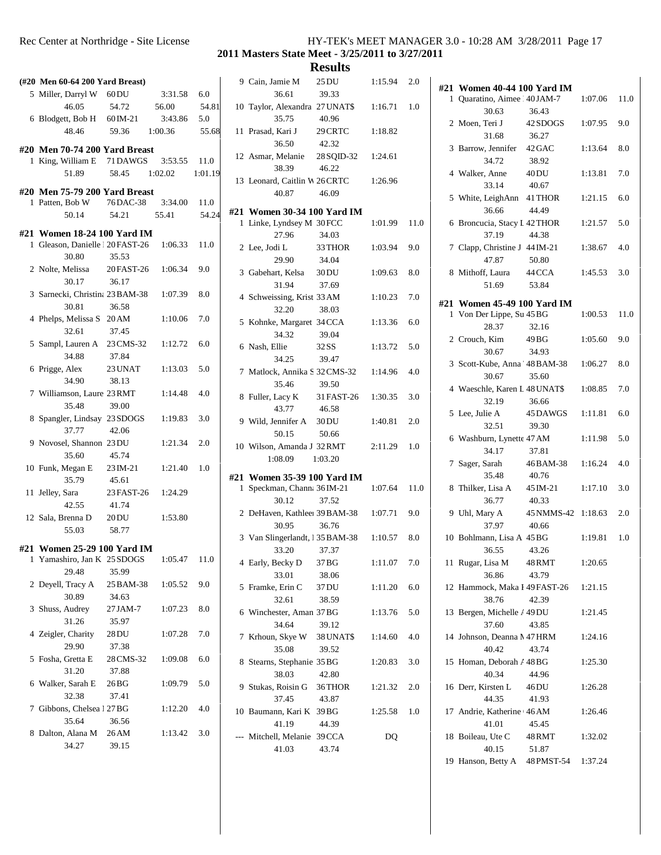| Rec Center at Northridge - Site License | HY-TEK's MEET MANAGER 3.0 - 10:28 AM 3/28/2011 Page 17 |  |
|-----------------------------------------|--------------------------------------------------------|--|
|                                         |                                                        |  |

| $(\#20 \text{ Men }60-64 \ 200 \ \text{Yard Breat})$                |                   |         |         | 90              |     |
|---------------------------------------------------------------------|-------------------|---------|---------|-----------------|-----|
| 5 Miller, Darryl W 60 DU                                            |                   | 3:31.58 | 6.0     |                 |     |
| 46.05                                                               | 54.72             | 56.00   | 54.81   | 10 7            |     |
| 6 Blodgett, Bob H $60$ IM-21                                        |                   | 3:43.86 | 5.0     |                 |     |
| 48.46                                                               | 59.36             | 1:00.36 | 55.68   | 11F             |     |
|                                                                     |                   |         |         |                 |     |
| #20 Men 70-74 200 Yard Breast<br>1 King, William E 71 DAWGS 3:53.55 |                   |         | 11.0    | 12 <sup>1</sup> |     |
| 51.89                                                               | 58.45 1:02.02     |         | 1:01.19 |                 |     |
|                                                                     |                   |         |         | 13 I            |     |
| #20 Men 75-79 200 Yard Breast                                       |                   |         |         |                 |     |
| 1 Patten, Bob W                                                     | 76 DAC-38 3:34.00 |         | 11.0    |                 |     |
| 50.14                                                               | 54.21             | 55.41   | 54.24   | #21 \           | 1 I |
| #21 Women 18-24 100 Yard IM                                         |                   |         |         |                 |     |
| 1 Gleason, Danielle 20 FAST-26 1:06.33                              |                   |         | 11.0    | 2I              |     |
| 30.80                                                               | 35.53             |         |         |                 |     |
| 2 Nolte, Melissa 20 FAST-26 1:06.34                                 |                   |         | 9.0     | 3 <sup>1</sup>  |     |
| 30.17                                                               | 36.17             |         |         |                 |     |
| 3 Sarnecki, Christina 23 BAM-38 1:07.39                             |                   |         | 8.0     | 4 S             |     |
| 30.81                                                               | 36.58             |         |         |                 |     |
| 4 Phelps, Melissa S 20 AM                                           |                   | 1:10.06 | 7.0     | 5 H             |     |
| 32.61                                                               | 37.45             |         |         |                 |     |
| 5 Sampl, Lauren A 23 CMS-32                                         |                   | 1:12.72 | 6.0     | 6 \             |     |
| 34.88                                                               | 37.84             |         |         |                 |     |
| 6 Prigge, Alex                                                      | 23 UNAT           | 1:13.03 | 5.0     | 7 N             |     |
| 34.90                                                               | 38.13             |         |         |                 |     |
| 7 Williamson, Laure 23 RMT                                          |                   | 1:14.48 | 4.0     | 8 F             |     |
| 35.48                                                               | 39.00             |         |         |                 |     |
| 8 Spangler, Lindsay 23 SDOGS                                        |                   | 1:19.83 | 3.0     | 91              |     |
| 37.77                                                               | 42.06             |         |         |                 |     |
| 9 Novosel, Shannon 23 DU                                            |                   | 1:21.34 | 2.0     | 10 V            |     |
| 35.60                                                               | 45.74             |         |         |                 |     |
| 10 Funk, Megan E 23 IM-21                                           |                   | 1:21.40 | 1.0     |                 |     |
| 35.79                                                               | 45.61             |         |         | #21             |     |
| 11 Jelley, Sara                                                     | 23 FAST-26        | 1:24.29 |         |                 | 1 S |
| 42.55                                                               | 41.74             |         |         |                 |     |
| 12 Sala, Brenna D 20DU                                              |                   | 1:53.80 |         | 2I              |     |
| 55.03                                                               | 58.77             |         |         |                 |     |
|                                                                     |                   |         |         | 3 J             |     |
| #21 Women 25-29 100 Yard IM<br>1 Yamashiro, Jan K 25 SDOGS          |                   | 1:05.47 | 11.0    |                 |     |
| 29.48                                                               | 35.99             |         |         | 4 I             |     |
| 2 Deyell, Tracy A                                                   | 25 BAM-38         | 1:05.52 | 9.0     |                 |     |
| 30.89                                                               | 34.63             |         |         | 5F              |     |
| 3 Shuss, Audrey                                                     | 27 JAM-7          | 1:07.23 | 8.0     |                 |     |
| 31.26                                                               | 35.97             |         |         | 6 <sup>1</sup>  |     |
| 4 Zeigler, Charity 28 DU                                            |                   | 1:07.28 | 7.0     | 7 <sub>1</sub>  |     |
| 29.90                                                               | 37.38             |         |         |                 |     |
| 5 Fosha, Gretta E 28 CMS-32                                         |                   | 1:09.08 | 6.0     |                 |     |
| 31.20                                                               | 37.88             |         |         | 8 S             |     |
| 6 Walker, Sarah E                                                   | 26 BG             | 1:09.79 | 5.0     | 95              |     |
| 32.38                                                               | 37.41             |         |         |                 |     |
| 7 Gibbons, Chelsea 1 27 BG                                          |                   | 1:12.20 | 4.0     | 10 F            |     |
| 35.64                                                               | 36.56             |         |         |                 |     |
| 8 Dalton, Alana M                                                   | 26 AM             | 1:13.42 | 3.0     | --- N           |     |
| 34.27                                                               | 39.15             |         |         |                 |     |
|                                                                     |                   |         |         |                 |     |

|   | 9 Cain, Jamie M<br>36.61                                            | 25 DU<br>39.33         | 1:15.94 | 2.0  | #21            |
|---|---------------------------------------------------------------------|------------------------|---------|------|----------------|
|   | 10 Taylor, Alexandra 27 UNAT\$<br>35.75                             | 40.96                  | 1:16.71 | 1.0  | 1              |
|   | 11 Prasad, Kari J 29 CRTC<br>36.50                                  | 42.32                  | 1:18.82 |      | 2              |
|   | 12 Asmar, Melanie 28 SQID-32<br>38.39                               | 46.22                  | 1:24.61 |      | 3              |
|   | 13 Leonard, Caitlin W 26 CRTC<br>40.87                              | 46.09                  | 1:26.96 |      | $\overline{4}$ |
|   |                                                                     |                        |         |      | 5              |
|   | #21 Women 30-34 100 Yard IM<br>1 Linke, Lyndsey M 30 FCC<br>27.96   | 34.03                  | 1:01.99 | 11.0 | 6              |
|   | 2 Lee, Jodi L<br>29.90                                              | 33 THOR<br>34.04       | 1:03.94 | 9.0  | 7              |
|   | 3 Gabehart, Kelsa 30 DU<br>31.94                                    | 37.69                  | 1:09.63 | 8.0  | 8              |
|   | 4 Schweissing, Krist 33 AM<br>32.20                                 | 38.03                  | 1:10.23 | 7.0  | #21<br>1       |
|   | 5 Kohnke, Margaret 34 CCA                                           |                        | 1:13.36 | 6.0  |                |
|   | 34.32<br>6 Nash, Ellie<br>34.25                                     | 39.04<br>32SS<br>39.47 | 1:13.72 | 5.0  | 2              |
|   | 7 Matlock, Annika S 32 CMS-32 1:14.96<br>35.46                      | 39.50                  |         | 4.0  | 3              |
|   | 8 Fuller, Lacy K 31 FAST-26 1:30.35<br>43.77                        | 46.58                  |         | 3.0  | $\overline{4}$ |
|   | 9 Wild, Jennifer A 30 DU<br>50.15                                   | 50.66                  | 1:40.81 | 2.0  | 5              |
|   | 10 Wilson, Amanda J 32 RMT<br>1:08.09                               | 1:03.20                | 2:11.29 | 1.0  | 6              |
|   |                                                                     |                        |         |      | 7              |
|   | #21 Women 35-39 100 Yard IM<br>1 Speckman, Channa 36 IM-21<br>30.12 | 37.52                  | 1:07.64 | 11.0 | 8              |
|   | 2 DeHaven, Kathlee 39 BAM-38 1:07.71<br>30.95                       | 36.76                  |         | 9.0  | 9              |
|   | 3 Van Slingerlandt, 135 BAM-38 1:10.57<br>33.20                     | 37.37                  |         | 8.0  | 10             |
|   | 4 Early, Becky D<br>33.01                                           | 37 BG<br>38.06         | 1:11.07 | 7.0  | 11             |
|   | 5 Framke, Erin C<br>32.61                                           | 37 DU<br>38.59         | 1:11.20 | 6.0  | 12             |
|   | 6 Winchester, Aman 37 BG<br>34.64                                   | 39.12                  | 1:13.76 | 5.0  | 13             |
| 7 | Krhoun, Skye W 38 UNAT\$<br>35.08                                   | 39.52                  | 1:14.60 | 4.0  | 14             |
|   | 8 Stearns, Stephanie 35 BG<br>38.03                                 | 42.80                  | 1:20.83 | 3.0  | 15             |
|   | 9 Stukas, Roisin G 36THOR<br>37.45                                  | 43.87                  | 1:21.32 | 2.0  | 16             |
|   | 10 Baumann, Kari K 39 BG<br>41.19                                   | 44.39                  | 1:25.58 | 1.0  | 17             |
|   | --- Mitchell, Melanie 39 CCA<br>41.03                               | 43.74                  | DQ      |      | 18             |
|   |                                                                     |                        |         |      | 19             |

| #21 Women 40-44 100 Yard IM           |                  |         |      |  |
|---------------------------------------|------------------|---------|------|--|
| 1 Quaratino, Aimee 40JAM-7            |                  | 1:07.06 | 11.0 |  |
| 30.63                                 | 36.43            |         |      |  |
| 2 Moen, Teri J 42 SDOGS 1:07.95       |                  |         | 9.0  |  |
| 31.68                                 | 36.27            |         |      |  |
| 3 Barrow, Jennifer 42 GAC             |                  | 1:13.64 | 8.0  |  |
| 34.72                                 | 38.92            |         |      |  |
| 4 Walker, Anne                        | 40 DU            | 1:13.81 | 7.0  |  |
| 33.14                                 | 40.67            |         |      |  |
| 5 White, LeighAnn 41 THOR             |                  | 1:21.15 | 6.0  |  |
| 36.66                                 | 44.49            |         |      |  |
| 6 Broncucia, Stacy I 42 THOR          |                  | 1:21.57 | 5.0  |  |
| 37.19                                 | 44.38            |         |      |  |
| 7 Clapp, Christine J 44 IM-21         |                  | 1:38.67 | 4.0  |  |
| 47.87                                 | 50.80            |         |      |  |
| 8 Mithoff, Laura 44 CCA               |                  | 1:45.53 | 3.0  |  |
| 51.69                                 | 53.84            |         |      |  |
|                                       |                  |         |      |  |
| #21 Women 45-49 100 Yard IM           |                  |         |      |  |
| 1 Von Der Lippe, Su 45 BG             |                  | 1:00.53 | 11.0 |  |
| 28.37                                 | 32.16            |         |      |  |
| 2 Crouch, Kim 49BG                    |                  | 1:05.60 | 9.0  |  |
| 30.67                                 | 34.93            |         |      |  |
| 3 Scott-Kube, Anna 48BAM-38 1:06.27   |                  |         | 8.0  |  |
| 30.67                                 | 35.60            |         |      |  |
| 4 Waeschle, Karen L 48 UNAT\$ 1:08.85 |                  |         | 7.0  |  |
| 32.19                                 | 36.66            |         |      |  |
| 5 Lee, Julie A 45 DAWGS 1:11.81       |                  |         | 6.0  |  |
| 32.51                                 | 39.30            |         |      |  |
| 6 Washburn, Lynette 47 AM             |                  | 1:11.98 | 5.0  |  |
| 34.17                                 | 37.81            |         |      |  |
| 7 Sager, Sarah                        | 46BAM-38 1:16.24 |         | 4.0  |  |
| 35.48                                 | 40.76            |         |      |  |
| 8 Thilker, Lisa A 45 IM-21 1:17.10    |                  |         | 3.0  |  |
| 36.77                                 | 40.33            |         |      |  |
| 9 Uhl, Mary A 45 NMMS-42 1:18.63      |                  |         | 2.0  |  |
| 37.97                                 | 40.66            |         |      |  |
| 10 Bohlmann, Lisa A 45 BG             |                  | 1:19.81 | 1.0  |  |
| 36.55                                 | 43.26            |         |      |  |
| 11 Rugar, Lisa M 48 RMT               |                  | 1:20.65 |      |  |
| 36.86                                 | 43.79            |         |      |  |
| 12 Hammock, Maka I 49 FAST-26         |                  | 1:21.15 |      |  |
| 38.76                                 | 42.39            |         |      |  |
| 13 Bergen, Michelle / 49DU            |                  | 1:21.45 |      |  |
| 37.60                                 | 43.85            |         |      |  |
| 14 Johnson, Deanna M47 HRM            |                  | 1:24.16 |      |  |
| 40.42                                 | 43.74            |         |      |  |
| 15 Homan, Deborah / 48 BG             |                  | 1:25.30 |      |  |
| 40.34                                 | 44.96            |         |      |  |
| 16 Derr, Kirsten L 46DU               |                  | 1:26.28 |      |  |
| 44.35                                 | 41.93            |         |      |  |
| 17 Andrie, Katherine 46 AM            |                  | 1:26.46 |      |  |
| 41.01                                 | 45.45            |         |      |  |
| 18 Boileau, Ute C                     | 48 RMT           | 1:32.02 |      |  |
| 40.15                                 | 51.87            |         |      |  |
| 19 Hanson, Betty A 48 PMST-54 1:37.24 |                  |         |      |  |
|                                       |                  |         |      |  |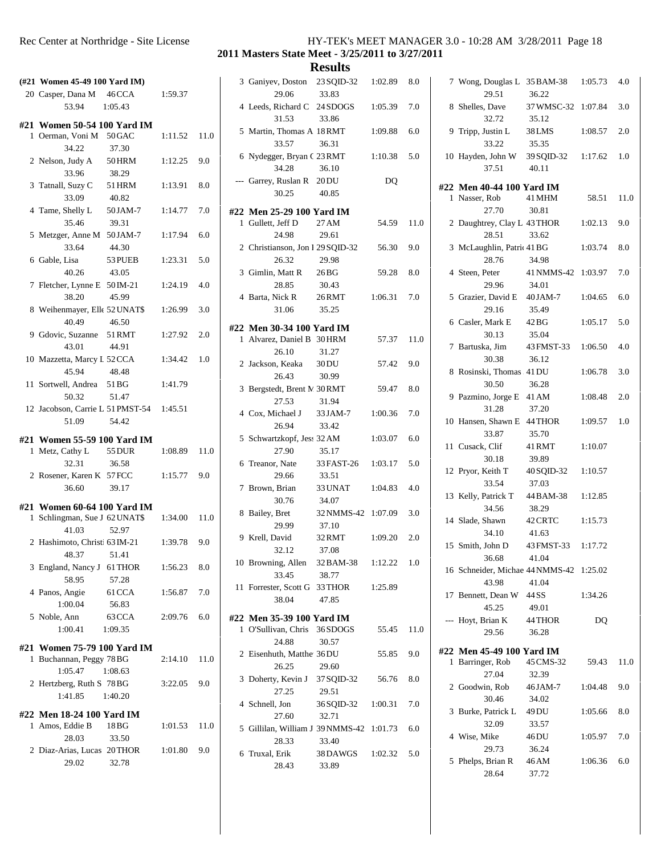| Rec Center at Northridge - Site License |  | HY-TEK's MEET MANAGER 3.0 - 10:28 AM 3/28/2011 Page 18 |  |
|-----------------------------------------|--|--------------------------------------------------------|--|
|                                         |  |                                                        |  |

| (#21 Women 45-49 100 Yard IM)                           |                            |         |      |       | 3 Ga            |
|---------------------------------------------------------|----------------------------|---------|------|-------|-----------------|
| 20 Casper, Dana M 46 CCA<br>53.94                       | 1:05.43                    | 1:59.37 |      |       | 4 Le            |
| #21 Women 50-54 100 Yard IM                             |                            |         |      |       |                 |
| 1 Oerman, Voni M 50 GAC<br>34.22                        | 37.30                      | 1:11.52 | 11.0 |       | $5$ Ma          |
| 2 Nelson, Judy A 50 HRM<br>33.96                        | 38.29                      | 1:12.25 | 9.0  |       | 6 Ny            |
| 3 Tatnall, Suzy C<br>33.09                              | 51 HRM<br>40.82            | 1:13.91 | 8.0  |       | --- Ga          |
| 4 Tame, Shelly L<br>35.46                               | 50 JAM-7<br>39.31          | 1:14.77 | 7.0  | #22 M | $1$ Gu          |
| 5 Metzger, Anne M 50JAM-7<br>33.64                      | 44.30                      | 1:17.94 | 6.0  |       | 2 Ch            |
| 6 Gable, Lisa<br>40.26                                  | 53 PUEB<br>43.05           | 1:23.31 | 5.0  |       | $3$ Gi          |
| 7 Fletcher, Lynne E 50 IM-21<br>38.20                   | 45.99                      | 1:24.19 | 4.0  |       | 4 Ba            |
| 8 Weihenmayer, Elle 52 UNAT\$<br>40.49                  | 46.50                      | 1:26.99 | 3.0  |       |                 |
| 9 Gdovic, Suzanne<br>43.01                              | 51 RMT<br>44.91            | 1:27.92 | 2.0  | #22 M | 1 Al            |
| 10 Mazzetta, Marcy L 52 CCA<br>45.94                    | 48.48                      | 1:34.42 | 1.0  |       | $2$ Jac         |
| 11 Sortwell, Andrea 51 BG<br>50.32                      | 51.47                      | 1:41.79 |      |       | 3 Be            |
| 12 Jacobson, Carrie L 51 PMST-54 1:45.51<br>51.09       | 54.42                      |         |      |       | 4 Co            |
|                                                         |                            |         |      |       |                 |
| #21 Women 55-59 100 Yard IM<br>1 Metz, Cathy L 55 DUR   |                            | 1:08.89 | 11.0 |       | 5 Scl           |
| 32.31                                                   | 36.58                      |         |      |       | $6$ Tro         |
| 2 Rosener, Karen K 57 FCC<br>36.60                      | 39.17                      | 1:15.77 | 9.0  |       | 7 <sub>Br</sub> |
|                                                         |                            |         |      |       |                 |
| #21 Women 60-64 100 Yard IM                             |                            |         |      |       |                 |
| 1 Schlingman, Sue J 62 UNAT\$                           |                            | 1:34.00 | 11.0 | 8 Ba  |                 |
| 41.03<br>2 Hashimoto, Christ 63 IM-21                   | 52.97                      | 1:39.78 | 9.0  |       | 9 Kr            |
| 48.37<br>3 England, Nancy J 61 THOR                     | 51.41                      | 1:56.23 | 8.0  |       | 10 Br           |
| 58.95<br>4 Panos, Angie                                 | 57.28<br>61 CCA            | 1:56.87 | 7.0  |       | 11 Fo:          |
| 1:00.04<br>5 Noble, Ann<br>1:00.41                      | 56.83<br>63 CCA<br>1:09.35 | 2:09.76 | 6.0  | #22 M | 1 O'S           |
|                                                         |                            |         |      |       |                 |
| #21 Women 75-79 100 Yard IM<br>1 Buchannan, Peggy 78 BG |                            | 2:14.10 | 11.0 |       | 2 Eis           |
| 1:05.47<br>2 Hertzberg, Ruth S 78 BG<br>1:41.85         | 1:08.63<br>1:40.20         | 3:22.05 | 9.0  |       | $3$ Do          |
|                                                         |                            |         |      |       | 4 Scl           |
| #22 Men 18-24 100 Yard IM<br>1 Amos, Eddie B            | 18 BG                      | 1:01.53 | 11.0 |       | 5 Gil           |
| 28.03<br>2 Diaz-Arias, Lucas 20THOR<br>29.02            | 33.50<br>32.78             | 1:01.80 | 9.0  |       | 6 Tn            |

|   | 3 Ganiyev, Doston 23 SQID-32<br>29.06                   | 33.83                       | 1:02.89 | 8.0  | 7              |
|---|---------------------------------------------------------|-----------------------------|---------|------|----------------|
|   | 4 Leeds, Richard C 24 SDOGS<br>31.53                    | 33.86                       | 1:05.39 | 7.0  | 8              |
|   | 5 Martin, Thomas A 18 RMT<br>33.57                      | 36.31                       | 1:09.88 | 6.0  | 9              |
|   | 6 Nydegger, Bryan C 23 RMT<br>34.28                     | 36.10                       | 1:10.38 | 5.0  | 10             |
|   | Garrey, Ruslan R 20DU<br>30.25                          | 40.85                       | DO      |      | #22            |
|   |                                                         |                             |         |      | 1              |
| 1 | #22 Men 25-29 100 Yard IM<br>Gullett, Jeff D<br>24.98   | 27 AM<br>29.61              | 54.59   | 11.0 | 2              |
|   | 2 Christianson, Jon I 29 SQID-32<br>26.32               | 29.98                       | 56.30   | 9.0  | 3              |
|   | 3 Gimlin, Matt R 26BG<br>28.85                          | 30.43                       | 59.28   | 8.0  | $\overline{4}$ |
|   | 4 Barta, Nick R 26 RMT<br>31.06                         | 35.25                       | 1:06.31 | 7.0  | 5              |
|   |                                                         |                             |         |      | 6              |
|   | #22 Men 30-34 100 Yard IM<br>1 Alvarez, Daniel B 30 HRM |                             | 57.37   | 11.0 | 7              |
|   | 26.10<br>2 Jackson, Keaka 30DU                          | 31.27                       | 57.42   | 9.0  | 8              |
|   | 26.43<br>3 Bergstedt, Brent M 30 RMT                    | 30.99                       | 59.47   | 8.0  | 9              |
|   | 27.53<br>4 Cox, Michael J 33 JAM-7                      | 31.94                       | 1:00.36 | 7.0  | 10             |
|   | 26.94<br>5 Schwartzkopf, Jess 32 AM                     | 33.42                       | 1:03.07 | 6.0  | 11             |
|   | 27.90<br>6 Treanor, Nate                                | 35.17<br>33 FAST-26 1:03.17 |         | 5.0  | 12             |
|   | 29.66<br>7 Brown, Brian                                 | 33.51<br>33 UNAT 1:04.83    |         | 4.0  | 13             |
|   | 30.76<br>8 Bailey, Bret                                 | 34.07<br>32 NMMS-42 1:07.09 |         | 3.0  | 14             |
|   | 29.99<br>9 Krell, David 32 RMT                          | 37.10<br>37.08              | 1:09.20 | 2.0  | 15             |
|   | 32.12<br>10 Browning, Allen 32 BAM-38<br>33.45          | 38.77                       | 1:12.22 | 1.0  | 16             |
|   | 11 Forrester, Scott G 33 THOR<br>38.04                  | 47.85                       | 1:25.89 |      | 17             |
|   |                                                         |                             |         |      |                |
| 1 | #22 Men 35-39 100 Yard IM<br>O'Sullivan, Chris 36 SDOGS |                             | 55.45   | 11.0 |                |
|   | 24.88<br>2 Eisenhuth, Matthe 36 DU                      | 30.57<br>29.60              | 55.85   | 9.0  | #22<br>1       |
|   | 26.25<br>3 Doherty, Kevin J 37 SQID-32 56.76<br>27.25   | 29.51                       |         | 8.0  | 2              |
|   | 4 Schnell, Jon 36 SQID-32 1:00.31<br>27.60              | 32.71                       |         | 7.0  | 3              |
|   | 5 Gillilan, William J 39 NMMS-42 1:01.73<br>28.33       | 33.40                       |         | 6.0  | 4              |
|   | 6 Truxal, Erik<br>28.43                                 | 38 DAWGS<br>33.89           | 1:02.32 | 5.0  | 5              |
|   |                                                         |                             |         |      |                |

| 7 Wong, Douglas L 35 BAM-38 1:05.73 4.0<br>29.51        | 36.22         |         |      |
|---------------------------------------------------------|---------------|---------|------|
| 8 Shelles, Dave 37 WMSC-32 1:07.84<br>32.72             | 35.12         |         | 3.0  |
| 9 Tripp, Justin L 38 LMS 1:08.57 2.0<br>33.22           | 35.35         |         |      |
| 10 Hayden, John W 39 SQID-32 1:17.62 1.0<br>37.51       | 40.11         |         |      |
|                                                         |               |         |      |
| #22 Men 40-44 100 Yard IM<br>1 Nasser, Rob 41 MHM 58.51 |               |         | 11.0 |
| 27.70 30.81                                             |               |         |      |
| 2 Daughtrey, Clay L 43 THOR 1:02.13<br>28.51            | 33.62         |         | 9.0  |
| 3 McLaughlin, Patric 41 BG 1:03.74                      |               |         | 8.0  |
|                                                         |               |         |      |
| 28.76 34.98<br>4 Steen, Peter 41 NMMS-42 1:03.97        |               |         | 7.0  |
| 29.96                                                   | 34.01         |         |      |
| 5 Grazier, David E 40JAM-7 1:04.65                      |               |         | 6.0  |
| 29.16 35.49                                             |               |         |      |
| 6 Casler, Mark E 42 BG 1:05.17                          |               |         | 5.0  |
| 30.13                                                   | 35.04         |         |      |
| 7 Bartuska, Jim 43 FMST-33 1:06.50                      |               |         | 4.0  |
| 30.38 36.12                                             |               |         |      |
| 8 Rosinski, Thomas 41 DU 1:06.78                        |               |         | 3.0  |
| 30.50                                                   | 36.28         |         |      |
| 9 Pazmino, Jorge E 41 AM                                |               | 1:08.48 | 2.0  |
| 31.28                                                   | 37.20         |         |      |
| 10 Hansen, Shawn E 44 THOR 1:09.57                      |               |         | 1.0  |
| 33.87                                                   | 35.70         |         |      |
| 11 Cusack, Clif                                         | <b>41 RMT</b> | 1:10.07 |      |
| 30.18<br>12 Pryor, Keith T 40SQID-32 1:10.57            | 39.89         |         |      |
| 33.54                                                   | 37.03         |         |      |
| 13 Kelly, Patrick T 44 BAM-38 1:12.85                   |               |         |      |
| 34.56                                                   | 38.29         |         |      |
| 14 Slade, Shawn 42 CRTC 1:15.73                         |               |         |      |
| 34.10                                                   | 41.63         |         |      |
| 15 Smith, John D 43 FMST-33 1:17.72                     |               |         |      |
| 36.68                                                   | 41.04         |         |      |
| 16 Schneider, Michae 44 NMMS-42 1:25.02                 |               |         |      |
| 43.98                                                   | 41.04         |         |      |
| 17 Bennett, Dean W 44 SS                                |               | 1:34.26 |      |
| 45.25                                                   | 49.01         |         |      |
| --- Hoyt, Brian K                                       | 44 THOR       | DQ      |      |
| 29.56                                                   | 36.28         |         |      |
| #22 Men 45-49 100 Yard IM                               |               |         |      |
| 1 Barringer, Rob                                        | 45 CMS-32     | 59.43   | 11.0 |
| 27.04                                                   | 32.39         |         |      |
| 2 Goodwin, Rob                                          | 46 JAM-7      | 1:04.48 | 9.0  |
| 30.46                                                   | 34.02         |         |      |
| 3 Burke, Patrick L 49DU                                 |               | 1:05.66 | 8.0  |
| 32.09                                                   | 33.57         |         |      |
| 4 Wise, Mike                                            | 46 DU         | 1:05.97 | 7.0  |
| 29.73                                                   | 36.24         |         |      |
| 5 Phelps, Brian R 46 AM<br>28.64                        | 37.72         | 1:06.36 | 6.0  |
|                                                         |               |         |      |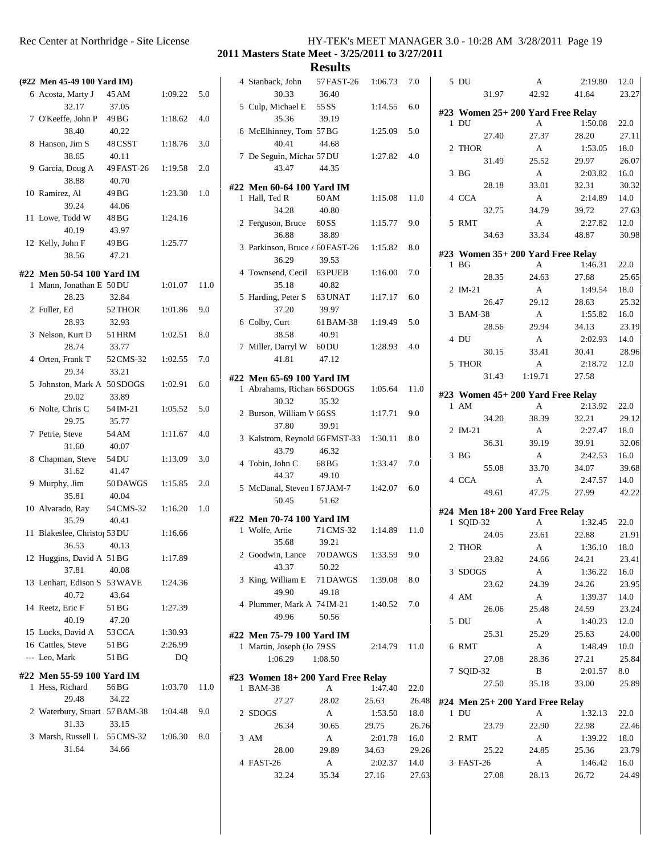**2011 Masters State Meet - 3/25/2011 to 3/27/2011**

| (#22 Men 45-49 100 Yard IM)              |            |         |      | 4 Stanback,                |
|------------------------------------------|------------|---------|------|----------------------------|
| 6 Acosta, Marty J                        | 45 AM      | 1:09.22 | 5.0  | 30                         |
| 32.17                                    | 37.05      |         |      | 5 Culp, Mic                |
| 7 O'Keeffe, John P                       | 49 BG      | 1:18.62 | 4.0  | 35                         |
| 38.40                                    | 40.22      |         |      | 6 McElhinn                 |
| 8 Hanson, Jim S                          | 48 CSST    | 1:18.76 | 3.0  | 40                         |
| 38.65                                    | 40.11      |         |      | 7 De Seguir                |
| 9 Garcia, Doug A                         | 49 FAST-26 | 1:19.58 | 2.0  | 43                         |
| 38.88                                    | 40.70      |         |      |                            |
| 10 Ramirez, Al                           | 49 BG      | 1:23.30 | 1.0  | #22 Men 60-                |
| 39.24                                    | 44.06      |         |      | 1 Hall, Ted                |
| 11 Lowe, Todd W                          | 48 BG      | 1:24.16 |      | 34                         |
| 40.19                                    | 43.97      |         |      | 2 Ferguson,                |
| 12 Kelly, John F                         | 49 BG      | 1:25.77 |      | 36                         |
| 38.56                                    | 47.21      |         |      | 3 Parkinson                |
|                                          |            |         |      | 36                         |
| #22 Men 50-54 100 Yard IM                |            |         |      | 4 Townsend                 |
| 1 Mann, Jonathan E 50 DU                 |            | 1:01.07 | 11.0 | 35                         |
| 28.23                                    | 32.84      |         |      | 5 Harding, l               |
| 2 Fuller, Ed                             | 52 THOR    | 1:01.86 | 9.0  | 37                         |
| 28.93                                    | 32.93      |         |      | 6 Colby, Cu                |
| 3 Nelson, Kurt D                         | 51 HRM     | 1:02.51 | 8.0  | 38                         |
| 28.74                                    | 33.77      |         |      | 7 Miller, Da               |
| 4 Orten, Frank T                         | 52 CMS-32  | 1:02.55 | 7.0  | 41                         |
| 29.34                                    | 33.21      |         |      | #22 Men 65-                |
| 5 Johnston, Mark A 50 SDOGS              |            | 1:02.91 | 6.0  | 1 Abrahams                 |
| 29.02                                    | 33.89      |         |      | 30                         |
| 6 Nolte, Chris C                         | 54 IM-21   | 1:05.52 | 5.0  | 2 Burson, V                |
| 29.75                                    | 35.77      |         |      | 37                         |
| 7 Petrie, Steve                          | 54 AM      | 1:11.67 | 4.0  | 3 Kalstrom,                |
| 31.60                                    | 40.07      |         |      | 43                         |
| 8 Chapman, Steve                         | 54 DU      | 1:13.09 | 3.0  | 4 Tobin, Jol               |
| 31.62                                    | 41.47      |         |      | 44                         |
| 9 Murphy, Jim                            | 50DAWGS    | 1:15.85 | 2.0  | 5 McDanal,                 |
| 35.81                                    | 40.04      |         |      | 50                         |
| 10 Alvarado, Ray                         | 54 CMS-32  | 1:16.20 | 1.0  |                            |
| 35.79                                    | 40.41      |         |      | #22 Men 70-<br>1 Wolfe, Ar |
| 11 Blakeslee, Christo <sub>1</sub> 53 DU |            | 1:16.66 |      | 35                         |
| 36.53                                    | 40.13      |         |      | 2 Goodwin,                 |
| 12 Huggins, David A 51 BG                |            | 1:17.89 |      | 43                         |
| 37.81                                    | 40.08      |         |      | 3 King, Wil                |
| 13 Lenhart, Edison S 53 WAVE             |            | 1:24.36 |      | 49                         |
| 40.72                                    | 43.64      |         |      | 4 Plummer,                 |
| 14 Reetz, Eric F                         | 51 BG      | 1:27.39 |      | 49                         |
| 40.19                                    | 47.20      |         |      |                            |
| 15 Lucks, David A                        | 53 CCA     | 1:30.93 |      | #22 Men 75-                |
| 16 Cattles, Steve                        | 51 BG      | 2:26.99 |      | 1 Martin, Jo               |
| --- Leo, Mark                            | 51 BG      | DQ      |      | 1:06                       |
| #22 Men 55-59 100 Yard IM                |            |         |      | #23 Women                  |
| 1 Hess, Richard                          | 56 BG      | 1:03.70 | 11.0 | 1 BAM-38                   |
| 29.48                                    | 34.22      |         |      | 27                         |
| 2 Waterbury, Stuart 57 BAM-38            |            | 1:04.48 | 9.0  | 2 SDOGS                    |
| 31.33                                    | 33.15      |         |      | 26                         |
| 3 Marsh, Russell L 55 CMS-32             |            | 1:06.30 | 8.0  | 3 AM                       |
| 31.64                                    | 34.66      |         |      | 28                         |
|                                          |            |         |      | 4 FAST-26                  |
|                                          |            |         |      | 22                         |

| 4 Stanback, John 57 FAST-26 1:06.73                     |                   |                  | 7.0           | 5 <sub>l</sub>             |
|---------------------------------------------------------|-------------------|------------------|---------------|----------------------------|
| 30.33                                                   | 36.40             |                  |               |                            |
| 5 Culp, Michael E 55 SS                                 |                   | 1:14.55          | 6.0           | #23 \                      |
| 35.36                                                   | 39.19             |                  |               | 1 <sub>L</sub>             |
| 6 McElhinney, Tom 57BG<br>40.41                         | 44.68             | 1:25.09          | 5.0           |                            |
| 7 De Seguin, Michae 57 DU                               |                   | 1:27.82          | 4.0           | 2 <sub>1</sub>             |
| 43.47                                                   | 44.35             |                  |               |                            |
|                                                         |                   |                  |               | 3 H                        |
| #22 Men 60-64 100 Yard IM<br>1 Hall, Ted R              | 60 AM             | 1:15.08          | 11.0          | 4 0                        |
| 34.28                                                   | 40.80             |                  |               |                            |
| 2 Ferguson, Bruce 60 SS                                 |                   | 1:15.77          | 9.0           | 5 F                        |
| 36.88                                                   | 38.89             |                  |               |                            |
| 3 Parkinson, Bruce / 60 FAST-26 1:15.82                 |                   |                  | 8.0           | #23 \                      |
| 36.29                                                   | 39.53             |                  |               | 1 F                        |
| 4 Townsend, Cecil 63 PUEB                               |                   | 1:16.00          | 7.0           |                            |
| 35.18                                                   | 40.82             |                  |               | 2I                         |
| 5 Harding, Peter S 63 UNAT                              |                   | 1:17.17          | 6.0           |                            |
| 37.20                                                   | 39.97             |                  |               | 3F                         |
| 6 Colby, Curt                                           | 61 BAM-38 1:19.49 |                  | 5.0           |                            |
| 38.58<br>7 Miller, Darryl W 60 DU                       | 40.91             | 1:28.93          | 4.0           | 4 I                        |
| 41.81                                                   | 47.12             |                  |               |                            |
|                                                         |                   |                  |               | 5 T                        |
| #22 Men 65-69 100 Yard IM                               |                   |                  |               |                            |
| 1 Abrahams, Richard 66 SDOGS<br>30.32                   | 35.32             | 1:05.64          | 11.0          | #23 I                      |
| 2 Burson, William W 66 SS                               |                   | 1:17.71          | 9.0           | $1 \neq$                   |
| 37.80                                                   | 39.91             |                  |               |                            |
| 3 Kalstrom, Reynold 66 FMST-33 1:30.11                  |                   |                  | 8.0           | 2I                         |
| 43.79                                                   | 46.32             |                  |               | 3F                         |
| 4 Tobin, John C 68 BG                                   |                   | 1:33.47          | 7.0           |                            |
| 44.37                                                   | 49.10             |                  |               | 4 (                        |
| 5 McDanal, Steven I 67 JAM-7                            |                   | 1:42.07          | 6.0           |                            |
| 50.45                                                   | 51.62             |                  |               |                            |
| #22 Men 70-74 100 Yard IM                               |                   |                  |               | #24 I<br>1 S               |
| 1 Wolfe, Artie                                          | 71 CMS-32 1:14.89 |                  | 11.0          |                            |
| 35.68                                                   | 39.21             |                  |               | 2 <sub>1</sub>             |
| 2 Goodwin, Lance 70 DAWGS 1:33.59 9.0                   |                   |                  |               |                            |
| 43.37                                                   | 50.22             |                  |               | 3S                         |
| 3 King, William E 71 DAWGS<br>49.90                     | 49.18             | 1:39.08          | 8.0           |                            |
| 4 Plummer, Mark A 74 IM-21                              |                   | 1:40.52          | 7.0           | 4f                         |
| 49.96                                                   | 50.56             |                  |               |                            |
|                                                         |                   |                  |               | 5 I                        |
| #22 Men 75-79 100 Yard IM<br>1 Martin, Joseph (Jo 79 SS |                   | 2:14.79          | 11.0          | 6 F                        |
| 1:06.29                                                 | 1:08.50           |                  |               |                            |
|                                                         |                   |                  |               | 7 S                        |
| #23 Women 18+200 Yard Free Relay                        |                   |                  |               |                            |
| 1 BAM-38<br>27.27                                       | A<br>28.02        | 1:47.40<br>25.63 | 22.0<br>26.48 |                            |
| 2 SDOGS                                                 | А                 | 1:53.50          | 18.0          | #24 1<br>$1 \; \mathrm{I}$ |
| 26.34                                                   | 30.65             | 29.75            | 26.76         |                            |
| 3 AM                                                    | A                 | 2:01.78          | 16.0          | 2 F                        |
| 28.00                                                   | 29.89             | 34.63            | 29.26         |                            |
|                                                         |                   |                  |               |                            |
| 4 FAST-26                                               | A                 | 2:02.37          | 14.0          | 3 F                        |
| 32.24                                                   | 35.34             | 27.16            | 27.63         |                            |

| 5 DU            |       | А                                      | 2:19.80 | 12.0  |
|-----------------|-------|----------------------------------------|---------|-------|
|                 | 31.97 | 42.92                                  | 41.64   | 23.27 |
|                 |       |                                        |         |       |
| $1$ DU          |       | #23 Women 25+ 200 Yard Free Relay<br>A | 1:50.08 | 22.0  |
|                 | 27.40 | 27.37                                  | 28.20   | 27.11 |
| 2 THOR          |       | A                                      | 1:53.05 | 18.0  |
|                 | 31.49 | 25.52                                  | 29.97   | 26.07 |
| 3 <sub>BG</sub> |       | A                                      | 2:03.82 | 16.0  |
|                 | 28.18 | 33.01                                  | 32.31   | 30.32 |
| 4 CCA           |       | A                                      | 2:14.89 | 14.0  |
|                 | 32.75 | 34.79                                  | 39.72   | 27.63 |
| 5 RMT           |       | A                                      | 2:27.82 | 12.0  |
|                 | 34.63 | 33.34                                  | 48.87   | 30.98 |
|                 |       |                                        |         |       |
|                 |       | #23 Women 35+ 200 Yard Free Relay      |         |       |
| $1$ BG          |       | A                                      | 1:46.31 | 22.0  |
|                 | 28.35 | 24.63                                  | 27.68   | 25.65 |
| 2 IM-21         |       | A                                      | 1:49.54 | 18.0  |
|                 | 26.47 | 29.12                                  | 28.63   | 25.32 |
| 3 BAM-38        |       | A                                      | 1:55.82 | 16.0  |
|                 | 28.56 | 29.94                                  | 34.13   | 23.19 |
| 4 DU            |       | A                                      | 2:02.93 | 14.0  |
|                 | 30.15 | 33.41                                  | 30.41   | 28.96 |
| 5 THOR          |       | A                                      | 2:18.72 | 12.0  |
|                 | 31.43 | 1:19.71                                | 27.58   |       |
|                 |       | #23 Women 45+ 200 Yard Free Relay      |         |       |
| 1 AM            |       | A                                      | 2:13.92 | 22.0  |
|                 | 34.20 | 38.39                                  | 32.21   | 29.12 |
| 2 IM-21         |       | A                                      | 2:27.47 | 18.0  |
|                 | 36.31 | 39.19                                  | 39.91   | 32.06 |
| 3 <sub>BG</sub> |       | A                                      | 2:42.53 | 16.0  |
|                 | 55.08 | 33.70                                  | 34.07   | 39.68 |
| 4 CCA           |       | A                                      | 2:47.57 | 14.0  |
|                 | 49.61 | 47.75                                  | 27.99   | 42.22 |
|                 |       | #24 Men 18+ 200 Yard Free Relay        |         |       |
| 1 SQID-32       |       | A                                      | 1:32.45 | 22.0  |
|                 | 24.05 | 23.61                                  | 22.88   | 21.91 |
| 2 THOR          |       | A                                      | 1:36.10 | 18.0  |
|                 | 23.82 | 24.66                                  | 24.21   | 23.41 |
| 3 SDOGS         |       | A                                      | 1:36.22 | 16.0  |
|                 | 23.62 | 24.39                                  | 24.26   | 23.95 |
| 4 AM            |       | A                                      | 1:39.37 | 14.0  |
|                 | 26.06 | 25.48                                  | 24.59   | 23.24 |
| 5 DU            |       | A                                      | 1:40.23 | 12.0  |
|                 | 25.31 | 25.29                                  | 25.63   | 24.00 |
| 6 RMT           |       | A                                      | 1:48.49 | 10.0  |
|                 | 27.08 | 28.36                                  | 27.21   | 25.84 |
| 7 SQID-32       |       | B                                      | 2:01.57 | 8.0   |
|                 | 27.50 | 35.18                                  | 33.00   | 25.89 |
|                 |       | #24 Men 25+ 200 Yard Free Relay        |         |       |
| 1 DU            |       | А                                      | 1:32.13 | 22.0  |
|                 | 23.79 | 22.90                                  | 22.98   | 22.46 |
| 2 RMT           |       | A                                      | 1:39.22 | 18.0  |
|                 | 25.22 | 24.85                                  | 25.36   | 23.79 |
| 3 FAST-26       |       | A                                      | 1:46.42 | 16.0  |
|                 | 27.08 | 28.13                                  | 26.72   | 24.49 |
|                 |       |                                        |         |       |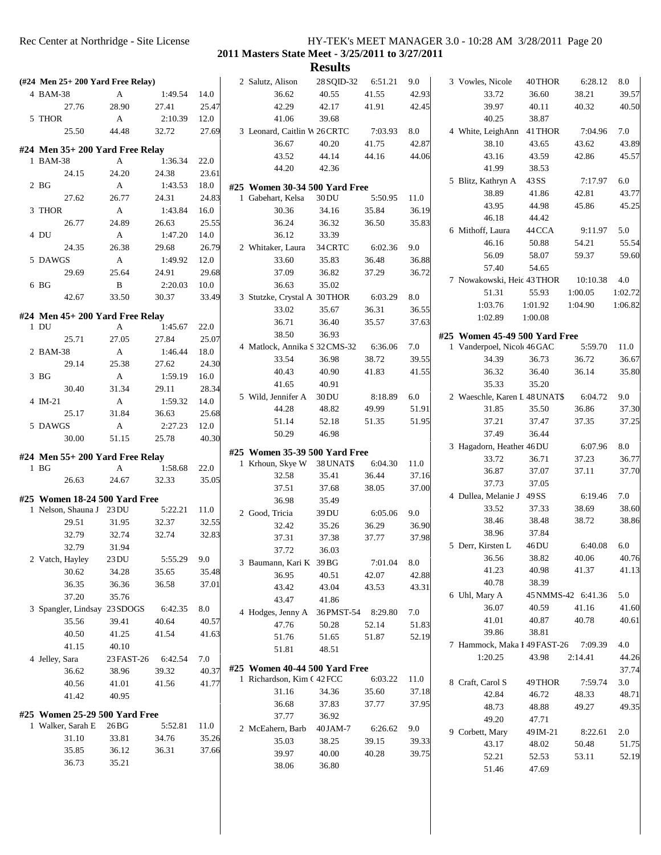**2011 Masters State Meet - 3/25/2011 to 3/27/2011**

| $(\text{\#24}$ Men 25+ 200 Yard Free Relay) |                  |         |         | 2 Salutz, Alison                                            | 28 SQID-32     | 6:51.21        | 9.0            | 3 Vowles, Nicole              | 40 THOR        | 6:28.12            | 8.0                                                         |
|---------------------------------------------|------------------|---------|---------|-------------------------------------------------------------|----------------|----------------|----------------|-------------------------------|----------------|--------------------|-------------------------------------------------------------|
| 4 BAM-38                                    | A                | 1:49.54 | 14.0    | 36.62                                                       | 40.55          | 41.55          | 42.93          | 33.72                         | 36.60          | 38.21              | 39.57                                                       |
| 27.76                                       | 28.90            | 27.41   | 25.47   | 42.29                                                       | 42.17          | 41.91          | 42.45          | 39.97                         | 40.11          | 40.32              | 40.50                                                       |
| 5 THOR                                      | $\mathbf{A}$     | 2:10.39 | 12.0    | 41.06                                                       | 39.68          |                |                | 40.25                         | 38.87          |                    |                                                             |
| 25.50                                       | 44.48            | 32.72   | 27.69   | 3 Leonard, Caitlin W 26 CRTC                                |                | 7:03.93        | 8.0            | 4 White, LeighAnn             | 41 THOR        | 7:04.96            | 7.0                                                         |
| $#24$ Men $35+200$ Yard Free Relay          |                  |         |         | 36.67                                                       | 40.20          | 41.75          | 42.87          | 38.10                         | 43.65          | 43.62              | 43.89                                                       |
| 1 BAM-38                                    | A                | 1:36.34 | 22.0    | 43.52                                                       | 44.14          | 44.16          | 44.06          | 43.16                         | 43.59          | 42.86              | 45.57                                                       |
| 24.15                                       | 24.20            | 24.38   | 23.61   | 44.20                                                       | 42.36          |                |                | 41.99                         | 38.53          |                    |                                                             |
| 2 <sub>BG</sub>                             | A                | 1:43.53 | 18.0    | #25 Women 30-34 500 Yard Free                               |                |                |                | 5 Blitz, Kathryn A            | 43 SS          | 7:17.97            | 6.0                                                         |
| 27.62                                       | 26.77            | 24.31   | 24.83   | 1 Gabehart, Kelsa                                           | 30 DU          | 5:50.95        | 11.0           | 38.89                         | 41.86          | 42.81              | 43.77                                                       |
| 3 THOR                                      | A                | 1:43.84 | 16.0    | 30.36                                                       | 34.16          | 35.84          | 36.19          | 43.95                         | 44.98          | 45.86              | 45.25                                                       |
| 26.77                                       | 24.89            | 26.63   | 25.55   | 36.24                                                       | 36.32          | 36.50          | 35.83          | 46.18                         | 44.42          |                    |                                                             |
| 4 DU                                        | A                | 1:47.20 | 14.0    | 36.12                                                       | 33.39          |                |                | 6 Mithoff, Laura              | 44 CCA         | 9:11.97            | 5.0                                                         |
| 24.35                                       | 26.38            | 29.68   | 26.79   | 2 Whitaker, Laura                                           | 34 CRTC        | 6:02.36        | 9.0            | 46.16                         | 50.88          | 54.21              | 55.54                                                       |
| 5 DAWGS                                     | A                | 1:49.92 | 12.0    | 33.60                                                       | 35.83          | 36.48          | 36.88          | 56.09                         | 58.07          | 59.37              | 59.60                                                       |
| 29.69                                       | 25.64            | 24.91   | 29.68   | 37.09                                                       | 36.82          | 37.29          | 36.72          | 57.40                         | 54.65          |                    |                                                             |
| 6 BG                                        | $\, {\bf B}$     | 2:20.03 | 10.0    | 36.63                                                       | 35.02          |                |                | 7 Nowakowski, Heic 43 THOR    |                | 10:10.38           | 4.0                                                         |
| 42.67                                       | 33.50            | 30.37   | 33.49   | 3 Stutzke, Crystal A 30 THOR                                |                | 6:03.29        | 8.0            | 51.31                         | 55.93          | 1:00.05            | 1:02.72                                                     |
|                                             |                  |         |         | 33.02                                                       | 35.67          | 36.31          | 36.55          | 1:03.76                       | 1:01.92        | 1:04.90            | 1:06.82                                                     |
| #24 Men $45+200$ Yard Free Relay            |                  |         |         |                                                             |                |                |                | 1:02.89                       | 1:00.08        |                    |                                                             |
| $1$ DU                                      | A                | 1:45.67 | 22.0    | 36.71                                                       | 36.40          | 35.57          | 37.63          |                               |                |                    |                                                             |
| 25.71                                       | 27.05            | 27.84   | 25.07   | 38.50                                                       | 36.93          |                |                | #25 Women 45-49 500 Yard Free |                |                    |                                                             |
| 2 BAM-38                                    | A                | 1:46.44 | 18.0    | 4 Matlock, Annika S 32 CMS-32                               |                | 6:36.06        | 7.0            | 1 Vanderpoel, Nicol 46 GAC    |                | 5:59.70            | 11.0                                                        |
| 29.14                                       | 25.38            | 27.62   | 24.30   | 33.54                                                       | 36.98          | 38.72          | 39.55          | 34.39                         | 36.73          | 36.72              | 36.67                                                       |
| 3 <sub>BG</sub>                             | A                | 1:59.19 | 16.0    | 40.43                                                       | 40.90          | 41.83          | 41.55          | 36.32                         | 36.40          | 36.14              | 35.80                                                       |
| 30.40                                       | 31.34            | 29.11   | 28.34   | 41.65                                                       | 40.91          |                |                | 35.33                         | 35.20          |                    |                                                             |
| 4 IM-21                                     | A                | 1:59.32 | 14.0    | 5 Wild, Jennifer A                                          | 30 DU          | 8:18.89        | 6.0            | 2 Waeschle, Karen L 48 UNAT\$ |                | 6:04.72            | 9.0                                                         |
| 25.17                                       | 31.84            | 36.63   | 25.68   | 44.28                                                       | 48.82          | 49.99          | 51.91          | 31.85                         | 35.50          | 36.86              | 37.30                                                       |
| 5 DAWGS                                     | A                | 2:27.23 | 12.0    | 51.14                                                       | 52.18          | 51.35          | 51.95          | 37.21                         | 37.47          | 37.35              | 37.25                                                       |
| 30.00                                       | 51.15            | 25.78   | 40.30   | 50.29                                                       | 46.98          |                |                | 37.49                         | 36.44          |                    |                                                             |
|                                             |                  |         |         | #25 Women 35-39 500 Yard Free                               |                |                |                | 3 Hagadorn, Heather 46 DU     |                | 6:07.96            | 8.0                                                         |
| #24 Men 55+ 200 Yard Free Relay             |                  |         |         | 1 Krhoun, Skye W                                            | 38 UNAT\$      | 6:04.30        | 11.0           | 33.72                         | 36.71          | 37.23              | 36.77                                                       |
| $1$ BG                                      | A                | 1:58.68 | 22.0    | 32.58                                                       | 35.41          | 36.44          | 37.16          | 36.87                         | 37.07          | 37.11              | 37.70                                                       |
| 26.63                                       | 24.67            | 32.33   | 35.05   | 37.51                                                       | 37.68          | 38.05          | 37.00          | 37.73                         | 37.05          |                    |                                                             |
|                                             |                  |         |         |                                                             |                |                |                | 4 Dullea, Melanie J           | 49 SS          |                    |                                                             |
| #25 Women 18-24 500 Yard Free               |                  |         |         |                                                             |                |                |                |                               |                | 6:19.46            | 7.0                                                         |
| 1 Nelson, Shauna J 23 DU                    |                  | 5:22.21 | 11.0    | 36.98                                                       | 35.49          |                |                | 33.52                         | 37.33          | 38.69              |                                                             |
| 29.51                                       | 31.95            | 32.37   | 32.55   | 2 Good, Tricia                                              | 39 DU          | 6:05.06        | 9.0            | 38.46                         | 38.48          | 38.72              | 38.60<br>38.86                                              |
| 32.79                                       | 32.74            | 32.74   | 32.83   | 32.42                                                       | 35.26          | 36.29          | 36.90          | 38.96                         | 37.84          |                    |                                                             |
| 32.79                                       | 31.94            |         |         | 37.31                                                       | 37.38          | 37.77          | 37.98          | 5 Derr, Kirsten L             | 46DU           | 6:40.08            | 6.0                                                         |
| 2 Vatch, Hayley                             | 23 DU            | 5:55.29 | $9.0\,$ | 37.72                                                       | 36.03          |                |                | 36.56                         | 38.82          | 40.06              |                                                             |
| 30.62                                       | 34.28            | 35.65   | 35.48   | 3 Baumann, Kari K 39 BG                                     |                | 7:01.04        | 8.0            | 41.23                         | 40.98          | 41.37              |                                                             |
|                                             |                  | 36.58   | 37.01   | 36.95                                                       | 40.51          | 42.07          | 42.88          | 40.78                         | 38.39          |                    |                                                             |
| 36.35                                       | 36.36<br>35.76   |         |         | 43.42                                                       | 43.04          | 43.53          | 43.31          | 6 Uhl, Mary A                 |                | 45 NMMS-42 6:41.36 | 5.0                                                         |
| 37.20                                       |                  |         |         | 43.47                                                       | 41.86          |                |                | 36.07                         | 40.59          | 41.16              | 40.76<br>41.13<br>41.60                                     |
| 3 Spangler, Lindsay                         | 23 SDOGS         | 6:42.35 | 8.0     | 4 Hodges, Jenny A                                           | 36 PMST-54     | 8:29.80        | 7.0            | 41.01                         | 40.87          | 40.78              |                                                             |
| 35.56                                       | 39.41            | 40.64   | 40.57   | 47.76                                                       | 50.28          | 52.14          | 51.83          | 39.86                         | 38.81          |                    |                                                             |
| 40.50                                       | 41.25            | 41.54   | 41.63   | 51.76                                                       | 51.65          | 51.87          | 52.19          |                               |                | 7:09.39            | 4.0                                                         |
| 41.15                                       | 40.10            |         |         | 51.81                                                       | 48.51          |                |                | 7 Hammock, Maka I 49 FAST-26  |                |                    |                                                             |
| 4 Jelley, Sara                              | 23 FAST-26       | 6:42.54 | 7.0     |                                                             |                |                |                | 1:20.25                       | 43.98          | 2:14.41            |                                                             |
| 36.62                                       | 38.96            | 39.32   | 40.37   | #25 Women 40-44 500 Yard Free<br>1 Richardson, Kim C 42 FCC |                | 6:03.22        | 11.0           |                               |                |                    |                                                             |
| 40.56                                       | 41.01            | 41.56   | 41.77   | 31.16                                                       | 34.36          | 35.60          | 37.18          | 8 Craft, Carol S              | 49 THOR        | 7:59.74            | 3.0                                                         |
| 41.42                                       | 40.95            |         |         | 36.68                                                       | 37.83          | 37.77          | 37.95          | 42.84                         | 46.72          | 48.33              |                                                             |
| #25 Women 25-29 500 Yard Free               |                  |         |         | 37.77                                                       | 36.92          |                |                | 48.73                         | 48.88          | 49.27              |                                                             |
| 1 Walker, Sarah E                           | 26 <sub>BG</sub> | 5:52.81 | 11.0    |                                                             |                | 6:26.62        |                | 49.20                         | 47.71          |                    |                                                             |
| 31.10                                       | 33.81            | 34.76   | 35.26   | 2 McEahern, Barb                                            | 40 JAM-7       |                | 9.0            | 9 Corbett, Mary               | 49 IM-21       | 8:22.61            | 2.0                                                         |
| 35.85                                       | 36.12            | 36.31   | 37.66   | 35.03<br>39.97                                              | 38.25<br>40.00 | 39.15<br>40.28 | 39.33<br>39.75 | 43.17<br>52.21                | 48.02<br>52.53 | 50.48<br>53.11     | 40.61<br>44.26<br>37.74<br>48.71<br>49.35<br>51.75<br>52.19 |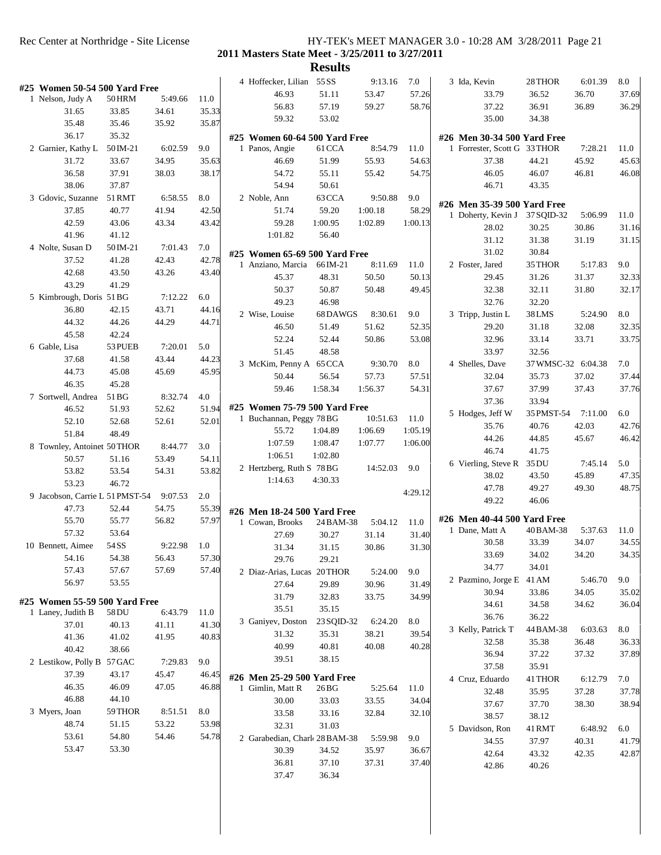#### Rec Center at Northridge - Site License HY-TEK's MEET MANAGER 3.0 - 10:28 AM 3/28/2011 Page 21 **2011 Masters State Meet - 3/25/2011 to 3/27/2011**

|                                 |                |             |       |                                         | <b>Results</b> |          |         |                                               |                    |         |       |
|---------------------------------|----------------|-------------|-------|-----------------------------------------|----------------|----------|---------|-----------------------------------------------|--------------------|---------|-------|
| #25 Women 50-54 500 Yard Free   |                |             |       | 4 Hoffecker, Lilian 55 SS               |                | 9:13.16  | 7.0     | 3 Ida, Kevin                                  | 28 THOR            | 6:01.39 | 8.0   |
| 1 Nelson, Judy A                | <b>50 HRM</b>  | 5:49.66     | 11.0  | 46.93                                   | 51.11          | 53.47    | 57.26   | 33.79                                         | 36.52              | 36.70   | 37.69 |
| 31.65                           | 33.85          | 34.61       | 35.33 | 56.83                                   | 57.19          | 59.27    | 58.76   | 37.22                                         | 36.91              | 36.89   | 36.29 |
| 35.48                           | 35.46          | 35.92       | 35.87 | 59.32                                   | 53.02          |          |         | 35.00                                         | 34.38              |         |       |
| 36.17                           | 35.32          |             |       | #25 Women 60-64 500 Yard Free           |                |          |         | #26 Men 30-34 500 Yard Free                   |                    |         |       |
| 2 Garnier, Kathy L              | 50 IM-21       | 6:02.59     | 9.0   | 1 Panos, Angie                          | 61 CCA         | 8:54.79  | 11.0    | 1 Forrester, Scott G 33 THOR                  |                    | 7:28.21 | 11.0  |
| 31.72                           | 33.67          | 34.95       | 35.63 | 46.69                                   | 51.99          | 55.93    | 54.63   | 37.38                                         | 44.21              | 45.92   | 45.63 |
| 36.58                           | 37.91          | 38.03       | 38.17 | 54.72                                   | 55.11          | 55.42    | 54.75   | 46.05                                         | 46.07              | 46.81   | 46.08 |
| 38.06                           | 37.87          |             |       | 54.94                                   | 50.61          |          |         | 46.71                                         | 43.35              |         |       |
| 3 Gdovic, Suzanne               | 51 RMT         | 6:58.55     | 8.0   | 2 Noble, Ann                            | 63 CCA         | 9:50.88  | 9.0     |                                               |                    |         |       |
| 37.85                           | 40.77          | 41.94       | 42.50 | 51.74                                   | 59.20          | 1:00.18  | 58.29   | #26 Men 35-39 500 Yard Free                   |                    |         |       |
| 42.59                           | 43.06          | 43.34       | 43.42 | 59.28                                   | 1:00.95        | 1:02.89  | 1:00.13 | 1 Doherty, Kevin J                            | 37 SQID-32         | 5:06.99 | 11.0  |
| 41.96                           | 41.12          |             |       | 1:01.82                                 | 56.40          |          |         | 28.02                                         | 30.25              | 30.86   | 31.16 |
| 4 Nolte, Susan D                | 50 IM-21       | 7:01.43     | 7.0   |                                         |                |          |         | 31.12                                         | 31.38              | 31.19   | 31.15 |
| 37.52                           | 41.28          | 42.43       | 42.78 | #25 Women 65-69 500 Yard Free           |                |          |         | 31.02                                         | 30.84              |         |       |
| 42.68                           | 43.50          | 43.26       | 43.40 | 1 Anziano, Marcia                       | 66 IM-21       | 8:11.69  | 11.0    | 2 Foster, Jared                               | 35 THOR            | 5:17.83 | 9.0   |
| 43.29                           | 41.29          |             |       | 45.37                                   | 48.31          | 50.50    | 50.13   | 29.45                                         | 31.26              | 31.37   | 32.33 |
| 5 Kimbrough, Doris 51BG         |                | 7:12.22     | 6.0   | 50.37                                   | 50.87          | 50.48    | 49.45   | 32.38                                         | 32.11              | 31.80   | 32.17 |
| 36.80                           | 42.15          | 43.71       | 44.16 | 49.23                                   | 46.98          |          |         | 32.76                                         | 32.20              |         |       |
| 44.32                           | 44.26          | 44.29       | 44.71 | 2 Wise, Louise                          | 68DAWGS        | 8:30.61  | 9.0     | 3 Tripp, Justin L                             | 38LMS              | 5:24.90 | 8.0   |
| 45.58                           | 42.24          |             |       | 46.50                                   | 51.49          | 51.62    | 52.35   | 29.20                                         | 31.18              | 32.08   | 32.35 |
| 6 Gable, Lisa                   | 53 PUEB        | 7:20.01     | 5.0   | 52.24                                   | 52.44          | 50.86    | 53.08   | 32.96                                         | 33.14              | 33.71   | 33.75 |
| 37.68                           | 41.58          | 43.44       | 44.23 | 51.45                                   | 48.58          |          |         | 33.97                                         | 32.56              |         |       |
| 44.73                           | 45.08          | 45.69       | 45.95 | 3 McKim, Penny A 65 CCA                 |                | 9:30.70  | 8.0     | 4 Shelles, Dave                               | 37 WMSC-32 6:04.38 |         | 7.0   |
| 46.35                           |                |             |       | 50.44                                   | 56.54          | 57.73    | 57.51   | 32.04                                         | 35.73              | 37.02   | 37.44 |
|                                 | 45.28          |             |       | 59.46                                   | 1:58.34        | 1:56.37  | 54.31   | 37.67                                         | 37.99              | 37.43   | 37.76 |
| 7 Sortwell, Andrea              | 51 BG          | 8:32.74     | 4.0   | #25 Women 75-79 500 Yard Free           |                |          |         | 37.36                                         | 33.94              |         |       |
| 46.52                           | 51.93<br>52.68 | 52.62       | 51.94 | 1 Buchannan, Peggy 78 BG                |                | 10:51.63 | 11.0    | 5 Hodges, Jeff W                              | 35 PMST-54         | 7:11.00 | 6.0   |
| 52.10                           |                | 52.61       | 52.01 | 55.72                                   | 1:04.89        | 1:06.69  | 1:05.19 | 35.76                                         | 40.76              | 42.03   | 42.76 |
| 51.84                           | 48.49          |             |       | 1:07.59                                 | 1:08.47        | 1:07.77  | 1:06.00 | 44.26                                         | 44.85              | 45.67   | 46.42 |
| 8 Townley, Antoinet 50THOR      |                | 8:44.77     | 3.0   | 1:06.51                                 | 1:02.80        |          |         | 46.74                                         | 41.75              |         |       |
| 50.57                           | 51.16          | 53.49       | 54.11 | 2 Hertzberg, Ruth S 78 BG               |                | 14:52.03 | 9.0     | 6 Vierling, Steve R 35 DU                     |                    | 7:45.14 | 5.0   |
| 53.82                           | 53.54          | 54.31       | 53.82 | 1:14.63                                 | 4:30.33        |          |         | 38.02                                         | 43.50              | 45.89   | 47.35 |
| 53.23                           | 46.72          |             |       |                                         |                |          | 4:29.12 | 47.78                                         | 49.27              | 49.30   | 48.75 |
| 9 Jacobson, Carrie L 51 PMST-54 |                | 9:07.53     | 2.0   |                                         |                |          |         | 49.22                                         | 46.06              |         |       |
| 47.73                           | 52.44          | 54.75       | 55.39 | #26 Men 18-24 500 Yard Free             |                |          |         |                                               |                    |         |       |
| 55.70                           | 55.77          | 56.82       | 57.97 | 1 Cowan, Brooks                         | 24 BAM-38      | 5:04.12  | 11.0    | #26 Men 40-44 500 Yard Free<br>1 Dane, Matt A |                    |         |       |
| 57.32                           | 53.64          |             |       | 27.69                                   | 30.27          | 31.14    | 31.40   |                                               | 40 BAM-38          | 5:37.63 | 11.0  |
| 10 Bennett, Aimee               | 54 SS          | 9:22.98 1.0 |       | 31.34                                   | 31.15          | 30.86    | 31.30   | 30.58                                         | 33.39              | 34.07   | 34.55 |
| 54.16                           | 54.38          | 56.43       | 57.30 | 29.76                                   | 29.21          |          |         | 33.69                                         | 34.02              | 34.20   | 34.35 |
| 57.43                           | 57.67          | 57.69       | 57.40 | 2 Diaz-Arias, Lucas 20THOR              |                | 5:24.00  | 9.0     | 34.77                                         | 34.01              |         |       |
| 56.97                           | 53.55          |             |       | 27.64                                   | 29.89          | 30.96    | 31.49   | 2 Pazmino, Jorge E 41 AM                      |                    | 5:46.70 | 9.0   |
| #25 Women 55-59 500 Yard Free   |                |             |       | 31.79                                   | 32.83          | 33.75    | 34.99   | 30.94                                         | 33.86              | 34.05   | 35.02 |
| 1 Laney, Judith B               | 58 DU          | 6:43.79     | 11.0  | 35.51                                   | 35.15          |          |         | 34.61                                         | 34.58              | 34.62   | 36.04 |
| 37.01                           | 40.13          | 41.11       | 41.30 | 3 Ganiyev, Doston                       | 23 SQID-32     | 6:24.20  | 8.0     | 36.76                                         | 36.22              |         |       |
| 41.36                           | 41.02          | 41.95       | 40.83 | 31.32                                   | 35.31          | 38.21    | 39.54   | 3 Kelly, Patrick T                            | 44 BAM-38          | 6:03.63 | 8.0   |
| 40.42                           | 38.66          |             |       | 40.99                                   | 40.81          | 40.08    | 40.28   | 32.58                                         | 35.38              | 36.48   | 36.33 |
| 2 Lestikow, Polly B             | 57 GAC         | 7:29.83     | 9.0   | 39.51                                   | 38.15          |          |         | 36.94                                         | 37.22              | 37.32   | 37.89 |
| 37.39                           | 43.17          | 45.47       | 46.45 |                                         |                |          |         | 37.58                                         | 35.91              |         |       |
| 46.35                           | 46.09          | 47.05       | 46.88 | #26 Men 25-29 500 Yard Free             |                |          |         | 4 Cruz, Eduardo                               | 41 THOR            | 6:12.79 | 7.0   |
| 46.88                           | 44.10          |             |       | 1 Gimlin, Matt R                        | $26B$ G        | 5:25.64  | 11.0    | 32.48                                         | 35.95              | 37.28   | 37.78 |
| 3 Myers, Joan                   | 59 THOR        | 8:51.51     | 8.0   | 30.00                                   | 33.03          | 33.55    | 34.04   | 37.67                                         | 37.70              | 38.30   | 38.94 |
|                                 | 51.15          | 53.22       | 53.98 | 33.58                                   | 33.16          | 32.84    | 32.10   | 38.57                                         | 38.12              |         |       |
|                                 |                | 54.46       | 54.78 | 32.31<br>2 Garabedian, Charle 28 BAM-38 | 31.03          |          |         | 5 Davidson, Ron                               | 41RMT              | 6:48.92 | 6.0   |
| 48.74                           |                |             |       |                                         |                | 5:59.98  | 9.0     | 34.55                                         | 37.97              | 40.31   | 41.79 |
| 53.61                           | 54.80          |             |       |                                         |                |          |         |                                               |                    |         |       |
| 53.47                           | 53.30          |             |       | 30.39                                   | 34.52          | 35.97    | 36.67   | 42.64                                         | 43.32              | 42.35   |       |
|                                 |                |             |       | 36.81<br>37.47                          | 37.10<br>36.34 | 37.31    | 37.40   | 42.86                                         | 40.26              |         | 42.87 |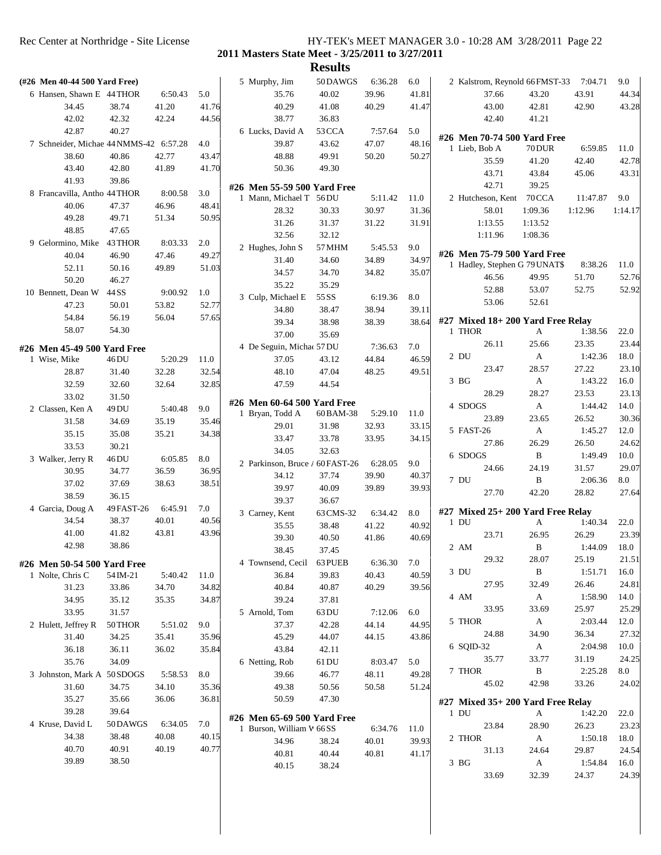|                                        |                |         |       |                                 | <b>Results</b> |         |       |                 |                   |                                       |          |         |
|----------------------------------------|----------------|---------|-------|---------------------------------|----------------|---------|-------|-----------------|-------------------|---------------------------------------|----------|---------|
| (#26 Men 40-44 500 Yard Free)          |                |         |       | 5 Murphy, Jim                   | 50DAWGS        | 6:36.28 | 6.0   |                 |                   | 2 Kalstrom, Reynold 66 FMST-33        | 7:04.71  | 9.0     |
| 6 Hansen, Shawn E 44 THOR              |                | 6:50.43 | 5.0   | 35.76                           | 40.02          | 39.96   | 41.81 |                 | 37.66             | 43.20                                 | 43.91    | 44.34   |
| 34.45                                  | 38.74          | 41.20   | 41.76 | 40.29                           | 41.08          | 40.29   | 41.47 |                 | 43.00             | 42.81                                 | 42.90    | 43.28   |
| 42.02                                  | 42.32          | 42.24   | 44.56 | 38.77                           | 36.83          |         |       |                 | 42.40             | 41.21                                 |          |         |
| 42.87                                  | 40.27          |         |       | 6 Lucks, David A                | 53 CCA         | 7:57.64 | 5.0   |                 |                   |                                       |          |         |
| 7 Schneider, Michae 44 NMMS-42 6:57.28 |                |         | 4.0   | 39.87                           | 43.62          | 47.07   | 48.16 |                 |                   | #26 Men 70-74 500 Yard Free<br>70 DUR | 6:59.85  | 11.0    |
| 38.60                                  | 40.86          | 42.77   | 43.47 | 48.88                           | 49.91          | 50.20   | 50.27 | 1 Lieb, Bob A   |                   |                                       |          |         |
| 43.40                                  | 42.80          | 41.89   | 41.70 | 50.36                           | 49.30          |         |       |                 | 35.59             | 41.20                                 | 42.40    | 42.78   |
| 41.93                                  | 39.86          |         |       |                                 |                |         |       |                 | 43.71             | 43.84                                 | 45.06    | 43.31   |
| 8 Francavilla, Antho 44 THOR           |                | 8:00.58 | 3.0   | #26 Men 55-59 500 Yard Free     |                |         |       |                 | 42.71             | 39.25                                 |          |         |
| 40.06                                  | 47.37          | 46.96   | 48.41 | 1 Mann, Michael T 56 DU         |                | 5:11.42 | 11.0  |                 | 2 Hutcheson, Kent | 70CCA                                 | 11:47.87 | 9.0     |
| 49.28                                  | 49.71          | 51.34   | 50.95 | 28.32                           | 30.33          | 30.97   | 31.36 |                 | 58.01             | 1:09.36                               | 1:12.96  | 1:14.17 |
| 48.85                                  | 47.65          |         |       | 31.26                           | 31.37          | 31.22   | 31.91 |                 | 1:13.55           | 1:13.52                               |          |         |
| 9 Gelormino, Mike                      | 43 THOR        | 8:03.33 | 2.0   | 32.56                           | 32.12          |         |       |                 | 1:11.96           | 1:08.36                               |          |         |
| 40.04                                  | 46.90          | 47.46   | 49.27 | 2 Hughes, John S                | 57 MHM         | 5:45.53 | 9.0   |                 |                   | #26 Men 75-79 500 Yard Free           |          |         |
| 52.11                                  | 50.16          | 49.89   | 51.03 | 31.40                           | 34.60          | 34.89   | 34.97 |                 |                   | 1 Hadley, Stephen G 79 UNAT\$         | 8:38.26  | 11.0    |
| 50.20                                  |                |         |       | 34.57                           | 34.70          | 34.82   | 35.07 |                 | 46.56             | 49.95                                 | 51.70    | 52.76   |
| 10 Bennett, Dean W                     | 46.27<br>44 SS | 9:00.92 | 1.0   | 35.22                           | 35.29          |         |       |                 | 52.88             | 53.07                                 | 52.75    | 52.92   |
|                                        |                |         |       | 3 Culp, Michael E               | 55 SS          | 6:19.36 | 8.0   |                 | 53.06             | 52.61                                 |          |         |
| 47.23                                  | 50.01          | 53.82   | 52.77 | 34.80                           | 38.47          | 38.94   | 39.11 |                 |                   |                                       |          |         |
| 54.84                                  | 56.19          | 56.04   | 57.65 | 39.34                           | 38.98          | 38.39   | 38.64 |                 |                   | #27 Mixed 18+200 Yard Free Relay      |          |         |
| 58.07                                  | 54.30          |         |       | 37.00                           | 35.69          |         |       | 1 THOR          |                   | A                                     | 1:38.56  | 22.0    |
| #26 Men 45-49 500 Yard Free            |                |         |       | 4 De Seguin, Michae 57 DU       |                | 7:36.63 | 7.0   |                 | 26.11             | 25.66                                 | 23.35    | 23.44   |
| 1 Wise, Mike                           | 46 DU          | 5:20.29 | 11.0  | 37.05                           | 43.12          | 44.84   | 46.59 | 2 DU            |                   | А                                     | 1:42.36  | 18.0    |
| 28.87                                  | 31.40          | 32.28   | 32.54 | 48.10                           | 47.04          | 48.25   | 49.51 |                 | 23.47             | 28.57                                 | 27.22    | 23.10   |
| 32.59                                  | 32.60          | 32.64   | 32.85 | 47.59                           | 44.54          |         |       | 3 BG            |                   | A                                     | 1:43.22  | 16.0    |
| 33.02                                  | 31.50          |         |       |                                 |                |         |       |                 | 28.29             | 28.27                                 | 23.53    | 23.13   |
| 2 Classen, Ken A                       | 49 DU          | 5:40.48 | 9.0   | #26 Men 60-64 500 Yard Free     |                |         |       | 4 SDOGS         |                   | A                                     | 1:44.42  | 14.0    |
| 31.58                                  | 34.69          | 35.19   | 35.46 | 1 Bryan, Todd A                 | 60 BAM-38      | 5:29.10 | 11.0  |                 | 23.89             | 23.65                                 | 26.52    | 30.36   |
| 35.15                                  | 35.08          | 35.21   | 34.38 | 29.01                           | 31.98          | 32.93   | 33.15 | 5 FAST-26       |                   | A                                     | 1:45.27  | 12.0    |
| 33.53                                  | 30.21          |         |       | 33.47                           | 33.78          | 33.95   | 34.15 |                 | 27.86             | 26.29                                 | 26.50    | 24.62   |
| 3 Walker, Jerry R                      | 46 DU          | 6:05.85 | 8.0   | 34.05                           | 32.63          |         |       | 6 SDOGS         |                   | B                                     | 1:49.49  | 10.0    |
| 30.95                                  | 34.77          | 36.59   | 36.95 | 2 Parkinson, Bruce / 60 FAST-26 |                | 6:28.05 | 9.0   |                 | 24.66             | 24.19                                 | 31.57    | 29.07   |
| 37.02                                  | 37.69          | 38.63   | 38.51 | 34.12                           | 37.74          | 39.90   | 40.37 | 7 DU            |                   | B                                     | 2:06.36  | 8.0     |
| 38.59                                  | 36.15          |         |       | 39.97                           | 40.09          | 39.89   | 39.93 |                 | 27.70             | 42.20                                 | 28.82    | 27.64   |
| 4 Garcia, Doug A                       | 49 FAST-26     | 6:45.91 | 7.0   | 39.37                           | 36.67          |         |       |                 |                   |                                       |          |         |
| 34.54                                  | 38.37          | 40.01   | 40.56 | 3 Carney, Kent                  | 63 CMS-32      | 6:34.42 | 8.0   | $1$ DU          |                   | #27 Mixed 25+ 200 Yard Free Relay     |          |         |
| 41.00                                  | 41.82          | 43.81   | 43.96 | 35.55                           | 38.48          | 41.22   | 40.92 |                 |                   | A                                     | 1:40.34  | 22.0    |
| 42.98                                  | 38.86          |         |       | 39.30                           | 40.50          | 41.86   | 40.69 |                 | 23.71             | 26.95                                 | 26.29    | 23.39   |
|                                        |                |         |       | 38.45                           | 37.45          |         |       | 2 AM            |                   | $\mathbf{B}$                          | 1:44.09  | 18.0    |
| #26 Men 50-54 500 Yard Free            |                |         |       | 4 Townsend, Cecil               | 63 PUEB        | 6:36.30 | 7.0   |                 | 29.32             | 28.07                                 | 25.19    | 21.51   |
| 1 Nolte, Chris C                       | 54 IM-21       | 5:40.42 | 11.0  | 36.84                           | 39.83          | 40.43   | 40.59 | 3 DU            |                   | $\, {\bf B}$                          | 1:51.71  | 16.0    |
| 31.23                                  | 33.86          | 34.70   | 34.82 | 40.84                           | 40.87          | 40.29   | 39.56 |                 | 27.95             | 32.49                                 | 26.46    | 24.81   |
| 34.95                                  | 35.12          | 35.35   | 34.87 | 39.24                           | 37.81          |         |       | 4 AM            |                   | A                                     | 1:58.90  | 14.0    |
| 33.95                                  | 31.57          |         |       | 5 Arnold, Tom                   | 63 DU          | 7:12.06 | 6.0   |                 | 33.95             | 33.69                                 | 25.97    | 25.29   |
| 2 Hulett, Jeffrey R                    | 50 THOR        | 5:51.02 | 9.0   | 37.37                           | 42.28          | 44.14   | 44.95 | 5 THOR          |                   | $\mathbf{A}$                          | 2:03.44  | 12.0    |
| 31.40                                  | 34.25          | 35.41   | 35.96 | 45.29                           | 44.07          | 44.15   | 43.86 |                 | 24.88             | 34.90                                 | 36.34    | 27.32   |
| 36.18                                  | 36.11          | 36.02   | 35.84 | 43.84                           | 42.11          |         |       | 6 SQID-32       |                   | A                                     | 2:04.98  | 10.0    |
| 35.76                                  | 34.09          |         |       | 6 Netting, Rob                  | 61 DU          | 8:03.47 | 5.0   |                 | 35.77             | 33.77                                 | 31.19    | 24.25   |
| 3 Johnston, Mark A 50 SDOGS            |                | 5:58.53 | 8.0   | 39.66                           | 46.77          | 48.11   | 49.28 | 7 THOR          |                   | $\, {\bf B}$                          | 2:25.28  | 8.0     |
| 31.60                                  | 34.75          | 34.10   | 35.36 | 49.38                           | 50.56          | 50.58   | 51.24 |                 | 45.02             | 42.98                                 | 33.26    | 24.02   |
| 35.27                                  | 35.66          | 36.06   | 36.81 | 50.59                           | 47.30          |         |       |                 |                   | $#27$ Mixed $35+200$ Yard Free Relay  |          |         |
| 39.28                                  | 39.64          |         |       |                                 |                |         |       | 1 DU            |                   | A                                     | 1:42.20  | 22.0    |
| 4 Kruse, David L                       | 50 DAWGS       | 6:34.05 | 7.0   | #26 Men 65-69 500 Yard Free     |                |         |       |                 | 23.84             | 28.90                                 | 26.23    | 23.23   |
| 34.38                                  | 38.48          | 40.08   | 40.15 | 1 Burson, William W 66 SS       |                | 6:34.76 | 11.0  | 2 THOR          |                   | A                                     | 1:50.18  | 18.0    |
| 40.70                                  | 40.91          | 40.19   | 40.77 | 34.96                           | 38.24          | 40.01   | 39.93 |                 |                   |                                       |          |         |
| 39.89                                  | 38.50          |         |       | 40.81                           | 40.44          | 40.81   | 41.17 |                 | 31.13             | 24.64                                 | 29.87    | 24.54   |
|                                        |                |         |       | 40.15                           | 38.24          |         |       | 3 <sub>BG</sub> |                   | A                                     | 1:54.84  | 16.0    |
|                                        |                |         |       |                                 |                |         |       |                 | 33.69             | 32.39                                 | 24.37    | 24.39   |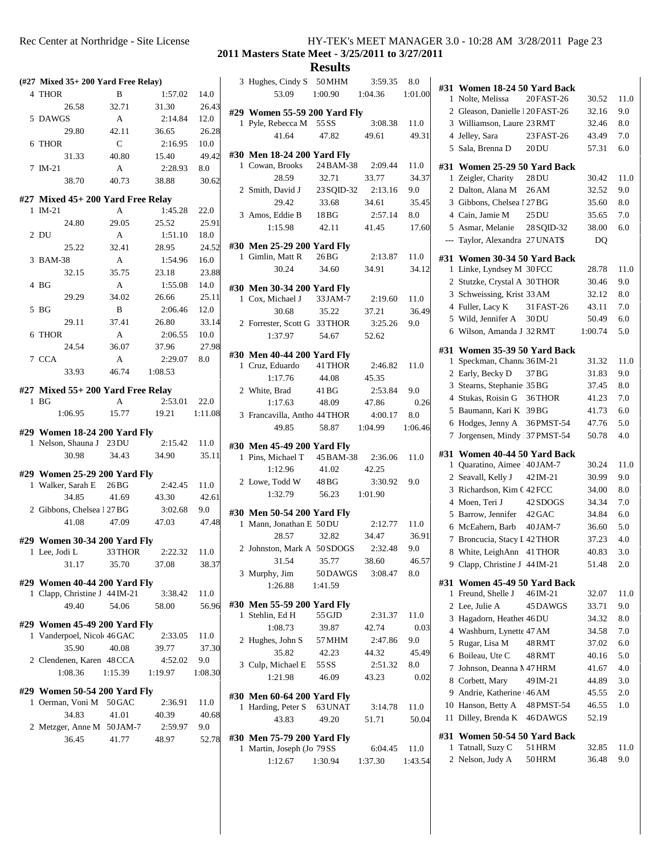|   | $(\#27 \text{ Mixed }35+200 \text{ Yard Free Relay})$    |                  |                  |              | 3 H            |                          |
|---|----------------------------------------------------------|------------------|------------------|--------------|----------------|--------------------------|
|   | 4 THOR                                                   | B                | 1:57.02          | 14.0         |                |                          |
|   | 26.58                                                    | 32.71            | 31.30            | 26.43        |                |                          |
|   | 5 DAWGS                                                  | A                | 2:14.84          | 12.0         | #29            | 1 F                      |
|   | 29.80                                                    | 42.11            | 36.65            | 26.28        |                |                          |
|   | 6 THOR                                                   | $\mathsf{C}$     | 2:16.95          | 10.0         |                |                          |
|   | 31.33                                                    | 40.80            | 15.40            | 49.42        | #30 I          |                          |
|   | 7 IM-21                                                  | A                | 2:28.93          | 8.0          | 1              | $\epsilon$               |
|   | 38.70                                                    | 40.73            | 38.88            | 30.62        |                |                          |
|   | #27 Mixed 45+ 200 Yard Free Relay                        |                  |                  |              | 2 S            |                          |
|   | $1$ IM-21                                                | A                | 1:45.28          | 22.0         |                |                          |
|   | 24.80                                                    | 29.05            | 25.52            | 25.91        | 3/             |                          |
|   | 2 DU                                                     | A                | 1:51.10          | 18.0         |                |                          |
|   | 25.22                                                    | 32.41            | 28.95            | 24.52        | #30 I          |                          |
|   | 3 BAM-38                                                 | A                | 1:54.96          | 16.0         | 1 <sup>1</sup> |                          |
|   | 32.15                                                    | 35.75            | 23.18            | 23.88        |                |                          |
|   | 4 BG                                                     | A                | 1:55.08          | 14.0         | #30 I          |                          |
|   | 29.29                                                    | 34.02            | 26.66            | 25.11        | 1              | $\mathcal{L}$            |
|   | 5 BG                                                     | B                | 2:06.46          | 12.0         |                |                          |
|   | 29.11                                                    | 37.41            | 26.80            | 33.14        | 2 F            |                          |
| 6 | <b>THOR</b>                                              | A                | 2:06.55          | 10.0         |                |                          |
|   | 24.54                                                    | 36.07            | 37.96            | 27.98        |                |                          |
|   | 7 CCA                                                    | A                | 2:29.07          | 8.0          | #30 I<br>1     | $\overline{\phantom{a}}$ |
|   | 33.93                                                    | 46.74            | 1:08.53          |              |                |                          |
|   | #27 Mixed 55+ 200 Yard Free Relay                        |                  |                  |              | 2 \            |                          |
|   | $1\text{ }BG$                                            | A                | 2:53.01          | 22.0         |                |                          |
|   | 1:06.95                                                  | 15.77            | 19.21            | 1:11.08      | 3F             |                          |
|   |                                                          |                  |                  |              |                |                          |
|   | #29 Women 18-24 200 Yard Fly<br>1 Nelson, Shauna J 23 DU |                  | 2:15.42          | 11.0         |                |                          |
|   | 30.98                                                    | 34.43            | 34.90            | 35.11        | #30 I          | 1F                       |
|   |                                                          |                  |                  |              |                |                          |
|   | #29 Women 25-29 200 Yard Fly                             |                  |                  |              | 2 I            |                          |
|   | 1 Walker, Sarah E                                        | 26 <sub>BG</sub> | 2:42.45          | 11.0         |                |                          |
|   | 34.85<br>2 Gibbons, Chelsea 1 27 BG                      | 41.69            | 43.30            | 42.61        |                |                          |
|   | 41.08                                                    | 47.09            | 3:02.68<br>47.03 | 9.0<br>47.48 | #30 I          |                          |
|   |                                                          |                  |                  |              |                | 1 N                      |
|   | #29 Women 30-34 200 Yard Fly                             |                  |                  |              | 2 <sub>J</sub> |                          |
|   | 1 Lee, Jodi L                                            | 33 THOR          | 2:22.32          | 11.0         |                |                          |
|   | 31.17                                                    | 35.70            | 37.08            | 38.37        | 3 N            |                          |
|   | #29 Women 40-44 200 Yard Fly                             |                  |                  |              |                |                          |
|   | 1 Clapp, Christine J 44 IM-21                            |                  | 3:38.42          | 11.0         |                |                          |
|   | 49.40                                                    | 54.06            | 58.00            | 56.96        | #30 I          |                          |
|   | #29 Women 45-49 200 Yard Fly                             |                  |                  |              | 1 <sup>5</sup> |                          |
|   | 1 Vanderpoel, Nicol 46 GAC                               |                  | 2:33.05          | 11.0         |                |                          |
|   | 35.90                                                    | 40.08            | 39.77            | 37.30        | 2 H            |                          |
|   | 2 Clendenen, Karen 48 CCA                                |                  | 4:52.02          | 9.0          |                |                          |
|   | 1:08.36                                                  | 1:15.39          | 1:19.97          | 1:08.30      | 3 <sup>1</sup> |                          |
|   |                                                          |                  |                  |              |                |                          |
|   | #29 Women 50-54 200 Yard Fly<br>1 Oerman, Voni M 50 GAC  |                  | 2:36.91          | 11.0         | #30 I          |                          |
|   | 34.83                                                    | 41.01            | 40.39            | 40.68        |                | 1 H                      |
|   | 2 Metzger, Anne M 50 JAM-7                               |                  | 2:59.97          | 9.0          |                |                          |
|   | 36.45                                                    | 41.77            | 48.97            | 52.78        | #30 I          |                          |
|   |                                                          |                  |                  |              |                | 1 <sub>1</sub>           |

|   |                                                | <b>Results</b>    |                    |                 |                         |
|---|------------------------------------------------|-------------------|--------------------|-----------------|-------------------------|
|   | 3 Hughes, Cindy S 50 MHM                       |                   | 3:59.35 8.0        |                 |                         |
|   | 53.09                                          | 1:00.90           | 1:04.36            | 1:01.00         | #31 \<br>1 <sup>1</sup> |
|   | #29 Women 55-59 200 Yard Fly                   |                   |                    |                 | 2 <sub>0</sub>          |
|   | 1 Pyle, Rebecca M 55 SS                        |                   | 3:08.38            | 11.0            | 3 <sub>1</sub>          |
|   | 41.64                                          | 47.82             | 49.61              | 49.31           | 4J                      |
|   |                                                |                   |                    |                 | 5S                      |
|   | #30 Men 18-24 200 Yard Fly<br>1 Cowan, Brooks  | 24 BAM-38 2:09.44 |                    | 11.0            | #31<br>٦                |
|   | 28.59                                          | 32.71             | 33.77              | 34.37           | $1\,2$                  |
|   | 2 Smith, David J 23 SQID-32                    |                   | 2:13.16            | 9.0             | 2I                      |
|   | 29.42                                          | 33.68             | 34.61              | 35.45           | 3 <sup>1</sup>          |
|   | 3 Amos, Eddie B                                | 18BG              | 2:57.14            | 8.0             | 4 0                     |
|   | 1:15.98                                        | 42.11             | 41.45              | 17.60           | 5/                      |
|   | #30 Men 25-29 200 Yard Fly                     |                   |                    |                 | --- T                   |
|   | 1 Gimlin, Matt R                               | 26 <sub>BG</sub>  | 2:13.87            | 11.0            | #31 \                   |
|   | 30.24                                          | 34.60             | 34.91              | 34.12           | 1 <sub>1</sub>          |
|   | #30 Men 30-34 200 Yard Fly                     |                   |                    |                 | 2S                      |
|   | 1 Cox, Michael J                               | 33 JAM-7          | 2:19.60            | 11.0            | 3S                      |
|   | 30.68                                          | 35.22             | 37.21              | 36.49           | 4 F                     |
|   | 2 Forrester, Scott G 33 THOR                   |                   | 3:25.26            | 9.0             | 5 <sub>1</sub>          |
|   | 1:37.97                                        | 54.67             | 52.62              |                 | 6 V                     |
|   | #30 Men 40-44 200 Yard Fly                     |                   |                    |                 | #31 \                   |
|   | 1 Cruz, Eduardo                                | 41 THOR           | 2:46.82            | 11.0            | 1S                      |
|   | 1:17.76                                        | 44.08             | 45.35              |                 | 2E                      |
|   | 2 White, Brad                                  | 41 BG             | 2:53.84            | 9.0             | 3S                      |
|   | 1:17.63                                        | 48.09             | 47.86              | 0.26            | 4S                      |
|   | 3 Francavilla, Antho 44 THOR                   |                   | 4:00.17            | 8.0             | 5F                      |
|   | 49.85                                          | 58.87             | 1:04.99            | 1:06.46         | 6 H<br>7J               |
|   | #30 Men 45-49 200 Yard Fly                     |                   |                    |                 |                         |
|   | 1 Pins, Michael T 45 BAM-38                    |                   | 2:36.06            | 11.0            | #31 \                   |
|   | 1:12.96                                        | 41.02             | 42.25              |                 | 1 <sup>1</sup><br>2S    |
|   | 2 Lowe, Todd W 48 BG                           |                   | 3:30.92            | 9.0             | 3F                      |
|   | 1:32.79                                        | 56.23 1:01.90     |                    |                 | 4 N                     |
|   | #30 Men 50-54 200 Yard Fly                     |                   |                    |                 | 5F                      |
| 1 | Mann, Jonathan E 50 DU                         |                   | 2:12.77            | 11.0            | 6 N                     |
|   | 28.57                                          | 32.82             | 34.47              | 36.91           | 7<br>$\mathbf{F}$       |
|   | 2 Johnston, Mark A 50 SDOGS                    |                   | 2:32.48            | 9.0             | 8 V                     |
|   | 31.54                                          | 35.77             | 38.60              | 46.57           | 9 <sup>o</sup>          |
|   | 3 Murphy, Jim<br>1:26.88                       | 50 DAWGS          | 3:08.47            | 8.0             | #31 \                   |
|   |                                                | 1:41.59           |                    |                 | 1 F                     |
|   | #30 Men 55-59 200 Yard Fly                     |                   |                    |                 | 2L                      |
|   | 1 Stehlin, Ed H                                | 55 GJD            | 2:31.37            | 11.0            | 3F                      |
|   | 1:08.73                                        | 39.87             | 42.74<br>2:47.86   | 0.03            | 4 <sub>1</sub>          |
|   | 2 Hughes, John S<br>35.82                      | 57 MHM<br>42.23   | 44.32              | 9.0<br>45.49    | 5F                      |
|   | 3 Culp, Michael E                              | 55 SS             | 2:51.32            | 8.0             | 6 F                     |
|   | 1:21.98                                        | 46.09             | 43.23              | 0.02            | 7J<br>8 0               |
|   |                                                |                   |                    |                 | 9f                      |
| 1 | #30 Men 60-64 200 Yard Fly<br>Harding, Peter S | 63 UNAT           | 3:14.78            | 11.0            | 10F                     |
|   | 43.83                                          | 49.20             | 51.71              | 50.04           | 11 I                    |
|   |                                                |                   |                    |                 |                         |
|   | #30 Men 75-79 200 Yard Fly                     |                   |                    |                 | #31 \<br>1 ]            |
|   | 1 Martin, Joseph (Jo 79 SS<br>1:12.67          | 1:30.94           | 6:04.45<br>1:37.30 | 11.0<br>1:43.54 | 2 <sub>1</sub>          |
|   |                                                |                   |                    |                 |                         |

| #31          | Women 18-24 50 Yard Back            |                  |                |             |  |
|--------------|-------------------------------------|------------------|----------------|-------------|--|
| 1            | Nolte, Melissa                      | 20 FAST-26       | 30.52          | 11.0        |  |
|              | 2 Gleason, Danielle 1 20 FAST-26    |                  | 32.16          | 9.0         |  |
|              | 3 Williamson, Laure 23 RMT          |                  | 32.46          | $8.0\,$     |  |
|              | 4 Jelley, Sara                      | 23 FAST-26       | 43.49          | 7.0         |  |
|              | 5 Sala, Brenna D                    | 20DU             | 57.31          | 6.0         |  |
|              | #31 Women 25-29 50 Yard Back        |                  |                |             |  |
| 1            | Zeigler, Charity                    | 28 DU            | 30.42          | 11.0        |  |
|              | 2 Dalton, Alana M                   | 26 AM            | 32.52          | 9.0         |  |
|              | 3 Gibbons, Chelsea 1 27 BG          |                  | 35.60          | $8.0\,$     |  |
|              | 4 Cain, Jamie M                     | 25DU             | 35.65          | 7.0         |  |
|              | 5 Asmar, Melanie                    | 28 SQID-32       | 38.00          | 6.0         |  |
|              | --- Taylor, Alexandra 27 UNAT\$     |                  | DQ             |             |  |
|              |                                     |                  |                |             |  |
|              | #31 Women 30-34 50 Yard Back        |                  |                |             |  |
|              | 1 Linke, Lyndsey M 30 FCC           |                  | 28.78          | 11.0        |  |
|              | 2 Stutzke, Crystal A 30THOR         |                  | 30.46          | 9.0         |  |
|              | 3 Schweissing, Krist 33 AM          |                  | 32.12          | 8.0         |  |
|              | 4 Fuller, Lacy K                    | 31 FAST-26       | 43.11          | 7.0         |  |
|              | 5 Wild, Jennifer A                  | 30 <sub>DU</sub> | 50.49          | 6.0         |  |
|              | 6 Wilson, Amanda J 32 RMT           |                  | 1:00.74        | 5.0         |  |
|              | #31 Women 35-39 50 Yard Back        |                  |                |             |  |
| 1            | Speckman, Channa 36 IM-21           |                  | 31.32          | 11.0        |  |
|              | 2 Early, Becky D                    | 37 BG            | 31.83          | 9.0         |  |
|              | 3 Stearns, Stephanie 35 BG          |                  | 37.45          | $8.0\,$     |  |
|              | 4 Stukas, Roisin G 36THOR           |                  | 41.23          | 7.0         |  |
|              | 5 Baumann, Kari K 39BG              |                  | 41.73          | 6.0         |  |
|              | 6 Hodges, Jenny A 36PMST-54         |                  | 47.76          | 5.0         |  |
|              | 7 Jorgensen, Mindy 37 PMST-54       |                  | 50.78          | 4.0         |  |
|              |                                     |                  |                |             |  |
|              | #31 Women 40-44 50 Yard Back        |                  |                |             |  |
| $\mathbf{1}$ | Quaratino, Aimee   40 JAM-7         |                  | 30.24          | 11.0        |  |
|              | 2 Seavall, Kelly J                  | 42 IM-21         | 30.99          | 9.0         |  |
|              | 3 Richardson, Kim C 42 FCC          |                  | 34.00          | 8.0         |  |
|              | 4 Moen, Teri J                      | 42 SDOGS         | 34.34          | 7.0         |  |
|              | 5 Barrow, Jennifer                  | 42 GAC           | 34.84          | 6.0         |  |
|              | 6 McEahern, Barb 40JAM-7            |                  | 36.60          | 5.0         |  |
|              | 7 Broncucia, Stacy I 42 THOR        |                  | 37.23          | 4.0         |  |
|              | 8 White, LeighAnn 41 THOR           |                  | 40.83          | 3.0         |  |
|              | 9 Clapp, Christine J 44 IM-21       |                  | 51.48          | 2.0         |  |
| #31          | Women 45-49 50 Yard Back            |                  |                |             |  |
| 1            | Freund, Shelle J                    | 46IM-21          | 32.07          | 11.0        |  |
|              | 2 Lee, Julie A                      | 45 DAWGS         | 33.71          | 9.0         |  |
|              | 3 Hagadorn, Heather 46 DU           |                  | 34.32          | 8.0         |  |
|              | 4 Washburn, Lynette 47 AM           |                  | 34.58          | 7.0         |  |
|              | 5 Rugar, Lisa M                     | 48 RMT           | 37.02          | 6.0         |  |
|              |                                     |                  |                |             |  |
|              | 6 Boileau, Ute C                    | 48RMT            | 40.16          | 5.0         |  |
|              | 7 Johnson, Deanna N 47 HRM          |                  | 41.67          | 4.0         |  |
|              | 8 Corbett, Mary                     | 49 IM-21         | 44.89          | 3.0         |  |
|              | 9 Andrie, Katherine 46 AM           |                  | 45.55          | 2.0         |  |
|              | 10 Hanson, Betty A 48 PMST-54       |                  | 46.55          | 1.0         |  |
| 11           |                                     | 46DAWGS          | 52.19          |             |  |
|              | Dilley, Brenda K                    |                  |                |             |  |
|              | #31 Women 50-54 50 Yard Back        |                  |                |             |  |
| 1            | Tatnall, Suzy C<br>2 Nelson, Judy A | 51 HRM<br>50 HRM | 32.85<br>36.48 | 11.0<br>9.0 |  |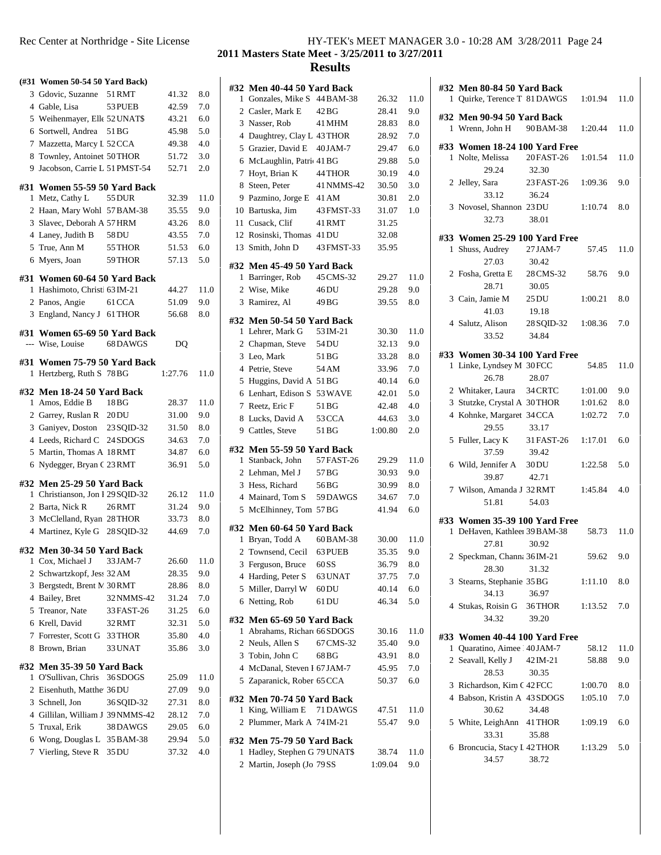| Rec Center at Northridge - Site License |  | HY-TEK's MEET MANAGER 3.0 - 10:28 AM 3/28/2011 Page 24 |  |
|-----------------------------------------|--|--------------------------------------------------------|--|
|                                         |  |                                                        |  |

|    | (#31 Women 50-54 50 Yard Back)   |            |         |              | #32            |
|----|----------------------------------|------------|---------|--------------|----------------|
|    | 3 Gdovic, Suzanne 51 RMT         |            | 41.32   | 8.0          | 1              |
|    | 4 Gable, Lisa                    | 53 PUEB    | 42.59   | 7.0          | 2              |
|    | 5 Weihenmayer, Elle 52 UNAT\$    |            | 43.21   | 6.0          | 3              |
|    | 6 Sortwell, Andrea               | 51 BG      | 45.98   | 5.0          | $\overline{4}$ |
|    | 7 Mazzetta, Marcy L 52 CCA       |            | 49.38   | 4.0          | 5              |
|    | 8 Townley, Antoinet 50 THOR      |            | 51.72   | 3.0          | 6              |
| 9. | Jacobson, Carrie L 51 PMST-54    |            | 52.71   | 2.0          | 7              |
|    | #31 Women 55-59 50 Yard Back     |            |         |              | 8              |
| 1  | Metz, Cathy L                    | 55 DUR     | 32.39   | 11.0         | 9              |
|    | 2 Haan, Mary Wohl 57 BAM-38      |            | 35.55   | 9.0          | 10             |
|    | 3 Slavec, Deborah A 57 HRM       |            | 43.26   | 8.0          | 11             |
|    | 4 Laney, Judith B                | 58 DU      | 43.55   | 7.0          | 12             |
|    | 5 True, Ann M                    | 55 THOR    | 51.53   | 6.0          | 13             |
|    | 6 Myers, Joan                    | 59 THOR    | 57.13   | 5.0          |                |
|    |                                  |            |         |              | #32            |
|    | #31 Women 60-64 50 Yard Back     |            |         |              | 1              |
| 1  | Hashimoto, Christi 63 IM-21      |            | 44.27   | 11.0         | 2              |
|    | 2 Panos, Angie 61 CCA            |            | 51.09   | 9.0          | 3              |
|    | 3 England, Nancy J 61 THOR       |            | 56.68   | $_{\rm 8.0}$ | #32            |
|    | #31 Women 65-69 50 Yard Back     |            |         |              | 1              |
|    | --- Wise, Louise                 | 68 DAWGS   | DO      |              | 2              |
|    |                                  |            |         |              | 3              |
|    | #31 Women 75-79 50 Yard Back     |            |         |              | $\overline{4}$ |
| 1  | Hertzberg, Ruth S 78 BG          |            | 1:27.76 | 11.0         | 5              |
|    | #32 Men 18-24 50 Yard Back       |            |         |              | 6              |
| 1  | Amos, Eddie B                    | 18 BG      | 28.37   | 11.0         | 7              |
|    | 2 Garrey, Ruslan R 20DU          |            | 31.00   | 9.0          | 8              |
|    | 3 Ganiyev, Doston 23 SQID-32     |            | 31.50   | 8.0          | 9              |
|    | 4 Leeds, Richard C 24 SDOGS      |            | 34.63   | 7.0          |                |
|    | 5 Martin, Thomas A 18 RMT        |            | 34.87   | 6.0          | #32            |
|    | 6 Nydegger, Bryan C 23 RMT       |            | 36.91   | 5.0          | 1              |
|    | #32 Men 25-29 50 Yard Back       |            |         |              | 2<br>3         |
|    | 1 Christianson, Jon 1 29 SQID-32 |            | 26.12   | 11.0         | $\overline{4}$ |
|    | 2 Barta, Nick R                  | 26 RMT     | 31.24   | 9.0          | 5              |
|    | 3 McClelland, Ryan 28THOR        |            | 33.73   | 8.0          |                |
|    | 4 Martinez, Kyle G 28 SQID-32    |            | 44.69   | 7.0          | #32            |
|    |                                  |            |         |              | 1              |
|    | #32 Men 30-34 50 Yard Back       |            |         |              | 2              |
|    | 1 Cox, Michael J 33 JAM-7        |            | 26.60   | $11.0\,$     | 3              |
| 2  | Schwartzkopf, Jess 32 AM         |            | 28.35   | 9.0          | 4              |
| 3  | Bergstedt, Brent M 30 RMT        |            | 28.86   | 8.0          | 5              |
| 4  | Bailey, Bret                     | 32 NMMS-42 | 31.24   | 7.0          | 6              |
| 5  | Treanor, Nate                    | 33 FAST-26 | 31.25   | 6.0          | #32            |
| 6  | Krell, David                     | 32 RMT     | 32.31   | 5.0          | 1              |
| 7  | Forrester, Scott G 33 THOR       |            | 35.80   | 4.0          | 2              |
| 8  | Brown, Brian                     | 33 UNAT    | 35.86   | 3.0          | 3              |
|    | #32 Men 35-39 50 Yard Back       |            |         |              | 4              |
| 1  | O'Sullivan, Chris                | 36 SDOGS   | 25.09   | 11.0         | 5              |
|    | 2 Eisenhuth, Matthe 36 DU        |            | 27.09   | 9.0          |                |
| 3  | Schnell, Jon                     | 36 SQID-32 | 27.31   | 8.0          | #32            |
|    | 4 Gillilan, William J 39 NMMS-42 |            | 28.12   | 7.0          | 1              |
| 5  | Truxal, Erik                     | 38 DAWGS   | 29.05   | 6.0          | 2              |
| 6  | Wong, Douglas L 35 BAM-38        |            | 29.94   | 5.0          | #32            |
| 7  | Vierling, Steve R 35 DU          |            | 37.32   | 4.0          | 1              |
|    |                                  |            |         |              | 2              |
|    |                                  |            |         |              |                |

|   | #32 Men 40-44 50 Yard Back   |            |         |      | #32            |
|---|------------------------------|------------|---------|------|----------------|
| 1 | Gonzales, Mike S 44 BAM-38   |            | 26.32   | 11.0 | 1              |
|   | 2 Casler, Mark E             | 42 BG      | 28.41   | 9.0  | #32            |
|   | 3 Nasser, Rob                | 41 MHM     | 28.83   | 8.0  | 1              |
|   | 4 Daughtrey, Clay L 43 THOR  |            | 28.92   | 7.0  |                |
|   | 5 Grazier, David E 40 JAM-7  |            | 29.47   | 6.0  | #33            |
|   | 6 McLaughlin, Patric 41 BG   |            | 29.88   | 5.0  | 1              |
|   | 7 Hoyt, Brian K              | 44 THOR    | 30.19   | 4.0  |                |
|   | 8 Steen, Peter               | 41 NMMS-42 | 30.50   | 3.0  | 2              |
|   | 9 Pazmino, Jorge E 41 AM     |            | 30.81   | 2.0  |                |
|   | 10 Bartuska, Jim             | 43 FMST-33 | 31.07   | 1.0  | 3              |
|   | 11 Cusack, Clif              | 41 RMT     | 31.25   |      |                |
|   | 12 Rosinski, Thomas 41 DU    |            | 32.08   |      | #33            |
|   | 13 Smith, John D             | 43 FMST-33 | 35.95   |      | 1              |
|   |                              |            |         |      |                |
|   | #32 Men 45-49 50 Yard Back   |            |         |      | 2              |
|   | 1 Barringer, Rob             | 45 CMS-32  | 29.27   | 11.0 |                |
|   | 2 Wise, Mike                 | 46 DU      | 29.28   | 9.0  | 3              |
|   | 3 Ramirez, Al                | 49 BG      | 39.55   | 8.0  |                |
|   | #32 Men 50-54 50 Yard Back   |            |         |      | $\overline{4}$ |
| 1 | Lehrer, Mark G 53 IM-21      |            | 30.30   | 11.0 |                |
|   | 2 Chapman, Steve 54 DU       |            | 32.13   | 9.0  |                |
|   | 3 Leo, Mark                  | 51 BG      | 33.28   | 8.0  | #33            |
|   | 4 Petrie, Steve              | 54 AM      | 33.96   | 7.0  | 1              |
|   | 5 Huggins, David A 51 BG     |            | 40.14   | 6.0  |                |
|   | 6 Lenhart, Edison S 53 WAVE  |            | 42.01   | 5.0  | 2              |
|   | 7 Reetz, Eric F              | 51 BG      | 42.48   | 4.0  | 3              |
|   | 8 Lucks, David A             | 53 CCA     | 44.63   | 3.0  | $\overline{4}$ |
|   | 9 Cattles, Steve             | 51 BG      | 1:00.80 | 2.0  |                |
|   |                              |            |         |      | 5              |
|   | #32 Men 55-59 50 Yard Back   |            |         |      |                |
| 1 | Stanback, John               | 57 FAST-26 | 29.29   | 11.0 | 6              |
|   | 2 Lehman, Mel J              | 57 BG      | 30.93   | 9.0  |                |
|   | 3 Hess, Richard              | 56 BG      | 30.99   | 8.0  | 7              |
|   | 4 Mainard, Tom S             | 59 DAWGS   | 34.67   | 7.0  |                |
| 5 | McElhinney, Tom 57BG         |            | 41.94   | 6.0  |                |
|   | #32 Men 60-64 50 Yard Back   |            |         |      | #33            |
| 1 | Bryan, Todd A                | 60 BAM-38  | 30.00   | 11.0 | 1              |
|   | 2 Townsend, Cecil 63 PUEB    |            | 35.35   | 9.0  |                |
|   | 3 Ferguson, Bruce 60SS       |            | 36.79   | 8.0  | 2              |
|   | 4 Harding, Peter S           | 63 UNAT    | 37.75   | 7.0  |                |
| 5 | Miller, Darryl W             | 60 DU      | 40.14   | 6.0  | 3              |
| 6 | Netting, Rob                 | 61 DU      | 46.34   | 5.0  |                |
|   |                              |            |         |      | 4              |
|   | #32 Men 65-69 50 Yard Back   |            |         |      |                |
| 1 | Abrahams, Richard 66 SDOGS   |            | 30.16   | 11.0 | #33            |
|   | 2 Neuls, Allen S             | 67 CMS-32  | 35.40   | 9.0  | 1              |
|   | 3 Tobin, John C              | 68 BG      | 43.91   | 8.0  | 2              |
|   | 4 McDanal, Steven I 67 JAM-7 |            | 45.95   | 7.0  |                |
|   | 5 Zaparanick, Rober 65 CCA   |            | 50.37   | 6.0  | 3              |
|   | #32 Men 70-74 50 Yard Back   |            |         |      | 4              |
| 1 | King, William E              | 71 DAWGS   | 47.51   | 11.0 |                |
| 2 | Plummer, Mark A 74 IM-21     |            | 55.47   | 9.0  | 5              |
|   |                              |            |         |      |                |
|   | #32 Men 75-79 50 Yard Back   |            |         |      | 6              |
| 1 | Hadley, Stephen G 79 UNAT\$  |            | 38.74   | 11.0 |                |
|   | 2 Martin, Joseph (Jo 79 SS   |            | 1:09.04 | 9.0  |                |
|   |                              |            |         |      |                |
|   |                              |            |         |      |                |

| #32 Men 80-84 50 Yard Back<br>1 Quirke, Terence T 81 DAWGS 1:01.94 |          |         | 11.0 |  |
|--------------------------------------------------------------------|----------|---------|------|--|
|                                                                    |          |         |      |  |
| #32 Men 90-94 50 Yard Back<br>1 Wrenn, John H 90 BAM-38 1:20.44    |          |         | 11.0 |  |
| #33 Women 18-24 100 Yard Free                                      |          |         |      |  |
| 1 Nolte, Melissa 20 FAST-26 1:01.54                                |          |         | 11.0 |  |
| 29.24                                                              | 32.30    |         |      |  |
| 2 Jelley, Sara 23 FAST-26 1:09.36<br>33.12 36.24                   |          |         | 9.0  |  |
| 3 Novosel, Shannon 23 DU                                           |          | 1:10.74 | 8.0  |  |
| 32.73                                                              | 38.01    |         |      |  |
| #33 Women 25-29 100 Yard Free                                      |          |         |      |  |
| 1 Shuss, Audrey 27 JAM-7                                           |          | 57.45   | 11.0 |  |
| 27.03                                                              | 30.42    |         |      |  |
| 2 Fosha, Gretta E 28 CMS-32 58.76                                  |          |         | 9.0  |  |
| 28.71                                                              | 30.05    |         |      |  |
| 3 Cain, Jamie M 25 DU 1:00.21                                      |          |         | 8.0  |  |
| 41.03                                                              | 19.18    |         |      |  |
| 4 Salutz, Alison 28 SQID-32 1:08.36<br>33.52 34.84                 |          |         | 7.0  |  |
|                                                                    |          |         |      |  |
| #33 Women 30-34 100 Yard Free                                      |          |         |      |  |
| 1 Linke, Lyndsey M 30FCC                                           |          | 54.85   | 11.0 |  |
| 26.78                                                              | 28.07    |         |      |  |
| 2 Whitaker, Laura 34 CRTC 1:01.00                                  |          |         | 9.0  |  |
| 3 Stutzke, Crystal A 30THOR 1:01.62                                |          |         | 8.0  |  |
| 4 Kohnke, Margaret 34 CCA<br>29.55                                 | 33.17    | 1:02.72 | 7.0  |  |
| 5 Fuller, Lacy K 31 FAST-26 1:17.01                                |          |         | 6.0  |  |
| 37.59                                                              | 39.42    |         |      |  |
| 6 Wild, Jennifer A 30DU                                            |          | 1:22.58 | 5.0  |  |
| 39.87                                                              | 42.71    |         |      |  |
| 7 Wilson, Amanda J 32RMT                                           |          | 1:45.84 | 4.0  |  |
| 51.81                                                              | 54.03    |         |      |  |
| #33 Women 35-39 100 Yard Free                                      |          |         |      |  |
| 1 DeHaven, Kathleer 39 BAM-38 58.73                                |          |         | 11.0 |  |
| 27.81                                                              | 30.92    |         |      |  |
| 2 Speckman, Channa 36 IM-21 59.62                                  |          |         | 9.0  |  |
| 28.30                                                              | 31.32    |         |      |  |
| 3 Stearns, Stephanie 35 BG<br>34.13                                | 36.97    | 1:11.10 | 8.0  |  |
| 4 Stukas, Roisin G                                                 | 36THOR   | 1:13.52 | 7.0  |  |
| 34.32                                                              | 39.20    |         |      |  |
| #33 Women 40-44 100 Yard Free                                      |          |         |      |  |
| 1 Quaratino, Aimee   40JAM-7                                       |          | 58.12   | 11.0 |  |
| 2 Seavall, Kelly J                                                 | 42 IM-21 | 58.88   | 9.0  |  |
| 28.53                                                              | 30.35    |         |      |  |
| 3 Richardson, Kim C 42 FCC                                         |          | 1:00.70 | 8.0  |  |
| 4 Babson, Kristin A 43 SDOGS                                       |          | 1:05.10 | 7.0  |  |
| 30.62                                                              | 34.48    |         |      |  |
| 5 White, LeighAnn 41 THOR                                          |          | 1:09.19 | 6.0  |  |
| 33.31                                                              | 35.88    |         |      |  |
| 6 Broncucia, Stacy I 42 THOR                                       |          | 1:13.29 | 5.0  |  |
| 34.57                                                              | 38.72    |         |      |  |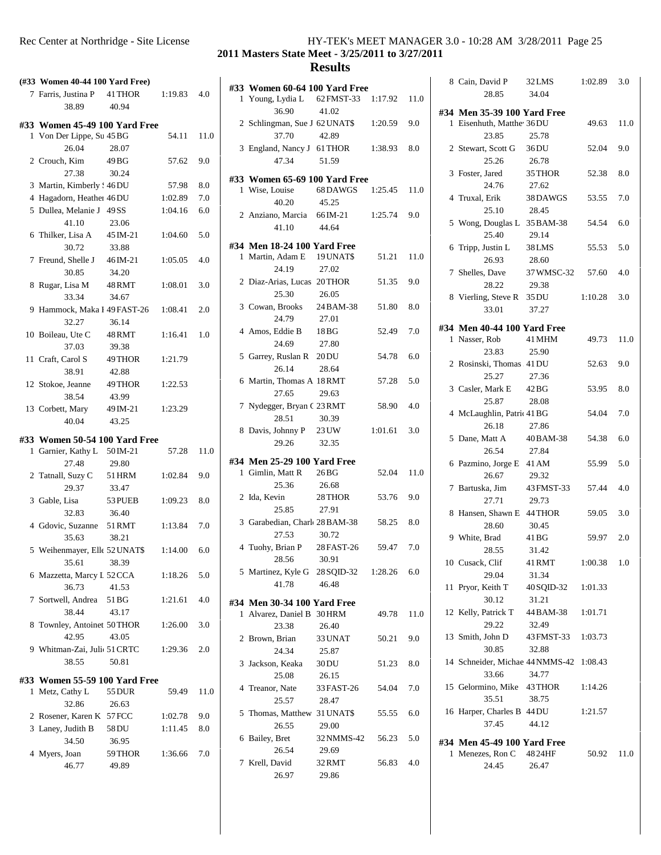|   | (#33 Women 40-44 100 Yard Free)             |          |         |      | #33            |
|---|---------------------------------------------|----------|---------|------|----------------|
|   | 7 Farris, Justina P 41 THOR                 |          | 1:19.83 | 4.0  | 1              |
|   | 38.89                                       | 40.94    |         |      |                |
|   | #33 Women 45-49 100 Yard Free               |          |         |      | $\mathfrak{2}$ |
|   | 1 Von Der Lippe, Su 45 BG                   |          | 54.11   | 11.0 |                |
|   | 26.04                                       | 28.07    |         |      | 3              |
|   | 2 Crouch, Kim                               | 49 BG    | 57.62   | 9.0  |                |
|   | 27.38                                       | 30.24    |         |      | #33            |
|   | 3 Martin, Kimberly ! 46 DU                  |          | 57.98   | 8.0  | 1              |
|   | 4 Hagadorn, Heather 46 DU                   |          | 1:02.89 | 7.0  |                |
|   | 5 Dullea, Melanie J 49 SS                   |          | 1:04.16 | 6.0  | $\overline{c}$ |
|   | 41.10                                       | 23.06    |         |      |                |
|   | 6 Thilker, Lisa A 45 IM-21                  |          | 1:04.60 | 5.0  |                |
|   | 30.72                                       | 33.88    |         |      | #34            |
|   | 7 Freund, Shelle J 46 IM-21                 |          | 1:05.05 | 4.0  | 1              |
|   | 30.85                                       | 34.20    |         |      |                |
|   | 8 Rugar, Lisa M                             | 48 RMT   | 1:08.01 | 3.0  | $\mathfrak{2}$ |
|   | 33.34                                       | 34.67    |         |      |                |
|   | 9 Hammock, Maka I 49 FAST-26                |          | 1:08.41 | 2.0  | 3              |
|   | 32.27                                       | 36.14    |         |      |                |
|   | 10 Boileau, Ute C                           | 48 RMT   | 1:16.41 | 1.0  | $\overline{4}$ |
|   | 37.03                                       | 39.38    |         |      |                |
|   | 11 Craft, Carol S                           | 49 THOR  | 1:21.79 |      | 5              |
|   | 38.91                                       | 42.88    |         |      |                |
|   | 12 Stokoe, Jeanne                           | 49 THOR  | 1:22.53 |      | 6              |
|   | 38.54                                       | 43.99    |         |      |                |
|   | 13 Corbett, Mary                            | 49 IM-21 | 1:23.29 |      | $\overline{7}$ |
|   | 40.04                                       | 43.25    |         |      |                |
|   |                                             |          |         |      | 8              |
| 1 | #33 Women 50-54 100 Yard Free               |          | 57.28   | 11.0 |                |
|   | Garnier, Kathy L 50 IM-21<br>27.48          | 29.80    |         |      | #34            |
|   |                                             |          | 1:02.84 | 9.0  | 1              |
|   | 2 Tatnall, Suzy C 51 HRM<br>$20.27$ $22.17$ |          |         |      |                |
|   |                                             |          |         |      |                |

| 1 Garnier, Kathy L                    | 50 IM-21 | 57.28   | 11.0 |                |
|---------------------------------------|----------|---------|------|----------------|
| 27.48                                 | 29.80    |         |      | #34            |
| 2 Tatnall, Suzy C 51 HRM              |          | 1:02.84 | 9.0  | 1              |
| 29.37                                 | 33.47    |         |      |                |
| 3 Gable, Lisa                         | 53 PUEB  | 1:09.23 | 8.0  | $\overline{c}$ |
| 32.83                                 | 36.40    |         |      |                |
| 4 Gdovic, Suzanne 51 RMT              |          | 1:13.84 | 7.0  | $\overline{3}$ |
| 35.63                                 | 38.21    |         |      |                |
| 5 Weihenmayer, Elle 52 UNAT\$ 1:14.00 |          |         | 6.0  | $\overline{4}$ |
| 35.61                                 | 38.39    |         |      |                |
| 6 Mazzetta, Marcy L 52 CCA            |          | 1:18.26 | 5.0  | 5              |
| 36.73                                 | 41.53    |         |      |                |
| 7 Sortwell, Andrea 51 BG              |          | 1:21.61 | 4.0  | #34            |
| 38.44                                 | 43.17    |         |      | 1              |
| 8 Townley, Antoinet 50 THOR           |          | 1:26.00 | 3.0  |                |
| 42.95                                 | 43.05    |         |      | $\overline{c}$ |
| 9 Whitman-Zai, Juli 51 CRTC           |          | 1:29.36 | 2.0  |                |
| 38.55                                 | 50.81    |         |      | 3              |
| #33 Women 55-59 100 Yard Free         |          |         |      |                |
| 1 Metz, Cathy L 55 DUR                |          | 59.49   | 11.0 | $\overline{4}$ |
| 32.86                                 | 26.63    |         |      |                |
| 2 Rosener, Karen K 57 FCC             |          | 1:02.78 | 9.0  | 5              |
| 3 Laney, Judith B                     | 58 DU    | 1:11.45 | 8.0  |                |
| 34.50                                 | 36.95    |         |      | 6              |
| 4 Myers, Joan                         | 59 THOR  | 1:36.66 | 7.0  |                |
|                                       |          |         |      |                |

46.77 49.89

## Rec Center at Northridge - Site License HY-TEK's MEET MANAGER 3.0 - 10:28 AM 3/28/2011 Page 25

## **2011 Masters State Meet - 3/25/2011 to 3/27/2011**

| #33 Women 60-64 100 Yard Free          |                     |         |      | 8              |
|----------------------------------------|---------------------|---------|------|----------------|
| 1 Young, Lydia L 62 FMST-33 1:17.92    |                     |         | 11.0 |                |
| 36.90<br>2 Schlingman, Sue J 62 UNAT\$ | 41.02               | 1:20.59 | 9.0  | #34<br>1       |
| 37.70<br>3 England, Nancy J 61 THOR    | 42.89               | 1:38.93 | 8.0  | 2              |
| 47.34                                  | 51.59               |         |      |                |
| #33 Women 65-69 100 Yard Free          |                     |         |      | 3              |
| 1 Wise, Louise<br>40.20                | 68 DAWGS<br>45.25   | 1:25.45 | 11.0 | $\overline{4}$ |
| 2 Anziano, Marcia 66 IM-21<br>41.10    | 44.64               | 1:25.74 | 9.0  | 5              |
| #34 Men 18-24 100 Yard Free            |                     |         |      |                |
| 1 Martin, Adam E 19 UNAT\$             |                     | 51.21   | 11.0 | 6              |
| 24.19<br>2 Diaz-Arias, Lucas 20THOR    | 27.02               | 51.35   | 9.0  | 7              |
| 25.30                                  | 26.05               |         |      | 8              |
| 3 Cowan, Brooks<br>24.79               | 24 BAM-38<br>27.01  | 51.80   | 8.0  |                |
| 4 Amos, Eddie B                        | 18 BG               | 52.49   | 7.0  | #34            |
| 24.69                                  | 27.80               |         |      | 1              |
| 5 Garrey, Ruslan R 20 DU<br>26.14      | 28.64               | 54.78   | 6.0  | $\overline{c}$ |
| 6 Martin, Thomas A 18 RMT<br>27.65     | 29.63               | 57.28   | 5.0  | 3              |
| 7 Nydegger, Bryan C 23 RMT             |                     | 58.90   | 4.0  | $\overline{4}$ |
| 28.51<br>8 Davis, Johnny P 23 UW       | 30.39               |         |      |                |
| 29.26                                  | 32.35               | 1:01.61 | 3.0  | 5              |
| #34 Men 25-29 100 Yard Free            |                     |         |      |                |
| 1 Gimlin, Matt R<br>25.36              | 26 BG               | 52.04   | 11.0 | 6              |
| 2 Ida, Kevin                           | 26.68<br>28 THOR    | 53.76   | 9.0  | 7              |
| 25.85                                  | 27.91               |         |      | 8              |
| 3 Garabedian, Charl 28BAM-38           |                     | 58.25   | 8.0  |                |
| 27.53                                  | 30.72               |         |      | 9              |
| 4 Tuohy, Brian P 28 FAST-26<br>28.56   | 30.91               | 59.47   | 7.0  |                |
| 5 Martinez, Kyle G 28 SQID-32 1:28.26  |                     |         | 6.0  | 10             |
| 41.78                                  | 46.48               |         |      | 11             |
| #34 Men 30-34 100 Yard Free            |                     |         |      |                |
| 1 Alvarez, Daniel B 30 HRM<br>23.38    | 26.40               | 49.78   | 11.0 | 12             |
| 2 Brown, Brian 33 UNAT                 |                     | 50.21   | 9.0  | 13             |
| 24.34                                  | 25.87               |         |      |                |
| 3 Jackson, Keaka<br>25.08              | 30 DU<br>26.15      | 51.23   | 8.0  | 14             |
| 4 Treanor, Nate                        | 33 FAST-26          | 54.04   | 7.0  | 15             |
| 25.57                                  | 28.47               |         |      |                |
| 5 Thomas, Matthew 31 UNAT\$            |                     | 55.55   | 6.0  | 16             |
| 26.55                                  | 29.00               |         |      |                |
| 6 Bailey, Bret<br>26.54                | 32 NMMS-42<br>29.69 | 56.23   | 5.0  | #34            |
| 7 Krell, David                         | 32 RMT              | 56.83   | 4.0  | 1              |
| 26.97                                  | 29.86               |         |      |                |

|   | 8 Cain, David P 32LMS<br>28.85 34.04                    |                    | $1:02.89$ 3.0 |      |  |
|---|---------------------------------------------------------|--------------------|---------------|------|--|
|   | #34 Men 35-39 100 Yard Free<br>1 Eisenhuth, Matthe 36DU |                    | 49.63 11.0    |      |  |
|   | 23.85                                                   | 25.78              |               |      |  |
|   | 2 Stewart, Scott G 36DU                                 |                    | 52.04         | 9.0  |  |
|   | 25.26                                                   | 26.78              |               |      |  |
|   | 3 Foster, Jared 35 THOR 52.38                           |                    |               | 8.0  |  |
|   | 24.76 27.62                                             |                    |               |      |  |
|   | 4 Truxal, Erik 38DAWGS 53.55                            |                    |               | 7.0  |  |
|   | 25.10 28.45                                             |                    |               |      |  |
|   | 5 Wong, Douglas L 35 BAM-38 54.54 6.0                   |                    |               |      |  |
|   | 25.40                                                   | 29.14              |               |      |  |
|   | 6 Tripp, Justin L 38 LMS                                |                    | 55.53         | 5.0  |  |
|   | 26.93                                                   | 28.60              |               |      |  |
|   | 7 Shelles, Dave 37 WMSC-32 57.60                        |                    |               | -4.0 |  |
|   | 28.22<br>8 Vierling, Steve R 35 DU 1:10.28 3.0          | 29.38              |               |      |  |
|   | 33.01 37.27                                             |                    |               |      |  |
|   |                                                         |                    |               |      |  |
|   | #34 Men 40-44 100 Yard Free                             |                    |               |      |  |
|   | 1 Nasser, Rob 41 MHM                                    |                    | 49.73         | 11.0 |  |
|   | 23.83                                                   | 25.90              |               |      |  |
|   | 2 Rosinski, Thomas 41 DU                                |                    | 52.63         | 9.0  |  |
|   | 25.27<br>3 Casler, Mark E 42 BG                         | 27.36              |               |      |  |
|   | 25.87                                                   | 28.08              | 53.95         | 8.0  |  |
|   | 4 McLaughlin, Patric 41 BG 54.04                        |                    |               | 7.0  |  |
|   | 26.18                                                   | 27.86              |               |      |  |
|   | 5 Dane, Matt A 40 BAM-38 54.38                          |                    |               | 6.0  |  |
|   | 26.54 27.84                                             |                    |               |      |  |
|   | 6 Pazmino, Jorge E 41 AM 55.99                          |                    |               | 5.0  |  |
|   | 26.67                                                   | 29.32              |               |      |  |
|   | 7 Bartuska, Jim 43 FMST-33 57.44                        |                    |               | 4.0  |  |
|   | 27.71                                                   | 29.73              |               |      |  |
|   | 8 Hansen, Shawn E 44 THOR                               |                    | 59.05         | 3.0  |  |
|   | 28.60                                                   | 30.45              |               |      |  |
|   | 9 White, Brad                                           | $41\,\mathrm{BG}$  | 59.97         | 2.0  |  |
|   | 28.55                                                   | 31.42              |               |      |  |
|   | 10 Cusack, Clif                                         | 41RMT              | 1:00.38       | 1.0  |  |
|   | 29.04                                                   | 31.34              |               |      |  |
|   | 11 Pryor, Keith T 40SQID-32<br>30.12                    | 31.21              | 1:01.33       |      |  |
|   | 12 Kelly, Patrick T 44 BAM-38                           |                    | 1:01.71       |      |  |
|   | 29.22                                                   | 32.49              |               |      |  |
|   | 13 Smith, John D                                        | 43 FMST-33 1:03.73 |               |      |  |
|   | 30.85                                                   | 32.88              |               |      |  |
|   | 14 Schneider, Michae 44 NMMS-42 1:08.43                 |                    |               |      |  |
|   | 33.66                                                   | 34.77              |               |      |  |
|   | 15 Gelormino, Mike 43 THOR                              |                    | 1:14.26       |      |  |
|   | 35.51                                                   | 38.75              |               |      |  |
|   | 16 Harper, Charles B 44 DU                              |                    | 1:21.57       |      |  |
|   | 37.45                                                   | 44.12              |               |      |  |
|   | #34 Men 45-49 100 Yard Free                             |                    |               |      |  |
| 1 | Menezes, Ron C 4824HF                                   |                    | 50.92         | 11.0 |  |
|   | 24.45                                                   | 26.47              |               |      |  |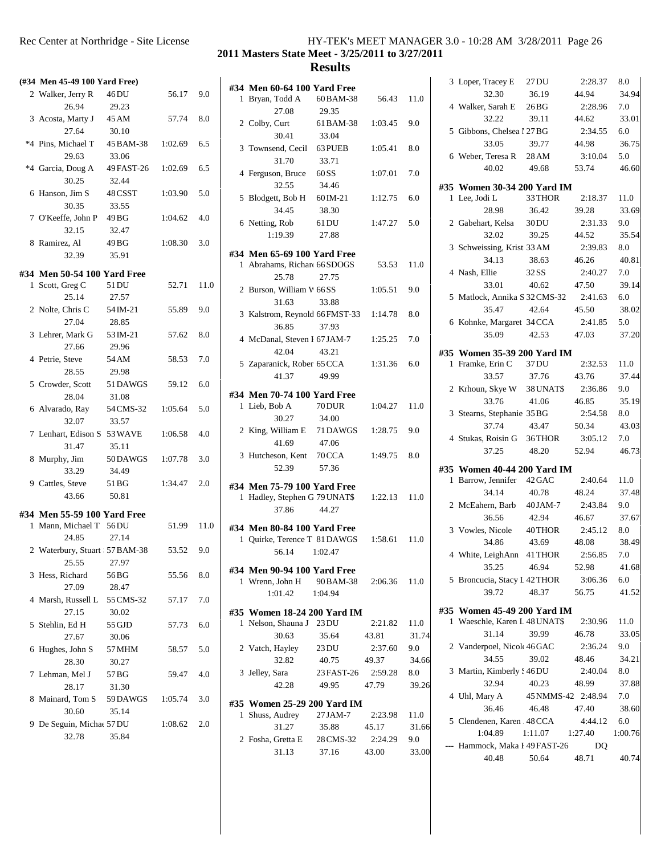**2011 Masters State Meet - 3/25/2011 to 3/27/2011**

|   | (#34 Men 45-49 100 Yard Free)                 |                           |         |      | #34            |
|---|-----------------------------------------------|---------------------------|---------|------|----------------|
|   | 2 Walker, Jerry R                             | 46 DU                     | 56.17   | 9.0  | 1              |
|   | 26.94<br>3 Acosta, Marty J                    | 29.23<br>45 AM            | 57.74   | 8.0  | 2              |
|   | 27.64                                         | 30.10                     |         |      |                |
|   | *4 Pins, Michael T 45 BAM-38 1:02.69<br>29.63 | 33.06                     |         | 6.5  | 3              |
|   | *4 Garcia, Doug A 49 FAST-26 1:02.69<br>30.25 | 32.44                     |         | 6.5  | $\overline{4}$ |
|   | 6 Hanson, Jim S<br>30.35                      | 48 CSST<br>33.55          | 1:03.90 | 5.0  | 5              |
|   | 7 O'Keeffe, John P 49 BG<br>32.15             | 32.47                     | 1:04.62 | 4.0  | 6              |
|   | 8 Ramirez, Al<br>32.39                        | 49 BG<br>35.91            | 1:08.30 | 3.0  | #34            |
|   | #34 Men 50-54 100 Yard Free                   |                           |         |      | 1              |
| 1 | Scott, Greg C<br>25.14                        | 51 DU<br>27.57            | 52.71   | 11.0 | 2              |
|   | 2 Nolte, Chris C<br>27.04                     | 54 IM-21<br>28.85         | 55.89   | 9.0  | 3              |
|   | 3 Lehrer, Mark G 53 IM-21<br>27.66            | 29.96                     | 57.62   | 8.0  | $\overline{4}$ |
|   | 4 Petrie, Steve<br>28.55                      | 54 AM<br>29.98            | 58.53   | 7.0  | 5              |
|   | 5 Crowder, Scott 51 DAWGS<br>28.04            | 31.08                     | 59.12   | 6.0  | #34            |
|   | 6 Alvarado, Ray 54 CMS-32 1:05.64<br>32.07    | 33.57                     |         | 5.0  | 1              |
|   | 7 Lenhart, Edison S 53 WAVE 1:06.58<br>31.47  | 35.11                     |         | 4.0  | 2              |
|   | 8 Murphy, Jim<br>33.29                        | 50 DAWGS 1:07.78<br>34.49 |         | 3.0  | 3              |
|   | 9 Cattles, Steve<br>43.66                     | 51 BG<br>50.81            | 1:34.47 | 2.0  | #34<br>1       |
|   | #34 Men 55-59 100 Yard Free                   |                           |         |      |                |
| 1 | Mann, Michael T 56 DU<br>24.85                | 27.14                     | 51.99   | 11.0 | #34<br>1       |
|   | 2 Waterbury, Stuart 57 BAM-38<br>25.55        | 27.97                     | 53.52   | 9.0  |                |
|   | 3 Hess, Richard<br>27.09                      | 56BG<br>28.47             | 55.56   | 8.0  | #34<br>1       |
|   | 4 Marsh, Russell L 55 CMS-32<br>27.15         | 30.02                     | 57.17   | 7.0  | #35            |
| 5 | Stehlin, Ed H<br>27.67                        | 55 GJD<br>30.06           | 57.73   | 6.0  | 1              |
|   | 6 Hughes, John S<br>28.30                     | 57 MHM<br>30.27           | 58.57   | 5.0  | 2              |
| 7 | Lehman, Mel J<br>28.17                        | 57 BG<br>31.30            | 59.47   | 4.0  | 3              |
|   | 8 Mainard, Tom S 59 DAWGS<br>30.60            | 35.14                     | 1:05.74 | 3.0  | #35            |
| 9 | De Seguin, Michae 57 DU<br>32.78              | 35.84                     | 1:08.62 | 2.0  | 1              |
|   |                                               |                           |         |      | 2              |

|                                                |               |         |         | 3 <sub>1</sub> |
|------------------------------------------------|---------------|---------|---------|----------------|
| #34 Men 60-64 100 Yard Free<br>1 Bryan, Todd A | 60 BAM-38     | 56.43   | 11.0    |                |
| 27.08                                          | 29.35         |         |         | 4 <sub>1</sub> |
| 2 Colby, Curt                                  | 61 BAM-38     | 1:03.45 | 9.0     |                |
| 30.41                                          | 33.04         |         |         | 5 0            |
| 3 Townsend, Cecil 63 PUEB                      |               | 1:05.41 | 8.0     |                |
| 31.70                                          | 33.71         |         |         | 6 V            |
| 4 Ferguson, Bruce 60 SS                        |               | 1:07.01 | 7.0     |                |
| 32.55                                          | 34.46         |         |         | #35 \          |
| 5 Blodgett, Bob H 60 IM-21                     |               | 1:12.75 | 6.0     | 1 I            |
| 34.45                                          | 38.30         |         |         |                |
| 6 Netting, Rob                                 | 61 DU         | 1:47.27 | 5.0     | 2 0            |
| 1:19.39                                        | 27.88         |         |         |                |
| #34 Men 65-69 100 Yard Free                    |               |         |         | 3S             |
| 1 Abrahams, Richard 66 SDOGS                   |               | 53.53   | 11.0    |                |
| 25.78                                          | 27.75         |         |         | 4 N            |
| 2 Burson, William V 66 SS                      |               | 1:05.51 | 9.0     |                |
| 31.63                                          | 33.88         |         |         | 5 N            |
| 3 Kalstrom, Reynold 66 FMST-33                 |               | 1:14.78 | 8.0     | 6 F            |
| 36.85                                          | 37.93         |         |         |                |
| 4 McDanal, Steven I 67 JAM-7                   |               | 1:25.25 | 7.0     |                |
| 42.04                                          | 43.21         |         |         | #35 I          |
| 5 Zaparanick, Rober 65 CCA                     |               | 1:31.36 | 6.0     | 1 F            |
| 41.37                                          | 49.99         |         |         |                |
| #34 Men 70-74 100 Yard Free                    |               |         |         | 2 F            |
| 1 Lieb, Bob A                                  | <b>70 DUR</b> | 1:04.27 | 11.0    | 3S             |
| 30.27                                          | 34.00         |         |         |                |
| 2 King, William E 71 DAWGS                     |               | 1:28.75 | 9.0     | 4 S            |
| 41.69                                          | 47.06         |         |         |                |
| 3 Hutcheson, Kent                              | 70 CCA        | 1:49.75 | 8.0     |                |
| 52.39                                          | 57.36         |         |         | #35 I<br>1 H   |
| #34 Men 75-79 100 Yard Free                    |               |         |         |                |
| 1 Hadley, Stephen G 79 UNAT\$                  |               | 1:22.13 | 11.0    | 2 N            |
| 37.86                                          | 44.27         |         |         |                |
| #34 Men 80-84 100 Yard Free                    |               |         |         | 3 J            |
| 1 Quirke, Terence T 81 DAWGS                   |               | 1:58.61 | 11.0    |                |
| 56.14                                          | 1:02.47       |         |         | 4 N            |
| #34 Men 90-94 100 Yard Free                    |               |         |         |                |
| 1 Wrenn, John H                                | 90 BAM-38     | 2:06.36 | 11.0    | 5 F            |
| 1:01.42                                        | 1:04.94       |         |         |                |
| #35 Women 18-24 200 Yard IM                    |               |         |         | #35 I          |
| 1 Nelson, Shauna J 23 DU                       |               | 2:21.82 | 11.0    | 1 <sub>l</sub> |
| 30.63                                          | 35.64         | 43.81   | 31.74   |                |
| 2 Vatch, Hayley                                | 23 DU         | 2:37.60 | 9.0     | 2 \            |
| 32.82                                          | 40.75         | 49.37   | 34.66   |                |
| 3 Jelley, Sara                                 | 23 FAST-26    | 2:59.28 | $8.0\,$ | 3 N            |
| 42.28                                          | 49.95         | 47.79   | 39.26   |                |
| #35 Women 25-29 200 Yard IM                    |               |         |         | 4Ι             |
| 1 Shuss, Audrey                                | 27 JAM-7      | 2:23.98 | 11.0    |                |
| 31.27                                          | 35.88         | 45.17   | 31.66   | 5 (            |
| 2 Fosha, Gretta E                              | 28 CMS-32     | 2:24.29 | 9.0     |                |
| 31.13                                          | 37.16         | 43.00   | 33.00   | -- I           |
|                                                |               |         |         |                |

| 3 Loper, Tracey E 27 DU                    |                    | 2:28.37       | 8.0     |
|--------------------------------------------|--------------------|---------------|---------|
| 32.30                                      | 36.19              | 44.94         | 34.94   |
| 4 Walker, Sarah E 26BG                     |                    | 2:28.96       | 7.0     |
| 32.22                                      | 39.11              | 44.62         | 33.01   |
| 5 Gibbons, Chelsea l 27 BG                 |                    | $2:34.55$ 6.0 |         |
| 33.05                                      | 39.77              | 44.98         | 36.75   |
| 6 Weber, Teresa R 28 AM                    |                    | 3:10.04       | 5.0     |
| 40.02                                      | 49.68              | 53.74         | 46.60   |
| #35 Women 30-34 200 Yard IM                |                    |               |         |
| 1 Lee, Jodi L                              | 33 THOR            | 2:18.37       | 11.0    |
| 28.98                                      | 36.42              | 39.28         | 33.69   |
| 2 Gabehart, Kelsa 30DU                     |                    | 2:31.33       | 9.0     |
| 32.02                                      | 39.25              | 44.52         | 35.54   |
| 3 Schweissing, Krist 33 AM                 |                    | 2:39.83       | 8.0     |
| 34.13                                      | 38.63              | 46.26         | 40.81   |
| 4 Nash, Ellie 32SS                         |                    | 2:40.27       | 7.0     |
| 33.01                                      | 40.62 47.50        |               | 39.14   |
| 5 Matlock, Annika S 32 CMS-32 2:41.63 6.0  |                    |               |         |
| 35.47                                      | 42.64              | 45.50         | 38.02   |
|                                            |                    |               | 5.0     |
| 6 Kohnke, Margaret 34 CCA 2:41.85<br>35.09 | 42.53 47.03        |               | 37.20   |
|                                            |                    |               |         |
| #35 Women 35-39 200 Yard IM                |                    |               |         |
| 1 Framke, Erin C 37 DU                     |                    | 2:32.53       | 11.0    |
| 33.57                                      | 37.76              | 43.76         | 37.44   |
| 2 Krhoun, Skye W 38 UNAT\$ 2:36.86 9.0     |                    |               |         |
| 33.76                                      | 41.06 46.85        |               | 35.19   |
| 3 Stearns, Stephanie 35 BG                 |                    | 2:54.58       | 8.0     |
| 37.74                                      | 43.47              | 50.34         | 43.03   |
| 4 Stukas, Roisin G 36THOR 3:05.12 7.0      |                    |               |         |
| 37.25                                      | 48.20              | 52.94         | 46.73   |
| #35 Women 40-44 200 Yard IM                |                    |               |         |
| 1 Barrow, Jennifer 42 GAC 2:40.64          |                    |               | 11.0    |
| 34.14                                      | 40.78              | 48.24         | 37.48   |
| 2 McEahern, Barb 40JAM-7                   |                    | 2:43.84 9.0   |         |
| 36.56                                      | 42.94              | 46.67         | 37.67   |
| 3 Vowles, Nicole 40 THOR                   |                    | 2:45.12       | 8.0     |
| 34.86                                      | 43.69              | 48.08         | 38.49   |
| 4 White, LeighAnn 41 THOR                  |                    | 2:56.85       | 7.0     |
| 35.25                                      | 46.94              | 52.98         | 41.68   |
| 5 Broncucia, Stacy I 42 THOR               |                    | 3:06.36       | 6.0     |
| 39.72                                      | 48.37              | 56.75         | 41.52   |
|                                            |                    |               |         |
| #35 Women 45-49 200 Yard IM                |                    |               |         |
| 1 Waeschle, Karen L 48 UNAT\$              |                    | 2:30.96       | 11.0    |
| 31.14                                      | 39.99              | 46.78         | 33.05   |
| 2 Vanderpoel, Nicol 46GAC                  |                    | 2:36.24       | 9.0     |
| 34.55                                      | 39.02              | 48.46         | 34.21   |
| 3 Martin, Kimberly ! 46 DU                 |                    | 2:40.04       | 8.0     |
| 32.94                                      | 40.23              | 48.99         | 37.88   |
| 4 Uhl, Mary A                              | 45 NMMS-42 2:48.94 |               | 7.0     |
| 36.46                                      | 46.48              | 47.40         | 38.60   |
| 5 Clendenen, Karen 48 CCA                  |                    | 4:44.12       | 6.0     |
| 1:04.89                                    | 1:11.07            | 1:27.40       | 1:00.76 |
| --- Hammock, Maka I 49 FAST-26             |                    | DQ            |         |
| 40.48                                      | 50.64              | 48.71         | 40.74   |
|                                            |                    |               |         |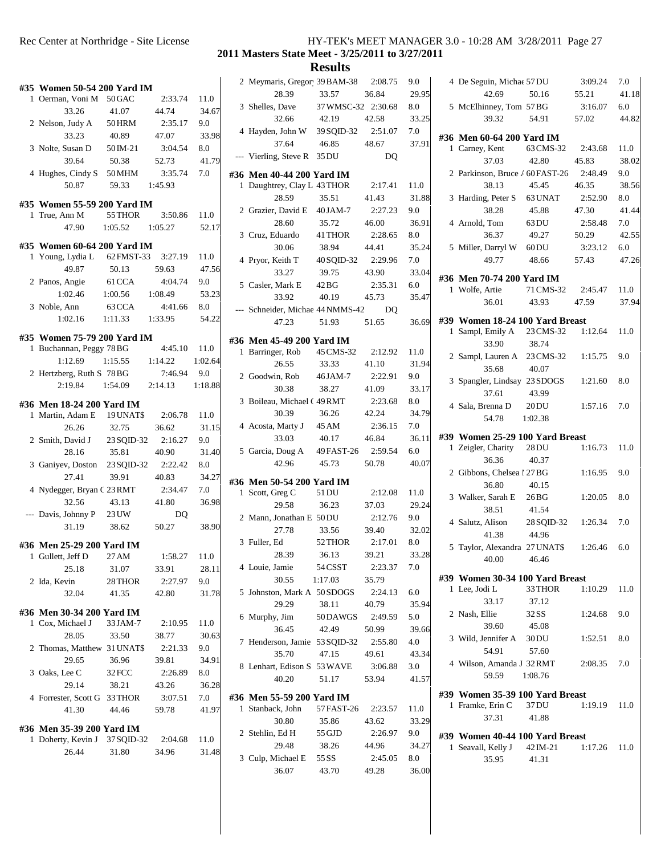|   |                                                        |                           |         |         | 2 N                        |
|---|--------------------------------------------------------|---------------------------|---------|---------|----------------------------|
|   | #35 Women 50-54 200 Yard IM<br>1 Oerman, Voni M 50 GAC |                           | 2:33.74 | 11.0    |                            |
|   | 33.26                                                  | 41.07                     | 44.74   | 34.67   | 3S                         |
|   | 2 Nelson, Judy A                                       | 50 HRM                    | 2:35.17 | 9.0     |                            |
|   | 33.23                                                  | 40.89                     | 47.07   | 33.98   | 4 H                        |
|   | 3 Nolte, Susan D                                       | 50 IM-21                  | 3:04.54 | 8.0     |                            |
|   | 39.64                                                  | 50.38                     | 52.73   | 41.79   | J                          |
|   | 4 Hughes, Cindy S 50 MHM                               |                           | 3:35.74 | 7.0     |                            |
|   | 50.87                                                  | 59.33                     | 1:45.93 |         | #36 1<br>$1 \; \mathrm{I}$ |
|   |                                                        |                           |         |         |                            |
|   | #35 Women 55-59 200 Yard IM                            |                           |         |         | 2 <sub>0</sub>             |
|   | 1 True, Ann M                                          | 55 THOR                   | 3:50.86 | 11.0    |                            |
|   |                                                        | 47.90   1:05.52   1:05.27 |         | 52.17   | 3 <sup>1</sup>             |
|   | #35 Women 60-64 200 Yard IM                            |                           |         |         |                            |
|   | 1 Young, Lydia L 62 FMST-33 3:27.19                    |                           |         | 11.0    | 4F                         |
|   | 49.87                                                  | 50.13                     | 59.63   | 47.56   |                            |
|   | 2 Panos, Angie 61 CCA                                  |                           | 4:04.74 | 9.0     | 5 <sub>0</sub>             |
|   | 1:02.46 1:00.56                                        |                           | 1:08.49 | 53.23   |                            |
|   | 3 Noble, Ann                                           | 63 CCA                    | 4:41.66 | 8.0     |                            |
|   | $1:02.16$ $1:11.33$                                    |                           | 1:33.95 | 54.22   | --- S                      |
|   |                                                        |                           |         |         |                            |
|   | #35 Women 75-79 200 Yard IM                            |                           |         |         | #36 1                      |
|   | 1 Buchannan, Peggy 78 BG                               |                           | 4:45.10 | 11.0    | 1 <sup>1</sup>             |
|   | 1:12.69                                                | 1:15.55                   | 1:14.22 | 1:02.64 |                            |
|   | 2 Hertzberg, Ruth S 78 BG                              |                           | 7:46.94 | 9.0     | 2 <sub>0</sub>             |
|   | 2:19.84 1:54.09 2:14.13 1:18.88                        |                           |         |         |                            |
|   | #36 Men 18-24 200 Yard IM                              |                           |         |         | 3 <sub>1</sub>             |
|   | 1 Martin, Adam E 19 UNAT\$ 2:06.78                     |                           |         | 11.0    |                            |
|   | 26.26                                                  | 32.75                     | 36.62   | 31.15   | 4/                         |
|   | 2 Smith, David J 23 SQID-32                            |                           | 2:16.27 | 9.0     |                            |
|   | 28.16                                                  | 35.81                     | 40.90   | 31.40   | 5 0                        |
|   | 3 Ganiyev, Doston 23 SQID-32                           |                           | 2:22.42 | 8.0     |                            |
|   | 27.41                                                  | 39.91                     | 40.83   | 34.27   |                            |
|   | 4 Nydegger, Bryan C 23 RMT                             |                           | 2:34.47 | 7.0     | #36 1<br>1 S               |
|   | 32.56                                                  | 43.13                     | 41.80   | 36.98   |                            |
|   | --- Davis, Johnny P 23 UW                              |                           | DQ      |         |                            |
|   | 31.19 38.62                                            |                           | 50.27   | 38.90   | 2 N                        |
|   |                                                        |                           |         |         | 3F                         |
|   | #36 Men 25-29 200 Yard IM                              |                           |         |         |                            |
| 1 | Gullett, Jeff D                                        | 27 AM                     | 1:58.27 | 11.0    |                            |
|   | 25.18                                                  | 31.07                     | 33.91   | 28.11   | 4 I                        |
|   | 2 Ida, Kevin                                           | 28 THOR                   | 2:27.97 | 9.0     |                            |
|   | 32.04                                                  | 41.35                     | 42.80   | 31.78   | 5J                         |
|   | #36 Men 30-34 200 Yard IM                              |                           |         |         |                            |
|   | 1 Cox, Michael J                                       | 33 JAM-7                  | 2:10.95 | 11.0    | 6 N                        |
|   | 28.05                                                  | 33.50                     | 38.77   | 30.63   |                            |
|   | 2 Thomas, Matthew 31 UNAT\$                            |                           | 2:21.33 | 9.0     | 7 H                        |
|   | 29.65                                                  | 36.96                     | 39.81   | 34.91   |                            |
|   | 3 Oaks, Lee C                                          | 32 FCC                    | 2:26.89 | 8.0     | 8 I                        |
|   | 29.14                                                  | 38.21                     | 43.26   | 36.28   |                            |
|   | 4 Forrester, Scott G 33 THOR                           |                           | 3:07.51 | 7.0     | #36 I                      |
|   | 41.30                                                  | 44.46                     | 59.78   | 41.97   | 1 S                        |
|   |                                                        |                           |         |         |                            |
|   | #36 Men 35-39 200 Yard IM                              |                           |         |         | 2S                         |
|   | 1 Doherty, Kevin J 37 SQID-32                          |                           | 2:04.68 | 11.0    |                            |
|   | 26.44                                                  | 31.80                     | 34.96   | 31.48   | 3 (                        |
|   |                                                        |                           |         |         |                            |

|                |                                     | <b>Results</b>     |                  |              |                |   |
|----------------|-------------------------------------|--------------------|------------------|--------------|----------------|---|
|                | 2 Meymaris, Gregor 39 BAM-38        |                    | 2:08.75          | 9.0          | $4$ I          |   |
|                | 28.39                               | 33.57              | 36.84            | 29.95        |                |   |
|                | 3 Shelles, Dave                     | 37 WMSC-32 2:30.68 |                  | 8.0          | 5 N            |   |
|                | 32.66                               | 42.19              | 42.58            | 33.25        |                |   |
|                | 4 Hayden, John W 39 SQID-32         |                    | 2:51.07          | 7.0          | #36 1          |   |
|                | 37.64                               | 46.85              | 48.67            | 37.91        | 10             |   |
| $\overline{a}$ | Vierling, Steve R 35 DU             |                    | DQ               |              |                |   |
|                | #36 Men 40-44 200 Yard IM           |                    |                  |              | 2 F            |   |
| 1              | Daughtrey, Clay L 43 THOR           |                    | 2:17.41          | 11.0         |                |   |
|                | 28.59                               | 35.51              | 41.43            | 31.88        | 3F             |   |
|                | 2 Grazier, David E 40 JAM-7         |                    | 2:27.23          | 9.0          |                |   |
|                | 28.60                               | 35.72              | 46.00            | 36.91        | 4f             |   |
|                | 3 Cruz, Eduardo                     | 41 THOR            | 2:28.65          | 8.0          |                |   |
|                | 30.06                               | 38.94              | 44.41            | 35.24        | 5 N            |   |
|                | 4 Pryor, Keith T 40 SQID-32         |                    | 2:29.96          | 7.0          |                |   |
|                | 33.27                               | 39.75              | 43.90            | 33.04        |                |   |
|                | 5 Casler, Mark E 42 BG              |                    | 2:35.31          | 6.0          | #36 I<br>1     | J |
|                | 33.92                               | 40.19              | 45.73            | 35.47        |                |   |
|                | --- Schneider, Michae 44 NMMS-42    |                    | DQ               |              |                |   |
|                | 47.23                               | 51.93              | 51.65            | 36.69        | #39 \          |   |
|                | #36 Men 45-49 200 Yard IM           |                    |                  |              | 1S             |   |
| 1              | Barringer, Rob                      | 45 CMS-32 2:12.92  |                  | 11.0         |                |   |
|                | 26.55                               | 33.33              | 41.10            | 31.94        | 2S             |   |
|                | 2 Goodwin, Rob 46 JAM-7             |                    | 2:22.91          | 9.0          |                |   |
|                | 30.38                               | 38.27              | 41.09            | 33.17        | 3S             |   |
|                | 3 Boileau, Michael (49 RMT          |                    | 2:23.68          | 8.0          |                |   |
|                | 30.39                               | 36.26              | 42.24            | 34.79        | 4 S            |   |
|                | 4 Acosta, Marty J 45 AM             |                    | 2:36.15          | 7.0          |                |   |
|                | 33.03                               | 40.17              | 46.84            | 36.11        | #39 \          |   |
|                | 5 Garcia, Doug A 49 FAST-26 2:59.54 |                    |                  | 6.0          | 12             |   |
|                | 42.96                               | 45.73              | 50.78            | 40.07        |                |   |
|                |                                     |                    |                  |              | 2 <sub>0</sub> |   |
|                | #36 Men 50-54 200 Yard IM           |                    |                  |              |                |   |
|                | 1 Scott, Greg C<br>29.58            | 51 DU<br>36.23     | 2:12.08          | 11.0         | 3 <sub>1</sub> |   |
|                |                                     |                    | 37.03<br>2:12.76 | 29.24        |                |   |
|                | 2 Mann, Jonathan E 50 DU<br>27.78   | 33.56              | 39.40            | 9.0<br>32.02 | 4S             |   |
|                | 3 Fuller, Ed                        | 52 THOR            | 2:17.01          | 8.0          |                |   |
|                | 28.39                               | 36.13              | 39.21            | 33.28        | 5 <sub>1</sub> |   |
|                | 4 Louie, Jamie                      | 54 CSST            | 2:23.37          | 7.0          |                |   |
|                | 30.55                               | 1:17.03            | 35.79            |              | #39 \          |   |
|                | 5 Johnston, Mark A 50 SDOGS         |                    | 2:24.13          | 6.0          | 1 <sub>l</sub> |   |
|                | 29.29                               | 38.11              | 40.79            | 35.94        |                |   |
|                | 6 Murphy, Jim 50 DAWGS              |                    | 2:49.59          | 5.0          | 2 <sub>1</sub> |   |
|                | 36.45                               | 42.49              | 50.99            | 39.66        |                |   |
|                | 7 Henderson, Jamie 53 SQID-32       |                    | 2:55.80          | 4.0          | 3 <sub>l</sub> |   |
|                | 35.70                               | 47.15              | 49.61            | 43.34        |                |   |
|                | 8 Lenhart, Edison S 53 WAVE         |                    | 3:06.88          | 3.0          | 4 N            |   |
|                | 40.20                               | 51.17              | 53.94            | 41.57        |                |   |
|                |                                     |                    |                  |              | #39 \          |   |
|                | #36 Men 55-59 200 Yard IM           |                    |                  |              | 1 F            |   |
|                | 1 Stanback, John                    | 57 FAST-26 2:23.57 |                  | 11.0         |                |   |
|                | 30.80                               | 35.86              | 43.62            | 33.29        |                |   |
|                | 2 Stehlin, Ed H 55 GJD<br>29.48     |                    | 2:26.97          | 9.0          | #39 \          |   |
|                |                                     | 38.26              | 44.96            | 34.27        | 1S             |   |
|                |                                     |                    |                  |              |                |   |
|                | 3 Culp, Michael E 55 SS             |                    | 2:45.05          | 8.0          |                |   |
|                | 36.07                               | 43.70              | 49.28            | 36.00        |                |   |

| 4 De Seguin, Michae 57 DU                 |         | 3:09.24 | 7.0   |
|-------------------------------------------|---------|---------|-------|
| 42.69                                     | 50.16   | 55.21   | 41.18 |
| 5 McElhinney, Tom 57BG                    |         | 3:16.07 | 6.0   |
| 39.32                                     | 54.91   | 57.02   | 44.82 |
| #36 Men 60-64 200 Yard IM                 |         |         |       |
| 1 Carney, Kent 63 CMS-32 2:43.68          |         |         | 11.0  |
| 37.03                                     | 42.80   | 45.83   | 38.02 |
| 2 Parkinson, Bruce / 60 FAST-26 2:48.49   |         |         | 9.0   |
| 38.13                                     | 45.45   | 46.35   | 38.56 |
| 3 Harding, Peter S 63 UNAT                |         | 2:52.90 | 8.0   |
| 38.28                                     | 45.88   | 47.30   | 41.44 |
| 4 Arnold, Tom 63 DU                       |         | 2:58.48 | 7.0   |
| 36.37                                     | 49.27   | 50.29   | 42.55 |
| 5 Miller, Darryl W 60DU                   |         | 3:23.12 | 6.0   |
| 49.77                                     | 48.66   | 57.43   | 47.26 |
| #36 Men 70-74 200 Yard IM                 |         |         |       |
| 1 Wolfe, Artie 71 CMS-32 2:45.47          |         |         | 11.0  |
| 36.01                                     | 43.93   | 47.59   | 37.94 |
| #39 Women 18-24 100 Yard Breast           |         |         |       |
| 1 Sampl, Emily A 23 CMS-32 1:12.64        |         |         | 11.0  |
| 33.90                                     | 38.74   |         |       |
| 2 Sampl, Lauren A 23 CMS-32 1:15.75       |         |         | 9.0   |
| 35.68                                     | 40.07   |         |       |
| 3 Spangler, Lindsay 23 SDOGS<br>37.61     | 43.99   | 1:21.60 | 8.0   |
| 4 Sala, Brenna D 20DU                     |         | 1:57.16 | 7.0   |
| 54.78                                     | 1:02.38 |         |       |
| #39 Women 25-29 100 Yard Breast           |         |         |       |
| 1 Zeigler, Charity 28DU                   |         | 1:16.73 | 11.0  |
| 36.36                                     | 40.37   |         |       |
| 2 Gibbons, Chelsea 1 27 BG                |         | 1:16.95 | 9.0   |
| 36.80                                     | 40.15   |         |       |
| 3 Walker, Sarah E 26BG                    |         | 1:20.05 | 8.0   |
| 38.51                                     | 41.54   |         |       |
| 4 Salutz, Alison 28 SQID-32 1:26.34       |         |         | 7.0   |
| 41.38                                     | 44.96   |         |       |
| 5 Taylor, Alexandra 27 UNAT\$ 1:26.46 6.0 |         |         |       |
| 40.00 46.46                               |         |         |       |
| #39 Women 30-34 100 Yard Breast           |         |         |       |
| 1 Lee, Jodi L                             | 33 THOR | 1:10.29 | 11.0  |
| 33.17                                     | 37.12   |         |       |
| 2 Nash, Ellie                             | 32 SS   | 1:24.68 | 9.0   |
| 39.60                                     | 45.08   |         |       |
| 3 Wild, Jennifer A                        | 30DU    | 1:52.51 | 8.0   |
| 54.91                                     | 57.60   |         |       |
| 4 Wilson, Amanda J 32 RMT                 |         | 2:08.35 | 7.0   |
| 59.59                                     | 1:08.76 |         |       |
| #39 Women 35-39 100 Yard Breast           |         |         |       |
| 1 Framke, Erin C 37 DU                    |         | 1:19.19 | 11.0  |
| 37.31                                     | 41.88   |         |       |
|                                           |         |         |       |
| #39 Women 40-44 100 Yard Breast           |         |         |       |
| 1 Seavall, Kelly J 42 IM-21<br>35.95      |         | 1:17.26 | 11.0  |
|                                           | 41.31   |         |       |
|                                           |         |         |       |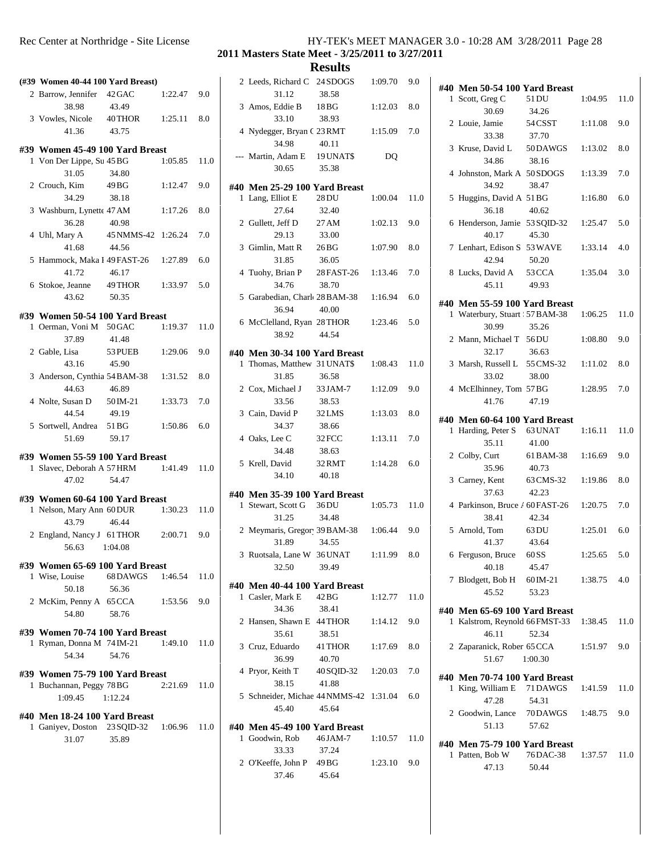| Rec Center at Northridge - Site License | HY-TEK's MEET MANAGER 3.0 - 10:28 AM 3/28/2011 Page 28 |
|-----------------------------------------|--------------------------------------------------------|
|-----------------------------------------|--------------------------------------------------------|

| (#39 Women 40-44 100 Yard Breast)                            |                           |               |      | 2              |
|--------------------------------------------------------------|---------------------------|---------------|------|----------------|
| 2 Barrow, Jennifer 42 GAC<br>38.98                           | 43.49                     | $1:22.47$ 9.0 |      | 3              |
| 3 Vowles, Nicole 40 THOR                                     |                           | 1:25.11       | 8.0  |                |
| 41.36                                                        | 43.75                     |               |      | $\overline{4}$ |
| #39 Women 45-49 100 Yard Breast<br>1 Von Der Lippe, Su 45 BG |                           | 1:05.85       | 11.0 |                |
| 31.05                                                        | 34.80                     |               |      |                |
| 2 Crouch, Kim                                                | 49 BG                     | 1:12.47       | 9.0  | #40            |
| 34.29                                                        | 38.18                     |               |      | 1              |
| 3 Washburn, Lynette 47 AM                                    |                           | 1:17.26       | 8.0  |                |
| 36.28<br>4 Uhl, Mary A 45 NMMS-42 1:26.24                    | 40.98                     |               | 7.0  | 2              |
| 41.68                                                        | 44.56                     |               |      | 3              |
| 5 Hammock, Maka I 49 FAST-26 1:27.89                         |                           |               | 6.0  |                |
| 41.72                                                        | 46.17                     |               |      | $\overline{4}$ |
| 6 Stokoe, Jeanne 49 THOR 1:33.97                             |                           |               | 5.0  |                |
| 43.62                                                        | 50.35                     |               |      | 5              |
| #39 Women 50-54 100 Yard Breast                              |                           |               |      | 6              |
| 1 Oerman, Voni M 50 GAC<br>37.89                             | 41.48                     | 1:19.37       | 11.0 |                |
| 2 Gable, Lisa 53 PUEB                                        |                           | 1:29.06       | 9.0  | #40            |
| 43.16                                                        | 45.90                     |               |      | 1              |
| 3 Anderson, Cynthia 54 BAM-38 1:31.52                        |                           |               | 8.0  |                |
| 44.63                                                        | 46.89                     |               |      | 2              |
| 4 Nolte, Susan D 50 IM-21                                    |                           | 1:33.73       | 7.0  |                |
| 44.54<br>5 Sortwell, Andrea 51 BG                            | 49.19                     | 1:50.86       | 6.0  | 3              |
| 51.69                                                        | 59.17                     |               |      | $\overline{4}$ |
| #39 Women 55-59 100 Yard Breast                              |                           |               |      |                |
| 1 Slavec, Deborah A 57 HRM                                   |                           | 1:41.49       | 11.0 | 5              |
| 47.02                                                        | 54.47                     |               |      |                |
| #39 Women 60-64 100 Yard Breast                              |                           |               |      | #40            |
| 1 Nelson, Mary Ann 60 DUR                                    |                           | 1:30.23       | 11.0 | 1              |
| 43.79                                                        | 46.44                     |               |      | 2              |
| 2 England, Nancy J 61 THOR                                   |                           | 2:00.71       | 9.0  |                |
| 56.63                                                        | 1:04.08                   |               |      | 3              |
| #39 Women 65-69 100 Yard Breast                              |                           |               |      |                |
| 1 Wise, Louise<br>50.18                                      | 68 DAWGS 1:46.54<br>56.36 |               | 11.0 | #40            |
| 2 McKim, Penny A 65 CCA                                      |                           | 1:53.56       | 9.0  | 1              |
| 54.80                                                        | 58.76                     |               |      |                |
| #39 Women 70-74 100 Yard Breast                              |                           |               |      | 2              |
| 1 Ryman, Donna M 74 IM-21                                    |                           | 1:49.10       | 11.0 | 3              |
| 54.34                                                        | 54.76                     |               |      |                |
| #39 Women 75-79 100 Yard Breast                              |                           |               |      | $\overline{4}$ |
| 1 Buchannan, Peggy 78 BG                                     |                           | 2:21.69       | 11.0 |                |
| 1:09.45                                                      | 1:12.24                   |               |      | 5              |
| #40 Men 18-24 100 Yard Breast                                |                           |               |      |                |
| 1 Ganiyev, Doston 23 SQID-32 1:06.96                         |                           |               | 11.0 | #40<br>1       |
| 31.07                                                        | 35.89                     |               |      |                |
|                                                              |                           |               |      | 2              |
|                                                              |                           |               |      |                |

| 2 Leeds, Richard C 24 SDOGS<br>31.12                         | 38.58                       | 1:09.70 | 9.0  | #40            |
|--------------------------------------------------------------|-----------------------------|---------|------|----------------|
| 3 Amos, Eddie B<br>33.10                                     | 18BG<br>38.93               | 1:12.03 | 8.0  | 1              |
| 4 Nydegger, Bryan C 23 RMT<br>34.98                          | 40.11                       | 1:15.09 | 7.0  | 2              |
| --- Martin, Adam E 19 UNAT\$<br>30.65                        | 35.38                       | DQ      |      | 3              |
|                                                              |                             |         |      | $\overline{4}$ |
| #40 Men 25-29 100 Yard Breast<br>1 Lang, Elliot E<br>27.64   | 28 DU<br>32.40              | 1:00.04 | 11.0 | 5              |
| 2 Gullett, Jeff D<br>29.13                                   | 27 AM<br>33.00              | 1:02.13 | 9.0  | 6              |
| 3 Gimlin, Matt R 26 BG<br>31.85                              | 36.05                       | 1:07.90 | 8.0  | 7              |
| 4 Tuohy, Brian P 28 FAST-26 1:13.46<br>34.76                 | 38.70                       |         | 7.0  | 8              |
| 5 Garabedian, Charle 28 BAM-38 1:16.94<br>36.94              | 40.00                       |         | 6.0  | #40            |
| 6 McClelland, Ryan 28 THOR 1:23.46<br>38.92                  | 44.54                       |         | 5.0  | 1              |
|                                                              |                             |         |      | 2              |
| #40 Men 30-34 100 Yard Breast<br>1 Thomas, Matthew 31 UNAT\$ |                             | 1:08.43 | 11.0 | 3              |
| 31.85                                                        | 36.58                       |         |      |                |
| 2 Cox, Michael J 33 JAM-7<br>33.56                           | 38.53                       | 1:12.09 | 9.0  | $\overline{4}$ |
| 3 Cain, David P 32 LMS<br>34.37                              | 38.66                       | 1:13.03 | 8.0  | #40<br>1       |
| 4 Oaks, Lee C<br>34.48                                       | 32 FCC<br>38.63             | 1:13.11 | 7.0  | 2              |
| 5 Krell, David<br>34.10                                      | 32 RMT<br>40.18             | 1:14.28 | 6.0  | 3              |
| #40 Men 35-39 100 Yard Breast                                |                             |         |      |                |
| 1 Stewart, Scott G 36DU<br>31.25                             | 34.48                       | 1:05.73 | 11.0 | $\overline{4}$ |
| 2 Meymaris, Gregor 39 BAM-38 1:06.44<br>31.89                | 34.55                       |         | 9.0  | 5              |
| 3 Ruotsala, Lane W 36 UNAT<br>32.50                          | 39.49                       | 1:11.99 | 8.0  | 6              |
| #40  Men 40-44 100 Yard Breast                               |                             |         |      | 7              |
| 1 Casler, Mark E<br>34.36                                    | 42 BG<br>38.41              | 1:12.77 | 11.0 | #40            |
| 2 Hansen, Shawn E 44 THOR<br>35.61                           | 38.51                       | 1:14.12 | 9.0  | 1              |
| 3 Cruz, Eduardo 41 THOR<br>36.99                             | 40.70                       | 1:17.69 | 8.0  | 2              |
| 4 Pryor, Keith T<br>38.15                                    | 40 SQID-32 1:20.03<br>41.88 |         | 7.0  | #40<br>1       |
| 5 Schneider, Michae 44 NMMS-42 1:31.04<br>45.40              | 45.64                       |         | 6.0  | 2              |
| #40 Men 45-49 100 Yard Breast                                |                             |         |      |                |
| 1 Goodwin, Rob<br>33.33                                      | 46 JAM-7<br>37.24           | 1:10.57 | 11.0 | #40<br>1       |
| 2 O'Keeffe, John P 49 BG<br>37.46                            | 45.64                       | 1:23.10 | 9.0  |                |

| #40 Men 50-54 100 Yard Breast           |                   |                |      |
|-----------------------------------------|-------------------|----------------|------|
| 1 Scott, Greg C 51 DU                   |                   | $1:04.95$ 11.0 |      |
| 30.69                                   | 34.26             |                |      |
| 2 Louie, Jamie 54 CSST 1:11.08          |                   |                | 9.0  |
| 33.38                                   | 37.70             |                |      |
| 3 Kruse, David L 50DAWGS 1:13.02        |                   |                | 8.0  |
| 34.86                                   | 38.16             |                |      |
| 4 Johnston, Mark A 50 SDOGS 1:13.39     |                   |                | 7.0  |
| 34.92                                   | 38.47             |                |      |
| 5 Huggins, David A 51 BG                |                   | 1:16.80        | 6.0  |
| 36.18                                   | 40.62             |                |      |
| 6 Henderson, Jamie 53 SQID-32 1:25.47   |                   |                | 5.0  |
| 40.17                                   | 45.30             |                |      |
| 7 Lenhart, Edison S 53 WAVE 1:33.14     |                   |                | 4.0  |
| 42.94                                   | 50.20             |                |      |
| 8 Lucks, David A 53 CCA                 |                   | 1:35.04        | 3.0  |
| 45.11                                   | 49.93             |                |      |
| #40 Men 55-59 100 Yard Breast           |                   |                |      |
| 1 Waterbury, Stuart   57 BAM-38 1:06.25 |                   |                | 11.0 |
| 30.99                                   | 35.26             |                |      |
| 2 Mann, Michael T 56DU                  |                   | 1:08.80        | 9.0  |
| 32.17                                   | 36.63             |                |      |
| 3 Marsh, Russell L 55 CMS-32 1:11.02    |                   |                | 8.0  |
| 33.02                                   | 38.00             |                |      |
| 4 McElhinney, Tom 57BG                  |                   | 1:28.95        | 7.0  |
| 41.76                                   | 47.19             |                |      |
| #40 Men 60-64 100 Yard Breast           |                   |                |      |
| 1 Harding, Peter S 63 UNAT 1:16.11      |                   |                | 11.0 |
| 35.11                                   | 41.00             |                |      |
| 2 Colby, Curt                           | 61 BAM-38 1:16.69 |                | 9.0  |
| 35.96                                   | 40.73             |                |      |
| 3 Carney, Kent                          | 63 CMS-32 1:19.86 |                | 8.0  |
| 37.63                                   | 42.23             |                |      |
| 4 Parkinson, Bruce / 60 FAST-26 1:20.75 |                   |                | 7.0  |
| 38.41                                   | 42.34             |                |      |
| 5 Arnold, Tom 63DU                      |                   | 1:25.01        | 6.0  |
| 41.37                                   | 43.64             |                |      |
| 6 Ferguson, Bruce 60SS                  |                   | 1:25.65        | 5.0  |
| 40.18                                   | 45.47             |                |      |
| 7 Blodgett, Bob H 60 IM-21              |                   | 1:38.75        | 4.0  |
| 45.52                                   | 53.23             |                |      |
| #40 Men 65-69 100 Yard Breast           |                   |                |      |
| 1 Kalstrom, Reynold 66 FMST-33          |                   | 1:38.45        | 11.0 |
| 46.11                                   | 52.34             |                |      |
| 2 Zaparanick, Rober 65 CCA              |                   | 1:51.97        | 9.0  |
| 51.67                                   | 1:00.30           |                |      |
| #40 Men 70-74 100 Yard Breast           |                   |                |      |
| 1 King, William E 71 DAWGS              |                   | 1:41.59        | 11.0 |
| 47.28                                   | 54.31             |                |      |
| 2 Goodwin, Lance 70 DAWGS               |                   | 1:48.75        | 9.0  |
| 51.13                                   | 57.62             |                |      |
|                                         |                   |                |      |
| #40 Men 75-79 100 Yard Breast           |                   |                |      |
| 1 Patten, Bob W                         | 76 DAC-38         | 1:37.57        | 11.0 |
| 47.13                                   | 50.44             |                |      |
|                                         |                   |                |      |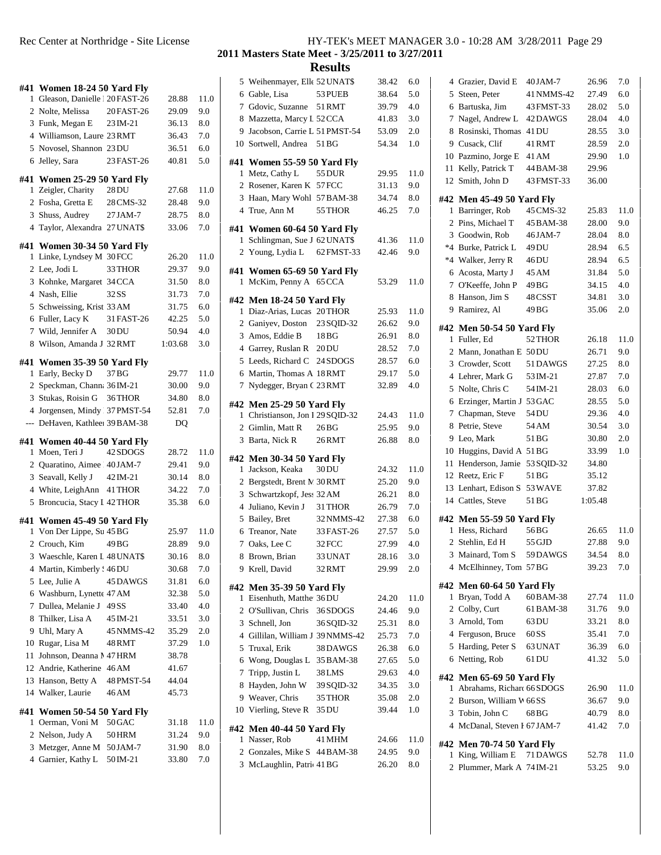|    |                                                                |                      |                |              | 5                       |
|----|----------------------------------------------------------------|----------------------|----------------|--------------|-------------------------|
|    | #41 Women 18-24 50 Yard Fly<br>1 Gleason, Danielle 120 FAST-26 |                      | 28.88          | 11.0         | 6                       |
|    | 2 Nolte, Melissa                                               | 20 FAST-26           | 29.09          | 9.0          | 7                       |
|    | 3 Funk, Megan E                                                | 23 IM-21             | 36.13          | $_{\rm 8.0}$ | 8                       |
|    | 4 Williamson, Laure 23 RMT                                     |                      | 36.43          | 7.0          | 9                       |
|    | 5 Novosel, Shannon 23 DU                                       |                      | 36.51          | 6.0          | 10                      |
|    | 6 Jelley, Sara                                                 | 23 FAST-26           | 40.81          | 5.0          | #41                     |
|    |                                                                |                      |                |              | 1                       |
|    | #41 Women 25-29 50 Yard Fly                                    |                      |                |              | $\mathbf{2}$            |
|    | 1 Zeigler, Charity                                             | 28 DU                | 27.68          | 11.0         | 3                       |
|    | 2 Fosha, Gretta E                                              | 28 CMS-32            | 28.48          | 9.0          | $\overline{\mathbf{4}}$ |
|    | 3 Shuss, Audrey                                                | 27 JAM-7             | 28.75          | $_{\rm 8.0}$ |                         |
|    | 4 Taylor, Alexandra 27 UNAT\$                                  |                      | 33.06          | 7.0          | #41<br>1                |
|    | #41 Women 30-34 50 Yard Fly                                    |                      |                |              | $\overline{c}$          |
|    | 1 Linke, Lyndsey M 30 FCC                                      |                      | 26.20          | 11.0         |                         |
|    | 2 Lee, Jodi L                                                  | 33 THOR              | 29.37          | 9.0          | #41                     |
|    | 3 Kohnke, Margaret 34 CCA                                      |                      | 31.50          | 8.0          | 1                       |
|    | 4 Nash, Ellie                                                  | 32 SS                | 31.73          | 7.0          | #42                     |
|    | 5 Schweissing, Krist 33 AM                                     |                      | 31.75          | 6.0          | 1                       |
|    | 6 Fuller, Lacy K                                               | 31 FAST-26           | 42.25          | 5.0          | $\mathfrak{2}$          |
|    | 7 Wild. Jennifer A 30 DU                                       |                      | 50.94          | 4.0          | 3                       |
| 8  | Wilson, Amanda J 32 RMT                                        |                      | 1:03.68        | 3.0          | $\overline{4}$          |
|    | #41 Women 35-39 50 Yard Fly                                    |                      |                |              | 5                       |
|    | 1 Early, Becky D                                               | 37 BG                | 29.77          | 11.0         | 6                       |
|    | 2 Speckman, Chann: 36 IM-21                                    |                      | 30.00          | 9.0          | 7                       |
|    | 3 Stukas, Roisin G                                             | 36THOR               | 34.80          | 8.0          | #42                     |
|    | 4 Jorgensen, Mindy 37 PMST-54                                  |                      | 52.81          | 7.0          | 1                       |
|    | --- DeHaven, Kathlee: 39 BAM-38                                |                      | DQ             |              |                         |
|    |                                                                |                      |                |              |                         |
|    |                                                                |                      |                |              | 2<br>3                  |
|    | #41 Women 40-44 50 Yard Fly<br>1 Moen, Teri J                  | 42 SDOGS             | 28.72          | 11.0         |                         |
|    | 2 Quaratino, Aimee 40 JAM-7                                    |                      | 29.41          | 9.0          | #42                     |
|    | 3 Seavall, Kelly J 42 IM-21                                    |                      | 30.14          | $_{\rm 8.0}$ | 1                       |
|    | 4 White, LeighAnn 41 THOR                                      |                      | 34.22          | 7.0          | 2                       |
|    | 5 Broncucia, Stacy I 42 THOR                                   |                      | 35.38          | 6.0          | 3                       |
|    |                                                                |                      |                |              | $\overline{4}$          |
|    | #41 Women 45-49 50 Yard Fly                                    |                      |                |              | 5                       |
|    | 1 Von Der Lippe, Su 45 BG                                      |                      | 25.97          | 11.0         | 6                       |
|    | 2 Crouch, Kim                                                  | 49 BG                | 28.89          | 9.0          | 7                       |
|    | 3 Waeschle, Karen L 48 UNAT\$                                  |                      | 30.16          | $8.0\,$      | 8                       |
|    | 4 Martin, Kimberly ! 46 DU                                     | 45 DAWGS             | 30.68          | 7.0          | 9                       |
|    | 5 Lee, Julie A                                                 |                      | 31.81          | 6.0          | #42                     |
|    | 6 Washburn, Lynette 47 AM                                      | 49 SS                | 32.38          | 5.0          | 1                       |
|    | 7 Dullea, Melanie J                                            |                      | 33.40          | 4.0          | 2                       |
|    | 8 Thilker, Lisa A<br>9 Uhl, Mary A                             | 45 IM-21             | 33.51<br>35.29 | 3.0<br>2.0   | 3                       |
|    | 10 Rugar, Lisa M                                               | 45 NMMS-42<br>48 RMT | 37.29          | 1.0          | 4                       |
| 11 | Johnson, Deanna M 47 HRM                                       |                      | 38.78          |              | 5                       |
|    | 12 Andrie, Katherine 46 AM                                     |                      | 41.67          |              | 6                       |
|    | 13 Hanson, Betty A                                             | 48 PMST-54           | 44.04          |              | 7                       |
|    | 14 Walker, Laurie                                              | 46 AM                | 45.73          |              | 8                       |
|    |                                                                |                      |                |              | 9                       |
|    | #41 Women 50-54 50 Yard Fly                                    |                      |                |              | 10                      |
| 1  | Oerman, Voni M                                                 | 50 GAC               | 31.18          | 11.0         | #42                     |
|    | 2 Nelson, Judy A                                               | 50 HRM               | 31.24          | 9.0          | 1                       |
|    | 3 Metzger, Anne M<br>4 Garnier, Kathy L                        | 50 JAM-7<br>50 IM-21 | 31.90<br>33.80 | 8.0<br>7.0   | 2<br>3                  |

#### Rec Center at Northridge - Site License HY-TEK's MEET MANAGER 3.0 - 10:28 AM 3/28/2011 Page 29 **Masters State Meet - 3/25/2011 to 3/27/2011**

|              |    | 5 Weihenmayer, Elle 52 UNAT\$                              |                  | 38.42          | 6.0        | 4                       |
|--------------|----|------------------------------------------------------------|------------------|----------------|------------|-------------------------|
| 11.0         |    | 6 Gable, Lisa                                              | 53 PUEB          | 38.64          | 5.0        | 5                       |
| 9.0          |    | 7 Gdovic, Suzanne                                          | 51 RMT           | 39.79          | 4.0        | 6                       |
| 8.0          |    | 8 Mazzetta, Marcy L 52 CCA                                 |                  | 41.83          | 3.0        | 7                       |
| 7.0          |    | 9 Jacobson, Carrie L 51 PMST-54                            |                  | 53.09          | 2.0        | 8                       |
| 6.0          |    | 10 Sortwell, Andrea 51 BG                                  |                  | 54.34          | 1.0        | 9                       |
| 5.0          |    | #41 Women 55-59 50 Yard Fly                                |                  |                |            | 10                      |
|              |    | 1 Metz, Cathy L                                            | 55 DUR           | 29.95          | 11.0       | 11                      |
|              |    | 2 Rosener, Karen K 57 FCC                                  |                  | 31.13          | 9.0        | 12                      |
| 11.0         |    | 3 Haan, Mary Wohl 57 BAM-38                                |                  | 34.74          | $8.0\,$    | #42                     |
| 9.0          |    | 4 True, Ann M                                              | 55 THOR          | 46.25          | 7.0        | 1                       |
| 8.0          |    |                                                            |                  |                |            | $\boldsymbol{2}$        |
| 7.0          |    | #41 Women 60-64 50 Yard Fly                                |                  |                |            | 3                       |
|              | 1  | Schlingman, Sue J 62 UNAT\$                                |                  | 41.36          | 11.0       | $*4$                    |
| 11.0         |    | 2 Young, Lydia L 62 FMST-33                                |                  | 42.46          | 9.0        | $*4$                    |
| 9.0          |    | #41 Women 65-69 50 Yard Fly                                |                  |                |            | 6                       |
| 8.0          |    | 1 McKim, Penny A 65 CCA                                    |                  | 53.29          | 11.0       | 7                       |
| 7.0          |    | #42 Men 18-24 50 Yard Fly                                  |                  |                |            | 8                       |
| 6.0          |    | 1 Diaz-Arias, Lucas 20THOR                                 |                  | 25.93          | 11.0       | 9                       |
| 5.0          |    | 2 Ganiyev, Doston 23 SQID-32                               |                  | 26.62          | 9.0        |                         |
| 4.0          |    | 3 Amos, Eddie B                                            | 18 BG            | 26.91          | 8.0        | #42                     |
| 3.0          |    | 4 Garrey, Ruslan R 20DU                                    |                  | 28.52          | 7.0        | 1                       |
|              |    | 5 Leeds, Richard C 24 SDOGS                                |                  | 28.57          | 6.0        | $\mathfrak{2}$          |
| 11.0         |    | 6 Martin, Thomas A 18 RMT                                  |                  | 29.17          | 5.0        | 3                       |
| 9.0          |    | 7 Nydegger, Bryan C 23 RMT                                 |                  | 32.89          | 4.0        | $\overline{4}$          |
| 8.0          |    |                                                            |                  |                |            | 5                       |
| 7.0          |    | #42 Men 25-29 50 Yard Fly                                  |                  |                |            | 6                       |
|              |    | 1 Christianson, Jon I 29 SQID-32                           |                  | 24.43          | 11.0       | 7                       |
|              |    | 2 Gimlin, Matt R                                           | 26 <sub>BG</sub> | 25.95          | 9.0        | 8                       |
|              |    |                                                            |                  |                |            |                         |
|              |    | 3 Barta, Nick R                                            | 26 RMT           | 26.88          | 8.0        | 9                       |
| 11.0         |    | #42 Men 30-34 50 Yard Fly                                  |                  |                |            | 10                      |
| 9.0          |    | 1 Jackson, Keaka                                           | 30 DU            | 24.32          | 11.0       | 11                      |
| 8.0          |    | 2 Bergstedt, Brent M 30 RMT                                |                  | 25.20          | 9.0        | 12                      |
| 7.0          |    | 3 Schwartzkopf, Jess 32 AM                                 |                  | 26.21          | 8.0        | 13                      |
| 6.0          |    | 4 Juliano, Kevin J                                         | 31 THOR          | 26.79          | 7.0        | 14                      |
|              |    | 5 Bailey, Bret                                             | 32 NMMS-42       | 27.38          | 6.0        | #42                     |
| 11.0         |    | 6 Treanor, Nate                                            | 33 FAST-26       | 27.57          | 5.0        | 1                       |
| 9.0          | 7  | Oaks, Lee C                                                | 32 FCC           | 27.99          | 4.0        | $\mathfrak{2}$          |
| $_{\rm 8.0}$ | 8  | Brown, Brian                                               | 33 UNAT          | 28.16          | 3.0        | 3                       |
| 7.0          |    | 9 Krell, David                                             | 32 RMT           | 29.99          | 2.0        | 4                       |
| 6.0          |    |                                                            |                  |                |            |                         |
| 5.0          |    | #42 Men 35-39 50 Yard Fly                                  |                  |                |            | #42<br>1                |
| 4.0          |    | 1 Eisenhuth, Matthe 36 DU                                  |                  | 24.20          | 11.0       | 2                       |
| 3.0          |    | 2 O'Sullivan, Chris                                        | 36 SDOGS         | 24.46          | 9.0        | 3                       |
| 2.0          |    | 3 Schnell, Jon                                             | 36 SQID-32       | 25.31          | 8.0        | 4                       |
| $1.0\,$      | 5. | 4 Gillilan, William J 39 NMMS-42                           |                  | 25.73          | 7.0        | 5                       |
|              |    | Truxal, Erik                                               | 38 DAWGS         | 26.38<br>27.65 | 6.0<br>5.0 | 6                       |
|              | 7  | 6 Wong, Douglas L 35 BAM-38                                | 38 LMS           |                | 4.0        |                         |
|              | 8  | Tripp, Justin L                                            |                  | 29.63<br>34.35 | 3.0        | #42                     |
|              |    | Hayden, John W                                             | 39 SQID-32       |                | 2.0        | 1                       |
|              |    | 9 Weaver, Chris                                            | 35 THOR<br>35 DU | 35.08<br>39.44 | 1.0        | $\overline{\mathbf{c}}$ |
| 11.0         |    | 10 Vierling, Steve R                                       |                  |                |            | 3                       |
| 9.0          |    | #42 Men 40-44 50 Yard Fly                                  |                  |                |            | $\overline{4}$          |
| $8.0\,$      |    | 1 Nasser, Rob                                              | 41 MHM           | 24.66          | 11.0       | #42                     |
| 7.0          |    | 2 Gonzales, Mike S 44 BAM-38<br>3 McLaughlin, Patric 41 BG |                  | 24.95<br>26.20 | 9.0<br>8.0 | 1                       |

| 4 Grazier, David E                                 | 40 JAM-7   | 26.96   | 7.0     |
|----------------------------------------------------|------------|---------|---------|
| 5 Steen, Peter                                     | 41 NMMS-42 | 27.49   | 6.0     |
| 6 Bartuska, Jim                                    | 43 FMST-33 | 28.02   | 5.0     |
| 7 Nagel, Andrew L 42DAWGS                          |            | 28.04   | 4.0     |
| 8 Rosinski, Thomas 41DU                            |            | 28.55   | 3.0     |
| 9 Cusack, Clif                                     | 41 RMT     | 28.59   | 2.0     |
| 10 Pazmino, Jorge E 41 AM                          |            | 29.90   | 1.0     |
| 11 Kelly, Patrick T 44 BAM-38                      |            | 29.96   |         |
| 12 Smith, John D                                   | 43 FMST-33 | 36.00   |         |
|                                                    |            |         |         |
| #42 Men 45-49 50 Yard Fly                          |            |         |         |
| 1 Barringer, Rob                                   | 45 CMS-32  | 25.83   | 11.0    |
| 2 Pins, Michael T 45 BAM-38                        |            | 28.00   | 9.0     |
| 3 Goodwin, Rob                                     | 46 JAM-7   | 28.04   | 8.0     |
| *4 Burke, Patrick L 49DU                           |            | 28.94   | 6.5     |
| *4 Walker, Jerry R 46DU                            |            | 28.94   | 6.5     |
| 6 Acosta, Marty J 45 AM                            |            | 31.84   | 5.0     |
| 7 O'Keeffe, John P 49 BG                           |            | 34.15   | 4.0     |
| 8 Hanson, Jim S                                    | 48 CSST    | 34.81   | 3.0     |
| 9 Ramirez, Al                                      | 49 BG      | 35.06   | 2.0     |
|                                                    |            |         |         |
| #42 Men 50-54 50 Yard Fly                          |            |         |         |
| 1 Fuller, Ed                                       | 52 THOR    | 26.18   | 11.0    |
| 2 Mann, Jonathan E 50 DU                           |            | 26.71   | 9.0     |
| 3 Crowder, Scott                                   | 51 DAWGS   | 27.25   | 8.0     |
| 4 Lehrer, Mark G 53 IM-21                          |            | 27.87   | 7.0     |
| 5 Nolte, Chris C                                   | 54 IM-21   | 28.03   | 6.0     |
| 6 Erzinger, Martin J 53 GAC                        |            | 28.55   | 5.0     |
| 7 Chapman, Steve 54 DU                             |            | 29.36   | 4.0     |
| 8 Petrie, Steve                                    | 54 AM      | 30.54   | 3.0     |
| 9 Leo, Mark                                        | 51 BG      | 30.80   | 2.0     |
|                                                    |            |         | 1.0     |
| 10 Huggins, David A 51 BG                          |            | 33.99   |         |
|                                                    |            | 34.80   |         |
| 11 Henderson, Jamie 53 SQID-32<br>12 Reetz, Eric F | 51 BG      | 35.12   |         |
|                                                    |            |         |         |
| 13 Lenhart, Edison S 53 WAVE                       | 51 BG      | 37.82   |         |
| 14 Cattles, Steve                                  |            | 1:05.48 |         |
| #42 Men 55-59 50 Yard Fly                          |            |         |         |
| 1 Hess, Richard                                    | 56 BG      | 26.65   | 11.0    |
| 2 Stehlin, Ed H                                    | 55 GJD     | 27.88   | 9.0     |
| 3 Mainard, Tom S                                   | 59DAWGS    | 34.54   | 8.0     |
| 4 McElhinney, Tom 57BG                             |            | 39.23   | 7.0     |
|                                                    |            |         |         |
| #42 Men 60-64 50 Yard Fly                          |            |         |         |
| 1 Bryan, Todd A                                    | 60 BAM-38  | 27.74   | 11.0    |
| 2 Colby, Curt                                      | 61 BAM-38  | 31.76   | 9.0     |
| 3 Arnold, Tom                                      | 63 DU      | 33.21   | $8.0\,$ |
| 4 Ferguson, Bruce 60SS                             |            | 35.41   | 7.0     |
| 5 Harding, Peter S                                 | 63 UNAT    | 36.39   | 6.0     |
| 6 Netting, Rob                                     | 61 DU      | 41.32   | 5.0     |
| #42 Men 65-69 50 Yard Fly                          |            |         |         |
| 1 Abrahams, Richard 66 SDOGS                       |            | 26.90   | 11.0    |
| 2 Burson, William V 66SS                           |            | 36.67   | 9.0     |
|                                                    | 68 BG      |         |         |
| 3 Tobin, John C                                    |            | 40.79   | 8.0     |
| 4 McDanal, Steven I 67 JAM-7                       |            | 41.42   | 7.0     |
| #42 Men 70-74 50 Yard Fly                          |            |         |         |
| 1 King, William E                                  | 71 DAWGS   | 52.78   | 11.0    |
| 2 Plummer, Mark A 74 IM-21                         |            | 53.25   | 9.0     |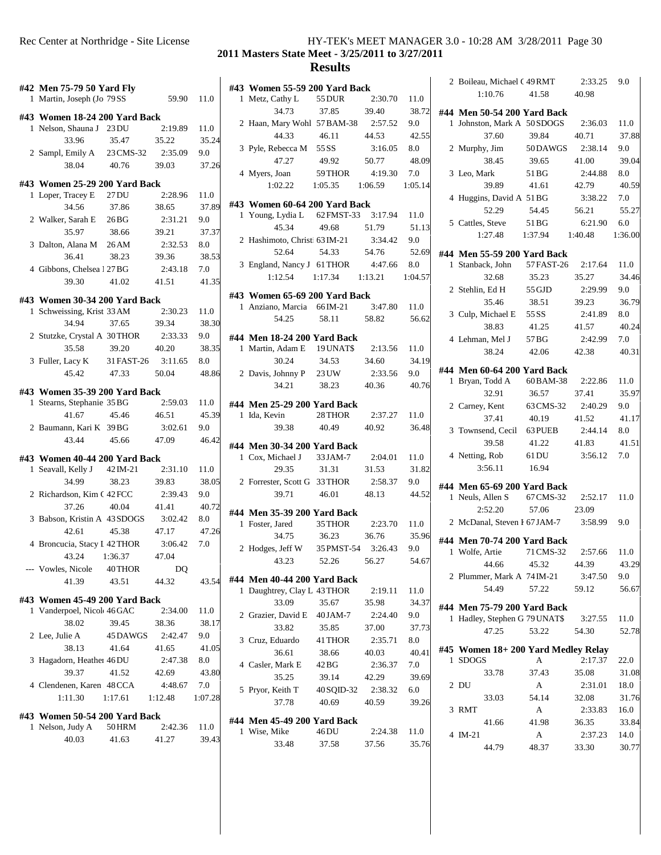| Rec Center at Northridge - Site License | HY-TEK's MEET MANAGER 3.0 - 10:28 AM 3/28/2011 Page 30 |  |
|-----------------------------------------|--------------------------------------------------------|--|
|-----------------------------------------|--------------------------------------------------------|--|

|   | #42 Men 75-79 50 Yard Fly<br>1 Martin, Joseph (Jo 79 SS      |                  | 59.90            | 11.0    | #43            | 1 N               |
|---|--------------------------------------------------------------|------------------|------------------|---------|----------------|-------------------|
|   |                                                              |                  |                  |         |                |                   |
|   | #43 Women 18-24 200 Yard Back<br>1 Nelson, Shauna J 23 DU    |                  | 2:19.89          | 11.0    | 2F             |                   |
|   | 33.96                                                        | 35.47            | 35.22            | 35.24   |                |                   |
|   | 2 Sampl, Emily A 23 CMS-32                                   |                  | 2:35.09          | 9.0     | 3F             |                   |
|   | 38.04                                                        | 40.76            | 39.03            | 37.26   |                |                   |
|   |                                                              |                  |                  |         | 4 N            |                   |
|   | #43 Women 25-29 200 Yard Back                                |                  |                  |         |                |                   |
|   | 1 Loper, Tracey E                                            | 27 DU            | 2:28.96          | 11.0    | #43            |                   |
|   | 34.56                                                        | 37.86            | 38.65            | 37.89   |                | 1 '               |
|   | 2 Walker, Sarah E                                            | 26 <sub>BG</sub> | 2:31.21          | 9.0     |                |                   |
|   | 35.97<br>3 Dalton, Alana M                                   | 38.66            | 39.21<br>2:32.53 | 37.37   | 2F             |                   |
|   |                                                              | 26 AM            |                  | 8.0     |                |                   |
|   | 36.41                                                        | 38.23            | 39.36            | 38.53   | 3F             |                   |
|   | 4 Gibbons, Chelsea 1 27 BG                                   |                  | 2:43.18          | 7.0     |                |                   |
|   | 39.30                                                        | 41.02            | 41.51            | 41.35   |                |                   |
|   | #43 Women 30-34 200 Yard Back                                |                  |                  |         | #43            |                   |
|   | 1 Schweissing, Krist 33 AM                                   |                  | 2:30.23          | 11.0    |                | $1 \ell$          |
|   | 34.94                                                        | 37.65            | 39.34            | 38.30   |                |                   |
|   | 2 Stutzke, Crystal A 30THOR                                  |                  | 2:33.33          | 9.0     | #44 I          |                   |
|   | 35.58                                                        | 39.20            | 40.20            | 38.35   |                | 1 N               |
|   | 3 Fuller, Lacy K                                             | 31 FAST-26       | 3:11.65          | 8.0     |                |                   |
|   | 45.42                                                        | 47.33            | 50.04            | 48.86   | 2I             |                   |
|   | #43 Women 35-39 200 Yard Back                                |                  |                  |         |                |                   |
|   | 1 Stearns, Stephanie 35 BG                                   |                  | 2:59.03          | 11.0    | #44 1          |                   |
|   | 41.67                                                        | 45.46            | 46.51            | 45.39   |                | 1 I               |
|   | 2 Baumann, Kari K 39 BG                                      |                  | 3:02.61          | 9.0     |                |                   |
|   | 43.44                                                        | 45.66            | 47.09            | 46.42   |                |                   |
|   |                                                              |                  |                  |         | #44 I          | 1 (               |
|   | #43 Women 40-44 200 Yard Back<br>1 Seavall, Kelly J 42 IM-21 |                  | 2:31.10          | 11.0    |                |                   |
|   | 34.99                                                        | 38.23            | 39.83            | 38.05   | 2F             |                   |
|   | 2 Richardson, Kim C 42 FCC                                   |                  | 2:39.43          | 9.0     |                |                   |
|   | 37.26                                                        | 40.04            | 41.41            | 40.72   |                |                   |
|   | 3 Babson, Kristin A 43 SDOGS                                 |                  | 3:02.42          | 8.0     | #44 1          |                   |
|   | 42.61                                                        | 45.38            | 47.17            | 47.26   |                | 1 H               |
|   | 4 Broncucia, Stacy I 42 THOR                                 |                  | 3:06.42          | 7.0     |                |                   |
|   | 43.24 1:36.37                                                |                  | 47.04            |         | 2 H            |                   |
|   | --- Vowles, Nicole                                           | 40 THOR          | DQ               |         |                |                   |
|   | 41.39                                                        | 43.51            | 44.32            | 43.54   | #44 I          |                   |
|   |                                                              |                  |                  |         |                | $1 \; \mathrm{I}$ |
|   | #43 Women 45-49 200 Yard Back                                |                  |                  |         |                |                   |
|   | 1 Vanderpoel, Nicol 46 GAC                                   |                  | 2:34.00          | 11.0    | 2 <sub>0</sub> |                   |
|   | 38.02                                                        | 39.45            | 38.36            | 38.17   |                |                   |
|   | 2 Lee, Julie A                                               | 45 DAWGS         | 2:42.47          | 9.0     | 3 <sup>1</sup> |                   |
|   | 38.13                                                        | 41.64            | 41.65            | 41.05   |                |                   |
|   | 3 Hagadorn, Heather 46 DU                                    |                  | 2:47.38          | 8.0     | 4 (            |                   |
|   | 39.37                                                        | 41.52            | 42.69            | 43.80   |                |                   |
|   | 4 Clendenen, Karen 48 CCA                                    |                  | 4:48.67          | 7.0     | 5 F            |                   |
|   | 1:11.30                                                      | 1:17.61          | 1:12.48          | 1:07.28 |                |                   |
|   | #43 Women 50-54 200 Yard Back                                |                  |                  |         |                |                   |
| 1 | Nelson, Judy A 50 HRM                                        |                  | 2:42.36          | 11.0    | #44 1          | 1 \               |
|   | 40.03                                                        | 41.63            | 41.27            | 39.43   |                |                   |
|   |                                                              |                  |                  |         |                |                   |
|   |                                                              |                  |                  |         |                |                   |

| #43 Women 55-59 200 Yard Back         |                     |         |         | 2 I            |
|---------------------------------------|---------------------|---------|---------|----------------|
| 1 Metz, Cathy L 55 DUR                |                     | 2:30.70 | 11.0    |                |
| 34.73                                 | 37.85               | 39.40   | 38.72   | #44 1          |
| 2 Haan, Mary Wohl 57 BAM-38 2:57.52   |                     |         | 9.0     | 1J             |
| 44.33                                 | 46.11               | 44.53   | 42.55   |                |
| 3 Pyle, Rebecca M 55 SS               |                     | 3:16.05 | 8.0     | 2 <sub>1</sub> |
| 47.27                                 | 49.92               | 50.77   | 48.09   |                |
| 4 Myers, Joan                         | 59 THOR             | 4:19.30 | 7.0     | 3 <sub>1</sub> |
| 1:02.22                               | 1:05.35             | 1:06.59 | 1:05.14 |                |
|                                       |                     |         |         | 4 H            |
| #43 Women 60-64 200 Yard Back         |                     |         |         |                |
| 1 Young, Lydia L 62 FMST-33 3:17.94   |                     |         | 11.0    | 5 <sup>0</sup> |
| 45.34                                 | 49.68               | 51.79   | 51.13   |                |
| 2 Hashimoto, Christi 63 IM-21 3:34.42 |                     |         | 9.0     |                |
| 52.64                                 | 54.33               | 54.76   | 52.69   | #44 1          |
| 3 England, Nancy J 61 THOR 4:47.66    |                     |         | 8.0     | 1S             |
| 1:12.54                               | $1:17.34$ $1:13.21$ |         | 1:04.57 |                |
| #43 Women 65-69 200 Yard Back         |                     |         |         | 2S             |
| 1 Anziano, Marcia 66 IM-21 3:47.80    |                     |         | 11.0    |                |
| 54.25                                 | 58.11               | 58.82   | 56.62   | 3 <sup>1</sup> |
|                                       |                     |         |         |                |
| #44 Men 18-24 200 Yard Back           |                     |         |         | 4 I            |
| 1 Martin, Adam E 19 UNAT\$            |                     | 2:13.56 | 11.0    |                |
| 30.24                                 | 34.53               | 34.60   | 34.19   | #44 M          |
| 2 Davis, Johnny P 23 UW               |                     | 2:33.56 | 9.0     | 1 H            |
| 34.21                                 | 38.23               | 40.36   | 40.76   |                |
| #44 Men 25-29 200 Yard Back           |                     |         |         | 2 0            |
| 1 Ida, Kevin                          | 28 THOR             | 2:37.27 | 11.0    |                |
| 39.38 40.49                           |                     | 40.92   | 36.48   | 3 <sub>1</sub> |
|                                       |                     |         |         |                |
| #44 Men 30-34 200 Yard Back           |                     |         |         | 4 N            |
| 1 Cox, Michael J 33 JAM-7             |                     | 2:04.01 | 11.0    |                |
| 29.35                                 | 31.31               | 31.53   | 31.82   |                |
| 2 Forrester, Scott G 33 THOR          |                     | 2:58.37 | 9.0     | #44 1          |
| 39.71                                 | 46.01               | 48.13   | 44.52   | 1 N            |
| #44 Men 35-39 200 Yard Back           |                     |         |         |                |
| 1 Foster, Jared                       | 35 THOR             | 2:23.70 | 11.0    | 2 N            |
| 34.75                                 | 36.23               | 36.76   | 35.96   | #44 1          |
| 2 Hodges, Jeff W                      | 35 PMST-54 3:26.43  |         | 9.0     | 1 V            |
| 43.23                                 | 52.26               | 56.27   | 54.67   |                |
|                                       |                     |         |         | 2 F            |
| #44 Men 40-44 200 Yard Back           |                     |         |         |                |
| 1 Daughtrey, Clay L 43 THOR           |                     | 2:19.11 | 11.0    |                |
| 33.09                                 | 35.67               | 35.98   | 34.37   | #44 1          |
| 2 Grazier, David E                    | 40 JAM-7            | 2:24.40 | 9.0     | 1 H            |
| 33.82                                 | 35.85               | 37.00   | 37.73   |                |
| 3 Cruz, Eduardo                       | 41 THOR             | 2:35.71 | 8.0     | #45 \          |
| 36.61                                 | 38.66               | 40.03   | 40.41   | 1S             |
| 4 Casler, Mark E                      | 42 BG               | 2:36.37 | 7.0     |                |
| 35.25                                 | 39.14               | 42.29   | 39.69   | 2 I            |
| 5 Pryor, Keith T                      | 40 SQID-32          | 2:38.32 | 6.0     |                |
| 37.78                                 | 40.69               | 40.59   | 39.26   | 3 F            |
| #44 Men 45-49 200 Yard Back           |                     |         |         |                |
| 1 Wise, Mike                          | 46 DU               | 2:24.38 | 11.0    | 4 I            |
| 33.48                                 | 37.58               | 37.56   | 35.76   |                |
|                                       |                     |         |         |                |

|   | 2 Boileau, Michael (49 RMT)                              |                         | 2:33.25 | 9.0                                                                                                                                       |  |
|---|----------------------------------------------------------|-------------------------|---------|-------------------------------------------------------------------------------------------------------------------------------------------|--|
|   | 1:10.76                                                  | 41.58 40.98             |         |                                                                                                                                           |  |
|   | #44 Men 50-54 200 Yard Back                              |                         |         |                                                                                                                                           |  |
|   | 1 Johnston, Mark A 50 SDOGS                              |                         | 2:36.03 | 11.0                                                                                                                                      |  |
|   | 37.60                                                    | 39.84                   | 40.71   | 37.88                                                                                                                                     |  |
|   | 2 Murphy, Jim                                            | 50 DAWGS                | 2:38.14 | 9.0                                                                                                                                       |  |
|   | 38.45                                                    | 39.65                   | 41.00   | 39.04                                                                                                                                     |  |
|   | 3 Leo, Mark                                              | 51 BG                   | 2:44.88 | 8.0                                                                                                                                       |  |
|   | 39.89                                                    | 41.61                   | 42.79   | 40.59                                                                                                                                     |  |
|   | 4 Huggins, David A 51 BG                                 |                         | 3:38.22 | 7.0                                                                                                                                       |  |
|   | 52.29                                                    | 54.45                   | 56.21   | 55.27                                                                                                                                     |  |
|   | 5 Cattles, Steve                                         | 51 BG                   | 6:21.90 | 6.0                                                                                                                                       |  |
|   |                                                          | 1:27.48 1:37.94 1:40.48 |         |                                                                                                                                           |  |
|   | #44 Men 55-59 200 Yard Back                              |                         |         |                                                                                                                                           |  |
|   | 1 Stanback, John                                         | 57 FAST-26              | 2:17.64 |                                                                                                                                           |  |
|   | 32.68                                                    | 35.23                   | 35.27   |                                                                                                                                           |  |
|   | 2 Stehlin, Ed H 55 GJD                                   |                         | 2:29.99 | 9.0                                                                                                                                       |  |
|   | 35.46                                                    | 38.51                   | 39.23   |                                                                                                                                           |  |
|   | 3 Culp, Michael E 55 SS                                  |                         | 2:41.89 | 8.0                                                                                                                                       |  |
|   | 38.83                                                    | 41.25                   | 41.57   | 1:36.00<br>11.0<br>34.46<br>36.79<br>40.24<br>7.0<br>40.31<br>11.0<br>35.97<br>9.0<br>41.17<br>8.0<br>41.51<br>7.0<br>11.0<br>9.0<br>11.0 |  |
|   | 4 Lehman, Mel J                                          | 57 BG                   | 2:42.99 |                                                                                                                                           |  |
|   | 38.24                                                    | 42.06                   | 42.38   |                                                                                                                                           |  |
|   |                                                          |                         |         |                                                                                                                                           |  |
|   | #44 Men 60-64 200 Yard Back<br>1 Bryan, Todd A 60 BAM-38 |                         | 2:22.86 |                                                                                                                                           |  |
|   | 32.91                                                    | 36.57                   | 37.41   |                                                                                                                                           |  |
|   | 2 Carney, Kent 63 CMS-32                                 |                         | 2:40.29 |                                                                                                                                           |  |
|   | 37.41                                                    | 40.19                   | 41.52   |                                                                                                                                           |  |
|   | 3 Townsend, Cecil 63 PUEB                                |                         | 2:44.14 |                                                                                                                                           |  |
|   | 39.58                                                    | 41.22                   | 41.83   |                                                                                                                                           |  |
|   | 4 Netting, Rob                                           | 61 DU                   | 3:56.12 |                                                                                                                                           |  |
|   | 3:56.11                                                  | 16.94                   |         |                                                                                                                                           |  |
|   |                                                          |                         |         |                                                                                                                                           |  |
|   | #44 Men 65-69 200 Yard Back                              |                         |         |                                                                                                                                           |  |
|   | 1 Neuls, Allen S 67 CMS-32                               |                         | 2:52.17 |                                                                                                                                           |  |
|   | 2:52.20                                                  | 57.06                   | 23.09   |                                                                                                                                           |  |
|   | 2 McDanal, Steven I 67 JAM-7                             |                         | 3:58.99 |                                                                                                                                           |  |
|   | #44 Men 70-74 200 Yard Back                              |                         |         |                                                                                                                                           |  |
| 1 | Wolfe, Artie                                             | 71 CMS-32               | 2:57.66 |                                                                                                                                           |  |
|   | 44.66                                                    | 45.32                   | 44.39   | 43.29                                                                                                                                     |  |
|   | 2 Plummer, Mark A 74 IM-21                               |                         | 3:47.50 | 9.0                                                                                                                                       |  |
|   | 54.49                                                    | 57.22                   | 59.12   | 56.67                                                                                                                                     |  |
|   | #44 Men 75-79 200 Yard Back                              |                         |         |                                                                                                                                           |  |
|   | 1 Hadley, Stephen G 79 UNAT\$                            |                         | 3:27.55 | 11.0                                                                                                                                      |  |
|   | 47.25                                                    | 53.22                   | 54.30   | 52.78                                                                                                                                     |  |
|   |                                                          |                         |         |                                                                                                                                           |  |
| 1 | #45 Women 18+200 Yard Medley Relay<br><b>SDOGS</b>       | А                       | 2:17.37 | 22.0                                                                                                                                      |  |
|   | 33.78                                                    | 37.43                   | 35.08   | 31.08                                                                                                                                     |  |
|   | 2 DU                                                     | А                       | 2:31.01 | 18.0                                                                                                                                      |  |
|   | 33.03                                                    | 54.14                   | 32.08   | 31.76                                                                                                                                     |  |
| 3 | RMT                                                      | A                       | 2:33.83 | 16.0                                                                                                                                      |  |
|   | 41.66                                                    | 41.98                   | 36.35   | 33.84                                                                                                                                     |  |
|   | 4 IM-21                                                  | А                       | 2:37.23 | 14.0                                                                                                                                      |  |
|   | 44.79                                                    | 48.37                   | 33.30   | 30.77                                                                                                                                     |  |
|   |                                                          |                         |         |                                                                                                                                           |  |